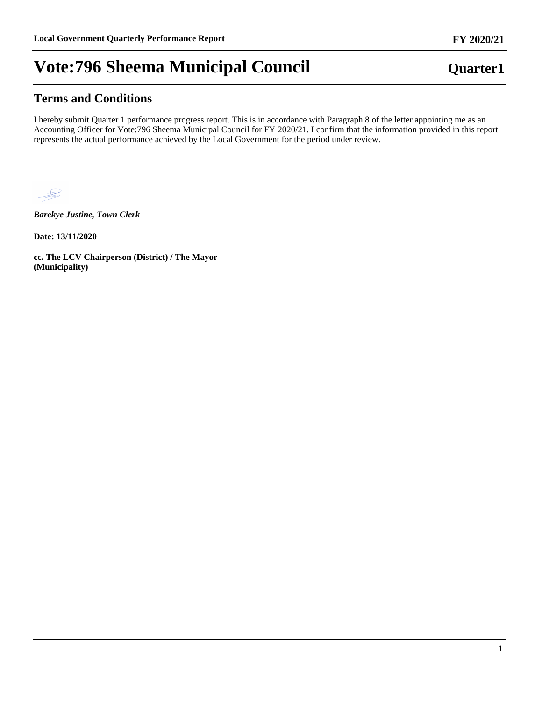## **Terms and Conditions**

I hereby submit Quarter 1 performance progress report. This is in accordance with Paragraph 8 of the letter appointing me as an Accounting Officer for Vote:796 Sheema Municipal Council for FY 2020/21. I confirm that the information provided in this report represents the actual performance achieved by the Local Government for the period under review.



*Barekye Justine, Town Clerk*

**Date: 13/11/2020**

**cc. The LCV Chairperson (District) / The Mayor (Municipality)**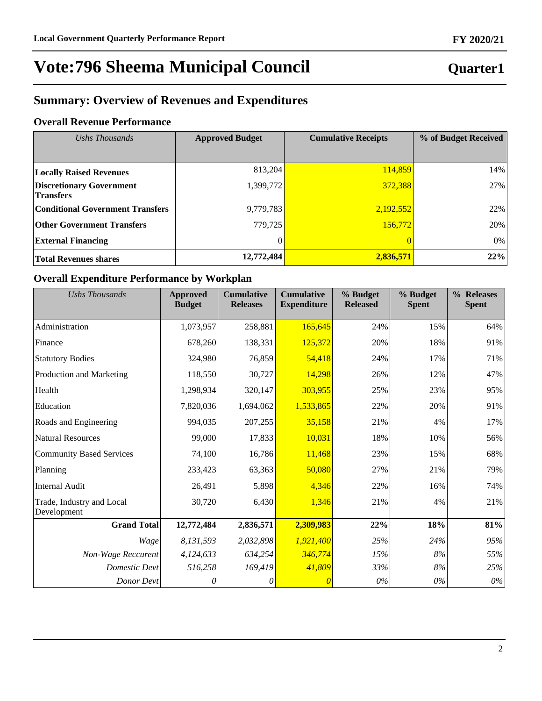## **Quarter1**

## **Summary: Overview of Revenues and Expenditures**

### **Overall Revenue Performance**

| Ushs Thousands                                      | <b>Approved Budget</b> | <b>Cumulative Receipts</b> | % of Budget Received |  |
|-----------------------------------------------------|------------------------|----------------------------|----------------------|--|
|                                                     |                        |                            |                      |  |
| <b>Locally Raised Revenues</b>                      | 813,204                | 114,859                    | 14%                  |  |
| <b>Discretionary Government</b><br><b>Transfers</b> | 1,399,772              | 372,388                    | 27%                  |  |
| <b>Conditional Government Transfers</b>             | 9,779,783              | 2,192,552                  | 22%                  |  |
| <b>Other Government Transfers</b>                   | 779.725                | 156.772                    | 20%                  |  |
| <b>External Financing</b>                           | $\theta$               |                            | 0%                   |  |
| <b>Total Revenues shares</b>                        | 12,772,484             | 2,836,571                  | 22%                  |  |

### **Overall Expenditure Performance by Workplan**

| <b>Ushs Thousands</b>                    | <b>Approved</b><br><b>Budget</b> | <b>Cumulative</b><br><b>Releases</b> | <b>Cumulative</b><br><b>Expenditure</b> | % Budget<br><b>Released</b> | % Budget<br><b>Spent</b> | % Releases<br><b>Spent</b> |
|------------------------------------------|----------------------------------|--------------------------------------|-----------------------------------------|-----------------------------|--------------------------|----------------------------|
| Administration                           | 1,073,957                        | 258,881                              | 165,645                                 | 24%                         | 15%                      | 64%                        |
| Finance                                  | 678,260                          | 138,331                              | 125,372                                 | 20%                         | 18%                      | 91%                        |
| <b>Statutory Bodies</b>                  | 324,980                          | 76,859                               | 54,418                                  | 24%                         | 17%                      | 71%                        |
| Production and Marketing                 | 118,550                          | 30,727                               | 14,298                                  | 26%                         | 12%                      | 47%                        |
| Health                                   | 1,298,934                        | 320,147                              | 303,955                                 | 25%                         | 23%                      | 95%                        |
| Education                                | 7,820,036                        | 1,694,062                            | 1,533,865                               | 22%                         | 20%                      | 91%                        |
| Roads and Engineering                    | 994,035                          | 207,255                              | 35,158                                  | 21%                         | 4%                       | 17%                        |
| <b>Natural Resources</b>                 | 99,000                           | 17,833                               | 10,031                                  | 18%                         | 10%                      | 56%                        |
| <b>Community Based Services</b>          | 74,100                           | 16,786                               | 11,468                                  | 23%                         | 15%                      | 68%                        |
| Planning                                 | 233,423                          | 63,363                               | 50,080                                  | 27%                         | 21%                      | 79%                        |
| <b>Internal Audit</b>                    | 26,491                           | 5,898                                | 4,346                                   | 22%                         | 16%                      | 74%                        |
| Trade, Industry and Local<br>Development | 30,720                           | 6,430                                | 1,346                                   | 21%                         | 4%                       | 21%                        |
| <b>Grand Total</b>                       | 12,772,484                       | 2,836,571                            | 2,309,983                               | 22%                         | 18%                      | 81%                        |
| Wage                                     | 8,131,593                        | 2,032,898                            | 1,921,400                               | 25%                         | 24%                      | 95%                        |
| Non-Wage Reccurent                       | 4,124,633                        | 634,254                              | 346,774                                 | 15%                         | $8\%$                    | 55%                        |
| <b>Domestic Devt</b>                     | 516,258                          | 169,419                              | 41,809                                  | 33%                         | $8\%$                    | 25%                        |
| Donor Devt                               | 0                                | 0                                    |                                         | $0\%$                       | $0\%$                    | $0\%$                      |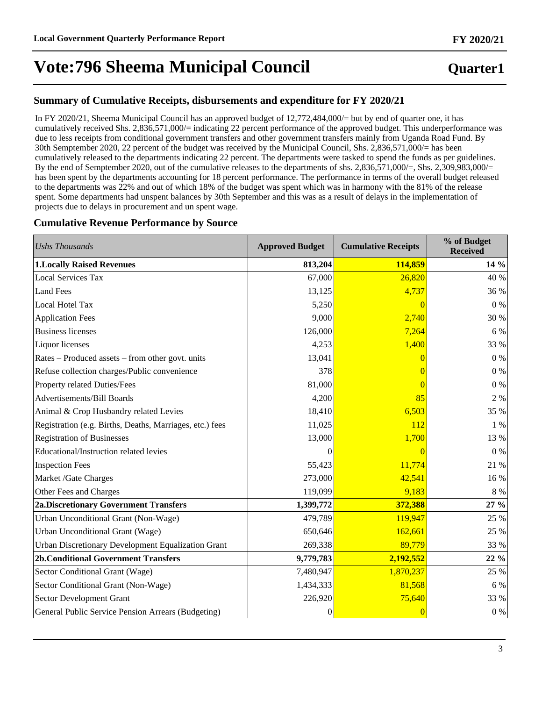## **Quarter1**

### **Summary of Cumulative Receipts, disbursements and expenditure for FY 2020/21**

In FY 2020/21, Sheema Municipal Council has an approved budget of 12,772,484,000/= but by end of quarter one, it has cumulatively received Shs. 2,836,571,000/= indicating 22 percent performance of the approved budget. This underperformance was due to less receipts from conditional government transfers and other government transfers mainly from Uganda Road Fund. By 30th Semptember 2020, 22 percent of the budget was received by the Municipal Council, Shs. 2,836,571,000/= has been cumulatively released to the departments indicating 22 percent. The departments were tasked to spend the funds as per guidelines. By the end of Semptember 2020, out of the cumulative releases to the departments of shs. 2,836,571,000/=, Shs. 2,309,983,000/= has been spent by the departments accounting for 18 percent performance. The performance in terms of the overall budget released to the departments was 22% and out of which 18% of the budget was spent which was in harmony with the 81% of the release spent. Some departments had unspent balances by 30th September and this was as a result of delays in the implementation of projects due to delays in procurement and un spent wage.

### **Cumulative Revenue Performance by Source**

| <b>Ushs Thousands</b>                                    | <b>Approved Budget</b> | <b>Cumulative Receipts</b> | % of Budget<br><b>Received</b> |
|----------------------------------------------------------|------------------------|----------------------------|--------------------------------|
| <b>1.Locally Raised Revenues</b>                         | 813,204                | 114,859                    | 14 %                           |
| <b>Local Services Tax</b>                                | 67,000                 | 26,820                     | 40 %                           |
| <b>Land Fees</b>                                         | 13,125                 | 4,737                      | 36 %                           |
| Local Hotel Tax                                          | 5,250                  | $\overline{0}$             | $0\%$                          |
| <b>Application Fees</b>                                  | 9,000                  | 2,740                      | 30 %                           |
| <b>Business licenses</b>                                 | 126,000                | 7,264                      | 6 %                            |
| Liquor licenses                                          | 4,253                  | 1,400                      | 33 %                           |
| Rates – Produced assets – from other govt. units         | 13,041                 |                            | $0\ \%$                        |
| Refuse collection charges/Public convenience             | 378                    |                            | $0\%$                          |
| Property related Duties/Fees                             | 81,000                 |                            | $0\ \%$                        |
| Advertisements/Bill Boards                               | 4,200                  | 85                         | 2 %                            |
| Animal & Crop Husbandry related Levies                   | 18,410                 | 6,503                      | 35 %                           |
| Registration (e.g. Births, Deaths, Marriages, etc.) fees | 11,025                 | 112                        | 1 %                            |
| <b>Registration of Businesses</b>                        | 13,000                 | 1,700                      | 13 %                           |
| Educational/Instruction related levies                   | $\Omega$               | $\Omega$                   | $0\%$                          |
| <b>Inspection Fees</b>                                   | 55,423                 | 11,774                     | 21 %                           |
| Market /Gate Charges                                     | 273,000                | 42,541                     | 16 %                           |
| Other Fees and Charges                                   | 119,099                | 9,183                      | $8\ \%$                        |
| <b>2a.Discretionary Government Transfers</b>             | 1,399,772              | 372,388                    | 27 %                           |
| Urban Unconditional Grant (Non-Wage)                     | 479,789                | 119,947                    | 25 %                           |
| Urban Unconditional Grant (Wage)                         | 650,646                | 162,661                    | 25 %                           |
| Urban Discretionary Development Equalization Grant       | 269,338                | 89,779                     | 33 %                           |
| <b>2b.Conditional Government Transfers</b>               | 9,779,783              | 2,192,552                  | 22 %                           |
| Sector Conditional Grant (Wage)                          | 7,480,947              | 1,870,237                  | 25 %                           |
| Sector Conditional Grant (Non-Wage)                      | 1,434,333              | 81,568                     | 6 %                            |
| Sector Development Grant                                 | 226,920                | 75,640                     | 33 %                           |
| General Public Service Pension Arrears (Budgeting)       | $\boldsymbol{0}$       | $\boldsymbol{0}$           | $0\ \%$                        |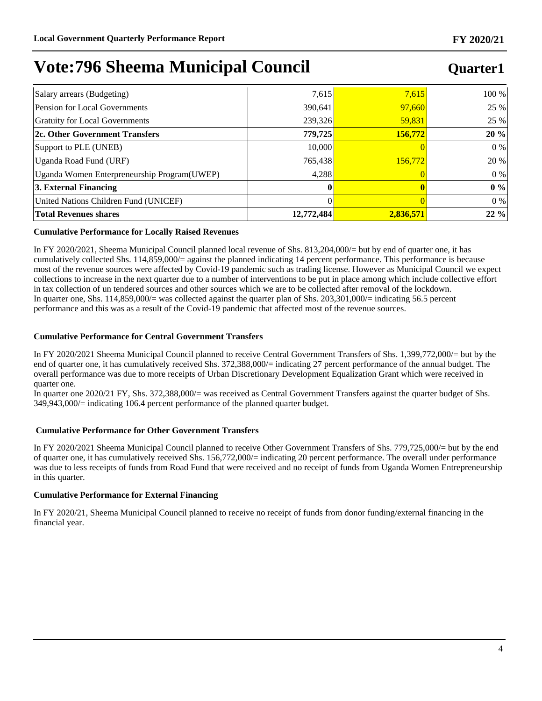## **Quarter1**

| Salary arrears (Budgeting)                   | 7,615      | 7,615     | 100 % |
|----------------------------------------------|------------|-----------|-------|
| <b>Pension for Local Governments</b>         | 390,641    | 97,660    | 25 %  |
| <b>Gratuity for Local Governments</b>        | 239,326    | 59,831    | 25 %  |
| 2c. Other Government Transfers               | 779,725    | 156,772   | 20%   |
| Support to PLE (UNEB)                        | 10.000     |           | $0\%$ |
| Uganda Road Fund (URF)                       | 765,438    | 156,772   | 20 %  |
| Uganda Women Enterpreneurship Program (UWEP) | 4.288      |           | $0\%$ |
| 3. External Financing                        | 0          |           | 0%    |
| United Nations Children Fund (UNICEF)        |            |           | $0\%$ |
| <b>Total Revenues shares</b>                 | 12,772,484 | 2,836,571 | 22%   |

#### **Cumulative Performance for Locally Raised Revenues**

In FY 2020/2021, Sheema Municipal Council planned local revenue of Shs. 813,204,000/= but by end of quarter one, it has cumulatively collected Shs. 114,859,000/= against the planned indicating 14 percent performance. This performance is because most of the revenue sources were affected by Covid-19 pandemic such as trading license. However as Municipal Council we expect collections to increase in the next quarter due to a number of interventions to be put in place among which include collective effort in tax collection of un tendered sources and other sources which we are to be collected after removal of the lockdown. In quarter one, Shs.  $114,859,000/=$  was collected against the quarter plan of Shs.  $203,301,000/=$  indicating 56.5 percent performance and this was as a result of the Covid-19 pandemic that affected most of the revenue sources.

#### **Cumulative Performance for Central Government Transfers**

In FY 2020/2021 Sheema Municipal Council planned to receive Central Government Transfers of Shs. 1,399,772,000/= but by the end of quarter one, it has cumulatively received Shs. 372,388,000/= indicating 27 percent performance of the annual budget. The overall performance was due to more receipts of Urban Discretionary Development Equalization Grant which were received in quarter one.

In quarter one 2020/21 FY, Shs. 372,388,000/= was received as Central Government Transfers against the quarter budget of Shs. 349,943,000/= indicating 106.4 percent performance of the planned quarter budget.

#### **Cumulative Performance for Other Government Transfers**

In FY 2020/2021 Sheema Municipal Council planned to receive Other Government Transfers of Shs. 779,725,000/= but by the end of quarter one, it has cumulatively received Shs. 156,772,000/= indicating 20 percent performance. The overall under performance was due to less receipts of funds from Road Fund that were received and no receipt of funds from Uganda Women Entrepreneurship in this quarter.

#### **Cumulative Performance for External Financing**

In FY 2020/21, Sheema Municipal Council planned to receive no receipt of funds from donor funding/external financing in the financial year.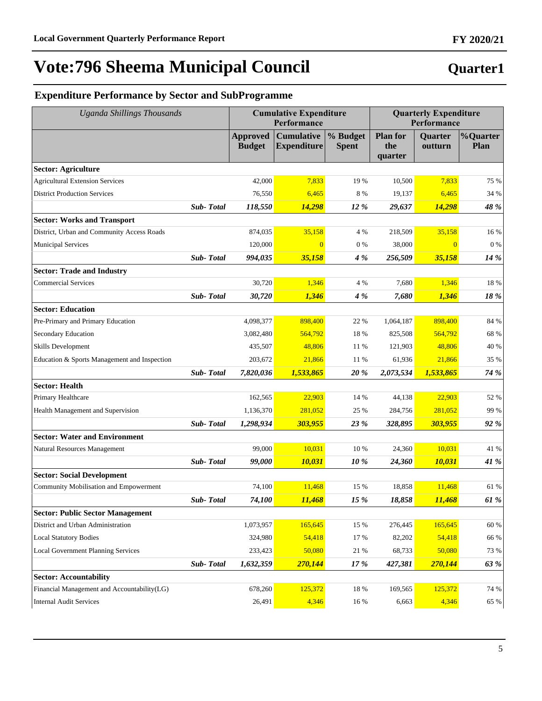## **Quarter1**

## **Expenditure Performance by Sector and SubProgramme**

| <b>Uganda Shillings Thousands</b>            |                  |                                  | <b>Cumulative Expenditure</b><br>Performance |                          |                                   | <b>Quarterly Expenditure</b><br>Performance |                         |  |
|----------------------------------------------|------------------|----------------------------------|----------------------------------------------|--------------------------|-----------------------------------|---------------------------------------------|-------------------------|--|
|                                              |                  | <b>Approved</b><br><b>Budget</b> | <b>Cumulative</b><br><b>Expenditure</b>      | % Budget<br><b>Spent</b> | <b>Plan for</b><br>the<br>quarter | <b>Quarter</b><br>outturn                   | %Quarter<br><b>Plan</b> |  |
| <b>Sector: Agriculture</b>                   |                  |                                  |                                              |                          |                                   |                                             |                         |  |
| <b>Agricultural Extension Services</b>       |                  | 42,000                           | 7,833                                        | 19 %                     | 10,500                            | 7,833                                       | 75 %                    |  |
| <b>District Production Services</b>          |                  | 76,550                           | 6,465                                        | 8 %                      | 19,137                            | 6,465                                       | 34 %                    |  |
|                                              | Sub-Total        | 118,550                          | 14,298                                       | 12 %                     | 29,637                            | 14,298                                      | 48 %                    |  |
| <b>Sector: Works and Transport</b>           |                  |                                  |                                              |                          |                                   |                                             |                         |  |
| District, Urban and Community Access Roads   |                  | 874,035                          | 35,158                                       | 4 %                      | 218,509                           | 35,158                                      | 16 %                    |  |
| <b>Municipal Services</b>                    |                  | 120,000                          | $\overline{0}$                               | $0\%$                    | 38,000                            | $\Omega$                                    | $0\%$                   |  |
|                                              | <b>Sub-Total</b> | 994,035                          | 35,158                                       | 4 %                      | 256,509                           | 35,158                                      | 14 %                    |  |
| <b>Sector: Trade and Industry</b>            |                  |                                  |                                              |                          |                                   |                                             |                         |  |
| <b>Commercial Services</b>                   |                  | 30.720                           | 1,346                                        | 4 %                      | 7,680                             | 1,346                                       | 18 %                    |  |
|                                              | <b>Sub-Total</b> | 30,720                           | 1,346                                        | 4 %                      | 7,680                             | 1,346                                       | 18 %                    |  |
| <b>Sector: Education</b>                     |                  |                                  |                                              |                          |                                   |                                             |                         |  |
| Pre-Primary and Primary Education            |                  | 4,098,377                        | 898,400                                      | 22 %                     | 1,064,187                         | 898,400                                     | 84 %                    |  |
| Secondary Education                          |                  | 3,082,480                        | 564,792                                      | 18 %                     | 825,508                           | 564,792                                     | 68 %                    |  |
| Skills Development                           |                  | 435,507                          | 48,806                                       | 11 %                     | 121,903                           | 48,806                                      | 40 %                    |  |
| Education & Sports Management and Inspection |                  | 203,672                          | 21,866                                       | 11 %                     | 61,936                            | 21,866                                      | 35 %                    |  |
|                                              | Sub-Total        | 7,820,036                        | 1,533,865                                    | 20%                      | 2,073,534                         | 1,533,865                                   | 74 %                    |  |
| <b>Sector: Health</b>                        |                  |                                  |                                              |                          |                                   |                                             |                         |  |
| Primary Healthcare                           |                  | 162,565                          | 22,903                                       | 14 %                     | 44,138                            | 22,903                                      | 52 %                    |  |
| Health Management and Supervision            |                  | 1,136,370                        | 281,052                                      | 25 %                     | 284,756                           | 281,052                                     | 99 %                    |  |
|                                              | Sub-Total        | 1,298,934                        | 303,955                                      | 23 %                     | 328,895                           | 303,955                                     | 92 %                    |  |
| <b>Sector: Water and Environment</b>         |                  |                                  |                                              |                          |                                   |                                             |                         |  |
| Natural Resources Management                 |                  | 99,000                           | 10,031                                       | 10 %                     | 24,360                            | 10,031                                      | 41 %                    |  |
|                                              | <b>Sub-Total</b> | 99,000                           | 10,031                                       | 10 %                     | 24,360                            | 10,031                                      | 41 %                    |  |
| <b>Sector: Social Development</b>            |                  |                                  |                                              |                          |                                   |                                             |                         |  |
| Community Mobilisation and Empowerment       |                  | 74,100                           | 11,468                                       | 15 %                     | 18,858                            | 11,468                                      | 61 %                    |  |
|                                              | <b>Sub-Total</b> | 74,100                           | 11,468                                       | 15 %                     | 18,858                            | 11,468                                      | 61 %                    |  |
| <b>Sector: Public Sector Management</b>      |                  |                                  |                                              |                          |                                   |                                             |                         |  |
| District and Urban Administration            |                  | 1,073,957                        | 165,645                                      | 15 %                     | 276,445                           | 165,645                                     | 60 %                    |  |
| <b>Local Statutory Bodies</b>                |                  | 324,980                          | 54,418                                       | 17 %                     | 82,202                            | 54,418                                      | 66 %                    |  |
| <b>Local Government Planning Services</b>    |                  | 233,423                          | 50,080                                       | 21 %                     | 68,733                            | 50,080                                      | 73 %                    |  |
|                                              | Sub-Total        | 1,632,359                        | 270,144                                      | 17 %                     | 427,381                           | 270,144                                     | 63 %                    |  |
| <b>Sector: Accountability</b>                |                  |                                  |                                              |                          |                                   |                                             |                         |  |
| Financial Management and Accountability(LG)  |                  | 678,260                          | 125,372                                      | 18 %                     | 169,565                           | 125,372                                     | 74 %                    |  |
| <b>Internal Audit Services</b>               |                  | 26,491                           | 4,346                                        | 16 %                     | 6,663                             | 4,346                                       | 65 %                    |  |

### **FY 2020/21**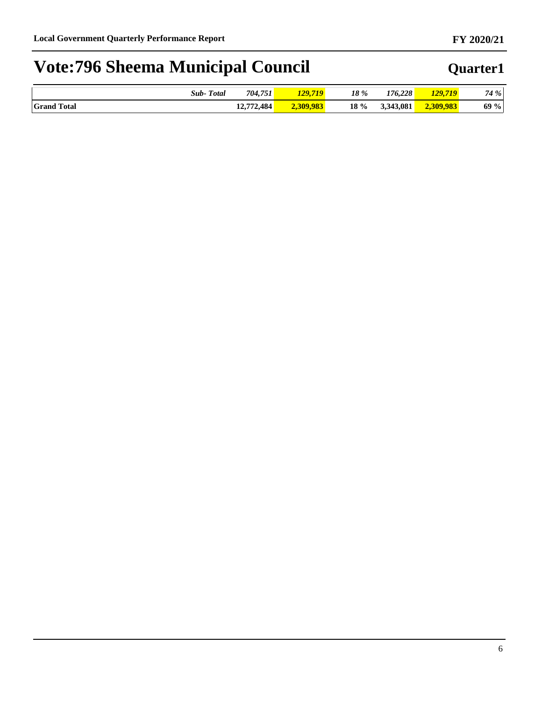|                                | <b>Total</b><br>$\mathcal{S}$ ub- | 704,751               | $\overline{110}$<br>120 | 18 % | 176.228            | 719<br>120 | 4 % |
|--------------------------------|-----------------------------------|-----------------------|-------------------------|------|--------------------|------------|-----|
| <b>Grand T</b><br><b>Total</b> |                                   | 72,484<br>12.572<br>. | ູພ<br>240.70            | 18 % | 3.343.081<br>نەھ ب | ,983       | 69% |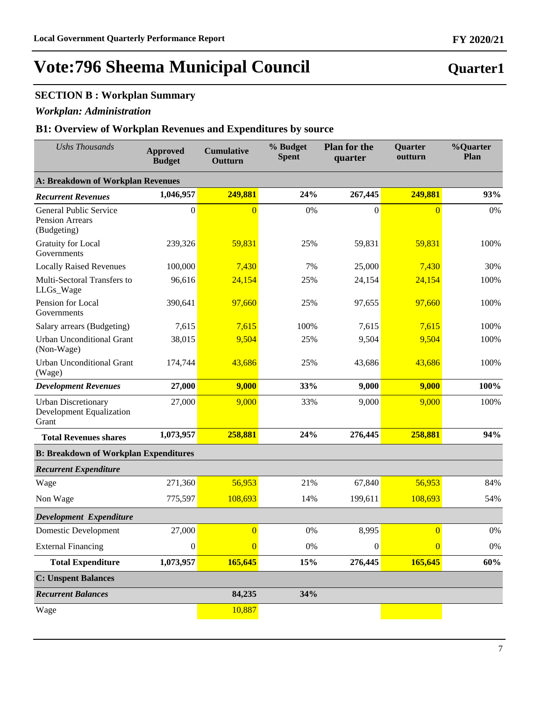## **SECTION B : Workplan Summary**

### *Workplan: Administration*

### **B1: Overview of Workplan Revenues and Expenditures by source**

| <b>Ushs Thousands</b>                                           | <b>Approved</b><br><b>Budget</b> | <b>Cumulative</b><br>Outturn | % Budget<br><b>Spent</b> | <b>Plan for the</b><br>quarter | Quarter<br>outturn | %Quarter<br>Plan |
|-----------------------------------------------------------------|----------------------------------|------------------------------|--------------------------|--------------------------------|--------------------|------------------|
| <b>A: Breakdown of Workplan Revenues</b>                        |                                  |                              |                          |                                |                    |                  |
| <b>Recurrent Revenues</b>                                       | 1,046,957                        | 249,881                      | 24%                      | 267,445                        | 249,881            | 93%              |
| General Public Service<br>Pension Arrears<br>(Budgeting)        | $\boldsymbol{0}$                 | $\overline{0}$               | 0%                       | $\mathbf{0}$                   | $\overline{0}$     | 0%               |
| <b>Gratuity for Local</b><br>Governments                        | 239,326                          | 59,831                       | 25%                      | 59,831                         | 59,831             | 100%             |
| <b>Locally Raised Revenues</b>                                  | 100,000                          | 7,430                        | 7%                       | 25,000                         | 7,430              | 30%              |
| Multi-Sectoral Transfers to<br>LLGs_Wage                        | 96,616                           | 24,154                       | 25%                      | 24,154                         | 24,154             | 100%             |
| Pension for Local<br>Governments                                | 390,641                          | 97,660                       | 25%                      | 97,655                         | 97,660             | 100%             |
| Salary arrears (Budgeting)                                      | 7,615                            | 7,615                        | 100%                     | 7,615                          | 7,615              | 100%             |
| <b>Urban Unconditional Grant</b><br>(Non-Wage)                  | 38,015                           | 9,504                        | 25%                      | 9,504                          | 9,504              | 100%             |
| <b>Urban Unconditional Grant</b><br>(Wage)                      | 174,744                          | 43,686                       | 25%                      | 43,686                         | 43,686             | 100%             |
| <b>Development Revenues</b>                                     | 27,000                           | 9,000                        | 33%                      | 9,000                          | 9,000              | 100%             |
| <b>Urban Discretionary</b><br>Development Equalization<br>Grant | 27,000                           | 9,000                        | 33%                      | 9,000                          | 9,000              | 100%             |
| <b>Total Revenues shares</b>                                    | 1,073,957                        | 258,881                      | 24%                      | 276,445                        | 258,881            | 94%              |
| <b>B: Breakdown of Workplan Expenditures</b>                    |                                  |                              |                          |                                |                    |                  |
| <b>Recurrent Expenditure</b>                                    |                                  |                              |                          |                                |                    |                  |
| Wage                                                            | 271,360                          | 56,953                       | 21%                      | 67,840                         | 56,953             | 84%              |
| Non Wage                                                        | 775,597                          | 108,693                      | 14%                      | 199,611                        | 108,693            | 54%              |
| Development Expenditure                                         |                                  |                              |                          |                                |                    |                  |
| Domestic Development                                            | 27,000                           | $\overline{0}$               | 0%                       | 8,995                          | $\overline{0}$     | 0%               |
| <b>External Financing</b>                                       | $\boldsymbol{0}$                 | $\overline{0}$               | 0%                       | $\boldsymbol{0}$               | $\overline{0}$     | $0\%$            |
| <b>Total Expenditure</b>                                        | 1,073,957                        | 165,645                      | 15%                      | 276,445                        | 165,645            | 60%              |
| <b>C: Unspent Balances</b>                                      |                                  |                              |                          |                                |                    |                  |
| <b>Recurrent Balances</b>                                       |                                  | 84,235                       | 34%                      |                                |                    |                  |
| Wage                                                            |                                  | 10,887                       |                          |                                |                    |                  |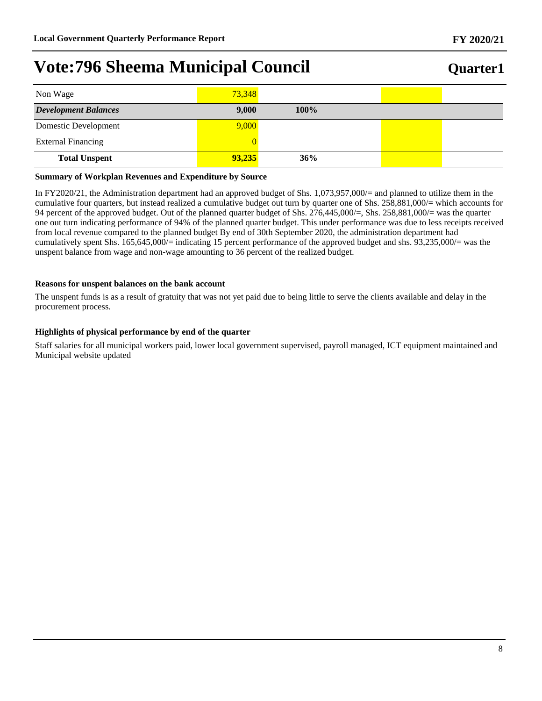| Non Wage                    | 73,348 |         |  |
|-----------------------------|--------|---------|--|
| <b>Development Balances</b> | 9,000  | $100\%$ |  |
| Domestic Development        | 9,000  |         |  |
| <b>External Financing</b>   |        |         |  |
| <b>Total Unspent</b>        | 93,235 | 36%     |  |

#### **Summary of Workplan Revenues and Expenditure by Source**

In FY2020/21, the Administration department had an approved budget of Shs. 1,073,957,000/= and planned to utilize them in the cumulative four quarters, but instead realized a cumulative budget out turn by quarter one of Shs. 258,881,000/= which accounts for 94 percent of the approved budget. Out of the planned quarter budget of Shs. 276,445,000/=, Shs. 258,881,000/= was the quarter one out turn indicating performance of 94% of the planned quarter budget. This under performance was due to less receipts received from local revenue compared to the planned budget By end of 30th September 2020, the administration department had cumulatively spent Shs. 165,645,000/= indicating 15 percent performance of the approved budget and shs. 93,235,000/= was the unspent balance from wage and non-wage amounting to 36 percent of the realized budget.

#### **Reasons for unspent balances on the bank account**

The unspent funds is as a result of gratuity that was not yet paid due to being little to serve the clients available and delay in the procurement process.

#### **Highlights of physical performance by end of the quarter**

Staff salaries for all municipal workers paid, lower local government supervised, payroll managed, ICT equipment maintained and Municipal website updated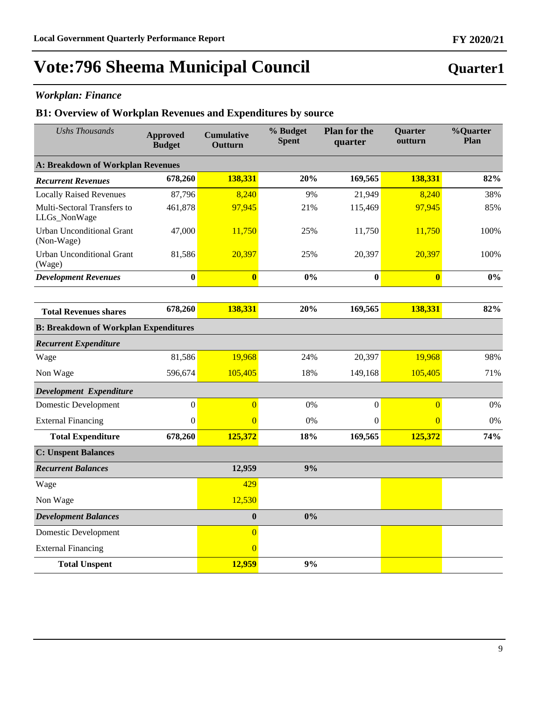### *Workplan: Finance*

### **B1: Overview of Workplan Revenues and Expenditures by source**

| <b>Ushs Thousands</b>                          | <b>Approved</b><br><b>Budget</b> | <b>Cumulative</b><br>Outturn | % Budget<br><b>Spent</b> | <b>Plan for the</b><br>quarter | Quarter<br>outturn      | %Quarter<br>Plan |
|------------------------------------------------|----------------------------------|------------------------------|--------------------------|--------------------------------|-------------------------|------------------|
| A: Breakdown of Workplan Revenues              |                                  |                              |                          |                                |                         |                  |
| <b>Recurrent Revenues</b>                      | 678,260                          | 138,331                      | 20%                      | 169,565                        | 138,331                 | 82%              |
| <b>Locally Raised Revenues</b>                 | 87,796                           | 8,240                        | 9%                       | 21,949                         | 8,240                   | 38%              |
| Multi-Sectoral Transfers to<br>LLGs_NonWage    | 461,878                          | 97,945                       | 21%                      | 115,469                        | 97,945                  | 85%              |
| <b>Urban Unconditional Grant</b><br>(Non-Wage) | 47,000                           | 11,750                       | 25%                      | 11,750                         | 11,750                  | 100%             |
| Urban Unconditional Grant<br>(Wage)            | 81,586                           | 20,397                       | 25%                      | 20,397                         | 20,397                  | 100%             |
| <b>Development Revenues</b>                    | $\bf{0}$                         | $\overline{\mathbf{0}}$      | 0%                       | $\bf{0}$                       | $\overline{\mathbf{0}}$ | $0\%$            |
|                                                |                                  |                              |                          |                                |                         |                  |
| <b>Total Revenues shares</b>                   | 678,260                          | 138,331                      | 20%                      | 169,565                        | 138,331                 | 82%              |
| <b>B: Breakdown of Workplan Expenditures</b>   |                                  |                              |                          |                                |                         |                  |
| <b>Recurrent Expenditure</b>                   |                                  |                              |                          |                                |                         |                  |
| Wage                                           | 81,586                           | 19,968                       | 24%                      | 20,397                         | 19,968                  | 98%              |
| Non Wage                                       | 596,674                          | 105,405                      | 18%                      | 149,168                        | 105,405                 | 71%              |
| Development Expenditure                        |                                  |                              |                          |                                |                         |                  |
| Domestic Development                           | $\boldsymbol{0}$                 | $\overline{0}$               | 0%                       | $\boldsymbol{0}$               | $\overline{0}$          | $0\%$            |
| <b>External Financing</b>                      | $\boldsymbol{0}$                 | $\Omega$                     | 0%                       | $\Omega$                       | $\overline{0}$          | 0%               |
| <b>Total Expenditure</b>                       | 678,260                          | 125,372                      | 18%                      | 169,565                        | 125,372                 | 74%              |
| <b>C: Unspent Balances</b>                     |                                  |                              |                          |                                |                         |                  |
| <b>Recurrent Balances</b>                      |                                  | 12,959                       | 9%                       |                                |                         |                  |
| Wage                                           |                                  | 429                          |                          |                                |                         |                  |
| Non Wage                                       |                                  | 12,530                       |                          |                                |                         |                  |
| <b>Development Balances</b>                    |                                  | $\bf{0}$                     | 0%                       |                                |                         |                  |
| Domestic Development                           |                                  | $\overline{0}$               |                          |                                |                         |                  |
| <b>External Financing</b>                      |                                  | $\overline{0}$               |                          |                                |                         |                  |
| <b>Total Unspent</b>                           |                                  | 12,959                       | 9%                       |                                |                         |                  |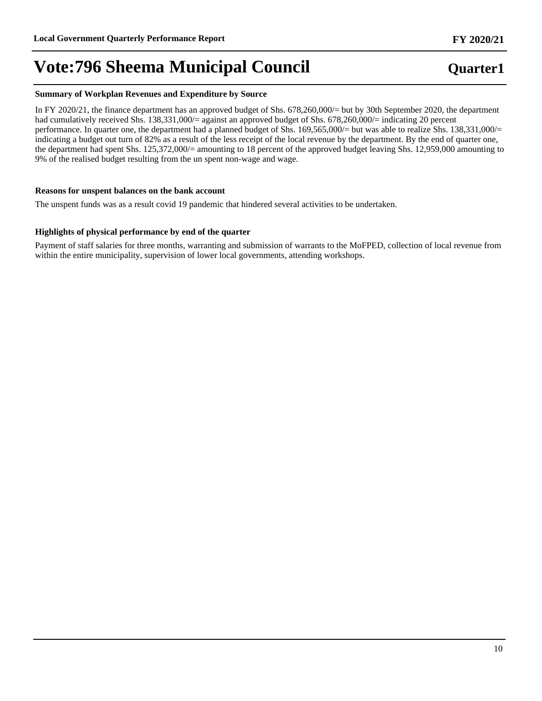#### **Summary of Workplan Revenues and Expenditure by Source**

In FY 2020/21, the finance department has an approved budget of Shs. 678,260,000/= but by 30th September 2020, the department had cumulatively received Shs. 138,331,000/= against an approved budget of Shs. 678,260,000/= indicating 20 percent performance. In quarter one, the department had a planned budget of Shs. 169,565,000/= but was able to realize Shs. 138,331,000/= indicating a budget out turn of 82% as a result of the less receipt of the local revenue by the department. By the end of quarter one, the department had spent Shs. 125,372,000/= amounting to 18 percent of the approved budget leaving Shs. 12,959,000 amounting to 9% of the realised budget resulting from the un spent non-wage and wage.

#### **Reasons for unspent balances on the bank account**

The unspent funds was as a result covid 19 pandemic that hindered several activities to be undertaken.

#### **Highlights of physical performance by end of the quarter**

Payment of staff salaries for three months, warranting and submission of warrants to the MoFPED, collection of local revenue from within the entire municipality, supervision of lower local governments, attending workshops.

## **Quarter1**

**FY 2020/21**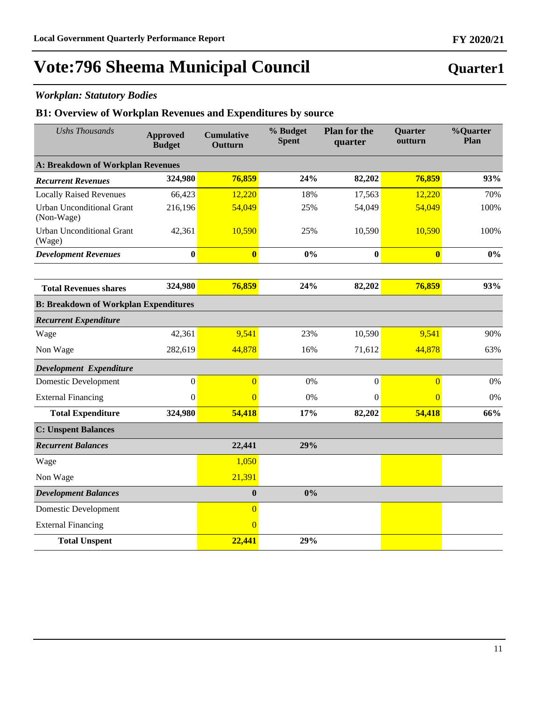## *Workplan: Statutory Bodies*

### **B1: Overview of Workplan Revenues and Expenditures by source**

| <b>Ushs Thousands</b>                          | <b>Approved</b><br><b>Budget</b> | <b>Cumulative</b><br>Outturn | % Budget<br><b>Spent</b> | <b>Plan for the</b><br>quarter | <b>Quarter</b><br>outturn | %Quarter<br>Plan |  |
|------------------------------------------------|----------------------------------|------------------------------|--------------------------|--------------------------------|---------------------------|------------------|--|
| A: Breakdown of Workplan Revenues              |                                  |                              |                          |                                |                           |                  |  |
| <b>Recurrent Revenues</b>                      | 324,980                          | 76,859                       | 24%                      | 82,202                         | 76,859                    | 93%              |  |
| <b>Locally Raised Revenues</b>                 | 66,423                           | 12,220                       | 18%                      | 17,563                         | 12,220                    | 70%              |  |
| <b>Urban Unconditional Grant</b><br>(Non-Wage) | 216,196                          | 54,049                       | 25%                      | 54,049                         | 54,049                    | 100%             |  |
| <b>Urban Unconditional Grant</b><br>(Wage)     | 42,361                           | 10,590                       | 25%                      | 10,590                         | 10,590                    | 100%             |  |
| <b>Development Revenues</b>                    | $\bf{0}$                         | $\overline{\mathbf{0}}$      | 0%                       | $\bf{0}$                       | $\overline{\mathbf{0}}$   | $0\%$            |  |
|                                                |                                  |                              |                          |                                |                           |                  |  |
| <b>Total Revenues shares</b>                   | 324,980                          | 76,859                       | 24%                      | 82,202                         | 76,859                    | 93%              |  |
| <b>B: Breakdown of Workplan Expenditures</b>   |                                  |                              |                          |                                |                           |                  |  |
| <b>Recurrent Expenditure</b>                   |                                  |                              |                          |                                |                           |                  |  |
| Wage                                           | 42,361                           | 9,541                        | 23%                      | 10,590                         | 9,541                     | 90%              |  |
| Non Wage                                       | 282,619                          | 44,878                       | 16%                      | 71,612                         | 44,878                    | 63%              |  |
| Development Expenditure                        |                                  |                              |                          |                                |                           |                  |  |
| <b>Domestic Development</b>                    | $\boldsymbol{0}$                 | $\overline{0}$               | 0%                       | $\boldsymbol{0}$               | $\overline{0}$            | 0%               |  |
| <b>External Financing</b>                      | $\Omega$                         | $\overline{0}$               | 0%                       | $\Omega$                       | $\overline{0}$            | 0%               |  |
| <b>Total Expenditure</b>                       | 324,980                          | 54,418                       | 17%                      | 82,202                         | 54,418                    | 66%              |  |
| <b>C:</b> Unspent Balances                     |                                  |                              |                          |                                |                           |                  |  |
| <b>Recurrent Balances</b>                      |                                  | 22,441                       | 29%                      |                                |                           |                  |  |
| Wage                                           |                                  | 1,050                        |                          |                                |                           |                  |  |
| Non Wage                                       |                                  | 21,391                       |                          |                                |                           |                  |  |
| <b>Development Balances</b>                    |                                  | $\boldsymbol{0}$             | 0%                       |                                |                           |                  |  |
| <b>Domestic Development</b>                    |                                  | $\overline{0}$               |                          |                                |                           |                  |  |
| <b>External Financing</b>                      |                                  | $\overline{0}$               |                          |                                |                           |                  |  |
| <b>Total Unspent</b>                           |                                  | 22,441                       | 29%                      |                                |                           |                  |  |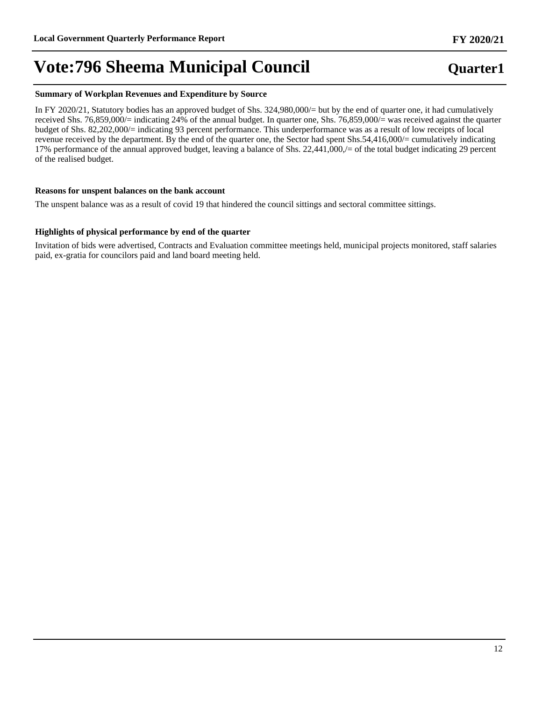#### **Summary of Workplan Revenues and Expenditure by Source**

In FY 2020/21, Statutory bodies has an approved budget of Shs. 324,980,000/= but by the end of quarter one, it had cumulatively received Shs. 76,859,000/= indicating 24% of the annual budget. In quarter one, Shs. 76,859,000/= was received against the quarter budget of Shs. 82,202,000/= indicating 93 percent performance. This underperformance was as a result of low receipts of local revenue received by the department. By the end of the quarter one, the Sector had spent Shs.54,416,000/= cumulatively indicating 17% performance of the annual approved budget, leaving a balance of Shs. 22,441,000,/= of the total budget indicating 29 percent of the realised budget.

#### **Reasons for unspent balances on the bank account**

The unspent balance was as a result of covid 19 that hindered the council sittings and sectoral committee sittings.

#### **Highlights of physical performance by end of the quarter**

Invitation of bids were advertised, Contracts and Evaluation committee meetings held, municipal projects monitored, staff salaries paid, ex-gratia for councilors paid and land board meeting held.

# **Quarter1**

**FY 2020/21**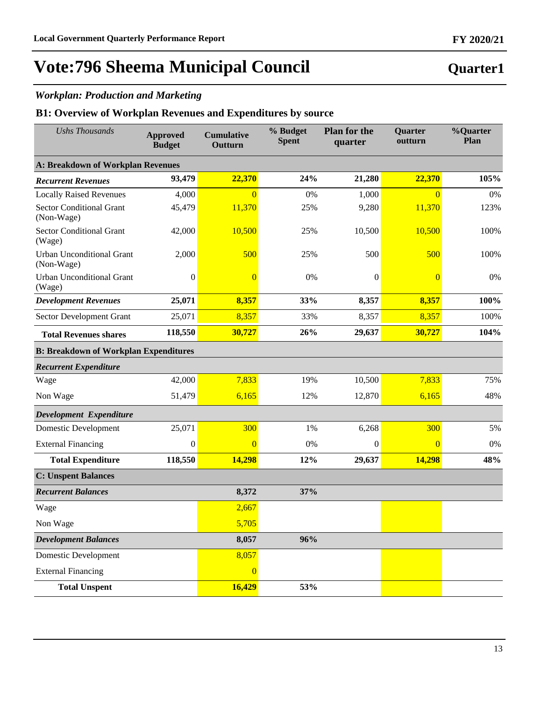## *Workplan: Production and Marketing*

### **B1: Overview of Workplan Revenues and Expenditures by source**

| <b>Ushs Thousands</b>                          | <b>Approved</b><br><b>Budget</b> | <b>Cumulative</b><br>Outturn | % Budget<br><b>Spent</b> | <b>Plan for the</b><br>quarter | Quarter<br>outturn | %Quarter<br>Plan |
|------------------------------------------------|----------------------------------|------------------------------|--------------------------|--------------------------------|--------------------|------------------|
| <b>A: Breakdown of Workplan Revenues</b>       |                                  |                              |                          |                                |                    |                  |
| <b>Recurrent Revenues</b>                      | 93,479                           | 22,370                       | 24%                      | 21,280                         | 22,370             | 105%             |
| <b>Locally Raised Revenues</b>                 | 4,000                            | $\Omega$                     | 0%                       | 1,000                          | $\overline{0}$     | 0%               |
| <b>Sector Conditional Grant</b><br>(Non-Wage)  | 45,479                           | 11,370                       | 25%                      | 9,280                          | 11,370             | 123%             |
| <b>Sector Conditional Grant</b><br>(Wage)      | 42,000                           | 10,500                       | 25%                      | 10,500                         | 10,500             | 100%             |
| <b>Urban Unconditional Grant</b><br>(Non-Wage) | 2,000                            | 500                          | 25%                      | 500                            | 500                | 100%             |
| <b>Urban Unconditional Grant</b><br>(Wage)     | $\boldsymbol{0}$                 | $\overline{0}$               | 0%                       | $\theta$                       | $\overline{0}$     | 0%               |
| <b>Development Revenues</b>                    | 25,071                           | 8,357                        | 33%                      | 8,357                          | 8,357              | 100%             |
| Sector Development Grant                       | 25,071                           | 8,357                        | 33%                      | 8,357                          | 8,357              | 100%             |
| <b>Total Revenues shares</b>                   | 118,550                          | 30,727                       | 26%                      | 29,637                         | 30,727             | 104%             |
| <b>B: Breakdown of Workplan Expenditures</b>   |                                  |                              |                          |                                |                    |                  |
| <b>Recurrent Expenditure</b>                   |                                  |                              |                          |                                |                    |                  |
| Wage                                           | 42,000                           | 7,833                        | 19%                      | 10,500                         | 7,833              | 75%              |
| Non Wage                                       | 51,479                           | 6,165                        | 12%                      | 12,870                         | 6,165              | 48%              |
| Development Expenditure                        |                                  |                              |                          |                                |                    |                  |
| <b>Domestic Development</b>                    | 25,071                           | 300                          | 1%                       | 6,268                          | 300                | 5%               |
| <b>External Financing</b>                      | $\boldsymbol{0}$                 | $\overline{0}$               | 0%                       | $\theta$                       | $\overline{0}$     | 0%               |
| <b>Total Expenditure</b>                       | 118,550                          | 14,298                       | 12%                      | 29,637                         | 14,298             | 48%              |
| <b>C: Unspent Balances</b>                     |                                  |                              |                          |                                |                    |                  |
| <b>Recurrent Balances</b>                      |                                  | 8,372                        | 37%                      |                                |                    |                  |
| Wage                                           |                                  | 2,667                        |                          |                                |                    |                  |
| Non Wage                                       |                                  | 5,705                        |                          |                                |                    |                  |
| <b>Development Balances</b>                    |                                  | 8,057                        | 96%                      |                                |                    |                  |
| <b>Domestic Development</b>                    |                                  | 8,057                        |                          |                                |                    |                  |
| <b>External Financing</b>                      |                                  | $\overline{0}$               |                          |                                |                    |                  |
| <b>Total Unspent</b>                           |                                  | 16,429                       | 53%                      |                                |                    |                  |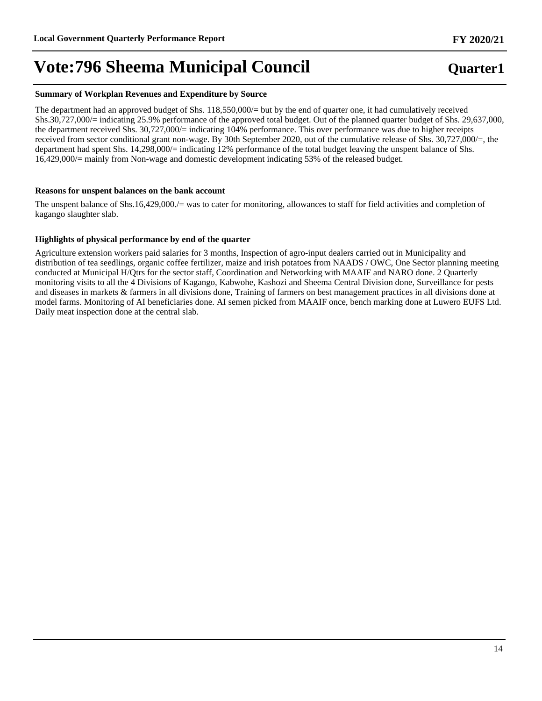#### **Summary of Workplan Revenues and Expenditure by Source**

The department had an approved budget of Shs. 118,550,000/= but by the end of quarter one, it had cumulatively received Shs.30,727,000/= indicating 25.9% performance of the approved total budget. Out of the planned quarter budget of Shs. 29,637,000, the department received Shs. 30,727,000/= indicating 104% performance. This over performance was due to higher receipts received from sector conditional grant non-wage. By 30th September 2020, out of the cumulative release of Shs. 30,727,000/=, the department had spent Shs. 14,298,000/= indicating 12% performance of the total budget leaving the unspent balance of Shs. 16,429,000/= mainly from Non-wage and domestic development indicating 53% of the released budget.

#### **Reasons for unspent balances on the bank account**

The unspent balance of Shs.16,429,000./= was to cater for monitoring, allowances to staff for field activities and completion of kagango slaughter slab.

#### **Highlights of physical performance by end of the quarter**

Agriculture extension workers paid salaries for 3 months, Inspection of agro-input dealers carried out in Municipality and distribution of tea seedlings, organic coffee fertilizer, maize and irish potatoes from NAADS / OWC, One Sector planning meeting conducted at Municipal H/Qtrs for the sector staff, Coordination and Networking with MAAIF and NARO done. 2 Quarterly monitoring visits to all the 4 Divisions of Kagango, Kabwohe, Kashozi and Sheema Central Division done, Surveillance for pests and diseases in markets & farmers in all divisions done, Training of farmers on best management practices in all divisions done at model farms. Monitoring of AI beneficiaries done. AI semen picked from MAAIF once, bench marking done at Luwero EUFS Ltd. Daily meat inspection done at the central slab.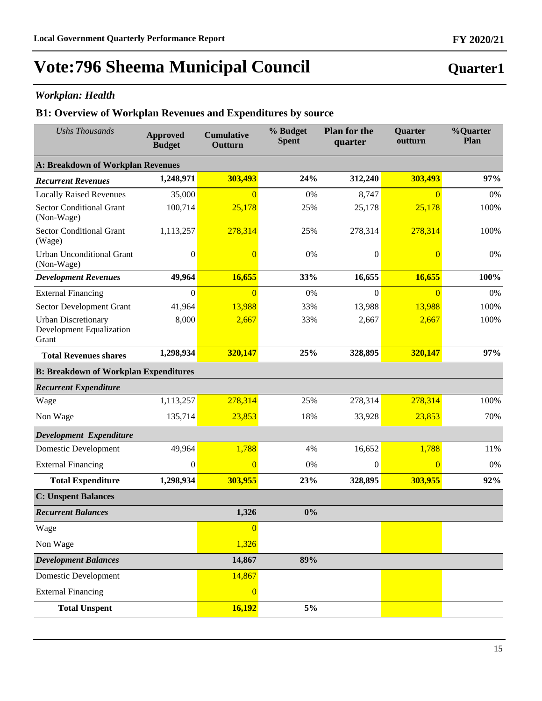## *Workplan: Health*

### **B1: Overview of Workplan Revenues and Expenditures by source**

| <b>Ushs Thousands</b>                                                  | <b>Approved</b><br><b>Budget</b>             | <b>Cumulative</b><br>Outturn | % Budget<br><b>Spent</b> | <b>Plan for the</b><br>quarter | <b>Quarter</b><br>outturn | %Quarter<br>Plan |  |  |  |  |
|------------------------------------------------------------------------|----------------------------------------------|------------------------------|--------------------------|--------------------------------|---------------------------|------------------|--|--|--|--|
| A: Breakdown of Workplan Revenues                                      |                                              |                              |                          |                                |                           |                  |  |  |  |  |
| <b>Recurrent Revenues</b>                                              | 1,248,971                                    | 303,493                      | 24%                      | 312,240                        | 303,493                   | 97%              |  |  |  |  |
| <b>Locally Raised Revenues</b>                                         | 35,000                                       | $\overline{0}$               | 0%                       | 8,747                          | $\overline{0}$            | 0%               |  |  |  |  |
| <b>Sector Conditional Grant</b><br>(Non-Wage)                          | 100,714                                      | 25,178                       | 25%                      | 25,178                         | 25,178                    | 100%             |  |  |  |  |
| <b>Sector Conditional Grant</b><br>(Wage)                              | 1,113,257                                    | 278,314                      | 25%                      | 278,314                        | 278,314                   | 100%             |  |  |  |  |
| <b>Urban Unconditional Grant</b><br>(Non-Wage)                         | $\mathbf{0}$                                 | $\overline{0}$               | 0%                       | $\theta$                       | $\overline{0}$            | 0%               |  |  |  |  |
| <b>Development Revenues</b>                                            | 49,964                                       | 16,655                       | 33%                      | 16,655                         | 16,655                    | 100%             |  |  |  |  |
| <b>External Financing</b>                                              | $\mathbf{0}$                                 | $\overline{0}$               | 0%                       | $\mathbf{0}$                   | $\overline{0}$            | 0%               |  |  |  |  |
| Sector Development Grant                                               | 41,964                                       | 13,988                       | 33%                      | 13,988                         | 13,988                    | 100%             |  |  |  |  |
| <b>Urban Discretionary</b><br><b>Development Equalization</b><br>Grant | 8,000                                        | 2,667                        | 33%                      | 2,667                          | 2,667                     | 100%             |  |  |  |  |
| <b>Total Revenues shares</b>                                           | 1,298,934                                    | 320,147                      | 25%                      | 328,895                        | 320,147                   | 97%              |  |  |  |  |
|                                                                        | <b>B: Breakdown of Workplan Expenditures</b> |                              |                          |                                |                           |                  |  |  |  |  |
| <b>Recurrent Expenditure</b>                                           |                                              |                              |                          |                                |                           |                  |  |  |  |  |
| Wage                                                                   | 1,113,257                                    | 278,314                      | 25%                      | 278,314                        | 278,314                   | 100%             |  |  |  |  |
| Non Wage                                                               | 135,714                                      | 23,853                       | 18%                      | 33,928                         | 23,853                    | 70%              |  |  |  |  |
| Development Expenditure                                                |                                              |                              |                          |                                |                           |                  |  |  |  |  |
| <b>Domestic Development</b>                                            | 49,964                                       | 1,788                        | 4%                       | 16,652                         | 1,788                     | 11%              |  |  |  |  |
| <b>External Financing</b>                                              | $\mathbf{0}$                                 | $\Omega$                     | 0%                       | $\mathbf{0}$                   | $\overline{0}$            | 0%               |  |  |  |  |
| <b>Total Expenditure</b>                                               | 1,298,934                                    | 303,955                      | 23%                      | 328,895                        | 303,955                   | 92%              |  |  |  |  |
| <b>C: Unspent Balances</b>                                             |                                              |                              |                          |                                |                           |                  |  |  |  |  |
| <b>Recurrent Balances</b>                                              |                                              | 1,326                        | 0%                       |                                |                           |                  |  |  |  |  |
| Wage                                                                   |                                              | $\overline{0}$               |                          |                                |                           |                  |  |  |  |  |
| Non Wage                                                               |                                              | 1,326                        |                          |                                |                           |                  |  |  |  |  |
| <b>Development Balances</b>                                            |                                              | 14,867                       | 89%                      |                                |                           |                  |  |  |  |  |
| <b>Domestic Development</b>                                            |                                              | 14,867                       |                          |                                |                           |                  |  |  |  |  |
| <b>External Financing</b>                                              |                                              | $\overline{0}$               |                          |                                |                           |                  |  |  |  |  |
| <b>Total Unspent</b>                                                   |                                              | 16,192                       | 5%                       |                                |                           |                  |  |  |  |  |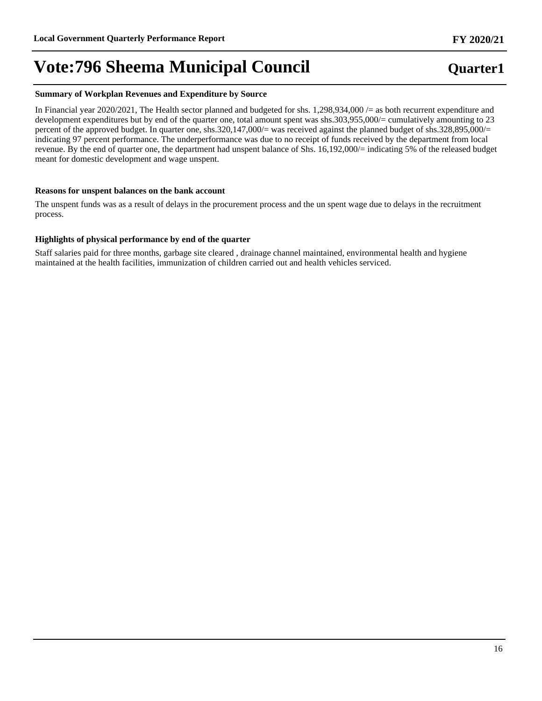#### **Summary of Workplan Revenues and Expenditure by Source**

In Financial year 2020/2021, The Health sector planned and budgeted for shs. 1,298,934,000 /= as both recurrent expenditure and development expenditures but by end of the quarter one, total amount spent was shs.303,955,000/= cumulatively amounting to 23 percent of the approved budget. In quarter one, shs.320,147,000/= was received against the planned budget of shs.328,895,000/= indicating 97 percent performance. The underperformance was due to no receipt of funds received by the department from local revenue. By the end of quarter one, the department had unspent balance of Shs. 16,192,000/= indicating 5% of the released budget meant for domestic development and wage unspent.

#### **Reasons for unspent balances on the bank account**

The unspent funds was as a result of delays in the procurement process and the un spent wage due to delays in the recruitment process.

#### **Highlights of physical performance by end of the quarter**

Staff salaries paid for three months, garbage site cleared , drainage channel maintained, environmental health and hygiene maintained at the health facilities, immunization of children carried out and health vehicles serviced.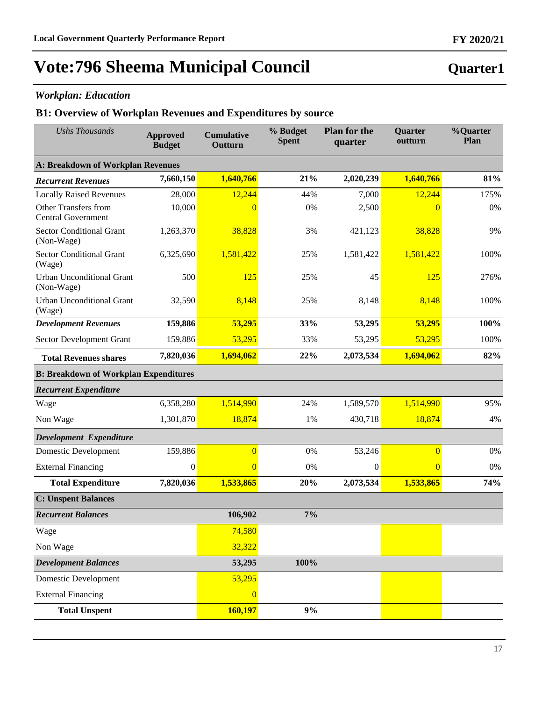## *Workplan: Education*

### **B1: Overview of Workplan Revenues and Expenditures by source**

| <b>Ushs Thousands</b>                                    | <b>Approved</b><br><b>Budget</b> | <b>Cumulative</b><br>Outturn | % Budget<br><b>Spent</b> | <b>Plan for the</b><br>quarter | <b>Quarter</b><br>outturn | %Quarter<br>Plan |  |
|----------------------------------------------------------|----------------------------------|------------------------------|--------------------------|--------------------------------|---------------------------|------------------|--|
| A: Breakdown of Workplan Revenues                        |                                  |                              |                          |                                |                           |                  |  |
| <b>Recurrent Revenues</b>                                | 7,660,150                        | 1,640,766                    | 21%                      | 2,020,239                      | 1,640,766                 | 81%              |  |
| <b>Locally Raised Revenues</b>                           | 28,000                           | 12,244                       | 44%                      | 7,000                          | 12,244                    | 175%             |  |
| <b>Other Transfers from</b><br><b>Central Government</b> | 10,000                           | $\theta$                     | 0%                       | 2,500                          | $\overline{0}$            | 0%               |  |
| <b>Sector Conditional Grant</b><br>(Non-Wage)            | 1,263,370                        | 38,828                       | 3%                       | 421,123                        | 38,828                    | 9%               |  |
| <b>Sector Conditional Grant</b><br>(Wage)                | 6,325,690                        | 1,581,422                    | 25%                      | 1,581,422                      | 1,581,422                 | 100%             |  |
| <b>Urban Unconditional Grant</b><br>(Non-Wage)           | 500                              | 125                          | 25%                      | 45                             | 125                       | 276%             |  |
| <b>Urban Unconditional Grant</b><br>(Wage)               | 32,590                           | 8,148                        | 25%                      | 8,148                          | 8,148                     | 100%             |  |
| <b>Development Revenues</b>                              | 159,886                          | 53,295                       | 33%                      | 53,295                         | 53,295                    | 100%             |  |
| Sector Development Grant                                 | 159,886                          | 53,295                       | 33%                      | 53,295                         | 53,295                    | 100%             |  |
| <b>Total Revenues shares</b>                             | 7,820,036                        | 1,694,062                    | 22%                      | 2,073,534                      | 1,694,062                 | 82%              |  |
| <b>B: Breakdown of Workplan Expenditures</b>             |                                  |                              |                          |                                |                           |                  |  |
| <b>Recurrent Expenditure</b>                             |                                  |                              |                          |                                |                           |                  |  |
| Wage                                                     | 6,358,280                        | 1,514,990                    | 24%                      | 1,589,570                      | 1,514,990                 | 95%              |  |
| Non Wage                                                 | 1,301,870                        | 18,874                       | 1%                       | 430,718                        | 18,874                    | 4%               |  |
| Development Expenditure                                  |                                  |                              |                          |                                |                           |                  |  |
| <b>Domestic Development</b>                              | 159,886                          | $\overline{0}$               | 0%                       | 53,246                         | $\overline{0}$            | 0%               |  |
| <b>External Financing</b>                                | $\boldsymbol{0}$                 | $\overline{0}$               | 0%                       | $\boldsymbol{0}$               | $\overline{0}$            | 0%               |  |
| <b>Total Expenditure</b>                                 | 7,820,036                        | 1,533,865                    | 20%                      | 2,073,534                      | 1,533,865                 | 74%              |  |
| <b>C: Unspent Balances</b>                               |                                  |                              |                          |                                |                           |                  |  |
| <b>Recurrent Balances</b>                                |                                  | 106,902                      | 7%                       |                                |                           |                  |  |
| Wage                                                     |                                  | 74,580                       |                          |                                |                           |                  |  |
| Non Wage                                                 |                                  | 32,322                       |                          |                                |                           |                  |  |
| <b>Development Balances</b>                              |                                  | 53,295                       | 100%                     |                                |                           |                  |  |
| Domestic Development                                     |                                  | 53,295                       |                          |                                |                           |                  |  |
| <b>External Financing</b>                                |                                  | $\overline{0}$               |                          |                                |                           |                  |  |
| <b>Total Unspent</b>                                     |                                  | 160,197                      | 9%                       |                                |                           |                  |  |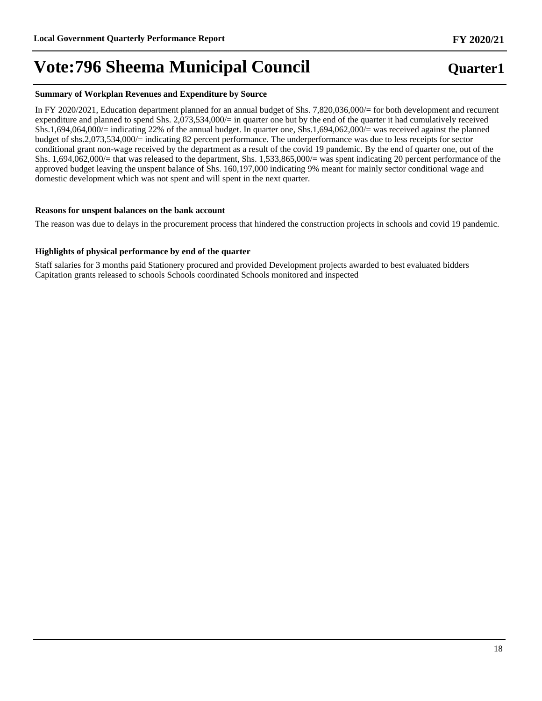#### **Summary of Workplan Revenues and Expenditure by Source**

In FY 2020/2021, Education department planned for an annual budget of Shs. 7,820,036,000/= for both development and recurrent expenditure and planned to spend Shs. 2,073,534,000/= in quarter one but by the end of the quarter it had cumulatively received Shs.1,694,064,000/= indicating 22% of the annual budget. In quarter one, Shs.1,694,062,000/= was received against the planned budget of shs.2,073,534,000/= indicating 82 percent performance. The underperformance was due to less receipts for sector conditional grant non-wage received by the department as a result of the covid 19 pandemic. By the end of quarter one, out of the Shs. 1,694,062,000/= that was released to the department, Shs. 1,533,865,000/= was spent indicating 20 percent performance of the approved budget leaving the unspent balance of Shs. 160,197,000 indicating 9% meant for mainly sector conditional wage and domestic development which was not spent and will spent in the next quarter.

#### **Reasons for unspent balances on the bank account**

The reason was due to delays in the procurement process that hindered the construction projects in schools and covid 19 pandemic.

#### **Highlights of physical performance by end of the quarter**

Staff salaries for 3 months paid Stationery procured and provided Development projects awarded to best evaluated bidders Capitation grants released to schools Schools coordinated Schools monitored and inspected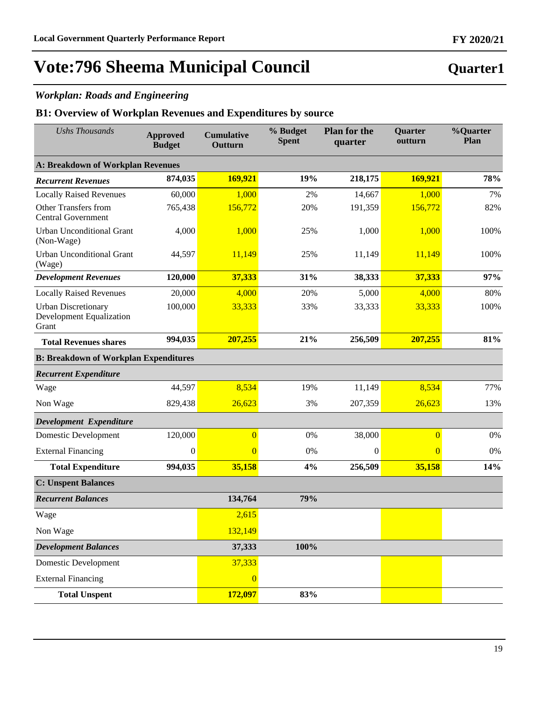## *Workplan: Roads and Engineering*

### **B1: Overview of Workplan Revenues and Expenditures by source**

| <b>Ushs Thousands</b>                                                  | <b>Approved</b><br><b>Budget</b> | <b>Cumulative</b><br>Outturn | % Budget<br><b>Spent</b> | <b>Plan for the</b><br>quarter | <b>Quarter</b><br>outturn | <b>%Quarter</b><br>Plan |
|------------------------------------------------------------------------|----------------------------------|------------------------------|--------------------------|--------------------------------|---------------------------|-------------------------|
| A: Breakdown of Workplan Revenues                                      |                                  |                              |                          |                                |                           |                         |
| <b>Recurrent Revenues</b>                                              | 874,035                          | 169,921                      | 19%                      | 218,175                        | 169,921                   | 78%                     |
| <b>Locally Raised Revenues</b>                                         | 60,000                           | 1,000                        | 2%                       | 14,667                         | 1,000                     | 7%                      |
| <b>Other Transfers from</b><br><b>Central Government</b>               | 765,438                          | 156,772                      | 20%                      | 191,359                        | 156,772                   | 82%                     |
| <b>Urban Unconditional Grant</b><br>(Non-Wage)                         | 4,000                            | 1,000                        | 25%                      | 1,000                          | 1,000                     | 100%                    |
| <b>Urban Unconditional Grant</b><br>(Wage)                             | 44,597                           | 11,149                       | 25%                      | 11,149                         | 11,149                    | 100%                    |
| <b>Development Revenues</b>                                            | 120,000                          | 37,333                       | 31%                      | 38,333                         | 37,333                    | 97%                     |
| <b>Locally Raised Revenues</b>                                         | 20,000                           | 4,000                        | 20%                      | 5,000                          | 4,000                     | 80%                     |
| <b>Urban Discretionary</b><br><b>Development Equalization</b><br>Grant | 100,000                          | 33,333                       | 33%                      | 33,333                         | 33,333                    | 100%                    |
| <b>Total Revenues shares</b>                                           | 994,035                          | 207,255                      | 21%                      | 256,509                        | 207,255                   | 81%                     |
| <b>B: Breakdown of Workplan Expenditures</b>                           |                                  |                              |                          |                                |                           |                         |
| <b>Recurrent Expenditure</b>                                           |                                  |                              |                          |                                |                           |                         |
| Wage                                                                   | 44,597                           | 8,534                        | 19%                      | 11,149                         | 8,534                     | 77%                     |
| Non Wage                                                               | 829,438                          | 26,623                       | 3%                       | 207,359                        | 26,623                    | 13%                     |
| Development Expenditure                                                |                                  |                              |                          |                                |                           |                         |
| <b>Domestic Development</b>                                            | 120,000                          | $\overline{0}$               | 0%                       | 38,000                         | $\overline{0}$            | 0%                      |
| <b>External Financing</b>                                              | $\boldsymbol{0}$                 | $\overline{0}$               | 0%                       | $\boldsymbol{0}$               | $\overline{0}$            | 0%                      |
| <b>Total Expenditure</b>                                               | 994,035                          | 35,158                       | 4%                       | 256,509                        | 35,158                    | 14%                     |
| <b>C: Unspent Balances</b>                                             |                                  |                              |                          |                                |                           |                         |
| <b>Recurrent Balances</b>                                              |                                  | 134,764                      | 79%                      |                                |                           |                         |
| Wage                                                                   |                                  | 2,615                        |                          |                                |                           |                         |
| Non Wage                                                               |                                  | 132,149                      |                          |                                |                           |                         |
| <b>Development Balances</b>                                            |                                  | 37,333                       | 100%                     |                                |                           |                         |
| Domestic Development                                                   |                                  | 37,333                       |                          |                                |                           |                         |
| <b>External Financing</b>                                              |                                  | $\overline{0}$               |                          |                                |                           |                         |
| <b>Total Unspent</b>                                                   |                                  | 172,097                      | 83%                      |                                |                           |                         |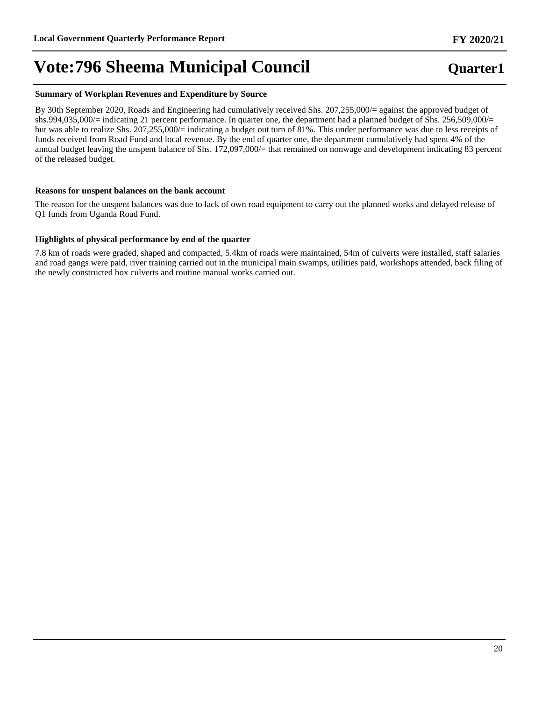#### **Summary of Workplan Revenues and Expenditure by Source**

By 30th September 2020, Roads and Engineering had cumulatively received Shs. 207,255,000/= against the approved budget of shs.994,035,000/= indicating 21 percent performance. In quarter one, the department had a planned budget of Shs. 256,509,000/= but was able to realize Shs. 207,255,000/= indicating a budget out turn of 81%. This under performance was due to less receipts of funds received from Road Fund and local revenue. By the end of quarter one, the department cumulatively had spent 4% of the annual budget leaving the unspent balance of Shs. 172,097,000/= that remained on nonwage and development indicating 83 percent of the released budget.

#### **Reasons for unspent balances on the bank account**

The reason for the unspent balances was due to lack of own road equipment to carry out the planned works and delayed release of Q1 funds from Uganda Road Fund.

#### **Highlights of physical performance by end of the quarter**

7.8 km of roads were graded, shaped and compacted, 5.4km of roads were maintained, 54m of culverts were installed, staff salaries and road gangs were paid, river training carried out in the municipal main swamps, utilities paid, workshops attended, back filing of the newly constructed box culverts and routine manual works carried out.

## **Quarter1**

**FY 2020/21**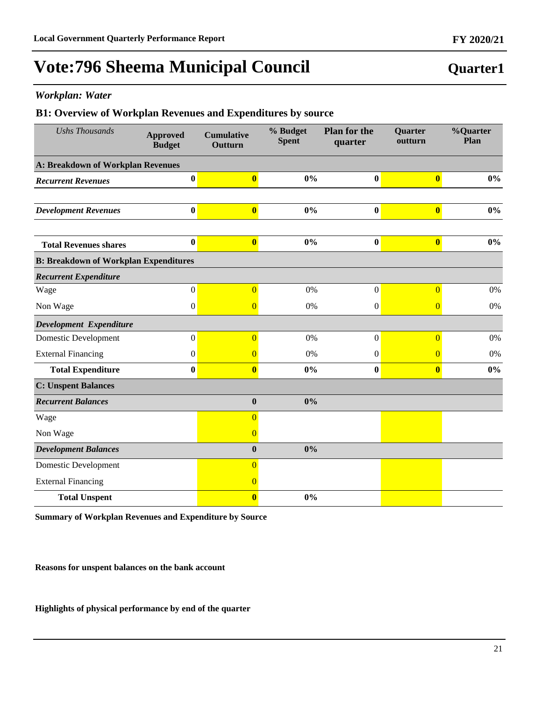### *Workplan: Water*

### **B1: Overview of Workplan Revenues and Expenditures by source**

| <b>Ushs Thousands</b>                        | <b>Approved</b><br><b>Budget</b> | <b>Cumulative</b><br>Outturn | % Budget<br><b>Spent</b> | <b>Plan for the</b><br>quarter | <b>Quarter</b><br>outturn | %Quarter<br>Plan |
|----------------------------------------------|----------------------------------|------------------------------|--------------------------|--------------------------------|---------------------------|------------------|
| <b>A: Breakdown of Workplan Revenues</b>     |                                  |                              |                          |                                |                           |                  |
| <b>Recurrent Revenues</b>                    | $\bf{0}$                         | $\overline{\mathbf{0}}$      | 0%                       | $\bf{0}$                       | $\overline{\mathbf{0}}$   | $0\%$            |
|                                              |                                  |                              |                          |                                |                           |                  |
| <b>Development Revenues</b>                  | $\bf{0}$                         | $\bf{0}$                     | $0\%$                    | $\boldsymbol{0}$               | $\boldsymbol{0}$          | $0\%$            |
|                                              | $\bf{0}$                         | $\overline{\mathbf{0}}$      | 0%                       | $\bf{0}$                       | $\overline{\mathbf{0}}$   | $0\%$            |
| <b>Total Revenues shares</b>                 |                                  |                              |                          |                                |                           |                  |
| <b>B: Breakdown of Workplan Expenditures</b> |                                  |                              |                          |                                |                           |                  |
| <b>Recurrent Expenditure</b>                 |                                  |                              |                          |                                |                           |                  |
| Wage                                         | $\boldsymbol{0}$                 | $\overline{0}$               | 0%                       | $\boldsymbol{0}$               | $\overline{0}$            | 0%               |
| Non Wage                                     | $\boldsymbol{0}$                 | $\overline{0}$               | 0%                       | $\boldsymbol{0}$               | $\overline{0}$            | 0%               |
| Development Expenditure                      |                                  |                              |                          |                                |                           |                  |
| Domestic Development                         | $\mathbf{0}$                     | $\overline{0}$               | 0%                       | $\boldsymbol{0}$               | $\overline{0}$            | 0%               |
| <b>External Financing</b>                    | $\boldsymbol{0}$                 | $\overline{0}$               | 0%                       | $\theta$                       | $\overline{0}$            | 0%               |
| <b>Total Expenditure</b>                     | $\bf{0}$                         | $\bf{0}$                     | $0\%$                    | $\bf{0}$                       | $\overline{\mathbf{0}}$   | $0\%$            |
| <b>C: Unspent Balances</b>                   |                                  |                              |                          |                                |                           |                  |
| <b>Recurrent Balances</b>                    |                                  | $\bf{0}$                     | 0%                       |                                |                           |                  |
| Wage                                         |                                  | $\overline{0}$               |                          |                                |                           |                  |
| Non Wage                                     |                                  | $\overline{0}$               |                          |                                |                           |                  |
| <b>Development Balances</b>                  |                                  | $\boldsymbol{0}$             | 0%                       |                                |                           |                  |
| <b>Domestic Development</b>                  |                                  | $\overline{0}$               |                          |                                |                           |                  |
| <b>External Financing</b>                    |                                  | $\overline{0}$               |                          |                                |                           |                  |
| <b>Total Unspent</b>                         |                                  | $\bf{0}$                     | 0%                       |                                |                           |                  |

**Summary of Workplan Revenues and Expenditure by Source**

**Reasons for unspent balances on the bank account** 

**Highlights of physical performance by end of the quarter**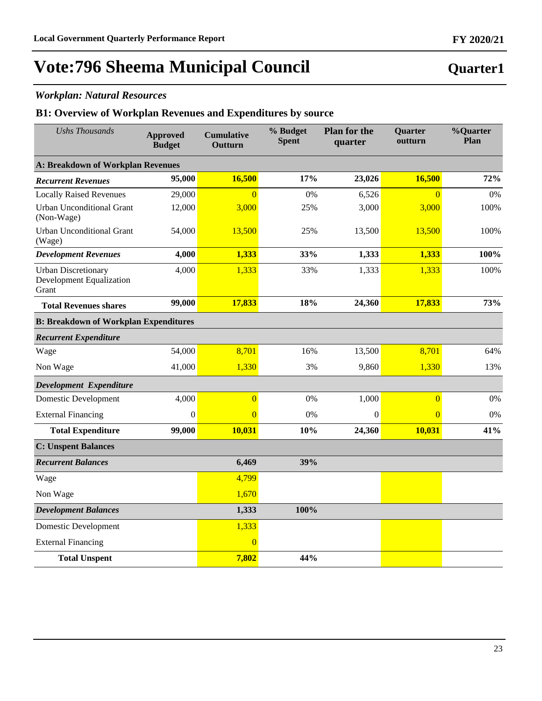## *Workplan: Natural Resources*

### **B1: Overview of Workplan Revenues and Expenditures by source**

| <b>Ushs Thousands</b>                                                  | <b>Approved</b><br><b>Budget</b>             | <b>Cumulative</b><br>Outturn | % Budget<br><b>Spent</b> | <b>Plan for the</b><br>quarter | Quarter<br>outturn | %Quarter<br>Plan |  |  |
|------------------------------------------------------------------------|----------------------------------------------|------------------------------|--------------------------|--------------------------------|--------------------|------------------|--|--|
| A: Breakdown of Workplan Revenues                                      |                                              |                              |                          |                                |                    |                  |  |  |
| <b>Recurrent Revenues</b>                                              | 95,000                                       | 16,500                       | 17%                      | 23,026                         | 16,500             | 72%              |  |  |
| <b>Locally Raised Revenues</b>                                         | 29,000                                       | $\overline{0}$               | 0%                       | 6,526                          | $\overline{0}$     | 0%               |  |  |
| <b>Urban Unconditional Grant</b><br>(Non-Wage)                         | 12,000                                       | 3,000                        | 25%                      | 3,000                          | 3,000              | 100%             |  |  |
| <b>Urban Unconditional Grant</b><br>(Wage)                             | 54,000                                       | 13,500                       | 25%                      | 13,500                         | 13,500             | 100%             |  |  |
| <b>Development Revenues</b>                                            | 4,000                                        | 1,333                        | 33%                      | 1,333                          | 1,333              | 100%             |  |  |
| <b>Urban Discretionary</b><br><b>Development Equalization</b><br>Grant | 4,000                                        | 1,333                        | 33%                      | 1,333                          | 1,333              | 100%             |  |  |
| <b>Total Revenues shares</b>                                           | 99,000                                       | 17,833                       | 18%                      | 24,360                         | 17,833             | 73%              |  |  |
|                                                                        | <b>B: Breakdown of Workplan Expenditures</b> |                              |                          |                                |                    |                  |  |  |
| <b>Recurrent Expenditure</b>                                           |                                              |                              |                          |                                |                    |                  |  |  |
| Wage                                                                   | 54,000                                       | 8,701                        | 16%                      | 13,500                         | 8,701              | 64%              |  |  |
| Non Wage                                                               | 41,000                                       | 1,330                        | 3%                       | 9,860                          | 1,330              | 13%              |  |  |
| Development Expenditure                                                |                                              |                              |                          |                                |                    |                  |  |  |
| <b>Domestic Development</b>                                            | 4,000                                        | $\overline{0}$               | 0%                       | 1,000                          | $\overline{0}$     | $0\%$            |  |  |
| <b>External Financing</b>                                              | $\mathbf{0}$                                 | $\overline{0}$               | 0%                       | $\theta$                       | $\overline{0}$     | 0%               |  |  |
| <b>Total Expenditure</b>                                               | 99,000                                       | 10,031                       | 10%                      | 24,360                         | 10,031             | 41%              |  |  |
| <b>C: Unspent Balances</b>                                             |                                              |                              |                          |                                |                    |                  |  |  |
| <b>Recurrent Balances</b>                                              |                                              | 6,469                        | 39%                      |                                |                    |                  |  |  |
| Wage                                                                   |                                              | 4,799                        |                          |                                |                    |                  |  |  |
| Non Wage                                                               |                                              | 1,670                        |                          |                                |                    |                  |  |  |
| <b>Development Balances</b>                                            |                                              | 1,333                        | 100%                     |                                |                    |                  |  |  |
| <b>Domestic Development</b>                                            |                                              | 1,333                        |                          |                                |                    |                  |  |  |
| <b>External Financing</b>                                              |                                              | $\overline{0}$               |                          |                                |                    |                  |  |  |
| <b>Total Unspent</b>                                                   |                                              | 7,802                        | 44%                      |                                |                    |                  |  |  |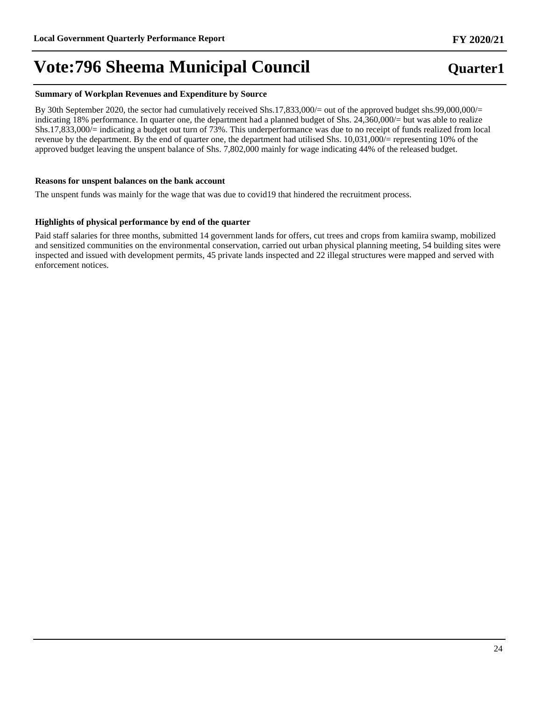#### **Summary of Workplan Revenues and Expenditure by Source**

By 30th September 2020, the sector had cumulatively received Shs.17,833,000/= out of the approved budget shs.99,000,000/= indicating 18% performance. In quarter one, the department had a planned budget of Shs. 24,360,000/= but was able to realize Shs.17,833,000/= indicating a budget out turn of 73%. This underperformance was due to no receipt of funds realized from local revenue by the department. By the end of quarter one, the department had utilised Shs. 10,031,000/= representing 10% of the approved budget leaving the unspent balance of Shs. 7,802,000 mainly for wage indicating 44% of the released budget.

#### **Reasons for unspent balances on the bank account**

The unspent funds was mainly for the wage that was due to covid19 that hindered the recruitment process.

#### **Highlights of physical performance by end of the quarter**

Paid staff salaries for three months, submitted 14 government lands for offers, cut trees and crops from kamiira swamp, mobilized and sensitized communities on the environmental conservation, carried out urban physical planning meeting, 54 building sites were inspected and issued with development permits, 45 private lands inspected and 22 illegal structures were mapped and served with enforcement notices.

## **Quarter1**

**FY 2020/21**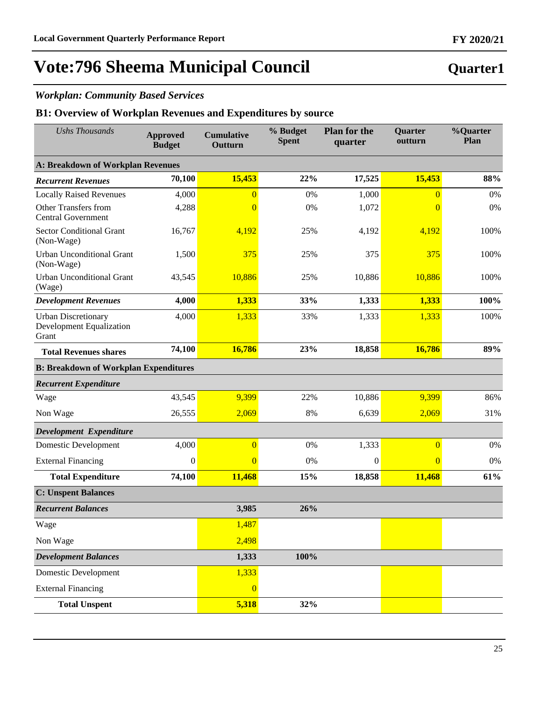## *Workplan: Community Based Services*

### **B1: Overview of Workplan Revenues and Expenditures by source**

| <b>Ushs Thousands</b>                                                  | <b>Approved</b><br><b>Budget</b> | <b>Cumulative</b><br>Outturn | % Budget<br><b>Spent</b> | <b>Plan for the</b><br>quarter | Quarter<br>outturn | %Quarter<br>Plan |
|------------------------------------------------------------------------|----------------------------------|------------------------------|--------------------------|--------------------------------|--------------------|------------------|
| <b>A: Breakdown of Workplan Revenues</b>                               |                                  |                              |                          |                                |                    |                  |
| <b>Recurrent Revenues</b>                                              | 70,100                           | 15,453                       | 22%                      | 17,525                         | 15,453             | 88%              |
| <b>Locally Raised Revenues</b>                                         | 4,000                            | $\overline{0}$               | 0%                       | 1,000                          | $\overline{0}$     | 0%               |
| <b>Other Transfers from</b><br><b>Central Government</b>               | 4,288                            | $\overline{0}$               | 0%                       | 1,072                          | $\overline{0}$     | 0%               |
| <b>Sector Conditional Grant</b><br>(Non-Wage)                          | 16,767                           | 4,192                        | 25%                      | 4,192                          | 4,192              | 100%             |
| <b>Urban Unconditional Grant</b><br>(Non-Wage)                         | 1,500                            | 375                          | 25%                      | 375                            | 375                | 100%             |
| <b>Urban Unconditional Grant</b><br>(Wage)                             | 43,545                           | 10,886                       | 25%                      | 10,886                         | 10,886             | 100%             |
| <b>Development Revenues</b>                                            | 4,000                            | 1,333                        | 33%                      | 1,333                          | 1,333              | 100%             |
| <b>Urban Discretionary</b><br><b>Development Equalization</b><br>Grant | 4,000                            | 1,333                        | 33%                      | 1,333                          | 1,333              | 100%             |
| <b>Total Revenues shares</b>                                           | 74,100                           | 16,786                       | 23%                      | 18,858                         | 16,786             | 89%              |
| <b>B: Breakdown of Workplan Expenditures</b>                           |                                  |                              |                          |                                |                    |                  |
| <b>Recurrent Expenditure</b>                                           |                                  |                              |                          |                                |                    |                  |
| Wage                                                                   | 43,545                           | 9,399                        | 22%                      | 10,886                         | 9,399              | 86%              |
| Non Wage                                                               | 26,555                           | 2,069                        | 8%                       | 6,639                          | 2,069              | 31%              |
| Development Expenditure                                                |                                  |                              |                          |                                |                    |                  |
| <b>Domestic Development</b>                                            | 4,000                            | $\overline{0}$               | 0%                       | 1,333                          | $\overline{0}$     | 0%               |
| <b>External Financing</b>                                              | $\boldsymbol{0}$                 | $\overline{0}$               | 0%                       | $\theta$                       | $\overline{0}$     | 0%               |
| <b>Total Expenditure</b>                                               | 74,100                           | 11,468                       | 15%                      | 18,858                         | 11,468             | 61%              |
| <b>C: Unspent Balances</b>                                             |                                  |                              |                          |                                |                    |                  |
| <b>Recurrent Balances</b>                                              |                                  | 3,985                        | 26%                      |                                |                    |                  |
| Wage                                                                   |                                  | 1,487                        |                          |                                |                    |                  |
| Non Wage                                                               |                                  | 2,498                        |                          |                                |                    |                  |
| <b>Development Balances</b>                                            |                                  | 1,333                        | 100%                     |                                |                    |                  |
| <b>Domestic Development</b>                                            |                                  | 1,333                        |                          |                                |                    |                  |
| <b>External Financing</b>                                              |                                  | $\overline{0}$               |                          |                                |                    |                  |
| <b>Total Unspent</b>                                                   |                                  | 5,318                        | 32%                      |                                |                    |                  |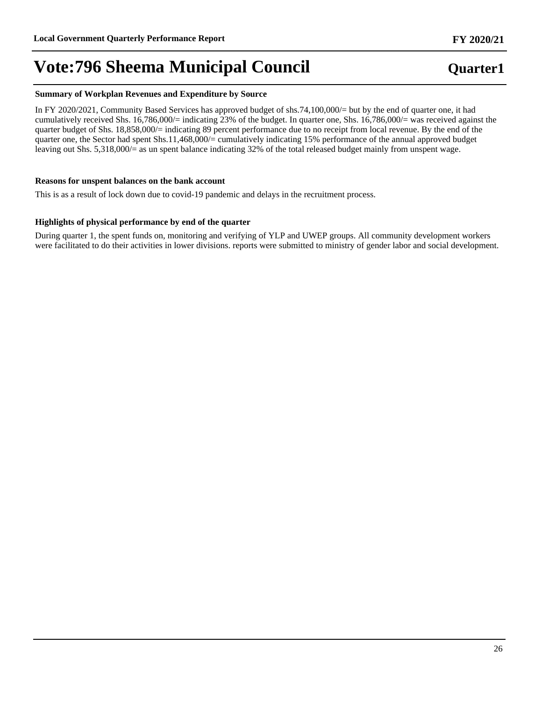#### **Summary of Workplan Revenues and Expenditure by Source**

In FY 2020/2021, Community Based Services has approved budget of shs.74,100,000/= but by the end of quarter one, it had cumulatively received Shs. 16,786,000/= indicating 23% of the budget. In quarter one, Shs. 16,786,000/= was received against the quarter budget of Shs. 18,858,000/= indicating 89 percent performance due to no receipt from local revenue. By the end of the quarter one, the Sector had spent Shs.11,468,000/= cumulatively indicating 15% performance of the annual approved budget leaving out Shs. 5,318,000/= as un spent balance indicating 32% of the total released budget mainly from unspent wage.

#### **Reasons for unspent balances on the bank account**

This is as a result of lock down due to covid-19 pandemic and delays in the recruitment process.

#### **Highlights of physical performance by end of the quarter**

During quarter 1, the spent funds on, monitoring and verifying of YLP and UWEP groups. All community development workers were facilitated to do their activities in lower divisions. reports were submitted to ministry of gender labor and social development.

#### **FY 2020/21**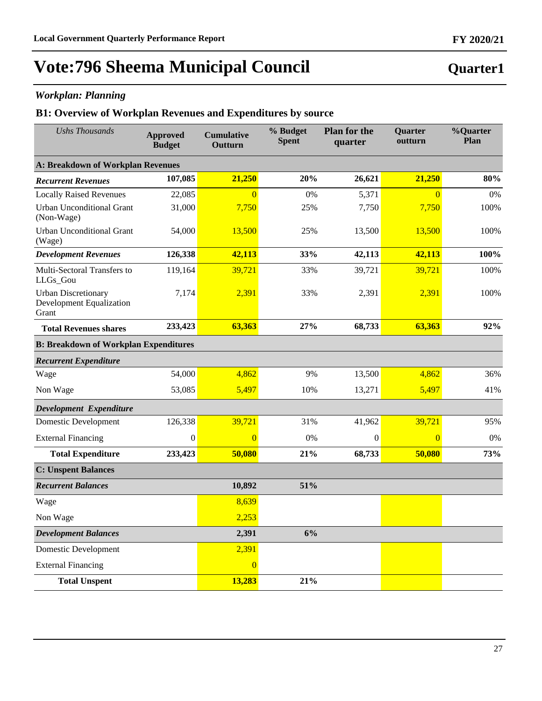## *Workplan: Planning*

### **B1: Overview of Workplan Revenues and Expenditures by source**

| <b>Ushs Thousands</b>                                           | <b>Approved</b><br><b>Budget</b> | <b>Cumulative</b><br>Outturn | % Budget<br><b>Spent</b> | <b>Plan for the</b><br>quarter | Quarter<br>outturn | %Quarter<br>Plan |
|-----------------------------------------------------------------|----------------------------------|------------------------------|--------------------------|--------------------------------|--------------------|------------------|
| <b>A: Breakdown of Workplan Revenues</b>                        |                                  |                              |                          |                                |                    |                  |
| <b>Recurrent Revenues</b>                                       | 107,085                          | 21,250                       | 20%                      | 26,621                         | 21,250             | 80%              |
| <b>Locally Raised Revenues</b>                                  | 22,085                           | $\Omega$                     | 0%                       | 5,371                          | $\overline{0}$     | 0%               |
| <b>Urban Unconditional Grant</b><br>(Non-Wage)                  | 31,000                           | 7,750                        | 25%                      | 7,750                          | 7,750              | 100%             |
| <b>Urban Unconditional Grant</b><br>(Wage)                      | 54,000                           | 13,500                       | 25%                      | 13,500                         | 13,500             | 100%             |
| <b>Development Revenues</b>                                     | 126,338                          | 42,113                       | 33%                      | 42,113                         | 42,113             | 100%             |
| Multi-Sectoral Transfers to<br>LLGs_Gou                         | 119,164                          | 39,721                       | 33%                      | 39,721                         | 39,721             | 100%             |
| <b>Urban Discretionary</b><br>Development Equalization<br>Grant | 7,174                            | 2,391                        | 33%                      | 2,391                          | 2,391              | 100%             |
| <b>Total Revenues shares</b>                                    | 233,423                          | 63,363                       | 27%                      | 68,733                         | 63,363             | 92%              |
| <b>B: Breakdown of Workplan Expenditures</b>                    |                                  |                              |                          |                                |                    |                  |
| <b>Recurrent Expenditure</b>                                    |                                  |                              |                          |                                |                    |                  |
| Wage                                                            | 54,000                           | 4,862                        | 9%                       | 13,500                         | 4,862              | 36%              |
| Non Wage                                                        | 53,085                           | 5,497                        | 10%                      | 13,271                         | 5,497              | 41%              |
| Development Expenditure                                         |                                  |                              |                          |                                |                    |                  |
| Domestic Development                                            | 126,338                          | 39,721                       | 31%                      | 41,962                         | 39,721             | 95%              |
| <b>External Financing</b>                                       | $\boldsymbol{0}$                 | $\overline{0}$               | 0%                       | $\theta$                       | $\overline{0}$     | 0%               |
| <b>Total Expenditure</b>                                        | 233,423                          | 50,080                       | 21%                      | 68,733                         | 50,080             | 73%              |
| <b>C: Unspent Balances</b>                                      |                                  |                              |                          |                                |                    |                  |
| <b>Recurrent Balances</b>                                       |                                  | 10,892                       | 51%                      |                                |                    |                  |
| Wage                                                            |                                  | 8,639                        |                          |                                |                    |                  |
| Non Wage                                                        |                                  | 2,253                        |                          |                                |                    |                  |
| <b>Development Balances</b>                                     |                                  | 2,391                        | 6%                       |                                |                    |                  |
| <b>Domestic Development</b>                                     |                                  | 2,391                        |                          |                                |                    |                  |
| <b>External Financing</b>                                       |                                  | $\overline{0}$               |                          |                                |                    |                  |
| <b>Total Unspent</b>                                            |                                  | 13,283                       | 21%                      |                                |                    |                  |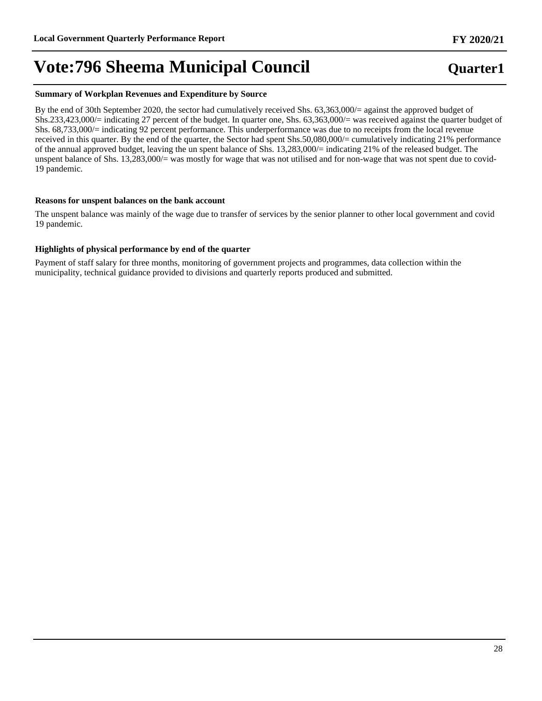#### **Summary of Workplan Revenues and Expenditure by Source**

By the end of 30th September 2020, the sector had cumulatively received Shs. 63,363,000/= against the approved budget of Shs.233,423,000/= indicating 27 percent of the budget. In quarter one, Shs. 63,363,000/= was received against the quarter budget of Shs. 68,733,000/= indicating 92 percent performance. This underperformance was due to no receipts from the local revenue received in this quarter. By the end of the quarter, the Sector had spent Shs.50,080,000/= cumulatively indicating 21% performance of the annual approved budget, leaving the un spent balance of Shs. 13,283,000/= indicating 21% of the released budget. The unspent balance of Shs. 13,283,000/= was mostly for wage that was not utilised and for non-wage that was not spent due to covid-19 pandemic.

#### **Reasons for unspent balances on the bank account**

The unspent balance was mainly of the wage due to transfer of services by the senior planner to other local government and covid 19 pandemic.

#### **Highlights of physical performance by end of the quarter**

Payment of staff salary for three months, monitoring of government projects and programmes, data collection within the municipality, technical guidance provided to divisions and quarterly reports produced and submitted.

# **FY 2020/21**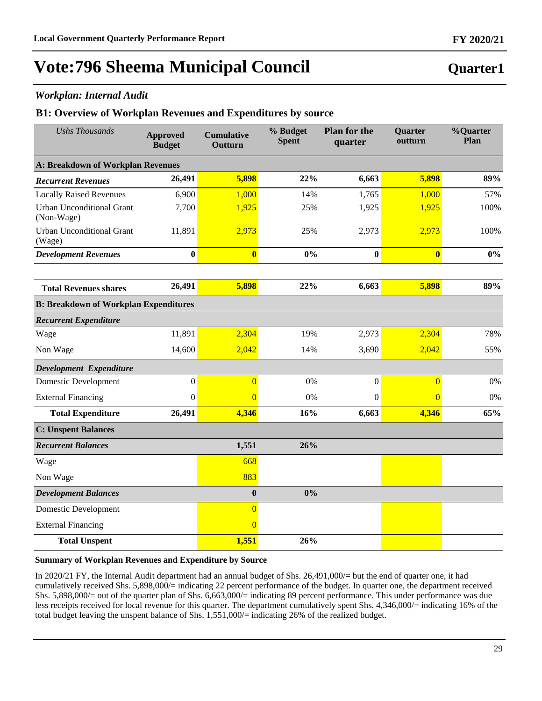### *Workplan: Internal Audit*

### **B1: Overview of Workplan Revenues and Expenditures by source**

| <b>Ushs Thousands</b>                          | <b>Approved</b><br><b>Budget</b> | <b>Cumulative</b><br>Outturn | % Budget<br><b>Spent</b> | <b>Plan for the</b><br>quarter | <b>Quarter</b><br>outturn | <b>%Quarter</b><br>Plan |
|------------------------------------------------|----------------------------------|------------------------------|--------------------------|--------------------------------|---------------------------|-------------------------|
| <b>A: Breakdown of Workplan Revenues</b>       |                                  |                              |                          |                                |                           |                         |
| <b>Recurrent Revenues</b>                      | 26,491                           | 5,898                        | 22%                      | 6,663                          | 5,898                     | 89%                     |
| <b>Locally Raised Revenues</b>                 | 6,900                            | 1,000                        | 14%                      | 1,765                          | 1,000                     | 57%                     |
| <b>Urban Unconditional Grant</b><br>(Non-Wage) | 7,700                            | 1,925                        | 25%                      | 1,925                          | 1,925                     | 100%                    |
| <b>Urban Unconditional Grant</b><br>(Wage)     | 11,891                           | 2,973                        | 25%                      | 2,973                          | 2,973                     | 100%                    |
| <b>Development Revenues</b>                    | $\bf{0}$                         | $\overline{\mathbf{0}}$      | 0%                       | $\bf{0}$                       | $\overline{\mathbf{0}}$   | $0\%$                   |
|                                                |                                  |                              |                          |                                |                           |                         |
| <b>Total Revenues shares</b>                   | 26,491                           | 5,898                        | 22%                      | 6,663                          | 5,898                     | 89%                     |
| <b>B: Breakdown of Workplan Expenditures</b>   |                                  |                              |                          |                                |                           |                         |
| <b>Recurrent Expenditure</b>                   |                                  |                              |                          |                                |                           |                         |
| Wage                                           | 11,891                           | 2,304                        | 19%                      | 2,973                          | 2,304                     | 78%                     |
| Non Wage                                       | 14,600                           | 2,042                        | 14%                      | 3,690                          | 2,042                     | 55%                     |
| Development Expenditure                        |                                  |                              |                          |                                |                           |                         |
| <b>Domestic Development</b>                    | $\boldsymbol{0}$                 | $\overline{0}$               | 0%                       | $\boldsymbol{0}$               | $\overline{0}$            | 0%                      |
| <b>External Financing</b>                      | $\boldsymbol{0}$                 | $\overline{0}$               | 0%                       | $\boldsymbol{0}$               | $\overline{0}$            | $0\%$                   |
| <b>Total Expenditure</b>                       | 26,491                           | 4,346                        | 16%                      | 6,663                          | 4,346                     | 65%                     |
| <b>C: Unspent Balances</b>                     |                                  |                              |                          |                                |                           |                         |
| <b>Recurrent Balances</b>                      |                                  | 1,551                        | 26%                      |                                |                           |                         |
| Wage                                           |                                  | 668                          |                          |                                |                           |                         |
| Non Wage                                       |                                  | 883                          |                          |                                |                           |                         |
| <b>Development Balances</b>                    |                                  | $\bf{0}$                     | 0%                       |                                |                           |                         |
| Domestic Development                           |                                  | $\overline{0}$               |                          |                                |                           |                         |
| <b>External Financing</b>                      |                                  | $\overline{0}$               |                          |                                |                           |                         |
| <b>Total Unspent</b>                           |                                  | 1,551                        | 26%                      |                                |                           |                         |

#### **Summary of Workplan Revenues and Expenditure by Source**

In 2020/21 FY, the Internal Audit department had an annual budget of Shs. 26,491,000/= but the end of quarter one, it had cumulatively received Shs. 5,898,000/= indicating 22 percent performance of the budget. In quarter one, the department received Shs. 5,898,000/= out of the quarter plan of Shs. 6,663,000/= indicating 89 percent performance. This under performance was due less receipts received for local revenue for this quarter. The department cumulatively spent Shs. 4,346,000/= indicating 16% of the total budget leaving the unspent balance of Shs. 1,551,000/= indicating 26% of the realized budget.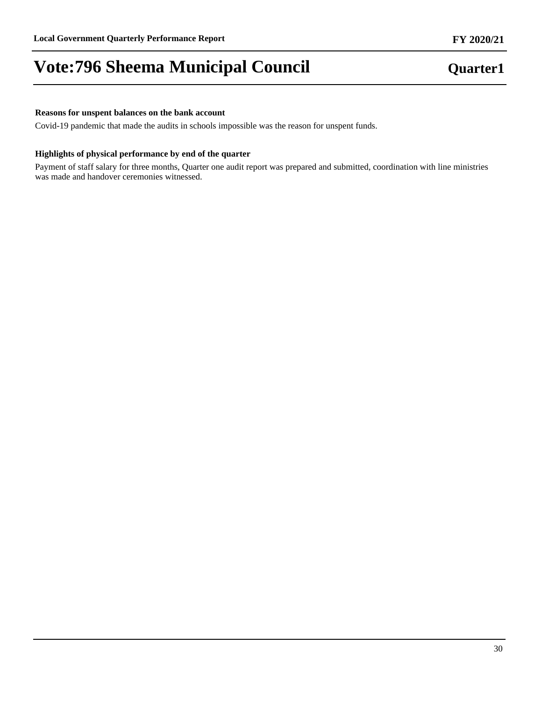#### **Reasons for unspent balances on the bank account**

Covid-19 pandemic that made the audits in schools impossible was the reason for unspent funds.

#### **Highlights of physical performance by end of the quarter**

Payment of staff salary for three months, Quarter one audit report was prepared and submitted, coordination with line ministries was made and handover ceremonies witnessed.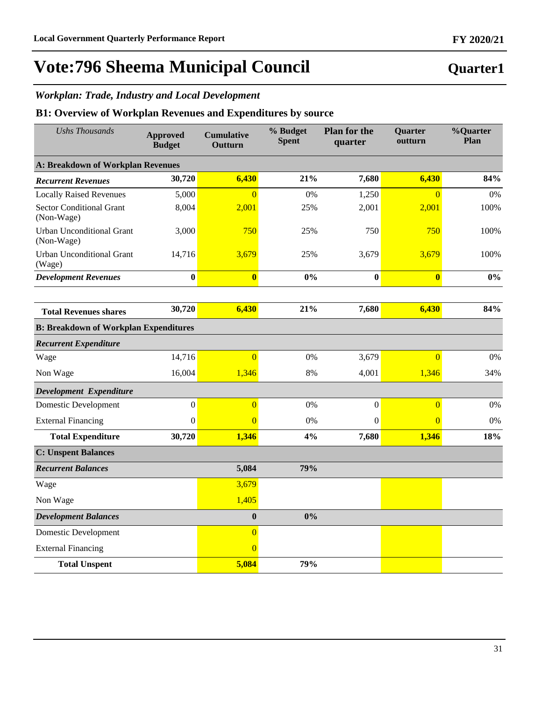**Quarter1**

# **Vote:796 Sheema Municipal Council**

## *Workplan: Trade, Industry and Local Development*

### **B1: Overview of Workplan Revenues and Expenditures by source**

| <b>Ushs Thousands</b>                          | <b>Approved</b><br><b>Budget</b> | <b>Cumulative</b><br>Outturn | % Budget<br><b>Spent</b> | <b>Plan for the</b><br>quarter | Quarter<br>outturn      | %Quarter<br>Plan |
|------------------------------------------------|----------------------------------|------------------------------|--------------------------|--------------------------------|-------------------------|------------------|
| <b>A: Breakdown of Workplan Revenues</b>       |                                  |                              |                          |                                |                         |                  |
| <b>Recurrent Revenues</b>                      | 30,720                           | 6,430                        | 21%                      | 7,680                          | 6,430                   | 84%              |
| <b>Locally Raised Revenues</b>                 | 5,000                            | $\overline{0}$               | 0%                       | 1,250                          | $\overline{0}$          | 0%               |
| <b>Sector Conditional Grant</b><br>(Non-Wage)  | 8,004                            | 2,001                        | 25%                      | 2,001                          | 2,001                   | 100%             |
| <b>Urban Unconditional Grant</b><br>(Non-Wage) | 3,000                            | 750                          | 25%                      | 750                            | 750                     | 100%             |
| Urban Unconditional Grant<br>(Wage)            | 14,716                           | 3,679                        | 25%                      | 3,679                          | 3,679                   | 100%             |
| <b>Development Revenues</b>                    | $\bf{0}$                         | $\overline{\mathbf{0}}$      | 0%                       | $\bf{0}$                       | $\overline{\mathbf{0}}$ | 0%               |
|                                                |                                  |                              |                          |                                |                         |                  |
| <b>Total Revenues shares</b>                   | 30,720                           | 6,430                        | 21%                      | 7,680                          | 6,430                   | 84%              |
| <b>B: Breakdown of Workplan Expenditures</b>   |                                  |                              |                          |                                |                         |                  |
| <b>Recurrent Expenditure</b>                   |                                  |                              |                          |                                |                         |                  |
| Wage                                           | 14,716                           | $\overline{0}$               | 0%                       | 3,679                          | $\overline{0}$          | 0%               |
| Non Wage                                       | 16,004                           | 1,346                        | 8%                       | 4,001                          | 1,346                   | 34%              |
| Development Expenditure                        |                                  |                              |                          |                                |                         |                  |
| <b>Domestic Development</b>                    | $\mathbf{0}$                     | $\overline{0}$               | 0%                       | $\boldsymbol{0}$               | $\overline{0}$          | $0\%$            |
| <b>External Financing</b>                      | $\boldsymbol{0}$                 | $\overline{0}$               | 0%                       | $\boldsymbol{0}$               | $\overline{0}$          | 0%               |
| <b>Total Expenditure</b>                       | 30,720                           | 1,346                        | 4%                       | 7,680                          | 1,346                   | 18%              |
| <b>C: Unspent Balances</b>                     |                                  |                              |                          |                                |                         |                  |
| <b>Recurrent Balances</b>                      |                                  | 5,084                        | 79%                      |                                |                         |                  |
| Wage                                           |                                  | 3,679                        |                          |                                |                         |                  |
| Non Wage                                       |                                  | 1,405                        |                          |                                |                         |                  |
| <b>Development Balances</b>                    |                                  | $\boldsymbol{0}$             | 0%                       |                                |                         |                  |
| Domestic Development                           |                                  | $\overline{0}$               |                          |                                |                         |                  |
| <b>External Financing</b>                      |                                  | $\overline{0}$               |                          |                                |                         |                  |
| <b>Total Unspent</b>                           |                                  | 5,084                        | 79%                      |                                |                         |                  |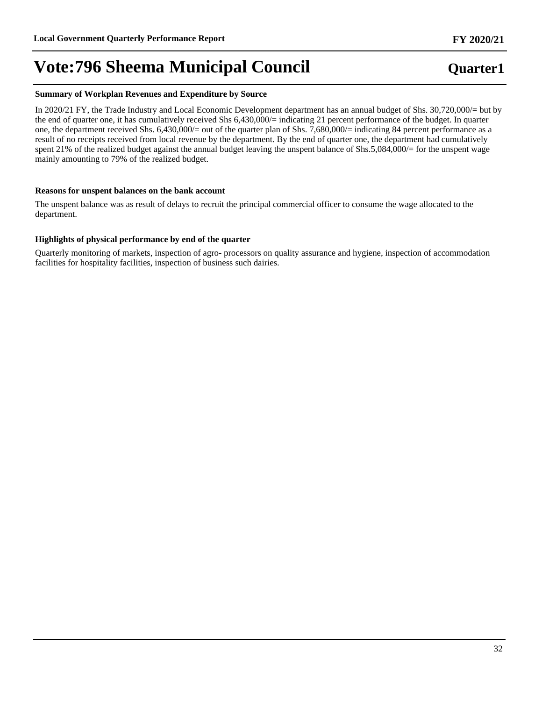#### **Summary of Workplan Revenues and Expenditure by Source**

In 2020/21 FY, the Trade Industry and Local Economic Development department has an annual budget of Shs. 30,720,000/= but by the end of quarter one, it has cumulatively received Shs 6,430,000/= indicating 21 percent performance of the budget. In quarter one, the department received Shs. 6,430,000/= out of the quarter plan of Shs. 7,680,000/= indicating 84 percent performance as a result of no receipts received from local revenue by the department. By the end of quarter one, the department had cumulatively spent 21% of the realized budget against the annual budget leaving the unspent balance of Shs.5,084,000/= for the unspent wage mainly amounting to 79% of the realized budget.

#### **Reasons for unspent balances on the bank account**

The unspent balance was as result of delays to recruit the principal commercial officer to consume the wage allocated to the department.

#### **Highlights of physical performance by end of the quarter**

Quarterly monitoring of markets, inspection of agro- processors on quality assurance and hygiene, inspection of accommodation facilities for hospitality facilities, inspection of business such dairies.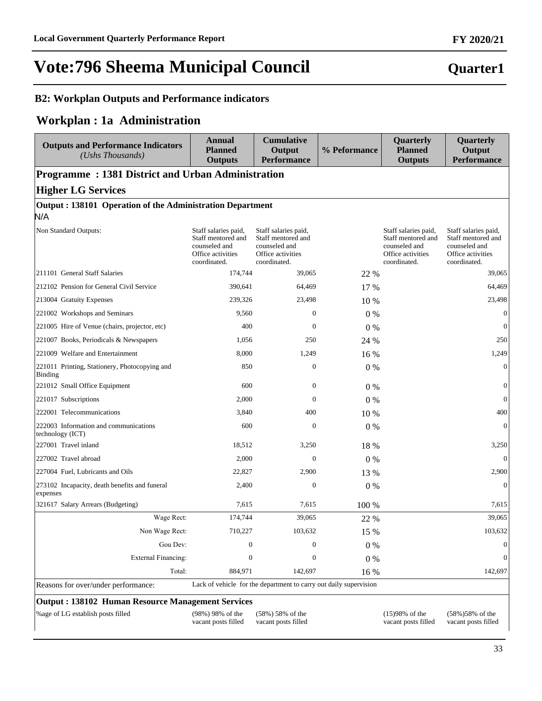**Quarter1**

# **Vote:796 Sheema Municipal Council**

## **B2: Workplan Outputs and Performance indicators**

## **Workplan : 1a Administration**

| <b>Outputs and Performance Indicators</b><br>$(Ushs$ Thousands)                               | <b>Annual</b><br><b>Planned</b><br><b>Outputs</b>                                                | <b>Cumulative</b><br>Output<br><b>Performance</b>                                                | % Peformance | Quarterly<br><b>Planned</b><br><b>Outputs</b>                                                    | Quarterly<br>Output<br><b>Performance</b>                                                        |  |  |  |  |
|-----------------------------------------------------------------------------------------------|--------------------------------------------------------------------------------------------------|--------------------------------------------------------------------------------------------------|--------------|--------------------------------------------------------------------------------------------------|--------------------------------------------------------------------------------------------------|--|--|--|--|
| <b>Programme: 1381 District and Urban Administration</b>                                      |                                                                                                  |                                                                                                  |              |                                                                                                  |                                                                                                  |  |  |  |  |
| <b>Higher LG Services</b>                                                                     |                                                                                                  |                                                                                                  |              |                                                                                                  |                                                                                                  |  |  |  |  |
| Output: 138101 Operation of the Administration Department                                     |                                                                                                  |                                                                                                  |              |                                                                                                  |                                                                                                  |  |  |  |  |
| N/A                                                                                           |                                                                                                  |                                                                                                  |              |                                                                                                  |                                                                                                  |  |  |  |  |
| Non Standard Outputs:                                                                         | Staff salaries paid,<br>Staff mentored and<br>counseled and<br>Office activities<br>coordinated. | Staff salaries paid,<br>Staff mentored and<br>counseled and<br>Office activities<br>coordinated. |              | Staff salaries paid,<br>Staff mentored and<br>counseled and<br>Office activities<br>coordinated. | Staff salaries paid,<br>Staff mentored and<br>counseled and<br>Office activities<br>coordinated. |  |  |  |  |
| 211101 General Staff Salaries                                                                 | 174,744                                                                                          | 39,065                                                                                           | 22 %         |                                                                                                  | 39,065                                                                                           |  |  |  |  |
| 212102 Pension for General Civil Service                                                      | 390,641                                                                                          | 64,469                                                                                           | 17 %         |                                                                                                  | 64,469                                                                                           |  |  |  |  |
| 213004 Gratuity Expenses                                                                      | 239,326                                                                                          | 23,498                                                                                           | 10 %         |                                                                                                  | 23,498                                                                                           |  |  |  |  |
| 221002 Workshops and Seminars                                                                 | 9,560                                                                                            | $\mathbf{0}$                                                                                     | $0\%$        |                                                                                                  | $\boldsymbol{0}$                                                                                 |  |  |  |  |
| 221005 Hire of Venue (chairs, projector, etc)                                                 | 400                                                                                              | $\mathbf{0}$                                                                                     | 0%           |                                                                                                  | $\theta$                                                                                         |  |  |  |  |
| 221007 Books, Periodicals & Newspapers                                                        | 1,056                                                                                            | 250                                                                                              | 24 %         |                                                                                                  | 250                                                                                              |  |  |  |  |
| 221009 Welfare and Entertainment                                                              | 8,000                                                                                            | 1,249                                                                                            | 16 %         |                                                                                                  | 1,249                                                                                            |  |  |  |  |
| 221011 Printing, Stationery, Photocopying and<br>Binding                                      | 850                                                                                              | $\boldsymbol{0}$                                                                                 | 0%           |                                                                                                  | $\mathbf{0}$                                                                                     |  |  |  |  |
| 221012 Small Office Equipment                                                                 | 600                                                                                              | $\boldsymbol{0}$                                                                                 | $0\%$        |                                                                                                  | $\boldsymbol{0}$                                                                                 |  |  |  |  |
| 221017 Subscriptions                                                                          | 2,000                                                                                            | $\mathbf{0}$                                                                                     | $0\%$        |                                                                                                  | $\overline{0}$                                                                                   |  |  |  |  |
| 222001 Telecommunications                                                                     | 3,840                                                                                            | 400                                                                                              | 10 %         |                                                                                                  | 400                                                                                              |  |  |  |  |
| 222003 Information and communications<br>technology (ICT)                                     | 600                                                                                              | $\mathbf{0}$                                                                                     | 0%           |                                                                                                  | $\Omega$                                                                                         |  |  |  |  |
| 227001 Travel inland                                                                          | 18,512                                                                                           | 3,250                                                                                            | 18 %         |                                                                                                  | 3,250                                                                                            |  |  |  |  |
| 227002 Travel abroad                                                                          | 2,000                                                                                            | $\Omega$                                                                                         | 0%           |                                                                                                  | $\Omega$                                                                                         |  |  |  |  |
| 227004 Fuel, Lubricants and Oils                                                              | 22,827                                                                                           | 2,900                                                                                            | 13 %         |                                                                                                  | 2,900                                                                                            |  |  |  |  |
| 273102 Incapacity, death benefits and funeral<br>expenses                                     | 2,400                                                                                            | $\mathbf{0}$                                                                                     | 0%           |                                                                                                  | $\Omega$                                                                                         |  |  |  |  |
| 321617 Salary Arrears (Budgeting)                                                             | 7,615                                                                                            | 7,615                                                                                            | 100 %        |                                                                                                  | 7,615                                                                                            |  |  |  |  |
| Wage Rect:                                                                                    | 174,744                                                                                          | 39,065                                                                                           | 22 %         |                                                                                                  | 39,065                                                                                           |  |  |  |  |
| Non Wage Rect:                                                                                | 710,227                                                                                          | 103,632                                                                                          | 15 %         |                                                                                                  | 103,632                                                                                          |  |  |  |  |
| Gou Dev:                                                                                      | $\theta$                                                                                         | $\Omega$                                                                                         | 0%           |                                                                                                  | $\mathbf{0}$                                                                                     |  |  |  |  |
| <b>External Financing:</b>                                                                    | $\mathbf{0}$                                                                                     | $\boldsymbol{0}$                                                                                 | 0%           |                                                                                                  | $\Omega$                                                                                         |  |  |  |  |
| Total:                                                                                        | 884,971                                                                                          | 142,697                                                                                          | 16 %         |                                                                                                  | 142,697                                                                                          |  |  |  |  |
| Reasons for over/under performance:                                                           |                                                                                                  | Lack of vehicle for the department to carry out daily supervision                                |              |                                                                                                  |                                                                                                  |  |  |  |  |
| <b>Output: 138102 Human Resource Management Services</b><br>%age of LG establish posts filled | (98%) 98% of the<br>vacant posts filled                                                          | $(58\%) 58\%$ of the<br>vacant posts filled                                                      |              | $(15)98%$ of the<br>vacant posts filled                                                          | $(58\%)58\%$ of the<br>vacant posts filled                                                       |  |  |  |  |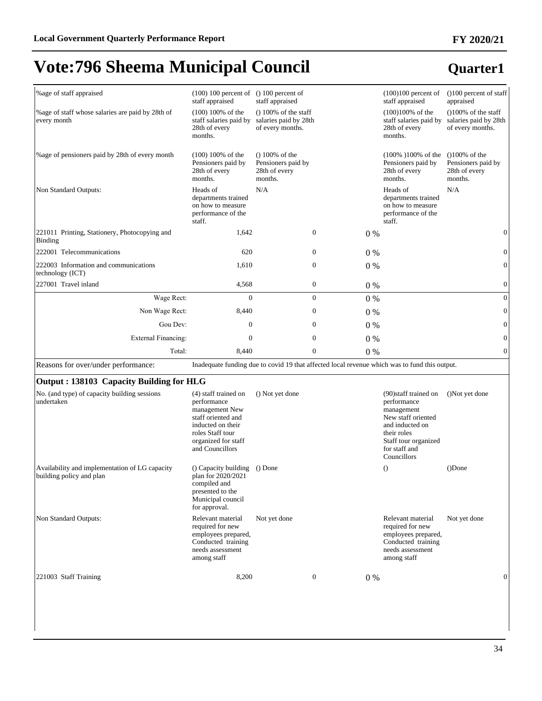| % age of staff appraised                                                   | $(100) 100$ percent of $( ) 100$ percent of<br>staff appraised                                                                                                 | staff appraised                                                            |                  |       | $(100)100$ percent of<br>staff appraised                                                                                                                           | $(100)$ percent of staff<br>appraised                                       |
|----------------------------------------------------------------------------|----------------------------------------------------------------------------------------------------------------------------------------------------------------|----------------------------------------------------------------------------|------------------|-------|--------------------------------------------------------------------------------------------------------------------------------------------------------------------|-----------------------------------------------------------------------------|
| % age of staff whose salaries are paid by 28th of<br>every month           | $(100) 100\%$ of the<br>staff salaries paid by<br>28th of every<br>months.                                                                                     | $( ) 100\%$ of the staff<br>salaries paid by 28th<br>of every months.      |                  |       | $(100)100%$ of the<br>staff salaries paid by<br>28th of every<br>months.                                                                                           | $(100\% \text{ of the staff})$<br>salaries paid by 28th<br>of every months. |
| % age of pensioners paid by 28th of every month                            | $(100) 100\%$ of the<br>Pensioners paid by<br>28th of every<br>months.                                                                                         | $(100\% \text{ of the})$<br>Pensioners paid by<br>28th of every<br>months. |                  |       | $(100\% 100\% \text{ of the})$<br>Pensioners paid by<br>28th of every<br>months.                                                                                   | $(100\% \text{ of the})$<br>Pensioners paid by<br>28th of every<br>months.  |
| Non Standard Outputs:                                                      | Heads of<br>departments trained<br>on how to measure<br>performance of the<br>staff.                                                                           | N/A                                                                        |                  |       | Heads of<br>departments trained<br>on how to measure<br>performance of the<br>staff.                                                                               | N/A                                                                         |
| 221011 Printing, Stationery, Photocopying and<br><b>Binding</b>            | 1,642                                                                                                                                                          |                                                                            | $\boldsymbol{0}$ | $0\%$ |                                                                                                                                                                    | $\boldsymbol{0}$                                                            |
| 222001 Telecommunications                                                  | 620                                                                                                                                                            |                                                                            | $\boldsymbol{0}$ | $0\%$ |                                                                                                                                                                    | $\boldsymbol{0}$                                                            |
| 222003 Information and communications<br>technology (ICT)                  | 1,610                                                                                                                                                          |                                                                            | $\boldsymbol{0}$ | $0\%$ |                                                                                                                                                                    | $\boldsymbol{0}$                                                            |
| 227001 Travel inland                                                       | 4,568                                                                                                                                                          |                                                                            | 0                | 0%    |                                                                                                                                                                    | $\boldsymbol{0}$                                                            |
| Wage Rect:                                                                 | $\overline{0}$                                                                                                                                                 |                                                                            | $\boldsymbol{0}$ | 0%    |                                                                                                                                                                    | $\boldsymbol{0}$                                                            |
| Non Wage Rect:                                                             | 8,440                                                                                                                                                          |                                                                            | $\boldsymbol{0}$ | $0\%$ |                                                                                                                                                                    | $\boldsymbol{0}$                                                            |
| Gou Dev:                                                                   | $\mathbf{0}$                                                                                                                                                   |                                                                            | $\mathbf{0}$     | $0\%$ |                                                                                                                                                                    | $\boldsymbol{0}$                                                            |
| <b>External Financing:</b>                                                 | 0                                                                                                                                                              |                                                                            | 0                | $0\%$ |                                                                                                                                                                    | $\boldsymbol{0}$                                                            |
| Total:                                                                     | 8,440                                                                                                                                                          |                                                                            | $\boldsymbol{0}$ | 0%    |                                                                                                                                                                    | $\boldsymbol{0}$                                                            |
| Reasons for over/under performance:                                        |                                                                                                                                                                |                                                                            |                  |       | Inadequate funding due to covid 19 that affected local revenue which was to fund this output.                                                                      |                                                                             |
| Output: 138103 Capacity Building for HLG                                   |                                                                                                                                                                |                                                                            |                  |       |                                                                                                                                                                    |                                                                             |
| No. (and type) of capacity building sessions<br>undertaken                 | (4) staff trained on<br>performance<br>management New<br>staff oriented and<br>inducted on their<br>roles Staff tour<br>organized for staff<br>and Councillors | () Not yet done                                                            |                  |       | (90) staff trained on<br>performance<br>management<br>New staff oriented<br>and inducted on<br>their roles<br>Staff tour organized<br>for staff and<br>Councillors | ()Not yet done                                                              |
| Availability and implementation of LG capacity<br>building policy and plan | () Capacity building<br>plan for 2020/2021<br>compiled and<br>presented to the<br>Municipal council<br>for approval.                                           | () Done                                                                    |                  |       | $\Omega$                                                                                                                                                           | ()Done                                                                      |
| Non Standard Outputs:                                                      | Relevant material<br>required for new<br>employees prepared,<br>Conducted training<br>needs assessment<br>among staff                                          | Not yet done                                                               |                  |       | Relevant material<br>required for new<br>employees prepared,<br>Conducted training<br>needs assessment<br>among staff                                              | Not yet done                                                                |
| 221003 Staff Training                                                      | 8,200                                                                                                                                                          |                                                                            | 0                | $0\%$ |                                                                                                                                                                    | $\mathbf{0}$                                                                |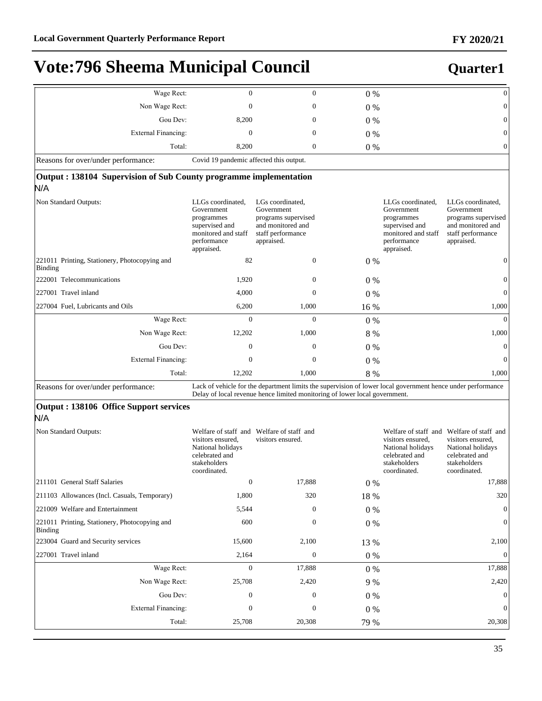| Wage Rect:                                                               | $\boldsymbol{0}$                                                                                                    | $\mathbf{0}$                                                                                                                                                                              | $0\%$   |                                                                                                                     | $\mathbf{0}$                                                                                                                          |
|--------------------------------------------------------------------------|---------------------------------------------------------------------------------------------------------------------|-------------------------------------------------------------------------------------------------------------------------------------------------------------------------------------------|---------|---------------------------------------------------------------------------------------------------------------------|---------------------------------------------------------------------------------------------------------------------------------------|
| Non Wage Rect:                                                           | $\mathbf{0}$                                                                                                        | $\boldsymbol{0}$                                                                                                                                                                          | $0\%$   |                                                                                                                     | $\boldsymbol{0}$                                                                                                                      |
| Gou Dev:                                                                 | 8,200                                                                                                               | $\mathbf{0}$                                                                                                                                                                              | $0\%$   |                                                                                                                     | $\boldsymbol{0}$                                                                                                                      |
| <b>External Financing:</b>                                               | $\mathbf{0}$                                                                                                        | $\mathbf{0}$                                                                                                                                                                              | $0\%$   |                                                                                                                     | $\mathbf{0}$                                                                                                                          |
| Total:                                                                   | 8,200                                                                                                               | $\boldsymbol{0}$                                                                                                                                                                          | 0%      |                                                                                                                     | $\mathbf{0}$                                                                                                                          |
| Reasons for over/under performance:                                      | Covid 19 pandemic affected this output.                                                                             |                                                                                                                                                                                           |         |                                                                                                                     |                                                                                                                                       |
| Output: 138104 Supervision of Sub County programme implementation<br>N/A |                                                                                                                     |                                                                                                                                                                                           |         |                                                                                                                     |                                                                                                                                       |
| Non Standard Outputs:                                                    | LLGs coordinated,<br>Government<br>programmes<br>supervised and<br>monitored and staff<br>performance<br>appraised. | LGs coordinated,<br>Government<br>programs supervised<br>and monitored and<br>staff performance<br>appraised.                                                                             |         | LLGs coordinated,<br>Government<br>programmes<br>supervised and<br>monitored and staff<br>performance<br>appraised. | LLGs coordinated,<br>Government<br>programs supervised<br>and monitored and<br>staff performance<br>appraised.                        |
| 221011 Printing, Stationery, Photocopying and<br><b>Binding</b>          | 82                                                                                                                  | $\boldsymbol{0}$                                                                                                                                                                          | $0\%$   |                                                                                                                     | $\mathbf{0}$                                                                                                                          |
| 222001 Telecommunications                                                | 1,920                                                                                                               | $\mathbf{0}$                                                                                                                                                                              | $0\%$   |                                                                                                                     | $\mathbf{0}$                                                                                                                          |
| 227001 Travel inland                                                     | 4,000                                                                                                               | $\mathbf{0}$                                                                                                                                                                              | $0\%$   |                                                                                                                     | $\mathbf{0}$                                                                                                                          |
| 227004 Fuel, Lubricants and Oils                                         | 6,200                                                                                                               | 1,000                                                                                                                                                                                     | 16 %    |                                                                                                                     | 1,000                                                                                                                                 |
| Wage Rect:                                                               | $\mathbf{0}$                                                                                                        | $\overline{0}$                                                                                                                                                                            | $0\%$   |                                                                                                                     | $\mathbf{0}$                                                                                                                          |
| Non Wage Rect:                                                           | 12,202                                                                                                              | 1,000                                                                                                                                                                                     | 8 %     |                                                                                                                     | 1,000                                                                                                                                 |
| Gou Dev:                                                                 | $\mathbf{0}$                                                                                                        | $\mathbf{0}$                                                                                                                                                                              | $0\%$   |                                                                                                                     | $\mathbf{0}$                                                                                                                          |
| <b>External Financing:</b>                                               | $\mathbf{0}$                                                                                                        | $\mathbf{0}$                                                                                                                                                                              | $0\%$   |                                                                                                                     | $\mathbf{0}$                                                                                                                          |
| Total:                                                                   | 12,202                                                                                                              | 1,000                                                                                                                                                                                     | 8 %     |                                                                                                                     | 1,000                                                                                                                                 |
| Reasons for over/under performance:                                      |                                                                                                                     | Lack of vehicle for the department limits the supervision of lower local government hence under performance<br>Delay of local revenue hence limited monitoring of lower local government. |         |                                                                                                                     |                                                                                                                                       |
| <b>Output : 138106 Office Support services</b>                           |                                                                                                                     |                                                                                                                                                                                           |         |                                                                                                                     |                                                                                                                                       |
| N/A                                                                      |                                                                                                                     |                                                                                                                                                                                           |         |                                                                                                                     |                                                                                                                                       |
| Non Standard Outputs:                                                    | visitors ensured,<br>National holidays<br>celebrated and<br>stakeholders<br>coordinated.                            | Welfare of staff and Welfare of staff and<br>visitors ensured.                                                                                                                            |         | visitors ensured,<br>National holidays<br>celebrated and<br>stakeholders<br>coordinated.                            | Welfare of staff and Welfare of staff and<br>visitors ensured,<br>National holidays<br>celebrated and<br>stakeholders<br>coordinated. |
| 211101 General Staff Salaries                                            | $\mathbf{0}$                                                                                                        | 17,888                                                                                                                                                                                    | $0\%$   |                                                                                                                     | 17,888                                                                                                                                |
| 211103 Allowances (Incl. Casuals, Temporary)                             | 1,800                                                                                                               | 320                                                                                                                                                                                       | 18 %    |                                                                                                                     | 320                                                                                                                                   |
| 221009 Welfare and Entertainment                                         | 5,544                                                                                                               | 0                                                                                                                                                                                         | $0\ \%$ |                                                                                                                     |                                                                                                                                       |
| 221011 Printing, Stationery, Photocopying and<br><b>Binding</b>          | 600                                                                                                                 | 0                                                                                                                                                                                         | $0\ \%$ |                                                                                                                     | 0                                                                                                                                     |
| 223004 Guard and Security services                                       | 15,600                                                                                                              | 2,100                                                                                                                                                                                     | 13 %    |                                                                                                                     | 2,100                                                                                                                                 |
| 227001 Travel inland                                                     | 2,164                                                                                                               | 0                                                                                                                                                                                         | $0\ \%$ |                                                                                                                     | $\boldsymbol{0}$                                                                                                                      |
| Wage Rect:                                                               | $\boldsymbol{0}$                                                                                                    | 17,888                                                                                                                                                                                    | 0%      |                                                                                                                     | 17,888                                                                                                                                |
| Non Wage Rect:                                                           | 25,708                                                                                                              | 2,420                                                                                                                                                                                     | 9 %     |                                                                                                                     | 2,420                                                                                                                                 |
| Gou Dev:                                                                 | 0                                                                                                                   | 0                                                                                                                                                                                         | $0\%$   |                                                                                                                     | $\Omega$                                                                                                                              |
| <b>External Financing:</b>                                               | 0                                                                                                                   | 0                                                                                                                                                                                         | 0%      |                                                                                                                     | 0                                                                                                                                     |
| Total:                                                                   | 25,708                                                                                                              | 20,308                                                                                                                                                                                    | 79 %    |                                                                                                                     | 20,308                                                                                                                                |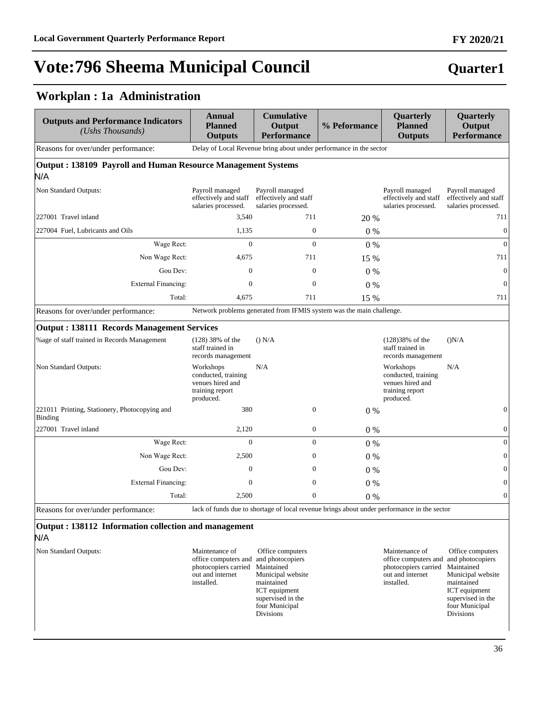## **Quarter1**

## **Workplan : 1a Administration**

| <b>Outputs and Performance Indicators</b><br>$(Ushs$ Thousands)     | <b>Annual</b><br><b>Planned</b><br><b>Outputs</b>                                    | <b>Cumulative</b><br>Output<br><b>Performance</b>                                           | % Peformance | Quarterly<br><b>Planned</b><br><b>Outputs</b>                                        | Quarterly<br>Output<br><b>Performance</b>                       |
|---------------------------------------------------------------------|--------------------------------------------------------------------------------------|---------------------------------------------------------------------------------------------|--------------|--------------------------------------------------------------------------------------|-----------------------------------------------------------------|
| Reasons for over/under performance:                                 |                                                                                      | Delay of Local Revenue bring about under performance in the sector                          |              |                                                                                      |                                                                 |
| Output: 138109 Payroll and Human Resource Management Systems<br>N/A |                                                                                      |                                                                                             |              |                                                                                      |                                                                 |
| Non Standard Outputs:                                               | Payroll managed<br>effectively and staff<br>salaries processed.                      | Payroll managed<br>effectively and staff<br>salaries processed.                             |              | Payroll managed<br>effectively and staff<br>salaries processed.                      | Payroll managed<br>effectively and staff<br>salaries processed. |
| 227001 Travel inland                                                | 3,540                                                                                | 711                                                                                         | 20 %         |                                                                                      | 711                                                             |
| 227004 Fuel, Lubricants and Oils                                    | 1,135                                                                                | $\mathbf{0}$                                                                                | 0%           |                                                                                      | $\boldsymbol{0}$                                                |
| Wage Rect:                                                          | $\Omega$                                                                             | $\Omega$                                                                                    | 0%           |                                                                                      | $\boldsymbol{0}$                                                |
| Non Wage Rect:                                                      | 4,675                                                                                | 711                                                                                         | 15 %         |                                                                                      | 711                                                             |
| Gou Dev:                                                            | $\mathbf{0}$                                                                         | $\boldsymbol{0}$                                                                            | $0\%$        |                                                                                      | $\boldsymbol{0}$                                                |
| <b>External Financing:</b>                                          | $\theta$                                                                             | $\mathbf{0}$                                                                                | 0%           |                                                                                      | $\boldsymbol{0}$                                                |
| Total:                                                              | 4,675                                                                                | 711                                                                                         | 15 %         |                                                                                      | 711                                                             |
| Reasons for over/under performance:                                 |                                                                                      | Network problems generated from IFMIS system was the main challenge.                        |              |                                                                                      |                                                                 |
| <b>Output: 138111 Records Management Services</b>                   |                                                                                      |                                                                                             |              |                                                                                      |                                                                 |
| % age of staff trained in Records Management                        | $(128)$ 38% of the<br>staff trained in<br>records management                         | () N/A                                                                                      |              | $(128)38%$ of the<br>staff trained in<br>records management                          | (N/A)                                                           |
| Non Standard Outputs:                                               | Workshops<br>conducted, training<br>venues hired and<br>training report<br>produced. | N/A                                                                                         |              | Workshops<br>conducted, training<br>venues hired and<br>training report<br>produced. | N/A                                                             |
| 221011 Printing, Stationery, Photocopying and<br>Binding            | 380                                                                                  | $\mathbf{0}$                                                                                | 0%           |                                                                                      | $\boldsymbol{0}$                                                |
| 227001 Travel inland                                                | 2,120                                                                                | $\boldsymbol{0}$                                                                            | $0\%$        |                                                                                      | $\boldsymbol{0}$                                                |
| Wage Rect:                                                          | $\Omega$                                                                             | $\overline{0}$                                                                              | 0%           |                                                                                      | $\boldsymbol{0}$                                                |
| Non Wage Rect:                                                      | 2.500                                                                                | $\overline{0}$                                                                              | $0\%$        |                                                                                      | $\overline{0}$                                                  |
| Gou Dev:                                                            | $\theta$                                                                             | $\overline{0}$                                                                              | $0\%$        |                                                                                      | $\overline{0}$                                                  |
| <b>External Financing:</b>                                          | $\overline{0}$                                                                       | $\boldsymbol{0}$                                                                            | 0%           |                                                                                      | $\boldsymbol{0}$                                                |
| Total:                                                              | 2,500                                                                                | $\boldsymbol{0}$                                                                            | 0%           |                                                                                      | $\boldsymbol{0}$                                                |
| Reasons for over/under performance:                                 |                                                                                      | lack of funds due to shortage of local revenue brings about under performance in the sector |              |                                                                                      |                                                                 |
| Output: 138112 Information collection and management                |                                                                                      |                                                                                             |              |                                                                                      |                                                                 |

### N/A

| Non Standard Outputs: | Maintenance of                        | Office computers  | Mair             |
|-----------------------|---------------------------------------|-------------------|------------------|
|                       | office computers and and photocopiers |                   | offic            |
|                       | photocopiers carried Maintained       |                   | phot             |
|                       | out and internet                      | Municipal website | out <sub>ε</sub> |
|                       | installed.                            | maintained        | insta            |
|                       |                                       | ICT equipment     |                  |
|                       |                                       | supervised in the |                  |
|                       |                                       | four Municipal    |                  |
|                       |                                       | <b>Divisions</b>  |                  |
|                       |                                       |                   |                  |

ntenance of office computers and photocopiers carried and internet alled.

 Office computers and photocopiers Maintained Municipal website maintained ICT equipment supervised in the four Municipal Divisions

### **FY 2020/21**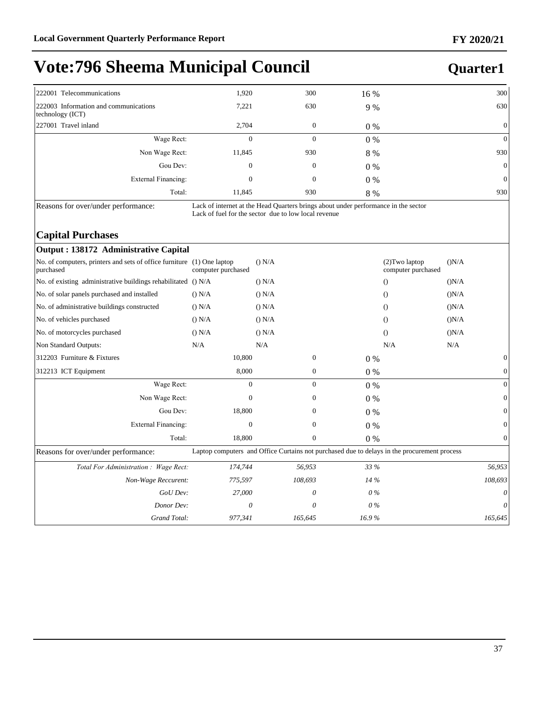### **Quarter1**

| 222001 Telecommunications                                 | 1,920        | 300          | 16 %  | 300             |
|-----------------------------------------------------------|--------------|--------------|-------|-----------------|
| 222003 Information and communications<br>technology (ICT) | 7,221        | 630          | 9 %   | 630             |
| 227001 Travel inland                                      | 2,704        | $\mathbf{0}$ | $0\%$ | $\overline{0}$  |
| Wage Rect:                                                | $\mathbf{0}$ | $\mathbf{0}$ | $0\%$ | $\vert 0 \vert$ |
| Non Wage Rect:                                            | 11,845       | 930          | 8 %   | 930             |
| Gou Dev:                                                  | $\mathbf{0}$ | $\mathbf{0}$ | $0\%$ | $\overline{0}$  |
| External Financing:                                       | $\mathbf{0}$ | $\mathbf{0}$ | $0\%$ | $\vert 0 \vert$ |
| Total:                                                    | 11,845       | 930          | 8 %   | 930             |

Reasons for over/under performance: Lack of internet at the Head Quarters brings about under performance in the sector Lack of fuel for the sector due to low local revenue

#### **Capital Purchases**

| Output : 138172 Administrative Capital                                              |                    |                                                                                             |       |                                      |       |                  |
|-------------------------------------------------------------------------------------|--------------------|---------------------------------------------------------------------------------------------|-------|--------------------------------------|-------|------------------|
| No. of computers, printers and sets of office furniture (1) One laptop<br>purchased | computer purchased | () N/A                                                                                      |       | (2) Two laptop<br>computer purchased | (N/A) |                  |
| No. of existing administrative buildings rehabilitated () N/A                       |                    | () N/A                                                                                      |       | $\Omega$                             | (N/A) |                  |
| No. of solar panels purchased and installed                                         | () N/A             | () N/A                                                                                      |       | $\Omega$                             | (N/A) |                  |
| No. of administrative buildings constructed                                         | () N/A             | $()$ N/A                                                                                    |       | $\Omega$                             | (N/A) |                  |
| No. of vehicles purchased                                                           | () N/A             | () N/A                                                                                      |       | $\theta$                             | (N/A) |                  |
| No. of motorcycles purchased                                                        | () N/A             | $()$ N/A                                                                                    |       | $\Omega$                             | (N/A) |                  |
| Non Standard Outputs:                                                               | N/A                | N/A                                                                                         |       | N/A                                  | N/A   |                  |
| 312203 Furniture & Fixtures                                                         | 10,800             | $\mathbf{0}$                                                                                | $0\%$ |                                      |       | $\mathbf{0}$     |
| 312213 ICT Equipment                                                                | 8,000              | $\boldsymbol{0}$                                                                            | $0\%$ |                                      |       | $\mathbf{0}$     |
| Wage Rect:                                                                          | $\mathbf{0}$       | $\boldsymbol{0}$                                                                            | 0%    |                                      |       | $\overline{0}$   |
| Non Wage Rect:                                                                      | $\Omega$           | $\mathbf{0}$                                                                                | 0%    |                                      |       | $\mathbf{0}$     |
| Gou Dev:                                                                            | 18,800             | $\mathbf{0}$                                                                                | $0\%$ |                                      |       | $\mathbf{0}$     |
| External Financing:                                                                 | $\mathbf{0}$       | $\mathbf{0}$                                                                                | 0%    |                                      |       | $\boldsymbol{0}$ |
| Total:                                                                              | 18,800             | $\mathbf{0}$                                                                                | 0%    |                                      |       | $\mathbf{0}$     |
| Reasons for over/under performance:                                                 |                    | Laptop computers and Office Curtains not purchased due to delays in the procurement process |       |                                      |       |                  |
| Total For Administration : Wage Rect:                                               | 174,744            | 56,953                                                                                      | 33 %  |                                      |       | 56,953           |
| Non-Wage Reccurent:                                                                 | 775,597            | 108,693                                                                                     | 14 %  |                                      |       | 108,693          |
| GoU Dev:                                                                            | 27,000             | 0                                                                                           | $0\%$ |                                      |       | 0                |
| Donor Dev:                                                                          | 0                  | 0                                                                                           | $0\%$ |                                      |       | 0                |
| Grand Total:                                                                        | 977,341            | 165,645                                                                                     | 16.9% |                                      |       | 165,645          |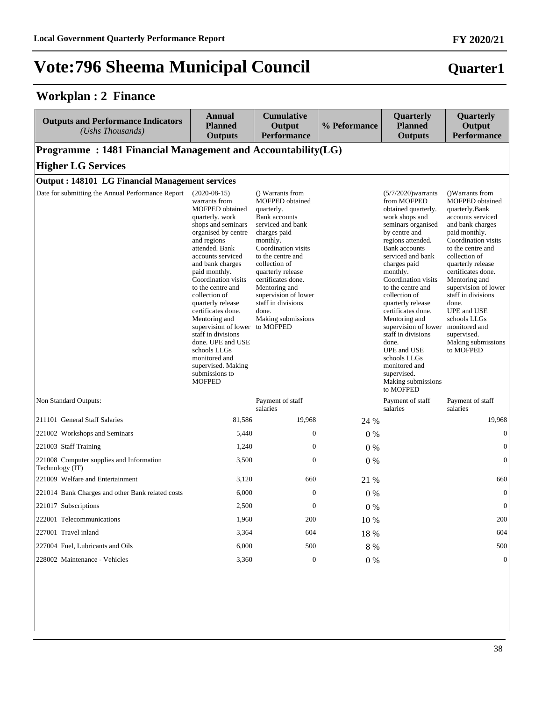#### **Workplan : 2 Finance**

| <b>Outputs and Performance Indicators</b><br>(Ushs Thousands) | <b>Annual</b><br><b>Planned</b><br><b>Outputs</b>                                                                                                                                                                                                                                                                                                                                                                                                                                                                    | <b>Cumulative</b><br>Output<br><b>Performance</b>                                                                                                                                                                                                                                                                                | % Peformance | Quarterly<br>Planned<br><b>Outputs</b>                                                                                                                                                                                                                                                                                                                                                                                                                                                               | Quarterly<br>Output<br><b>Performance</b>                                                                                                                                                                                                                                                                                                                                                               |
|---------------------------------------------------------------|----------------------------------------------------------------------------------------------------------------------------------------------------------------------------------------------------------------------------------------------------------------------------------------------------------------------------------------------------------------------------------------------------------------------------------------------------------------------------------------------------------------------|----------------------------------------------------------------------------------------------------------------------------------------------------------------------------------------------------------------------------------------------------------------------------------------------------------------------------------|--------------|------------------------------------------------------------------------------------------------------------------------------------------------------------------------------------------------------------------------------------------------------------------------------------------------------------------------------------------------------------------------------------------------------------------------------------------------------------------------------------------------------|---------------------------------------------------------------------------------------------------------------------------------------------------------------------------------------------------------------------------------------------------------------------------------------------------------------------------------------------------------------------------------------------------------|
| Programme: 1481 Financial Management and Accountability(LG)   |                                                                                                                                                                                                                                                                                                                                                                                                                                                                                                                      |                                                                                                                                                                                                                                                                                                                                  |              |                                                                                                                                                                                                                                                                                                                                                                                                                                                                                                      |                                                                                                                                                                                                                                                                                                                                                                                                         |
| <b>Higher LG Services</b>                                     |                                                                                                                                                                                                                                                                                                                                                                                                                                                                                                                      |                                                                                                                                                                                                                                                                                                                                  |              |                                                                                                                                                                                                                                                                                                                                                                                                                                                                                                      |                                                                                                                                                                                                                                                                                                                                                                                                         |
| <b>Output: 148101 LG Financial Management services</b>        |                                                                                                                                                                                                                                                                                                                                                                                                                                                                                                                      |                                                                                                                                                                                                                                                                                                                                  |              |                                                                                                                                                                                                                                                                                                                                                                                                                                                                                                      |                                                                                                                                                                                                                                                                                                                                                                                                         |
| Date for submitting the Annual Performance Report             | $(2020-08-15)$<br>warrants from<br><b>MOFPED</b> obtained<br>quarterly. work<br>shops and seminars<br>organised by centre<br>and regions<br>attended. Bank<br>accounts serviced<br>and bank charges<br>paid monthly.<br>Coordination visits<br>to the centre and<br>collection of<br>quarterly release<br>certificates done.<br>Mentoring and<br>supervision of lower to MOFPED<br>staff in divisions<br>done. UPE and USE<br>schools LLGs<br>monitored and<br>supervised. Making<br>submissions to<br><b>MOFPED</b> | () Warrants from<br>MOFPED obtained<br>quarterly.<br><b>Bank</b> accounts<br>serviced and bank<br>charges paid<br>monthly.<br>Coordination visits<br>to the centre and<br>collection of<br>quarterly release<br>certificates done.<br>Mentoring and<br>supervision of lower<br>staff in divisions<br>done.<br>Making submissions |              | $(5/7/2020)$ warrants<br>from MOFPED<br>obtained quarterly.<br>work shops and<br>seminars organised<br>by centre and<br>regions attended.<br><b>Bank accounts</b><br>serviced and bank<br>charges paid<br>monthly.<br>Coordination visits<br>to the centre and<br>collection of<br>quarterly release<br>certificates done.<br>Mentoring and<br>supervision of lower<br>staff in divisions<br>done.<br>UPE and USE<br>schools LLGs<br>monitored and<br>supervised.<br>Making submissions<br>to MOFPED | ()Warrants from<br>MOFPED obtained<br>quarterly.Bank<br>accounts serviced<br>and bank charges<br>paid monthly.<br>Coordination visits<br>to the centre and<br>collection of<br>quarterly release<br>certificates done.<br>Mentoring and<br>supervision of lower<br>staff in divisions<br>done.<br><b>UPE</b> and USE<br>schools LLGs<br>monitored and<br>supervised.<br>Making submissions<br>to MOFPED |
| Non Standard Outputs:                                         |                                                                                                                                                                                                                                                                                                                                                                                                                                                                                                                      | Payment of staff<br>salaries                                                                                                                                                                                                                                                                                                     |              | Payment of staff<br>salaries                                                                                                                                                                                                                                                                                                                                                                                                                                                                         | Payment of staff<br>salaries                                                                                                                                                                                                                                                                                                                                                                            |
| 211101 General Staff Salaries                                 | 81,586                                                                                                                                                                                                                                                                                                                                                                                                                                                                                                               | 19,968                                                                                                                                                                                                                                                                                                                           | 24 %         |                                                                                                                                                                                                                                                                                                                                                                                                                                                                                                      | 19,968                                                                                                                                                                                                                                                                                                                                                                                                  |
| 221002 Workshops and Seminars                                 | 5,440                                                                                                                                                                                                                                                                                                                                                                                                                                                                                                                | $\theta$                                                                                                                                                                                                                                                                                                                         | 0%           |                                                                                                                                                                                                                                                                                                                                                                                                                                                                                                      | $\boldsymbol{0}$                                                                                                                                                                                                                                                                                                                                                                                        |
| 221003 Staff Training                                         | 1,240                                                                                                                                                                                                                                                                                                                                                                                                                                                                                                                | $\boldsymbol{0}$                                                                                                                                                                                                                                                                                                                 | $0\%$        |                                                                                                                                                                                                                                                                                                                                                                                                                                                                                                      | $\mathbf{0}$                                                                                                                                                                                                                                                                                                                                                                                            |
| 221008 Computer supplies and Information<br>Technology (IT)   | 3,500                                                                                                                                                                                                                                                                                                                                                                                                                                                                                                                | $\mathbf{0}$                                                                                                                                                                                                                                                                                                                     | $0\%$        |                                                                                                                                                                                                                                                                                                                                                                                                                                                                                                      | $\boldsymbol{0}$                                                                                                                                                                                                                                                                                                                                                                                        |
| 221009 Welfare and Entertainment                              | 3,120                                                                                                                                                                                                                                                                                                                                                                                                                                                                                                                | 660                                                                                                                                                                                                                                                                                                                              | 21 %         |                                                                                                                                                                                                                                                                                                                                                                                                                                                                                                      | 660                                                                                                                                                                                                                                                                                                                                                                                                     |
| 221014 Bank Charges and other Bank related costs              | 6,000                                                                                                                                                                                                                                                                                                                                                                                                                                                                                                                | $\mathbf{0}$                                                                                                                                                                                                                                                                                                                     | 0%           |                                                                                                                                                                                                                                                                                                                                                                                                                                                                                                      | $\boldsymbol{0}$                                                                                                                                                                                                                                                                                                                                                                                        |
| 221017 Subscriptions                                          | 2,500                                                                                                                                                                                                                                                                                                                                                                                                                                                                                                                | $\mathbf{0}$                                                                                                                                                                                                                                                                                                                     | $0\%$        |                                                                                                                                                                                                                                                                                                                                                                                                                                                                                                      | $\boldsymbol{0}$                                                                                                                                                                                                                                                                                                                                                                                        |
| 222001 Telecommunications                                     | 1,960                                                                                                                                                                                                                                                                                                                                                                                                                                                                                                                | 200                                                                                                                                                                                                                                                                                                                              | 10 %         |                                                                                                                                                                                                                                                                                                                                                                                                                                                                                                      | 200                                                                                                                                                                                                                                                                                                                                                                                                     |
| 227001 Travel inland                                          | 3,364                                                                                                                                                                                                                                                                                                                                                                                                                                                                                                                | 604                                                                                                                                                                                                                                                                                                                              | 18 %         |                                                                                                                                                                                                                                                                                                                                                                                                                                                                                                      | 604                                                                                                                                                                                                                                                                                                                                                                                                     |
| 227004 Fuel, Lubricants and Oils                              | 6,000                                                                                                                                                                                                                                                                                                                                                                                                                                                                                                                | 500                                                                                                                                                                                                                                                                                                                              | 8 %          |                                                                                                                                                                                                                                                                                                                                                                                                                                                                                                      | 500                                                                                                                                                                                                                                                                                                                                                                                                     |
| 228002 Maintenance - Vehicles                                 | 3,360                                                                                                                                                                                                                                                                                                                                                                                                                                                                                                                | $\overline{0}$                                                                                                                                                                                                                                                                                                                   | $0\%$        |                                                                                                                                                                                                                                                                                                                                                                                                                                                                                                      | $\boldsymbol{0}$                                                                                                                                                                                                                                                                                                                                                                                        |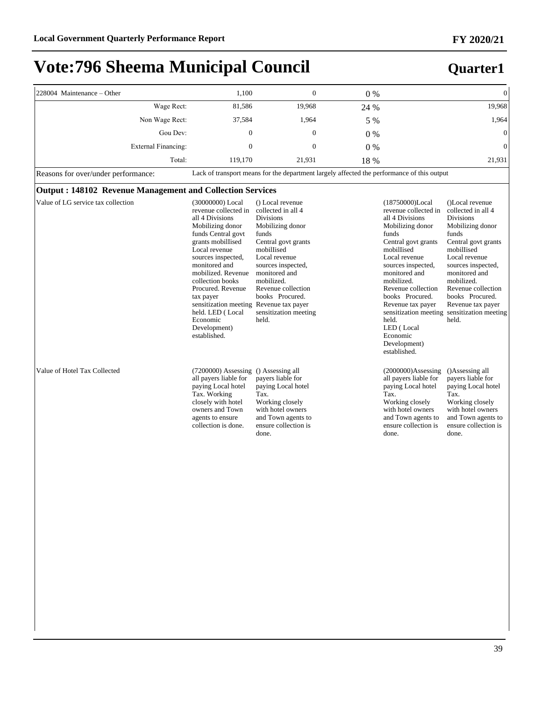| 228004 Maintenance - Other                                       | 1,100                                                                                                                                                                                                                                                                                                                                                                     | $\overline{0}$                                                                                                                                                                                                                                                                | $0\%$ |                                                                                                                                                                                                                                                                                                                                                              | $\overline{0}$                                                                                                                                                                                                                                                                                    |
|------------------------------------------------------------------|---------------------------------------------------------------------------------------------------------------------------------------------------------------------------------------------------------------------------------------------------------------------------------------------------------------------------------------------------------------------------|-------------------------------------------------------------------------------------------------------------------------------------------------------------------------------------------------------------------------------------------------------------------------------|-------|--------------------------------------------------------------------------------------------------------------------------------------------------------------------------------------------------------------------------------------------------------------------------------------------------------------------------------------------------------------|---------------------------------------------------------------------------------------------------------------------------------------------------------------------------------------------------------------------------------------------------------------------------------------------------|
| Wage Rect:                                                       | 81,586                                                                                                                                                                                                                                                                                                                                                                    | 19,968                                                                                                                                                                                                                                                                        | 24 %  |                                                                                                                                                                                                                                                                                                                                                              | 19,968                                                                                                                                                                                                                                                                                            |
| Non Wage Rect:                                                   | 37,584                                                                                                                                                                                                                                                                                                                                                                    | 1.964                                                                                                                                                                                                                                                                         | 5 %   |                                                                                                                                                                                                                                                                                                                                                              | 1,964                                                                                                                                                                                                                                                                                             |
| Gou Dev:                                                         | $\mathbf{0}$                                                                                                                                                                                                                                                                                                                                                              | $\Omega$                                                                                                                                                                                                                                                                      | $0\%$ |                                                                                                                                                                                                                                                                                                                                                              | $\Omega$                                                                                                                                                                                                                                                                                          |
| <b>External Financing:</b>                                       | $\overline{0}$                                                                                                                                                                                                                                                                                                                                                            | $\mathbf{0}$                                                                                                                                                                                                                                                                  | 0%    |                                                                                                                                                                                                                                                                                                                                                              | $\Omega$                                                                                                                                                                                                                                                                                          |
| Total:                                                           | 119,170                                                                                                                                                                                                                                                                                                                                                                   | 21,931                                                                                                                                                                                                                                                                        | 18 %  |                                                                                                                                                                                                                                                                                                                                                              | 21,931                                                                                                                                                                                                                                                                                            |
| Reasons for over/under performance:                              |                                                                                                                                                                                                                                                                                                                                                                           | Lack of transport means for the department largely affected the performance of this output                                                                                                                                                                                    |       |                                                                                                                                                                                                                                                                                                                                                              |                                                                                                                                                                                                                                                                                                   |
| <b>Output: 148102 Revenue Management and Collection Services</b> |                                                                                                                                                                                                                                                                                                                                                                           |                                                                                                                                                                                                                                                                               |       |                                                                                                                                                                                                                                                                                                                                                              |                                                                                                                                                                                                                                                                                                   |
| Value of LG service tax collection                               | (30000000) Local<br>revenue collected in<br>all 4 Divisions<br>Mobilizing donor<br>funds Central govt<br>grants mobilIised<br>Local revenue<br>sources inspected,<br>monitored and<br>mobilized. Revenue<br>collection books<br>Procured. Revenue<br>tax payer<br>sensitization meeting Revenue tax payer<br>held. LED (Local<br>Economic<br>Development)<br>established. | () Local revenue<br>collected in all 4<br><b>Divisions</b><br>Mobilizing donor<br>funds<br>Central govt grants<br>mobilIised<br>Local revenue<br>sources inspected,<br>monitored and<br>mobilized.<br>Revenue collection<br>books Procured.<br>sensitization meeting<br>held. |       | (18750000)Local<br>revenue collected in<br>all 4 Divisions<br>Mobilizing donor<br>funds<br>Central govt grants<br>mobilIised<br>Local revenue<br>sources inspected,<br>monitored and<br>mobilized.<br>Revenue collection<br>books Procured.<br>Revenue tax payer<br>sensitization meeting<br>held.<br>LED (Local<br>Economic<br>Development)<br>established. | ()Local revenue<br>collected in all 4<br><b>Divisions</b><br>Mobilizing donor<br>funds<br>Central govt grants<br>mobilIised<br>Local revenue<br>sources inspected,<br>monitored and<br>mobilized.<br>Revenue collection<br>books Procured.<br>Revenue tax payer<br>sensitization meeting<br>held. |
| Value of Hotel Tax Collected                                     | (7200000) Assessing () Assessing all<br>all payers liable for<br>paying Local hotel<br>Tax. Working<br>closely with hotel<br>owners and Town<br>agents to ensure<br>collection is done.                                                                                                                                                                                   | payers liable for<br>paying Local hotel<br>Tax.<br>Working closely<br>with hotel owners<br>and Town agents to<br>ensure collection is<br>done.                                                                                                                                |       | $(2000000)$ Assessing<br>all payers liable for<br>paying Local hotel<br>Tax.<br>Working closely<br>with hotel owners<br>and Town agents to<br>ensure collection is<br>done.                                                                                                                                                                                  | ()Assessing all<br>payers liable for<br>paying Local hotel<br>Tax.<br>Working closely<br>with hotel owners<br>and Town agents to<br>ensure collection is<br>done.                                                                                                                                 |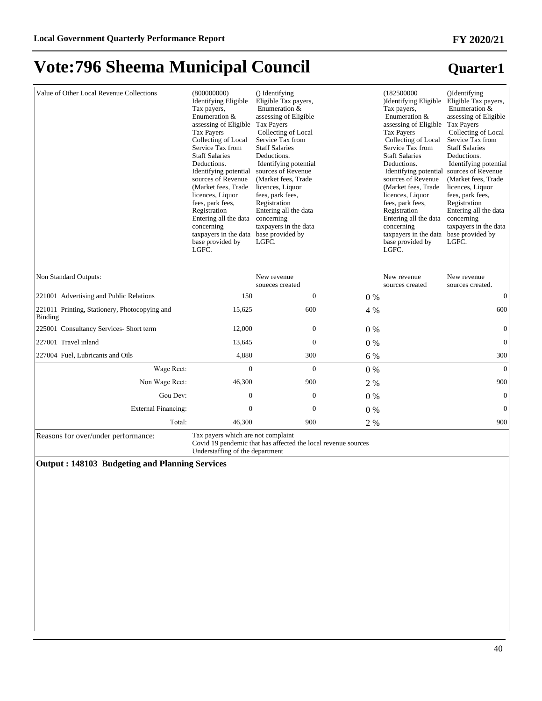#### Value of Other Local Revenue Collections (800000000) Identifying Eligible Tax payers, Enumeration & assessing of Eligible Tax Payers Collecting of Local Service Tax from Staff Salaries Deductions. Identifying potential sources of Revenue (Market fees, Trade licences, Liquor fees, park fees, Registration Entering all the data concerning taxpayers in the data base provided by LGFC. () Identifying Eligible Tax payers, Enumeration & assessing of Eligible Tax Payers Collecting of Local Service Tax from Staff Salaries Deductions. Identifying potential sources of Revenue (Market fees, Trade licences, Liquor fees, park fees, Registration Entering all the data concerning taxpayers in the data base provided by LGFC. (182500000 )Identifying Eligible Tax payers, Enumeration & assessing of Eligible Tax Payers Collecting of Local Service Tax from Staff Salaries Deductions. Identifying potential sources of Revenue (Market fees, Trade licences, Liquor fees, park fees, Registration Entering all the data concerning taxpayers in the data base provided by LGFC. ()Identifying Eligible Tax payers, Enumeration & assessing of Eligible Tax Payers Collecting of Local Service Tax from Staff Salaries Deductions. Identifying potential sources of Revenue (Market fees, Trade licences, Liquor fees, park fees, Registration Entering all the data concerning taxpayers in the data base provided by LGFC. Non Standard Outputs: New revenue soueces created New revenue sources created New revenue sources created.  $221001$  Advertising and Public Relations  $150$  0 0  $0\%$  0 0 221011 Printing, Stationery, Photocopying and Binding 15,625 600 4 % 600 225001 Consultancy Services- Short term 12,000 0 0 % 0 227001 Travel inland 13,645 0 0 0 % 0 0 0 0  $\frac{13,645}{2}$  0 0  $\frac{1}{2}$  0 0  $\frac{1}{2}$  0 0  $\frac{1}{2}$  0  $\frac{1}{2}$  0  $\frac{1}{2}$  0  $\frac{1}{2}$  0  $\frac{1}{2}$  0  $\frac{1}{2}$  13,645 0  $\frac{1}{2}$  13,645 0  $\frac{1}{2}$  13,645 0  $\frac{1}{2}$  13, 227004 Fuel, Lubricants and Oils **4,880** 300 6 % 300 6 % 300 :DJH5HFW 0 0 0 % 0 Non Wage Rect: 46,300 900 2 % 900 Gou Dev:  $0 \t 0 \t 0 \t 0 \t 0$ ([WHUQDO)LQDQFLQJ 0 0 0 % 0 Total: 46,300 900 900 2 % 900

Reasons for over/under performance: Tax payers which are not complaint

Covid 19 pendemic that has affected the local revenue sources Understaffing of the department

**Output : 148103 Budgeting and Planning Services**

### **Quarter1**

**FY 2020/21**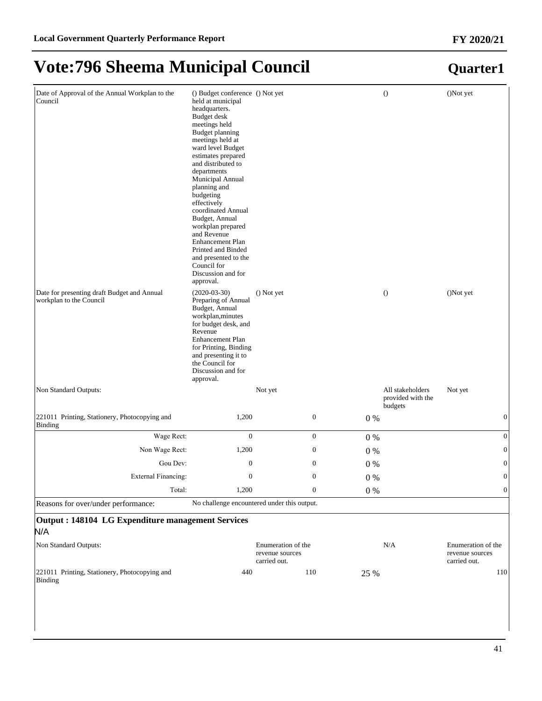#### Date of Approval of the Annual Workplan to the Council () Budget conference () Not yet held at municipal headquarters. Budget desk meetings held Budget planning meetings held at ward level Budget estimates prepared and distributed to departments Municipal Annual planning and budgeting effectively coordinated Annual Budget, Annual workplan prepared and Revenue Enhancement Plan Printed and Binded and presented to the Council for Discussion and for approval. () Not yet () ()Not yet Date for presenting draft Budget and Annual workplan to the Council (2020-03-30) Preparing of Annual Budget, Annual workplan,minutes for budget desk, and Revenue Enhancement Plan for Printing, Binding and presenting it to the Council for Discussion and for approval. () Not yet () () Not yet Non Standard Outputs: Notice and All stakeholders and All stakeholders and All stakeholders and All stakeholders provided with the budgets Not yet 221011 Printing, Stationery, Photocopying and Binding  $1,200$  0 0 0 % 0 :DJH5HFW 0 0 0 % 0 Non Wage Rect: 1,200 0 0 % 0 0 % Gou Dev:  $0 \t 0 \t 0 \t 0 \t 0$ External Financing:  $\begin{array}{ccc} 0 & 0 & 0 \end{array}$ Total: 1,200 0 0 % 0 0 Reasons for over/under performance: No challenge encountered under this output. **Output : 148104 LG Expenditure management Services** N/A Non Standard Outputs: Enumeration of the revenue sources carried out. N/A Enumeration of the revenue sources carried out. 221011 Printing, Stationery, Photocopying and Binding 440 110 25 % 110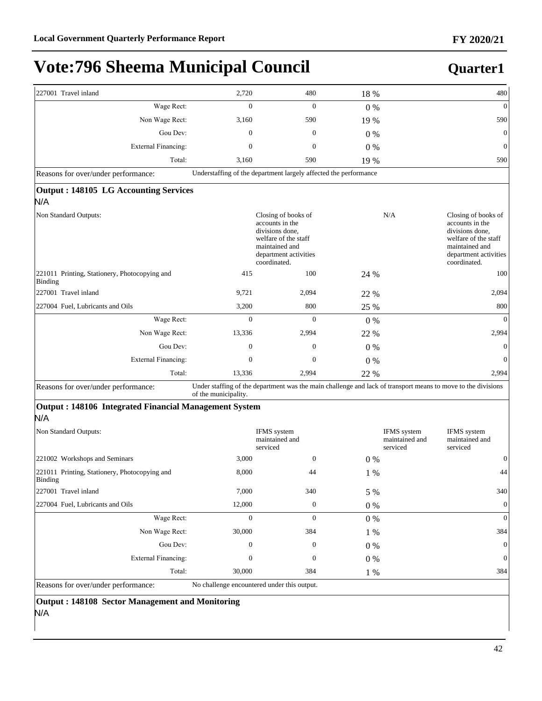### **Quarter1**

| 227001 Travel inland                                     | 2,720                                                            | 480                                                                                                                                          | 18 %  | 480                                                                                                                                                 |
|----------------------------------------------------------|------------------------------------------------------------------|----------------------------------------------------------------------------------------------------------------------------------------------|-------|-----------------------------------------------------------------------------------------------------------------------------------------------------|
| Wage Rect:                                               | $\mathbf{0}$                                                     | $\overline{0}$                                                                                                                               | $0\%$ | $\mathbf{0}$                                                                                                                                        |
| Non Wage Rect:                                           | 3,160                                                            | 590                                                                                                                                          | 19 %  | 590                                                                                                                                                 |
| Gou Dev:                                                 | $\mathbf{0}$                                                     | $\overline{0}$                                                                                                                               | $0\%$ | $\mathbf{0}$                                                                                                                                        |
| External Financing:                                      | $\overline{0}$                                                   | $\boldsymbol{0}$                                                                                                                             | $0\%$ | $\theta$                                                                                                                                            |
| Total:                                                   | 3,160                                                            | 590                                                                                                                                          | 19 %  | 590                                                                                                                                                 |
| Reasons for over/under performance:                      | Understaffing of the department largely affected the performance |                                                                                                                                              |       |                                                                                                                                                     |
| Output: 148105 LG Accounting Services                    |                                                                  |                                                                                                                                              |       |                                                                                                                                                     |
| N/A                                                      |                                                                  |                                                                                                                                              |       |                                                                                                                                                     |
| Non Standard Outputs:                                    |                                                                  | Closing of books of<br>accounts in the<br>divisions done,<br>welfare of the staff<br>maintained and<br>department activities<br>coordinated. |       | N/A<br>Closing of books of<br>accounts in the<br>divisions done,<br>welfare of the staff<br>maintained and<br>department activities<br>coordinated. |
| 221011 Printing, Stationery, Photocopying and<br>Binding | 415                                                              | 100                                                                                                                                          | 24 %  | 100                                                                                                                                                 |
| 227001 Travel inland                                     | 9,721                                                            | 2,094                                                                                                                                        | 22 %  | 2,094                                                                                                                                               |
| 227004 Fuel, Lubricants and Oils                         | 3,200                                                            | 800                                                                                                                                          | 25 %  | 800                                                                                                                                                 |
| Wage Rect:                                               | $\overline{0}$                                                   | $\mathbf{0}$                                                                                                                                 | $0\%$ | $\mathbf{0}$                                                                                                                                        |
| Non Wage Rect:                                           | 13,336                                                           | 2,994                                                                                                                                        | 22 %  | 2,994                                                                                                                                               |
| Gou Dev:                                                 | $\overline{0}$                                                   | 0                                                                                                                                            | $0\%$ | $\theta$                                                                                                                                            |
| <b>External Financing:</b>                               | $\boldsymbol{0}$                                                 | $\boldsymbol{0}$                                                                                                                             | $0\%$ | $\mathbf{0}$                                                                                                                                        |
| Total:                                                   | 13,336                                                           | 2,994                                                                                                                                        | 22 %  | 2,994                                                                                                                                               |
| Reasons for over/under performance:                      |                                                                  |                                                                                                                                              |       | Under staffing of the department was the main challenge and lack of transport means to move to the divisions                                        |

Reasons for over/under performance: Under staffing of the department was the main challenge and lack of transport means to move to the divisions of the municipality.

#### **Output : 148106 Integrated Financial Management System** N/A

| Non Standard Outputs:                                    |                                             | IFMS system<br>maintained and<br>serviced |       | IFMS system<br>maintained and<br>serviced | IFMS system<br>maintained and<br>serviced |
|----------------------------------------------------------|---------------------------------------------|-------------------------------------------|-------|-------------------------------------------|-------------------------------------------|
| 221002 Workshops and Seminars                            | 3,000                                       | $\boldsymbol{0}$                          | $0\%$ |                                           | $\mathbf{0}$                              |
| 221011 Printing, Stationery, Photocopying and<br>Binding | 8,000                                       | 44                                        | 1 %   |                                           | 44                                        |
| 227001 Travel inland                                     | 7,000                                       | 340                                       | 5 %   |                                           | 340                                       |
| 227004 Fuel, Lubricants and Oils                         | 12,000                                      | $\mathbf{0}$                              | $0\%$ |                                           | $\overline{0}$                            |
| Wage Rect:                                               | $\mathbf{0}$                                | $\theta$                                  | $0\%$ |                                           | $\theta$                                  |
| Non Wage Rect:                                           | 30,000                                      | 384                                       | $1\%$ |                                           | 384                                       |
| Gou Dev:                                                 | $\mathbf{0}$                                | $\boldsymbol{0}$                          | $0\%$ |                                           | $\overline{0}$                            |
| External Financing:                                      | $\mathbf{0}$                                | $\boldsymbol{0}$                          | $0\%$ |                                           | $\overline{0}$                            |
| Total:                                                   | 30,000                                      | 384                                       | $1\%$ |                                           | 384                                       |
| Reasons for over/under performance:                      | No challenge encountered under this output. |                                           |       |                                           |                                           |

**Output : 148108 Sector Management and Monitoring**

#### N/A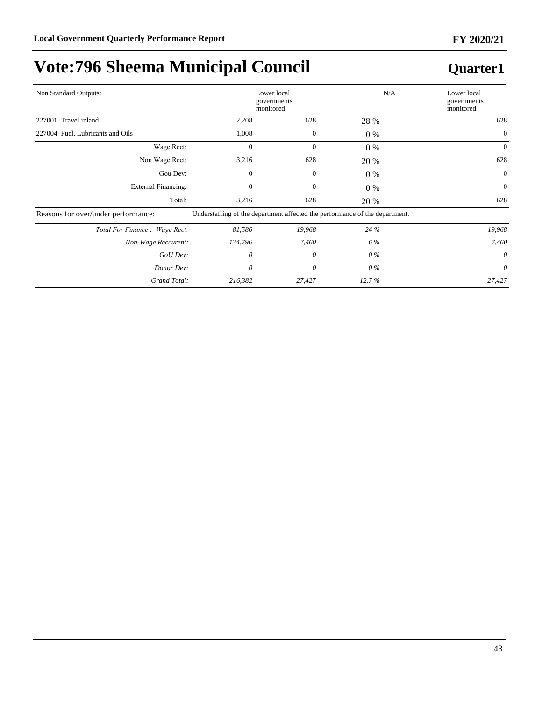| Non Standard Outputs:               |                                                                             | Lower local<br>governments<br>monitored |       | N/A<br>Lower local<br>governments<br>monitored |
|-------------------------------------|-----------------------------------------------------------------------------|-----------------------------------------|-------|------------------------------------------------|
| 227001 Travel inland                | 2,208                                                                       | 628                                     | 28 %  | 628                                            |
| 227004 Fuel, Lubricants and Oils    | 1,008                                                                       | $\mathbf{0}$                            | $0\%$ | $\mathbf{0}$                                   |
| Wage Rect:                          | $\mathbf{0}$                                                                | $\mathbf{0}$                            | $0\%$ | $\overline{0}$                                 |
| Non Wage Rect:                      | 3,216                                                                       | 628                                     | 20 %  | 628                                            |
| Gou Dev:                            | $\Omega$                                                                    | $\mathbf{0}$                            | $0\%$ | $\Omega$                                       |
| External Financing:                 | $\mathbf{0}$                                                                | $\mathbf{0}$                            | $0\%$ | $\overline{0}$                                 |
| Total:                              | 3,216                                                                       | 628                                     | 20 %  | 628                                            |
| Reasons for over/under performance: | Understaffing of the department affected the performance of the department. |                                         |       |                                                |
| Total For Finance: Wage Rect:       | 81,586                                                                      | 19,968                                  | 24 %  | 19,968                                         |
| Non-Wage Reccurent:                 | 134,796                                                                     | 7,460                                   | 6 %   | 7,460                                          |
| GoU Dev:                            | 0                                                                           | 0                                       | $0\%$ | 0                                              |
| Donor Dev:                          | 0                                                                           | 0                                       | $0\%$ | 0                                              |
| Grand Total:                        | 216,382                                                                     | 27,427                                  | 12.7% | 27,427                                         |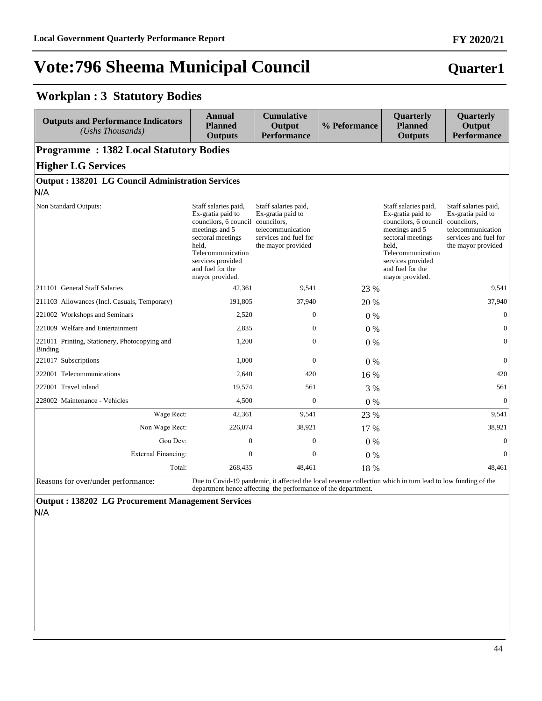## **Quarter1**

**FY 2020/21**

#### **Workplan : 3 Statutory Bodies**

| <b>Outputs and Performance Indicators</b><br>(Ushs Thousands) | Annual<br><b>Planned</b><br><b>Outputs</b>                                                                                                                                                                      | <b>Cumulative</b><br>Output<br><b>Performance</b>                                                                                                                            | % Peformance | Quarterly<br><b>Planned</b><br><b>Outputs</b>                                                                                                                                                       | Quarterly<br>Output<br><b>Performance</b>                                                                                    |
|---------------------------------------------------------------|-----------------------------------------------------------------------------------------------------------------------------------------------------------------------------------------------------------------|------------------------------------------------------------------------------------------------------------------------------------------------------------------------------|--------------|-----------------------------------------------------------------------------------------------------------------------------------------------------------------------------------------------------|------------------------------------------------------------------------------------------------------------------------------|
| <b>Programme: 1382 Local Statutory Bodies</b>                 |                                                                                                                                                                                                                 |                                                                                                                                                                              |              |                                                                                                                                                                                                     |                                                                                                                              |
| <b>Higher LG Services</b>                                     |                                                                                                                                                                                                                 |                                                                                                                                                                              |              |                                                                                                                                                                                                     |                                                                                                                              |
| <b>Output: 138201 LG Council Administration Services</b>      |                                                                                                                                                                                                                 |                                                                                                                                                                              |              |                                                                                                                                                                                                     |                                                                                                                              |
| N/A                                                           |                                                                                                                                                                                                                 |                                                                                                                                                                              |              |                                                                                                                                                                                                     |                                                                                                                              |
| Non Standard Outputs:                                         | Staff salaries paid,<br>Ex-gratia paid to<br>councilors, 6 council councilors,<br>meetings and 5<br>sectoral meetings<br>held.<br>Telecommunication<br>services provided<br>and fuel for the<br>mayor provided. | Staff salaries paid,<br>Ex-gratia paid to<br>telecommunication<br>services and fuel for<br>the mayor provided                                                                |              | Staff salaries paid,<br>Ex-gratia paid to<br>councilors, 6 council<br>meetings and 5<br>sectoral meetings<br>held.<br>Telecommunication<br>services provided<br>and fuel for the<br>mayor provided. | Staff salaries paid,<br>Ex-gratia paid to<br>councilors,<br>telecommunication<br>services and fuel for<br>the mayor provided |
| 211101 General Staff Salaries                                 | 42,361                                                                                                                                                                                                          | 9,541                                                                                                                                                                        | 23 %         |                                                                                                                                                                                                     | 9,541                                                                                                                        |
| 211103 Allowances (Incl. Casuals, Temporary)                  | 191,805                                                                                                                                                                                                         | 37,940                                                                                                                                                                       | 20 %         |                                                                                                                                                                                                     | 37,940                                                                                                                       |
| 221002 Workshops and Seminars                                 | 2,520                                                                                                                                                                                                           | $\mathbf{0}$                                                                                                                                                                 | $0\%$        |                                                                                                                                                                                                     | $\mathbf{0}$                                                                                                                 |
| 221009 Welfare and Entertainment                              | 2,835                                                                                                                                                                                                           | $\mathbf{0}$                                                                                                                                                                 | 0%           |                                                                                                                                                                                                     | $\mathbf{0}$                                                                                                                 |
| 221011 Printing, Stationery, Photocopying and<br>Binding      | 1,200                                                                                                                                                                                                           | $\mathbf{0}$                                                                                                                                                                 | $0\%$        |                                                                                                                                                                                                     | $\mathbf{0}$                                                                                                                 |
| 221017 Subscriptions                                          | 1,000                                                                                                                                                                                                           | $\Omega$                                                                                                                                                                     | $0\%$        |                                                                                                                                                                                                     | $\overline{0}$                                                                                                               |
| 222001 Telecommunications                                     | 2,640                                                                                                                                                                                                           | 420                                                                                                                                                                          | 16 %         |                                                                                                                                                                                                     | 420                                                                                                                          |
| 227001 Travel inland                                          | 19,574                                                                                                                                                                                                          | 561                                                                                                                                                                          | 3 %          |                                                                                                                                                                                                     | 561                                                                                                                          |
| 228002 Maintenance - Vehicles                                 | 4,500                                                                                                                                                                                                           | $\boldsymbol{0}$                                                                                                                                                             | $0\%$        |                                                                                                                                                                                                     | $\mathbf{0}$                                                                                                                 |
| Wage Rect:                                                    | 42,361                                                                                                                                                                                                          | 9,541                                                                                                                                                                        | 23 %         |                                                                                                                                                                                                     | 9,541                                                                                                                        |
| Non Wage Rect:                                                | 226,074                                                                                                                                                                                                         | 38,921                                                                                                                                                                       | 17 %         |                                                                                                                                                                                                     | 38,921                                                                                                                       |
| Gou Dev:                                                      | $\overline{0}$                                                                                                                                                                                                  | $\overline{0}$                                                                                                                                                               | $0\%$        |                                                                                                                                                                                                     | $\mathbf{0}$                                                                                                                 |
| <b>External Financing:</b>                                    | $\overline{0}$                                                                                                                                                                                                  | $\boldsymbol{0}$                                                                                                                                                             | 0%           |                                                                                                                                                                                                     | $\mathbf{0}$                                                                                                                 |
| Total:                                                        | 268,435                                                                                                                                                                                                         | 48,461                                                                                                                                                                       | 18 %         |                                                                                                                                                                                                     | 48,461                                                                                                                       |
| Reasons for over/under performance:                           |                                                                                                                                                                                                                 | Due to Covid-19 pandemic, it affected the local revenue collection which in turn lead to low funding of the<br>department hence affecting the performance of the department. |              |                                                                                                                                                                                                     |                                                                                                                              |

**Output : 138202 LG Procurement Management Services**

N/A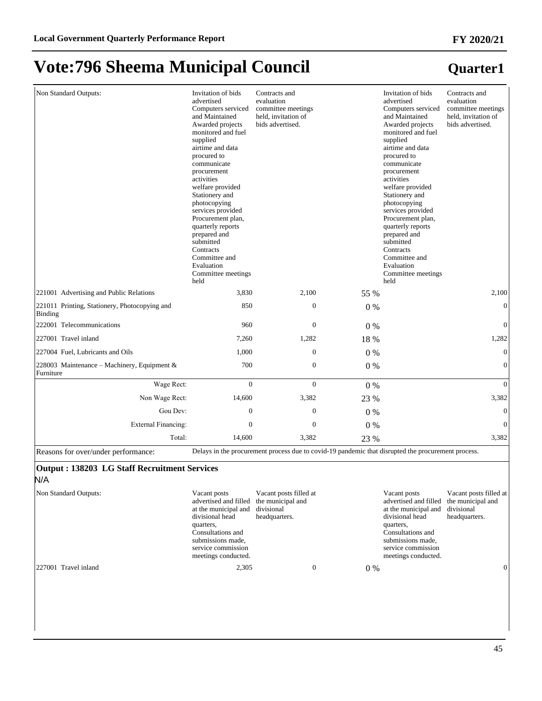### **Quarter1**

| Non Standard Outputs:                                    | Invitation of bids<br>advertised<br>Computers serviced<br>and Maintained<br>Awarded projects<br>monitored and fuel<br>supplied<br>airtime and data<br>procured to<br>communicate<br>procurement<br>activities<br>welfare provided<br>Stationery and<br>photocopying<br>services provided<br>Procurement plan,<br>quarterly reports<br>prepared and<br>submitted<br>Contracts<br>Committee and<br>Evaluation<br>Committee meetings<br>held | Contracts and<br>evaluation<br>committee meetings<br>held, invitation of<br>bids advertised.       |       | Invitation of bids<br>advertised<br>Computers serviced<br>and Maintained<br>Awarded projects<br>monitored and fuel<br>supplied<br>airtime and data<br>procured to<br>communicate<br>procurement<br>activities<br>welfare provided<br>Stationery and<br>photocopying<br>services provided<br>Procurement plan,<br>quarterly reports<br>prepared and<br>submitted<br>Contracts<br>Committee and<br>Evaluation<br>Committee meetings<br>held | Contracts and<br>evaluation<br>committee meetings<br>held, invitation of<br>bids advertised. |
|----------------------------------------------------------|-------------------------------------------------------------------------------------------------------------------------------------------------------------------------------------------------------------------------------------------------------------------------------------------------------------------------------------------------------------------------------------------------------------------------------------------|----------------------------------------------------------------------------------------------------|-------|-------------------------------------------------------------------------------------------------------------------------------------------------------------------------------------------------------------------------------------------------------------------------------------------------------------------------------------------------------------------------------------------------------------------------------------------|----------------------------------------------------------------------------------------------|
| 221001 Advertising and Public Relations                  | 3,830                                                                                                                                                                                                                                                                                                                                                                                                                                     | 2,100                                                                                              | 55 %  |                                                                                                                                                                                                                                                                                                                                                                                                                                           | 2,100                                                                                        |
| 221011 Printing, Stationery, Photocopying and<br>Binding | 850                                                                                                                                                                                                                                                                                                                                                                                                                                       | $\mathbf{0}$                                                                                       | $0\%$ |                                                                                                                                                                                                                                                                                                                                                                                                                                           | $\mathbf{0}$                                                                                 |
| 222001 Telecommunications                                | 960                                                                                                                                                                                                                                                                                                                                                                                                                                       | $\mathbf{0}$                                                                                       | $0\%$ |                                                                                                                                                                                                                                                                                                                                                                                                                                           | $\mathbf{0}$                                                                                 |
| 227001 Travel inland                                     | 7,260                                                                                                                                                                                                                                                                                                                                                                                                                                     | 1,282                                                                                              | 18 %  |                                                                                                                                                                                                                                                                                                                                                                                                                                           | 1,282                                                                                        |
| 227004 Fuel, Lubricants and Oils                         | 1,000                                                                                                                                                                                                                                                                                                                                                                                                                                     | $\mathbf{0}$                                                                                       | $0\%$ |                                                                                                                                                                                                                                                                                                                                                                                                                                           | $\mathbf{0}$                                                                                 |
| 228003 Maintenance – Machinery, Equipment &<br>Furniture | 700                                                                                                                                                                                                                                                                                                                                                                                                                                       | $\mathbf{0}$                                                                                       | $0\%$ |                                                                                                                                                                                                                                                                                                                                                                                                                                           | $\mathbf{0}$                                                                                 |
| Wage Rect:                                               | $\mathbf{0}$                                                                                                                                                                                                                                                                                                                                                                                                                              | $\mathbf{0}$                                                                                       | $0\%$ |                                                                                                                                                                                                                                                                                                                                                                                                                                           | $\mathbf{0}$                                                                                 |
| Non Wage Rect:                                           | 14,600                                                                                                                                                                                                                                                                                                                                                                                                                                    | 3,382                                                                                              | 23 %  |                                                                                                                                                                                                                                                                                                                                                                                                                                           | 3,382                                                                                        |
| Gou Dev:                                                 | $\mathbf{0}$                                                                                                                                                                                                                                                                                                                                                                                                                              | $\mathbf{0}$                                                                                       | $0\%$ |                                                                                                                                                                                                                                                                                                                                                                                                                                           | $\mathbf{0}$                                                                                 |
| External Financing:                                      | $\mathbf{0}$                                                                                                                                                                                                                                                                                                                                                                                                                              | $\mathbf{0}$                                                                                       | 0%    |                                                                                                                                                                                                                                                                                                                                                                                                                                           | $\mathbf{0}$                                                                                 |
| Total:                                                   | 14,600                                                                                                                                                                                                                                                                                                                                                                                                                                    | 3,382                                                                                              | 23 %  |                                                                                                                                                                                                                                                                                                                                                                                                                                           | 3,382                                                                                        |
| Reasons for over/under performance:                      |                                                                                                                                                                                                                                                                                                                                                                                                                                           | Delays in the procurement process due to covid-19 pandemic that disrupted the procurement process. |       |                                                                                                                                                                                                                                                                                                                                                                                                                                           |                                                                                              |
| Output · 138203 L.C. Staff Recruitment Services          |                                                                                                                                                                                                                                                                                                                                                                                                                                           |                                                                                                    |       |                                                                                                                                                                                                                                                                                                                                                                                                                                           |                                                                                              |

#### **Output : 138203 LG Staff Recruitment Services** N/A

Non Standard Outputs: Vacant posts advertised and filled the municipal and at the municipal and divisional divisional head quarters, Consultations and submissions made, service commission meetings conducted. Vacant posts filled at headquarters. Vacant posts advertised and filled at the municipal and divisional divisional head quarters, Consultations and submissions made, service commission meetings conducted. Vacant posts filled at the municipal and headquarters. 227001 Travel inland 2,305 0 0 % 0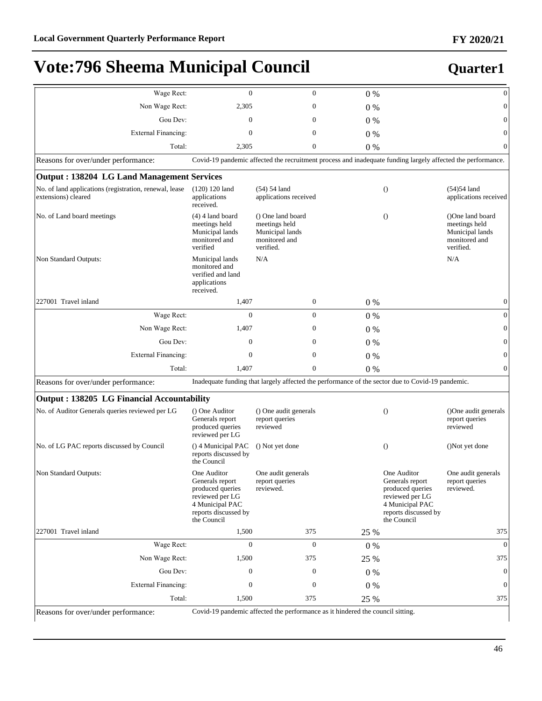| Wage Rect:                                                                    | $\mathbf{0}$                                                                                                                    | $\mathbf{0}$                                                                                                | 0%    |                                                                                                                                 | $\mathbf{0}$                                                                       |
|-------------------------------------------------------------------------------|---------------------------------------------------------------------------------------------------------------------------------|-------------------------------------------------------------------------------------------------------------|-------|---------------------------------------------------------------------------------------------------------------------------------|------------------------------------------------------------------------------------|
| Non Wage Rect:                                                                | 2,305                                                                                                                           | $\boldsymbol{0}$                                                                                            | $0\%$ |                                                                                                                                 | $\overline{0}$                                                                     |
| Gou Dev:                                                                      | $\mathbf{0}$                                                                                                                    | $\mathbf{0}$                                                                                                | $0\%$ |                                                                                                                                 | $\mathbf{0}$                                                                       |
| <b>External Financing:</b>                                                    | $\mathbf{0}$                                                                                                                    | $\mathbf{0}$                                                                                                | $0\%$ |                                                                                                                                 | $\overline{0}$                                                                     |
| Total:                                                                        | 2,305                                                                                                                           | $\boldsymbol{0}$                                                                                            | 0%    |                                                                                                                                 | $\mathbf{0}$                                                                       |
| Reasons for over/under performance:                                           |                                                                                                                                 | Covid-19 pandemic affected the recruitment process and inadequate funding largely affected the performance. |       |                                                                                                                                 |                                                                                    |
| <b>Output: 138204 LG Land Management Services</b>                             |                                                                                                                                 |                                                                                                             |       |                                                                                                                                 |                                                                                    |
| No. of land applications (registration, renewal, lease<br>extensions) cleared | $(120) 120$ land<br>applications<br>received.                                                                                   | $(54)$ 54 land<br>applications received                                                                     |       | $\theta$                                                                                                                        | $(54)54$ land<br>applications received                                             |
| No. of Land board meetings                                                    | $(4)$ 4 land board<br>meetings held<br>Municipal lands<br>monitored and<br>verified                                             | () One land board<br>meetings held<br>Municipal lands<br>monitored and<br>verified.                         |       | $\theta$                                                                                                                        | (One land board)<br>meetings held<br>Municipal lands<br>monitored and<br>verified. |
| Non Standard Outputs:                                                         | Municipal lands<br>monitored and<br>verified and land<br>applications<br>received.                                              | N/A                                                                                                         |       |                                                                                                                                 | N/A                                                                                |
| 227001 Travel inland                                                          | 1,407                                                                                                                           | $\boldsymbol{0}$                                                                                            | $0\%$ |                                                                                                                                 | $\mathbf{0}$                                                                       |
| Wage Rect:                                                                    | $\mathbf{0}$                                                                                                                    | $\mathbf{0}$                                                                                                | $0\%$ |                                                                                                                                 | $\mathbf{0}$                                                                       |
| Non Wage Rect:                                                                | 1,407                                                                                                                           | $\boldsymbol{0}$                                                                                            | $0\%$ |                                                                                                                                 | $\mathbf{0}$                                                                       |
| Gou Dev:                                                                      | $\mathbf{0}$                                                                                                                    | $\mathbf{0}$                                                                                                | $0\%$ |                                                                                                                                 | $\mathbf{0}$                                                                       |
| <b>External Financing:</b>                                                    | $\mathbf{0}$                                                                                                                    | $\mathbf{0}$                                                                                                | $0\%$ |                                                                                                                                 | $\mathbf{0}$                                                                       |
| Total:                                                                        | 1,407                                                                                                                           | $\mathbf{0}$                                                                                                | 0%    |                                                                                                                                 | $\mathbf{0}$                                                                       |
| Reasons for over/under performance:                                           |                                                                                                                                 | Inadequate funding that largely affected the performance of the sector due to Covid-19 pandemic.            |       |                                                                                                                                 |                                                                                    |
| <b>Output: 138205 LG Financial Accountability</b>                             |                                                                                                                                 |                                                                                                             |       |                                                                                                                                 |                                                                                    |
| No. of Auditor Generals queries reviewed per LG                               | () One Auditor<br>Generals report<br>produced queries<br>reviewed per LG                                                        | () One audit generals<br>report queries<br>reviewed                                                         |       | $\theta$                                                                                                                        | ()One audit generals<br>report queries<br>reviewed                                 |
| No. of LG PAC reports discussed by Council                                    | () 4 Municipal PAC<br>reports discussed by<br>the Council                                                                       | () Not yet done                                                                                             |       | $\theta$                                                                                                                        | ()Not yet done                                                                     |
| Non Standard Outputs:                                                         | One Auditor<br>Generals report<br>produced queries<br>reviewed per LG<br>4 Municipal PAC<br>reports discussed by<br>the Council | One audit generals<br>report queries<br>reviewed.                                                           |       | One Auditor<br>Generals report<br>produced queries<br>reviewed per LG<br>4 Municipal PAC<br>reports discussed by<br>the Council | One audit generals<br>report queries<br>reviewed.                                  |
| 227001 Travel inland                                                          | 1,500                                                                                                                           | 375                                                                                                         | 25 %  |                                                                                                                                 | 375                                                                                |
| Wage Rect:                                                                    | $\mathbf{0}$                                                                                                                    | $\theta$                                                                                                    | 0%    |                                                                                                                                 | $\Omega$                                                                           |
| Non Wage Rect:                                                                | 1,500                                                                                                                           | 375                                                                                                         | 25 %  |                                                                                                                                 | 375                                                                                |
| Gou Dev:                                                                      | $\mathbf{0}$                                                                                                                    | $\boldsymbol{0}$                                                                                            | $0\%$ |                                                                                                                                 | $\overline{0}$                                                                     |
| External Financing:                                                           | $\boldsymbol{0}$                                                                                                                | $\boldsymbol{0}$                                                                                            | 0%    |                                                                                                                                 | $\overline{0}$                                                                     |
| Total:                                                                        | 1,500                                                                                                                           | 375                                                                                                         | 25 %  |                                                                                                                                 | 375                                                                                |
| Reasons for over/under performance:                                           |                                                                                                                                 | Covid-19 pandemic affected the performance as it hindered the council sitting.                              |       |                                                                                                                                 |                                                                                    |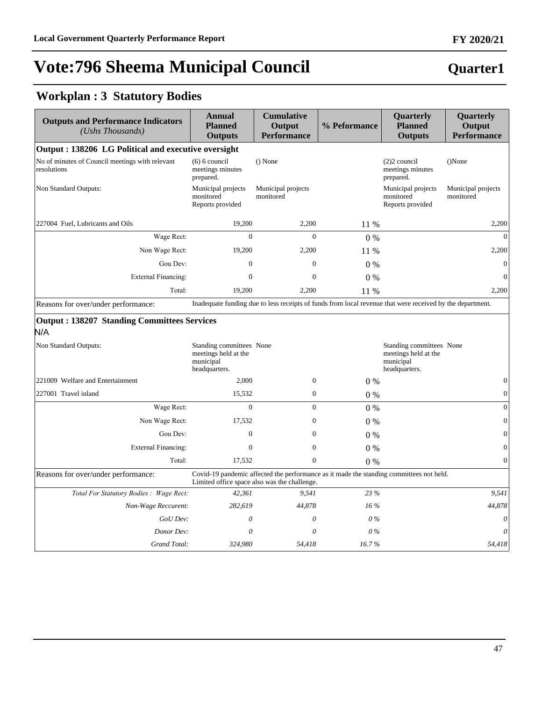### **Quarter1**

### **Workplan : 3 Statutory Bodies**

| <b>Outputs and Performance Indicators</b><br>(Ushs Thousands)  | <b>Annual</b><br><b>Planned</b><br><b>Outputs</b>                              | <b>Cumulative</b><br>Output<br><b>Performance</b> | % Peformance | Quarterly<br><b>Planned</b><br><b>Outputs</b>                                                             | Quarterly<br>Output<br><b>Performance</b> |
|----------------------------------------------------------------|--------------------------------------------------------------------------------|---------------------------------------------------|--------------|-----------------------------------------------------------------------------------------------------------|-------------------------------------------|
| Output: 138206 LG Political and executive oversight            |                                                                                |                                                   |              |                                                                                                           |                                           |
| No of minutes of Council meetings with relevant<br>resolutions | $(6)$ 6 council<br>meetings minutes<br>prepared.                               | $()$ None                                         |              | $(2)2$ council<br>meetings minutes<br>prepared.                                                           | ()None                                    |
| Non Standard Outputs:                                          | Municipal projects<br>monitored<br>Reports provided                            | Municipal projects<br>monitored                   |              | Municipal projects<br>monitored<br>Reports provided                                                       | Municipal projects<br>monitored           |
| 227004 Fuel, Lubricants and Oils                               | 19,200                                                                         | 2,200                                             | 11 %         |                                                                                                           | 2,200                                     |
| Wage Rect:                                                     | $\overline{0}$                                                                 | $\overline{0}$                                    | 0%           |                                                                                                           | $\theta$                                  |
| Non Wage Rect:                                                 | 19,200                                                                         | 2,200                                             | 11 %         |                                                                                                           | 2,200                                     |
| Gou Dev:                                                       | $\overline{0}$                                                                 | $\overline{0}$                                    | $0\%$        |                                                                                                           | $\mathbf{0}$                              |
| <b>External Financing:</b>                                     | $\mathbf{0}$                                                                   | $\mathbf{0}$                                      | $0\%$        |                                                                                                           | $\overline{0}$                            |
| Total:                                                         | 19,200                                                                         | 2,200                                             | 11 %         |                                                                                                           | 2,200                                     |
| Reasons for over/under performance:                            |                                                                                |                                                   |              | Inadequate funding due to less receipts of funds from local revenue that were received by the department. |                                           |
| N/A<br>Non Standard Outputs:                                   | Standing committees None<br>meetings held at the<br>municipal<br>headquarters. |                                                   |              | Standing committees None<br>meetings held at the<br>municipal<br>headquarters.                            |                                           |
| 221009 Welfare and Entertainment                               | 2,000                                                                          | $\boldsymbol{0}$                                  | 0%           |                                                                                                           | $\mathbf{0}$                              |
| 227001 Travel inland                                           | 15,532                                                                         | $\mathbf{0}$                                      | 0%           |                                                                                                           | $\boldsymbol{0}$                          |
| Wage Rect:                                                     | $\overline{0}$                                                                 | $\overline{0}$                                    | $0\%$        |                                                                                                           | $\boldsymbol{0}$                          |
| Non Wage Rect:                                                 | 17,532                                                                         | $\mathbf{0}$                                      | 0%           |                                                                                                           | $\boldsymbol{0}$                          |
| Gou Dev:                                                       | $\mathbf{0}$                                                                   | $\mathbf{0}$                                      | $0\%$        |                                                                                                           | $\boldsymbol{0}$                          |
| <b>External Financing:</b>                                     | $\mathbf{0}$                                                                   | $\mathbf{0}$                                      | $0\%$        |                                                                                                           | $\boldsymbol{0}$                          |
| Total:                                                         | 17,532                                                                         | $\overline{0}$                                    | $0\%$        |                                                                                                           | $\boldsymbol{0}$                          |
| Reasons for over/under performance:                            |                                                                                | Limited office space also was the challenge.      |              | Covid-19 pandemic affected the performance as it made the standing committees not held.                   |                                           |
| Total For Statutory Bodies : Wage Rect:                        | 42,361                                                                         | 9.541                                             | 23 %         |                                                                                                           | 9.541                                     |
| Non-Wage Reccurent:                                            | 282,619                                                                        | 44,878                                            | 16%          |                                                                                                           | 44,878                                    |
| GoU Dev:                                                       | $\theta$                                                                       | $\theta$                                          | $0\%$        |                                                                                                           | $\theta$                                  |
| Donor Dev:                                                     | 0                                                                              | 0                                                 | 0%           |                                                                                                           | $\theta$                                  |
| Grand Total:                                                   | 324,980                                                                        | 54,418                                            | 16.7%        |                                                                                                           | 54,418                                    |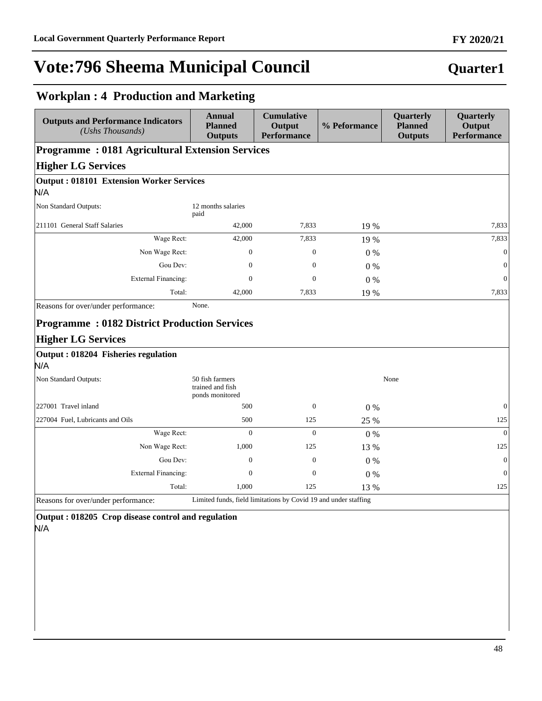### **Quarter1**

### **Workplan : 4 Production and Marketing**

| <b>Annual</b><br><b>Planned</b><br><b>Outputs</b>      | <b>Cumulative</b><br>Output<br><b>Performance</b>            | % Peformance                                           | Quarterly<br><b>Planned</b><br><b>Outputs</b> | Quarterly<br>Output<br><b>Performance</b> |
|--------------------------------------------------------|--------------------------------------------------------------|--------------------------------------------------------|-----------------------------------------------|-------------------------------------------|
|                                                        |                                                              |                                                        |                                               |                                           |
|                                                        |                                                              |                                                        |                                               |                                           |
| <b>Output: 018101 Extension Worker Services</b>        |                                                              |                                                        |                                               |                                           |
| 12 months salaries<br>paid                             |                                                              |                                                        |                                               |                                           |
| 42,000                                                 | 7,833                                                        | 19 %                                                   |                                               | 7,833                                     |
| 42,000                                                 | 7,833                                                        | 19 %                                                   |                                               | 7,833                                     |
| $\mathbf{0}$                                           | $\mathbf{0}$                                                 | 0%                                                     |                                               | $\Omega$                                  |
| $\mathbf{0}$                                           | $\mathbf{0}$                                                 | 0%                                                     |                                               | $\Omega$                                  |
| $\mathbf{0}$                                           | $\mathbf{0}$                                                 | 0%                                                     |                                               | $\Omega$                                  |
| 42,000                                                 | 7,833                                                        | 19 %                                                   |                                               | 7,833                                     |
|                                                        |                                                              |                                                        |                                               |                                           |
| 50 fish farmers<br>trained and fish<br>ponds monitored |                                                              |                                                        | None                                          |                                           |
| 500                                                    | $\theta$                                                     | $0\%$                                                  |                                               | $\Omega$                                  |
| 500                                                    | 125                                                          | 25 %                                                   |                                               | 125                                       |
| $\Omega$                                               | $\theta$                                                     | $0\%$                                                  |                                               | $\Omega$                                  |
| 1,000                                                  | 125                                                          | 13 %                                                   |                                               | 125                                       |
| $\Omega$                                               | $\theta$                                                     | 0%                                                     |                                               | $\mathbf{0}$                              |
| $\mathbf{0}$                                           | $\mathbf{0}$                                                 | $0\%$                                                  |                                               | $\mathbf{0}$                              |
| 1,000                                                  | 125                                                          | 13 %                                                   |                                               | 125                                       |
|                                                        | None.<br><b>Programme: 0182 District Production Services</b> | <b>Programme: 0181 Agricultural Extension Services</b> |                                               |                                           |

**Output : 018205 Crop disease control and regulation** N/A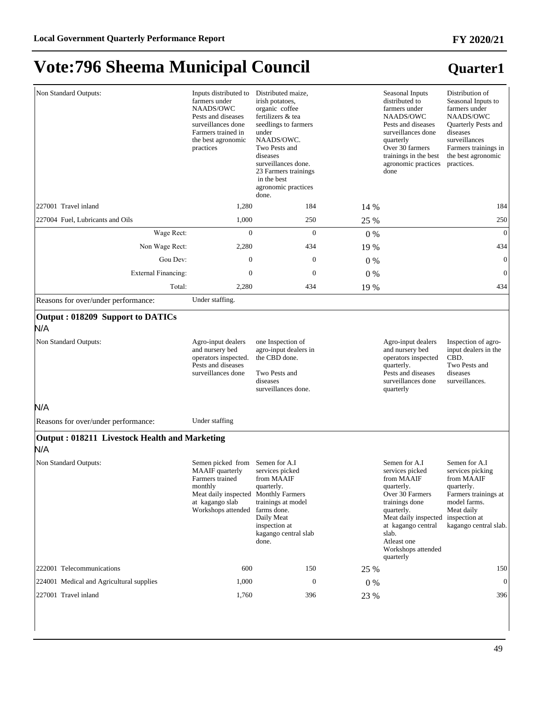| Non Standard Outputs:                                            | Inputs distributed to<br>farmers under<br>NAADS/OWC<br>Pests and diseases<br>surveillances done<br>Farmers trained in<br>the best agronomic<br>practices | Distributed maize,<br>irish potatoes,<br>organic coffee<br>fertilizers & tea<br>seedlings to farmers<br>under<br>NAADS/OWC.<br>Two Pests and<br>diseases<br>surveillances done.<br>23 Farmers trainings<br>in the best<br>agronomic practices<br>done. |       | Seasonal Inputs<br>distributed to<br>farmers under<br>NAADS/OWC<br>Pests and diseases<br>surveillances done<br>quarterly<br>Over 30 farmers<br>trainings in the best<br>agronomic practices<br>done                      | Distribution of<br>Seasonal Inputs to<br>farmers under<br>NAADS/OWC<br>Quarterly Pests and<br>diseases<br>surveillances<br>Farmers trainings in<br>the best agronomic<br>practices. |
|------------------------------------------------------------------|----------------------------------------------------------------------------------------------------------------------------------------------------------|--------------------------------------------------------------------------------------------------------------------------------------------------------------------------------------------------------------------------------------------------------|-------|--------------------------------------------------------------------------------------------------------------------------------------------------------------------------------------------------------------------------|-------------------------------------------------------------------------------------------------------------------------------------------------------------------------------------|
| 227001 Travel inland                                             | 1,280                                                                                                                                                    | 184                                                                                                                                                                                                                                                    | 14 %  |                                                                                                                                                                                                                          | 184                                                                                                                                                                                 |
| 227004 Fuel, Lubricants and Oils                                 | 1,000                                                                                                                                                    | 250                                                                                                                                                                                                                                                    | 25 %  |                                                                                                                                                                                                                          | 250                                                                                                                                                                                 |
| Wage Rect:                                                       | $\mathbf{0}$                                                                                                                                             | $\mathbf{0}$                                                                                                                                                                                                                                           | $0\%$ |                                                                                                                                                                                                                          | $\boldsymbol{0}$                                                                                                                                                                    |
| Non Wage Rect:                                                   | 2,280                                                                                                                                                    | 434                                                                                                                                                                                                                                                    | 19 %  |                                                                                                                                                                                                                          | 434                                                                                                                                                                                 |
| Gou Dev:                                                         | $\mathbf{0}$                                                                                                                                             | $\mathbf{0}$                                                                                                                                                                                                                                           | $0\%$ |                                                                                                                                                                                                                          | $\mathbf{0}$                                                                                                                                                                        |
| External Financing:                                              | $\mathbf{0}$                                                                                                                                             | $\mathbf{0}$                                                                                                                                                                                                                                           | $0\%$ |                                                                                                                                                                                                                          | $\theta$                                                                                                                                                                            |
| Total:                                                           | 2,280                                                                                                                                                    | 434                                                                                                                                                                                                                                                    | 19 %  |                                                                                                                                                                                                                          | 434                                                                                                                                                                                 |
| Reasons for over/under performance:                              | Under staffing.                                                                                                                                          |                                                                                                                                                                                                                                                        |       |                                                                                                                                                                                                                          |                                                                                                                                                                                     |
| Output: 018209 Support to DATICs<br>N/A<br>Non Standard Outputs: | Agro-input dealers<br>and nursery bed<br>operators inspected.                                                                                            | one Inspection of<br>agro-input dealers in<br>the CBD done.                                                                                                                                                                                            |       | Agro-input dealers<br>and nursery bed<br>operators inspected                                                                                                                                                             | Inspection of agro-<br>input dealers in the<br>CBD.                                                                                                                                 |
|                                                                  | Pests and diseases<br>surveillances done                                                                                                                 | Two Pests and<br>diseases<br>surveillances done.                                                                                                                                                                                                       |       | quarterly.<br>Pests and diseases<br>surveillances done<br>quarterly                                                                                                                                                      | Two Pests and<br>diseases<br>surveillances.                                                                                                                                         |
| N/A                                                              |                                                                                                                                                          |                                                                                                                                                                                                                                                        |       |                                                                                                                                                                                                                          |                                                                                                                                                                                     |
| Reasons for over/under performance:                              | Under staffing                                                                                                                                           |                                                                                                                                                                                                                                                        |       |                                                                                                                                                                                                                          |                                                                                                                                                                                     |
| Output: 018211 Livestock Health and Marketing<br>N/A             |                                                                                                                                                          |                                                                                                                                                                                                                                                        |       |                                                                                                                                                                                                                          |                                                                                                                                                                                     |
| Non Standard Outputs:                                            | Semen picked from<br>MAAIF quarterly<br>Farmers trained<br>monthly<br>Meat daily inspected<br>at kagango slab<br>Workshops attended                      | Semen for A.I<br>services picked<br>from MAAIF<br>quarterly.<br><b>Monthly Farmers</b><br>trainings at model<br>farms done.<br>Daily Meat<br>inspection at<br>kagango central slab<br>done.                                                            |       | Semen for A.I<br>services picked<br>from MAAIF<br>quarterly.<br>Over 30 Farmers<br>trainings done<br>quarterly.<br>Meat daily inspected<br>at kagango central<br>slab.<br>Atleast one<br>Workshops attended<br>quarterly | Semen for A.I<br>services picking<br>from MAAIF<br>quarterly.<br>Farmers trainings at<br>model farms.<br>Meat daily<br>inspection at<br>kagango central slab.                       |
| 222001 Telecommunications                                        | 600                                                                                                                                                      | 150                                                                                                                                                                                                                                                    | 25 %  |                                                                                                                                                                                                                          | 150                                                                                                                                                                                 |
| 224001 Medical and Agricultural supplies                         | 1,000                                                                                                                                                    | $\boldsymbol{0}$                                                                                                                                                                                                                                       | $0\%$ |                                                                                                                                                                                                                          | $\mathbf{0}$                                                                                                                                                                        |
| 227001 Travel inland                                             | 1,760                                                                                                                                                    | 396                                                                                                                                                                                                                                                    | 23 %  |                                                                                                                                                                                                                          | 396                                                                                                                                                                                 |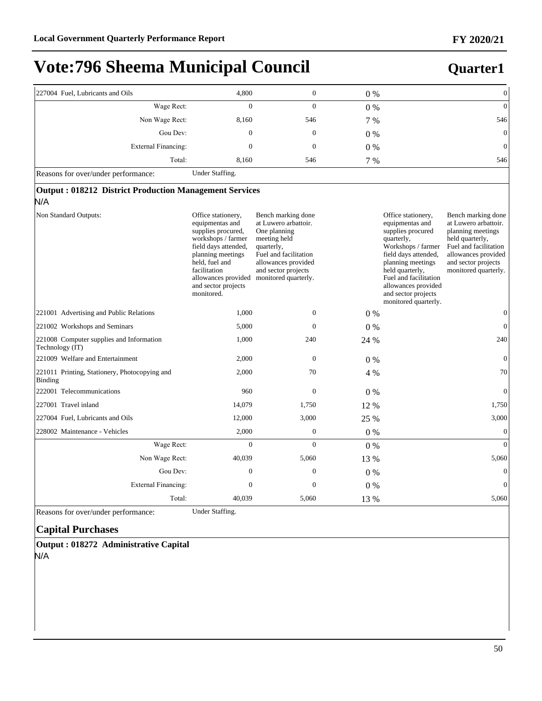### **Quarter1**

| 227004 Fuel, Lubricants and Oils                                     | 4,800                                                                                                                                                                                                                        | $\boldsymbol{0}$                                                                                                                                                                        | $0\%$ | $\boldsymbol{0}$                                                                                                                                                                                                                                                                                                                                                                                                                                   |  |  |  |  |  |
|----------------------------------------------------------------------|------------------------------------------------------------------------------------------------------------------------------------------------------------------------------------------------------------------------------|-----------------------------------------------------------------------------------------------------------------------------------------------------------------------------------------|-------|----------------------------------------------------------------------------------------------------------------------------------------------------------------------------------------------------------------------------------------------------------------------------------------------------------------------------------------------------------------------------------------------------------------------------------------------------|--|--|--|--|--|
| Wage Rect:                                                           | $\Omega$                                                                                                                                                                                                                     | $\theta$                                                                                                                                                                                | $0\%$ | $\overline{0}$                                                                                                                                                                                                                                                                                                                                                                                                                                     |  |  |  |  |  |
| Non Wage Rect:                                                       | 8,160                                                                                                                                                                                                                        | 546                                                                                                                                                                                     | 7 %   | 546                                                                                                                                                                                                                                                                                                                                                                                                                                                |  |  |  |  |  |
| Gou Dev:                                                             | $\mathbf{0}$                                                                                                                                                                                                                 | $\mathbf{0}$                                                                                                                                                                            | $0\%$ | $\boldsymbol{0}$                                                                                                                                                                                                                                                                                                                                                                                                                                   |  |  |  |  |  |
| External Financing:                                                  | $\mathbf{0}$                                                                                                                                                                                                                 | $\mathbf{0}$                                                                                                                                                                            | 0%    | $\boldsymbol{0}$                                                                                                                                                                                                                                                                                                                                                                                                                                   |  |  |  |  |  |
| Total:                                                               | 8,160                                                                                                                                                                                                                        | 546                                                                                                                                                                                     | 7 %   | 546                                                                                                                                                                                                                                                                                                                                                                                                                                                |  |  |  |  |  |
| Reasons for over/under performance:                                  | Under Staffing.                                                                                                                                                                                                              |                                                                                                                                                                                         |       |                                                                                                                                                                                                                                                                                                                                                                                                                                                    |  |  |  |  |  |
| <b>Output: 018212 District Production Management Services</b><br>N/A |                                                                                                                                                                                                                              |                                                                                                                                                                                         |       |                                                                                                                                                                                                                                                                                                                                                                                                                                                    |  |  |  |  |  |
| Non Standard Outputs:                                                | Office stationery,<br>equipmentas and<br>supplies procured,<br>workshops / farmer<br>field days attended,<br>planning meetings<br>held, fuel and<br>facilitation<br>allowances provided<br>and sector projects<br>monitored. | Bench marking done<br>at Luwero arbattoir.<br>One planning<br>meeting held<br>quarterly,<br>Fuel and facilitation<br>allowances provided<br>and sector projects<br>monitored quarterly. |       | Office stationery,<br>Bench marking done<br>equipmentas and<br>at Luwero arbattoir.<br>supplies procured<br>planning meetings<br>held quarterly,<br>quarterly,<br>Workshops / farmer<br>Fuel and facilitation<br>field days attended,<br>allowances provided<br>planning meetings<br>and sector projects<br>held quarterly,<br>monitored quarterly.<br>Fuel and facilitation<br>allowances provided<br>and sector projects<br>monitored quarterly. |  |  |  |  |  |
| 221001 Advertising and Public Relations                              | 1,000                                                                                                                                                                                                                        | $\boldsymbol{0}$                                                                                                                                                                        | $0\%$ | $\boldsymbol{0}$                                                                                                                                                                                                                                                                                                                                                                                                                                   |  |  |  |  |  |
| 221002 Workshops and Seminars                                        | 5.000                                                                                                                                                                                                                        | $\Omega$                                                                                                                                                                                | $0\%$ | $\overline{0}$                                                                                                                                                                                                                                                                                                                                                                                                                                     |  |  |  |  |  |
| 221008 Computer supplies and Information<br>Technology (IT)          | 1,000                                                                                                                                                                                                                        | 240                                                                                                                                                                                     | 24 %  | 240                                                                                                                                                                                                                                                                                                                                                                                                                                                |  |  |  |  |  |
| 221009 Welfare and Entertainment                                     | 2,000                                                                                                                                                                                                                        | $\mathbf{0}$                                                                                                                                                                            | $0\%$ | $\mathbf{0}$                                                                                                                                                                                                                                                                                                                                                                                                                                       |  |  |  |  |  |
| 221011 Printing, Stationery, Photocopying and<br>Binding             | 2,000                                                                                                                                                                                                                        | 70                                                                                                                                                                                      | 4 %   | 70                                                                                                                                                                                                                                                                                                                                                                                                                                                 |  |  |  |  |  |
| 222001 Telecommunications                                            | 960                                                                                                                                                                                                                          | $\mathbf{0}$                                                                                                                                                                            | $0\%$ | $\overline{0}$                                                                                                                                                                                                                                                                                                                                                                                                                                     |  |  |  |  |  |
| 227001 Travel inland                                                 | 14,079                                                                                                                                                                                                                       | 1,750                                                                                                                                                                                   | 12 %  | 1,750                                                                                                                                                                                                                                                                                                                                                                                                                                              |  |  |  |  |  |
| 227004 Fuel, Lubricants and Oils                                     | 12,000                                                                                                                                                                                                                       | 3,000                                                                                                                                                                                   | 25 %  | 3,000                                                                                                                                                                                                                                                                                                                                                                                                                                              |  |  |  |  |  |
| 228002 Maintenance - Vehicles                                        | 2,000                                                                                                                                                                                                                        | $\mathbf{0}$                                                                                                                                                                            | $0\%$ | $\mathbf{0}$                                                                                                                                                                                                                                                                                                                                                                                                                                       |  |  |  |  |  |
| Wage Rect:                                                           | $\overline{0}$                                                                                                                                                                                                               | $\theta$                                                                                                                                                                                | $0\%$ | $\overline{0}$                                                                                                                                                                                                                                                                                                                                                                                                                                     |  |  |  |  |  |
| Non Wage Rect:                                                       | 40,039                                                                                                                                                                                                                       | 5,060                                                                                                                                                                                   | 13 %  | 5,060                                                                                                                                                                                                                                                                                                                                                                                                                                              |  |  |  |  |  |
| Gou Dev:                                                             | $\mathbf{0}$                                                                                                                                                                                                                 | $\mathbf{0}$                                                                                                                                                                            | $0\%$ | $\mathbf{0}$                                                                                                                                                                                                                                                                                                                                                                                                                                       |  |  |  |  |  |
| External Financing:                                                  | $\mathbf{0}$                                                                                                                                                                                                                 | $\mathbf{0}$                                                                                                                                                                            | $0\%$ | $\overline{0}$                                                                                                                                                                                                                                                                                                                                                                                                                                     |  |  |  |  |  |
| Total:                                                               | 40,039                                                                                                                                                                                                                       | 5,060                                                                                                                                                                                   | 13 %  | 5,060                                                                                                                                                                                                                                                                                                                                                                                                                                              |  |  |  |  |  |

Reasons for over/under performance: Under Staffing.

#### **Capital Purchases**

**Output : 018272 Administrative Capital** N/A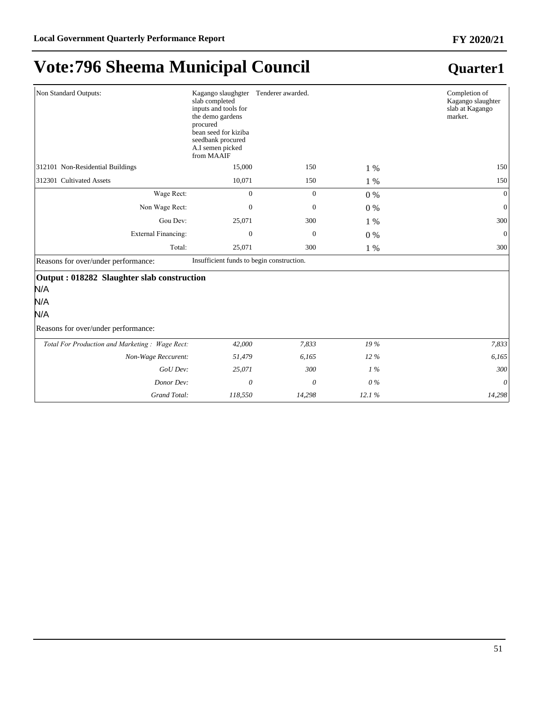| Non Standard Outputs:                                                                                  | Kagango slaughgter Tenderer awarded.<br>slab completed<br>inputs and tools for<br>the demo gardens<br>procured<br>bean seed for kiziba<br>seedbank procured<br>A.I semen picked<br>from MAAIF |              |        | Completion of<br>Kagango slaughter<br>slab at Kagango<br>market. |
|--------------------------------------------------------------------------------------------------------|-----------------------------------------------------------------------------------------------------------------------------------------------------------------------------------------------|--------------|--------|------------------------------------------------------------------|
| 312101 Non-Residential Buildings                                                                       | 15,000                                                                                                                                                                                        | 150          | 1 %    | 150                                                              |
| 312301 Cultivated Assets                                                                               | 10,071                                                                                                                                                                                        | 150          | 1 %    | 150                                                              |
| Wage Rect:                                                                                             | $\Omega$                                                                                                                                                                                      | $\mathbf{0}$ | $0\%$  | $\Omega$                                                         |
| Non Wage Rect:                                                                                         | $\Omega$                                                                                                                                                                                      | $\mathbf{0}$ | $0\%$  | $\Omega$                                                         |
| Gou Dev:                                                                                               | 25,071                                                                                                                                                                                        | 300          | $1\%$  | 300                                                              |
| External Financing:                                                                                    | $\Omega$                                                                                                                                                                                      | $\theta$     | $0\%$  | $\mathbf{0}$                                                     |
| Total:                                                                                                 | 25,071                                                                                                                                                                                        | 300          | 1 %    | 300                                                              |
| Reasons for over/under performance:                                                                    | Insufficient funds to begin construction.                                                                                                                                                     |              |        |                                                                  |
| Output: 018282 Slaughter slab construction<br>N/A<br>N/A<br>N/A<br>Reasons for over/under performance: |                                                                                                                                                                                               |              |        |                                                                  |
| Total For Production and Marketing: Wage Rect:                                                         | 42,000                                                                                                                                                                                        | 7,833        | 19 %   | 7,833                                                            |
| Non-Wage Reccurent:                                                                                    | 51,479                                                                                                                                                                                        | 6,165        | $12\%$ | 6,165                                                            |
| GoU Dev:                                                                                               | 25,071                                                                                                                                                                                        | 300          | $1\%$  | 300                                                              |
| Donor Dev:                                                                                             | $\theta$                                                                                                                                                                                      | $\theta$     | $0\%$  | $\theta$                                                         |
| Grand Total:                                                                                           | 118,550                                                                                                                                                                                       | 14,298       | 12.1%  | 14,298                                                           |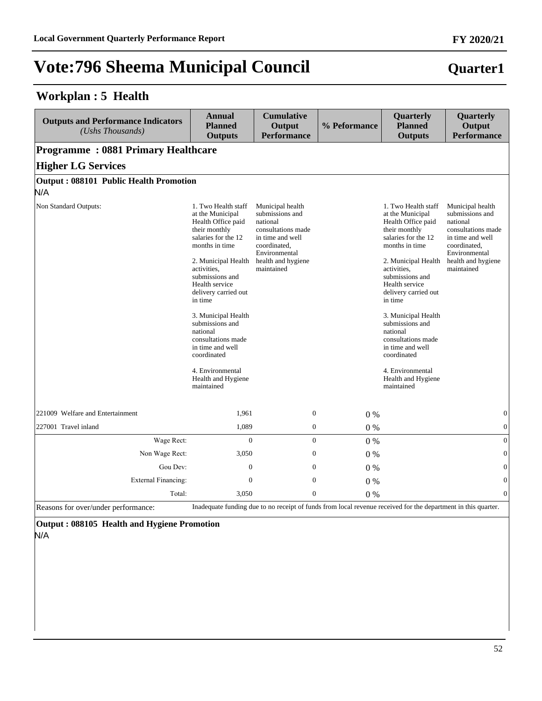#### **Workplan : 5 Health**

| <b>Outputs and Performance Indicators</b><br>(Ushs Thousands) | <b>Annual</b><br><b>Planned</b><br><b>Outputs</b>                                                                                                                                                                                                                                                                                                                                                            | <b>Cumulative</b><br>Output<br><b>Performance</b>                                                                                                              | % Peformance | Quarterly<br><b>Planned</b><br><b>Outputs</b>                                                                                                                                                                                                                                                                                                                                                                | Quarterly<br>Output<br><b>Performance</b>                                                                                                                      |
|---------------------------------------------------------------|--------------------------------------------------------------------------------------------------------------------------------------------------------------------------------------------------------------------------------------------------------------------------------------------------------------------------------------------------------------------------------------------------------------|----------------------------------------------------------------------------------------------------------------------------------------------------------------|--------------|--------------------------------------------------------------------------------------------------------------------------------------------------------------------------------------------------------------------------------------------------------------------------------------------------------------------------------------------------------------------------------------------------------------|----------------------------------------------------------------------------------------------------------------------------------------------------------------|
| <b>Programme: 0881 Primary Healthcare</b>                     |                                                                                                                                                                                                                                                                                                                                                                                                              |                                                                                                                                                                |              |                                                                                                                                                                                                                                                                                                                                                                                                              |                                                                                                                                                                |
| <b>Higher LG Services</b>                                     |                                                                                                                                                                                                                                                                                                                                                                                                              |                                                                                                                                                                |              |                                                                                                                                                                                                                                                                                                                                                                                                              |                                                                                                                                                                |
| <b>Output: 088101 Public Health Promotion</b>                 |                                                                                                                                                                                                                                                                                                                                                                                                              |                                                                                                                                                                |              |                                                                                                                                                                                                                                                                                                                                                                                                              |                                                                                                                                                                |
| N/A                                                           |                                                                                                                                                                                                                                                                                                                                                                                                              |                                                                                                                                                                |              |                                                                                                                                                                                                                                                                                                                                                                                                              |                                                                                                                                                                |
| Non Standard Outputs:                                         | 1. Two Health staff<br>at the Municipal<br>Health Office paid<br>their monthly<br>salaries for the 12<br>months in time<br>2. Municipal Health<br>activities,<br>submissions and<br>Health service<br>delivery carried out<br>in time<br>3. Municipal Health<br>submissions and<br>national<br>consultations made<br>in time and well<br>coordinated<br>4. Environmental<br>Health and Hygiene<br>maintained | Municipal health<br>submissions and<br>national<br>consultations made<br>in time and well<br>coordinated,<br>Environmental<br>health and hygiene<br>maintained |              | 1. Two Health staff<br>at the Municipal<br>Health Office paid<br>their monthly<br>salaries for the 12<br>months in time<br>2. Municipal Health<br>activities,<br>submissions and<br>Health service<br>delivery carried out<br>in time<br>3. Municipal Health<br>submissions and<br>national<br>consultations made<br>in time and well<br>coordinated<br>4. Environmental<br>Health and Hygiene<br>maintained | Municipal health<br>submissions and<br>national<br>consultations made<br>in time and well<br>coordinated,<br>Environmental<br>health and hygiene<br>maintained |
| 221009 Welfare and Entertainment                              | 1,961                                                                                                                                                                                                                                                                                                                                                                                                        | $\mathbf{0}$                                                                                                                                                   | $0\%$        |                                                                                                                                                                                                                                                                                                                                                                                                              | $\boldsymbol{0}$                                                                                                                                               |
| 227001 Travel inland                                          | 1,089                                                                                                                                                                                                                                                                                                                                                                                                        | $\boldsymbol{0}$                                                                                                                                               | $0\%$        |                                                                                                                                                                                                                                                                                                                                                                                                              | $\boldsymbol{0}$                                                                                                                                               |
| Wage Rect:                                                    | $\Omega$                                                                                                                                                                                                                                                                                                                                                                                                     | $\mathbf{0}$                                                                                                                                                   | $0\%$        |                                                                                                                                                                                                                                                                                                                                                                                                              | $\overline{0}$                                                                                                                                                 |
| Non Wage Rect:                                                | 3,050                                                                                                                                                                                                                                                                                                                                                                                                        | $\mathbf{0}$                                                                                                                                                   | 0%           |                                                                                                                                                                                                                                                                                                                                                                                                              | $\Omega$                                                                                                                                                       |
| Gou Dev:                                                      | $\boldsymbol{0}$                                                                                                                                                                                                                                                                                                                                                                                             | $\theta$                                                                                                                                                       | $0\%$        |                                                                                                                                                                                                                                                                                                                                                                                                              | $\theta$                                                                                                                                                       |
| External Financing:                                           | $\mathbf{0}$                                                                                                                                                                                                                                                                                                                                                                                                 | $\theta$                                                                                                                                                       | 0%           |                                                                                                                                                                                                                                                                                                                                                                                                              | $\overline{0}$                                                                                                                                                 |
| Total:                                                        | 3,050                                                                                                                                                                                                                                                                                                                                                                                                        | $\mathbf{0}$                                                                                                                                                   | 0%           |                                                                                                                                                                                                                                                                                                                                                                                                              | $\theta$                                                                                                                                                       |

Reasons for over/under performance: Inadequate funding due to no receipt of funds from local revenue received for the department in this quarter.

**Output : 088105 Health and Hygiene Promotion**

N/A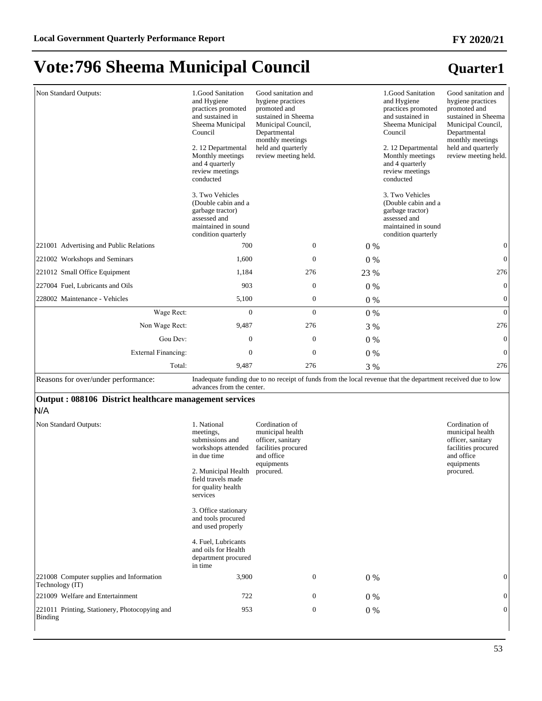| Non Standard Outputs:                                         | 1.Good Sanitation<br>and Hygiene<br>practices promoted<br>and sustained in<br>Sheema Municipal<br>Council<br>2. 12 Departmental<br>Monthly meetings<br>and 4 quarterly<br>review meetings<br>conducted<br>3. Two Vehicles<br>(Double cabin and a<br>garbage tractor)<br>assessed and<br>maintained in sound<br>condition quarterly | Good sanitation and<br>hygiene practices<br>promoted and<br>sustained in Sheema<br>Municipal Council,<br>Departmental<br>monthly meetings<br>held and quarterly<br>review meeting held. |                  |       | 1.Good Sanitation<br>and Hygiene<br>practices promoted<br>and sustained in<br>Sheema Municipal<br>Council<br>2. 12 Departmental<br>Monthly meetings<br>and 4 quarterly<br>review meetings<br>conducted<br>3. Two Vehicles<br>(Double cabin and a<br>garbage tractor)<br>assessed and<br>maintained in sound<br>condition quarterly | Good sanitation and<br>hygiene practices<br>promoted and<br>sustained in Sheema<br>Municipal Council,<br>Departmental<br>monthly meetings<br>held and quarterly<br>review meeting held. |
|---------------------------------------------------------------|------------------------------------------------------------------------------------------------------------------------------------------------------------------------------------------------------------------------------------------------------------------------------------------------------------------------------------|-----------------------------------------------------------------------------------------------------------------------------------------------------------------------------------------|------------------|-------|------------------------------------------------------------------------------------------------------------------------------------------------------------------------------------------------------------------------------------------------------------------------------------------------------------------------------------|-----------------------------------------------------------------------------------------------------------------------------------------------------------------------------------------|
| 221001 Advertising and Public Relations                       | 700                                                                                                                                                                                                                                                                                                                                |                                                                                                                                                                                         | $\boldsymbol{0}$ | $0\%$ |                                                                                                                                                                                                                                                                                                                                    | $\boldsymbol{0}$                                                                                                                                                                        |
| 221002 Workshops and Seminars                                 | 1,600                                                                                                                                                                                                                                                                                                                              |                                                                                                                                                                                         | $\mathbf{0}$     | $0\%$ |                                                                                                                                                                                                                                                                                                                                    | $\mathbf{0}$                                                                                                                                                                            |
| 221012 Small Office Equipment                                 | 1,184                                                                                                                                                                                                                                                                                                                              |                                                                                                                                                                                         | 276              | 23 %  |                                                                                                                                                                                                                                                                                                                                    | 276                                                                                                                                                                                     |
| 227004 Fuel, Lubricants and Oils                              | 903                                                                                                                                                                                                                                                                                                                                |                                                                                                                                                                                         | $\boldsymbol{0}$ | 0%    |                                                                                                                                                                                                                                                                                                                                    | $\boldsymbol{0}$                                                                                                                                                                        |
| 228002 Maintenance - Vehicles                                 | 5,100                                                                                                                                                                                                                                                                                                                              |                                                                                                                                                                                         | $\boldsymbol{0}$ | 0%    |                                                                                                                                                                                                                                                                                                                                    | $\boldsymbol{0}$                                                                                                                                                                        |
| Wage Rect:                                                    | $\mathbf{0}$                                                                                                                                                                                                                                                                                                                       |                                                                                                                                                                                         | $\mathbf{0}$     | $0\%$ |                                                                                                                                                                                                                                                                                                                                    | $\mathbf{0}$                                                                                                                                                                            |
| Non Wage Rect:                                                | 9,487                                                                                                                                                                                                                                                                                                                              |                                                                                                                                                                                         | 276              | 3 %   |                                                                                                                                                                                                                                                                                                                                    | 276                                                                                                                                                                                     |
| Gou Dev:                                                      | $\boldsymbol{0}$                                                                                                                                                                                                                                                                                                                   |                                                                                                                                                                                         | $\boldsymbol{0}$ | 0%    |                                                                                                                                                                                                                                                                                                                                    | $\boldsymbol{0}$                                                                                                                                                                        |
| <b>External Financing:</b>                                    | $\mathbf{0}$                                                                                                                                                                                                                                                                                                                       |                                                                                                                                                                                         | $\boldsymbol{0}$ | 0%    |                                                                                                                                                                                                                                                                                                                                    | $\boldsymbol{0}$                                                                                                                                                                        |
| Total:                                                        | 9,487                                                                                                                                                                                                                                                                                                                              |                                                                                                                                                                                         | 276              | 3 %   |                                                                                                                                                                                                                                                                                                                                    | 276                                                                                                                                                                                     |
| Reasons for over/under performance:                           | advances from the center.                                                                                                                                                                                                                                                                                                          |                                                                                                                                                                                         |                  |       | Inadequate funding due to no receipt of funds from the local revenue that the department received due to low                                                                                                                                                                                                                       |                                                                                                                                                                                         |
| Output: 088106 District healthcare management services<br>N/A |                                                                                                                                                                                                                                                                                                                                    |                                                                                                                                                                                         |                  |       |                                                                                                                                                                                                                                                                                                                                    |                                                                                                                                                                                         |
| Non Standard Outputs:                                         | 1. National<br>meetings,<br>submissions and<br>workshops attended<br>in due time<br>2. Municipal Health<br>field travels made<br>for quality health<br>services<br>3. Office stationary<br>and tools procured<br>and used properly<br>4. Fuel, Lubricants<br>and oils for Health<br>department procured<br>in time                 | Cordination of<br>municipal health<br>officer, sanitary<br>facilities procured<br>and office<br>equipments<br>procured.                                                                 |                  |       |                                                                                                                                                                                                                                                                                                                                    | Cordination of<br>municipal health<br>officer, sanitary<br>facilities procured<br>and office<br>equipments<br>procured.                                                                 |
| 221008 Computer supplies and Information<br>Technology (IT)   | 3,900                                                                                                                                                                                                                                                                                                                              |                                                                                                                                                                                         | $\boldsymbol{0}$ | 0%    |                                                                                                                                                                                                                                                                                                                                    | $\boldsymbol{0}$                                                                                                                                                                        |
| 221009 Welfare and Entertainment                              | 722                                                                                                                                                                                                                                                                                                                                |                                                                                                                                                                                         | $\boldsymbol{0}$ | 0%    |                                                                                                                                                                                                                                                                                                                                    | $\boldsymbol{0}$                                                                                                                                                                        |
| 221011 Printing, Stationery, Photocopying and<br>Binding      | 953                                                                                                                                                                                                                                                                                                                                |                                                                                                                                                                                         | $\boldsymbol{0}$ | 0%    |                                                                                                                                                                                                                                                                                                                                    | $\overline{0}$                                                                                                                                                                          |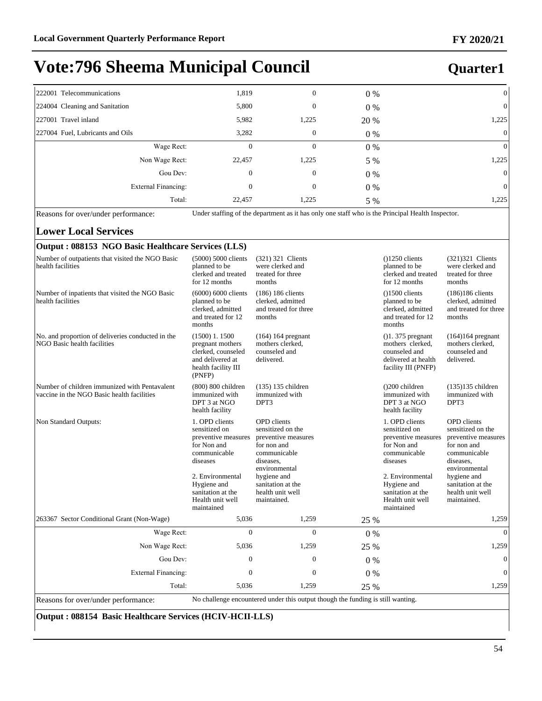#### **Quarter1**

| 222001 Telecommunications        | 1,819  | 0            | $0\%$ | $\vert 0 \vert$ |
|----------------------------------|--------|--------------|-------|-----------------|
| 224004 Cleaning and Sanitation   | 5,800  | $\mathbf{0}$ | $0\%$ | $\overline{0}$  |
| 227001 Travel inland             | 5,982  | 1,225        | 20 %  | 1,225           |
| 227004 Fuel, Lubricants and Oils | 3,282  | $\theta$     | $0\%$ | $\overline{0}$  |
| Wage Rect:                       | 0      | $\Omega$     | 0%    | $\overline{0}$  |
| Non Wage Rect:                   | 22,457 | 1,225        | 5 %   | 1,225           |
| Gou Dev:                         | 0      | $\mathbf{0}$ | $0\%$ | $\overline{0}$  |
| External Financing:              | 0      | $\theta$     | $0\%$ | $\overline{0}$  |
| Total:                           | 22,457 | 1,225        | 5 %   | 1,225           |

Reasons for over/under performance: Under staffing of the department as it has only one staff who is the Principal Health Inspector.

#### **Lower Local Services**

#### **Output : 088153 NGO Basic Healthcare Services (LLS)** Number of outpatients that visited the NGO Basic health facilities (5000) 5000 clients planned to be clerked and treated for 12 months (321) 321 Clients were clerked and treated for three months ()1250 clients planned to be clerked and treated for 12 months (321)321 Clients were clerked and treated for three months Number of inpatients that visited the NGO Basic health facilities (6000) 6000 clients planned to be clerked, admitted and treated for 12 months (186) 186 clients clerked, admitted and treated for three months ()1500 clients planned to be clerked, admitted and treated for 12 months (186)186 clients clerked, admitted and treated for three months No. and proportion of deliveries conducted in the NGO Basic health facilities (1500) 1. 1500 pregnant mothers clerked, counseled and delivered at health facility III (PNFP) (164) 164 pregnant mothers clerked, counseled and delivered. ()1. 375 pregnant mothers clerked, counseled and delivered at health facility III (PNFP) (164)164 pregnant mothers clerked, counseled and delivered. Number of children immunized with Pentavalent vaccine in the NGO Basic health facilities (800) 800 children immunized with DPT 3 at NGO health facility (135) 135 children immunized with DPT3 ()200 children immunized with DPT 3 at NGO health facility (135)135 children immunized with DPT3 Non Standard Outputs: 1. OPD clients sensitized on preventive measures for Non and communicable diseases 2. Environmental Hygiene and sanitation at the Health unit well maintained OPD clients sensitized on the preventive measures for non and communicable diseases, environmental hygiene and sanitation at the health unit well maintained. 1. OPD clients sensitized on preventive measures for Non and communicable diseases 2. Environmental Hygiene and sanitation at the Health unit well maintained OPD clients sensitized on the preventive measures for non and communicable diseases, environmental hygiene and sanitation at the health unit well maintained. 263367 Sector Conditional Grant (Non-Wage) 5,036 1,259 25 % 1,259 :DJH5HFW 0 0 0 % 0 Non Wage Rect: 5,036 1,259 25 % 1,259 1,259 Gou Dev:  $0 \t 0 \t 0 \t 0 \t 0$ External Financing:  $\begin{array}{ccc} 0 & 0 & 0 \\ 0 & 0 & 0 \end{array}$ 70tal: 5,036 1,259 25 % 1,259 Reasons for over/under performance: No challenge encountered under this output though the funding is still wanting.

#### **Output : 088154 Basic Healthcare Services (HCIV-HCII-LLS)**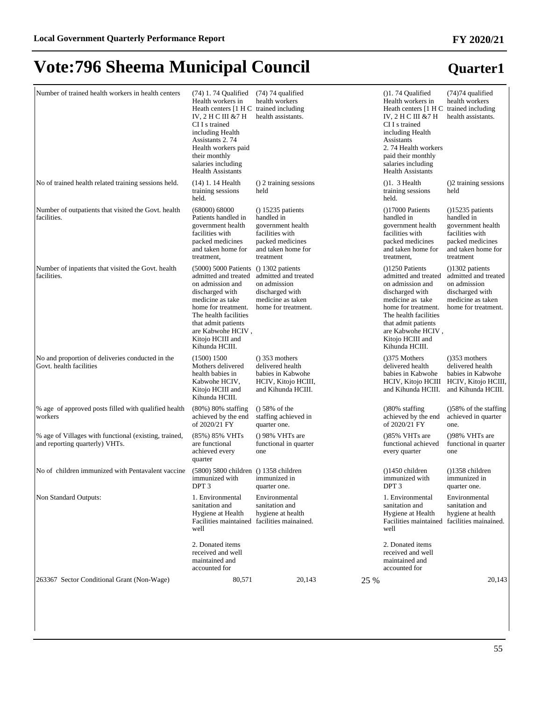| Number of trained health workers in health centers                                      | (74) 1.74 Qualified<br>Health workers in<br>Heath centers [1 H C trained including<br>IV, 2 H C III &7 H<br>CI I s trained<br>including Health<br>Assistants 2.74<br>Health workers paid<br>their monthly<br>salaries including<br><b>Health Assistants</b> | (74) 74 qualified<br>health workers<br>health assistants.                                                                         |      | $( )1.74$ Qualified<br>Health workers in<br>Heath centers [1 H C trained including<br>IV, 2 H C III & 7 H<br>CI I s trained<br>including Health<br>Assistants<br>2.74 Health workers<br>paid their monthly<br>salaries including<br><b>Health Assistants</b> | $(74)74$ qualified<br>health workers<br>health assistants.                                                                     |
|-----------------------------------------------------------------------------------------|-------------------------------------------------------------------------------------------------------------------------------------------------------------------------------------------------------------------------------------------------------------|-----------------------------------------------------------------------------------------------------------------------------------|------|--------------------------------------------------------------------------------------------------------------------------------------------------------------------------------------------------------------------------------------------------------------|--------------------------------------------------------------------------------------------------------------------------------|
| No of trained health related training sessions held.                                    | $(14)$ 1. 14 Health<br>training sessions<br>held.                                                                                                                                                                                                           | () 2 training sessions<br>held                                                                                                    |      | $( )1.3$ Health<br>training sessions<br>held.                                                                                                                                                                                                                | ()2 training sessions<br>held                                                                                                  |
| Number of outpatients that visited the Govt. health<br>facilities.                      | (68000) 68000<br>Patients handled in<br>government health<br>facilities with<br>packed medicines<br>and taken home for<br>treatment,                                                                                                                        | $( ) 15235$ patients<br>handled in<br>government health<br>facilities with<br>packed medicines<br>and taken home for<br>treatment |      | $(17000$ Patients<br>handled in<br>government health<br>facilities with<br>packed medicines<br>and taken home for<br>treatment,                                                                                                                              | $(15235$ patients<br>handled in<br>government health<br>facilities with<br>packed medicines<br>and taken home for<br>treatment |
| Number of inpatients that visited the Govt. health<br>facilities.                       | (5000) 5000 Patients<br>admitted and treated<br>on admission and<br>discharged with<br>medicine as take<br>home for treatment.<br>The health facilities<br>that admit patients<br>are Kabwohe HCIV,<br>Kitojo HCIII and<br>Kihunda HCIII.                   | $( ) 1302$ patients<br>admitted and treated<br>on admission<br>discharged with<br>medicine as taken<br>home for treatment.        |      | $(1250$ Patients<br>admitted and treated<br>on admission and<br>discharged with<br>medicine as take<br>home for treatment.<br>The health facilities<br>that admit patients<br>are Kabwohe HCIV,<br>Kitojo HCIII and<br>Kihunda HCIII.                        | $( )1302$ patients<br>admitted and treated<br>on admission<br>discharged with<br>medicine as taken<br>home for treatment.      |
| No and proportion of deliveries conducted in the<br>Govt. health facilities             | (1500) 1500<br>Mothers delivered<br>health babies in<br>Kabwohe HCIV,<br>Kitojo HCIII and<br>Kihunda HCIII.                                                                                                                                                 | $()$ 353 mothers<br>delivered health<br>babies in Kabwohe<br>HCIV, Kitojo HCIII,<br>and Kihunda HCIII.                            |      | $( )375$ Mothers<br>delivered health<br>babies in Kabwohe<br>HCIV, Kitojo HCIII<br>and Kihunda HCIII.                                                                                                                                                        | $( )353$ mothers<br>delivered health<br>babies in Kabwohe<br>HCIV, Kitojo HCIII,<br>and Kihunda HCIII.                         |
| % age of approved posts filled with qualified health<br>workers                         | $(80\%)$ 80% staffing<br>achieved by the end<br>of 2020/21 FY                                                                                                                                                                                               | $()$ 58% of the<br>staffing achieved in<br>quarter one.                                                                           |      | $($ )80% staffing<br>achieved by the end<br>of 2020/21 FY                                                                                                                                                                                                    | $($ )58% of the staffing<br>achieved in quarter<br>one.                                                                        |
| % age of Villages with functional (existing, trained,<br>and reporting quarterly) VHTs. | (85%) 85% VHTs<br>are functional<br>achieved every<br>quarter                                                                                                                                                                                               | $()$ 98% VHTs are<br>functional in quarter<br>one                                                                                 |      | $( )85\%$ VHTs are<br>functional achieved<br>every quarter                                                                                                                                                                                                   | $( )98\%$ VHTs are<br>functional in quarter<br>one                                                                             |
| No of children immunized with Pentavalent vaccine                                       | (5800) 5800 children () 1358 children<br>immunized with<br>DPT <sub>3</sub>                                                                                                                                                                                 | immunized in<br>quarter one.                                                                                                      |      | $( )1450$ children<br>immunized with<br>DPT <sub>3</sub>                                                                                                                                                                                                     | $( )1358$ children<br>immunized in<br>quarter one.                                                                             |
| Non Standard Outputs:                                                                   | 1. Environmental<br>sanitation and<br>Hygiene at Health<br>Facilities maintained facilities mainained.<br>well                                                                                                                                              | Environmental<br>sanitation and<br>hygiene at health                                                                              |      | 1. Environmental<br>sanitation and<br>Hygiene at Health<br>Facilities maintained facilities mainained.<br>well                                                                                                                                               | Environmental<br>sanitation and<br>hygiene at health                                                                           |
|                                                                                         | 2. Donated items<br>received and well<br>maintained and<br>accounted for                                                                                                                                                                                    |                                                                                                                                   |      | 2. Donated items<br>received and well<br>maintained and<br>accounted for                                                                                                                                                                                     |                                                                                                                                |
| 263367 Sector Conditional Grant (Non-Wage)                                              | 80,571                                                                                                                                                                                                                                                      | 20,143                                                                                                                            | 25 % |                                                                                                                                                                                                                                                              | 20,143                                                                                                                         |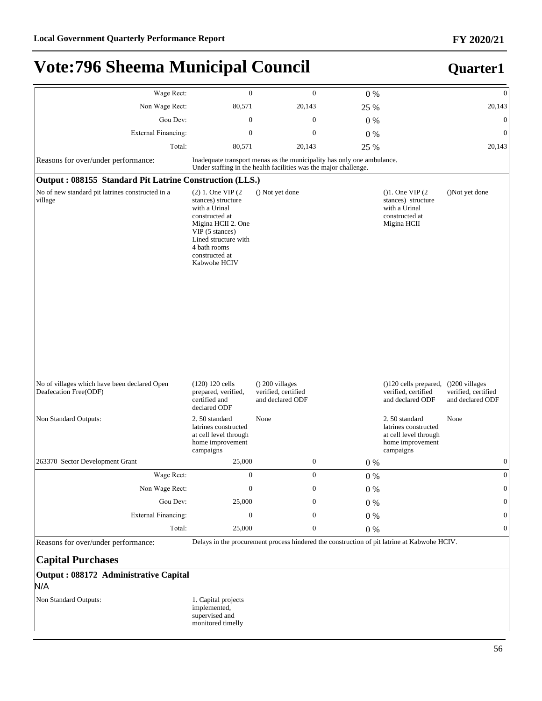#### **FY 2020/21**

## **Vote:796 Sheema Municipal Council**

### **Quarter1**

| Wage Rect:                                                            | $\boldsymbol{0}$                                                                                                                                                                                   | $\boldsymbol{0}$                                                                                                                           | 0%      |                                                                                                  | $\boldsymbol{0}$                        |
|-----------------------------------------------------------------------|----------------------------------------------------------------------------------------------------------------------------------------------------------------------------------------------------|--------------------------------------------------------------------------------------------------------------------------------------------|---------|--------------------------------------------------------------------------------------------------|-----------------------------------------|
| Non Wage Rect:                                                        | 80,571                                                                                                                                                                                             | 20,143                                                                                                                                     | 25 %    |                                                                                                  | 20,143                                  |
| Gou Dev:                                                              | $\boldsymbol{0}$                                                                                                                                                                                   | $\boldsymbol{0}$                                                                                                                           | 0%      |                                                                                                  | $\mathbf{0}$                            |
| <b>External Financing:</b>                                            | $\boldsymbol{0}$                                                                                                                                                                                   | $\boldsymbol{0}$                                                                                                                           | 0%      |                                                                                                  | $\boldsymbol{0}$                        |
| Total:                                                                | 80,571                                                                                                                                                                                             | 20,143                                                                                                                                     | 25 %    |                                                                                                  | 20,143                                  |
| Reasons for over/under performance:                                   |                                                                                                                                                                                                    | Inadequate transport menas as the municipality has only one ambulance.<br>Under staffing in the health facilities was the major challenge. |         |                                                                                                  |                                         |
| Output: 088155 Standard Pit Latrine Construction (LLS.)               |                                                                                                                                                                                                    |                                                                                                                                            |         |                                                                                                  |                                         |
| No of new standard pit latrines constructed in a<br>village           | $(2)$ 1. One VIP $(2)$<br>stances) structure<br>with a Urinal<br>constructed at<br>Migina HCII 2. One<br>VIP (5 stances)<br>Lined structure with<br>4 bath rooms<br>constructed at<br>Kabwohe HCIV | () Not yet done                                                                                                                            |         | (1. One VIP(2)<br>stances) structure<br>with a Urinal<br>constructed at<br>Migina HCII           | ()Not yet done                          |
| No of villages which have been declared Open<br>Deafecation Free(ODF) | $(120) 120$ cells<br>prepared, verified,<br>certified and<br>declared ODF                                                                                                                          | $($ ) 200 villages<br>verified, certified<br>and declared ODF                                                                              |         | $(120 \text{ cells prepared}, (200 \text{ villages})$<br>verified, certified<br>and declared ODF | verified, certified<br>and declared ODF |
| Non Standard Outputs:                                                 | 2.50 standard<br>latrines constructed<br>at cell level through<br>home improvement<br>campaigns                                                                                                    | None                                                                                                                                       |         | 2.50 standard<br>latrines constructed<br>at cell level through<br>home improvement<br>campaigns  | None                                    |
| 263370 Sector Development Grant                                       | 25,000                                                                                                                                                                                             | 0                                                                                                                                          | $0\%$   |                                                                                                  | $\boldsymbol{0}$                        |
| Wage Rect:                                                            | $\boldsymbol{0}$                                                                                                                                                                                   | $\boldsymbol{0}$                                                                                                                           | 0%      |                                                                                                  | $\mathbf{0}$                            |
| Non Wage Rect:                                                        | $\boldsymbol{0}$                                                                                                                                                                                   | $\boldsymbol{0}$                                                                                                                           | $0\%$   |                                                                                                  | $\boldsymbol{0}$                        |
| Gou Dev:                                                              | 25,000                                                                                                                                                                                             | 0                                                                                                                                          | $0\ \%$ |                                                                                                  | $\mathbf{0}$                            |
| <b>External Financing:</b>                                            | $\boldsymbol{0}$                                                                                                                                                                                   | 0                                                                                                                                          | $0\ \%$ |                                                                                                  | $\mathbf{0}$                            |
| Total:                                                                | 25,000                                                                                                                                                                                             | $\boldsymbol{0}$                                                                                                                           | 0%      |                                                                                                  | $\boldsymbol{0}$                        |
| Reasons for over/under performance:                                   |                                                                                                                                                                                                    | Delays in the procurement process hindered the construction of pit latrine at Kabwohe HCIV.                                                |         |                                                                                                  |                                         |

**Capital Purchases**

**Output : 088172 Administrative Capital**

#### N/A

Non Standard Outputs: 1. Capital projects

implemented, supervised and monitored timelly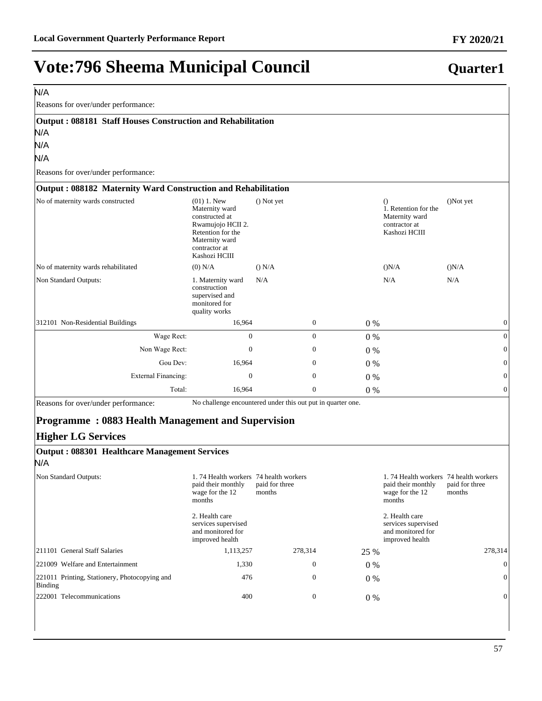| N/A                                                                                                                          |                                                                                                                                                 |                          |                  |       |                                                                                          |                          |
|------------------------------------------------------------------------------------------------------------------------------|-------------------------------------------------------------------------------------------------------------------------------------------------|--------------------------|------------------|-------|------------------------------------------------------------------------------------------|--------------------------|
| Reasons for over/under performance:                                                                                          |                                                                                                                                                 |                          |                  |       |                                                                                          |                          |
| Output: 088181 Staff Houses Construction and Rehabilitation<br>N/A                                                           |                                                                                                                                                 |                          |                  |       |                                                                                          |                          |
| N/A                                                                                                                          |                                                                                                                                                 |                          |                  |       |                                                                                          |                          |
| N/A                                                                                                                          |                                                                                                                                                 |                          |                  |       |                                                                                          |                          |
| Reasons for over/under performance:                                                                                          |                                                                                                                                                 |                          |                  |       |                                                                                          |                          |
| Output: 088182 Maternity Ward Construction and Rehabilitation                                                                |                                                                                                                                                 |                          |                  |       |                                                                                          |                          |
| No of maternity wards constructed                                                                                            | $(01)$ 1. New<br>Maternity ward<br>constructed at<br>Rwamujojo HCII 2.<br>Retention for the<br>Maternity ward<br>contractor at<br>Kashozi HCIII | () Not yet               |                  |       | $\Omega$<br>1. Retention for the<br>Maternity ward<br>contractor at<br>Kashozi HCIII     | ()Not yet                |
| No of maternity wards rehabilitated                                                                                          | $(0)$ N/A                                                                                                                                       | () N/A                   |                  |       | (N/A)                                                                                    | (N/A)                    |
| Non Standard Outputs:                                                                                                        | 1. Maternity ward<br>construction<br>supervised and<br>monitored for<br>quality works                                                           | N/A                      |                  |       | N/A                                                                                      | N/A                      |
| 312101 Non-Residential Buildings                                                                                             | 16,964                                                                                                                                          |                          | $\boldsymbol{0}$ | 0%    |                                                                                          | $\mathbf{0}$             |
| Wage Rect:                                                                                                                   | $\mathbf{0}$                                                                                                                                    |                          | $\mathbf{0}$     | 0%    |                                                                                          | $\boldsymbol{0}$         |
| Non Wage Rect:                                                                                                               | $\boldsymbol{0}$                                                                                                                                |                          | $\boldsymbol{0}$ | $0\%$ |                                                                                          | $\theta$                 |
| Gou Dev:                                                                                                                     | 16,964                                                                                                                                          |                          | $\boldsymbol{0}$ | 0%    |                                                                                          | 0                        |
| <b>External Financing:</b>                                                                                                   | $\boldsymbol{0}$                                                                                                                                |                          | $\boldsymbol{0}$ | $0\%$ |                                                                                          | 0                        |
| Total:                                                                                                                       | 16,964                                                                                                                                          |                          | $\mathbf{0}$     | 0%    |                                                                                          | $\theta$                 |
| Reasons for over/under performance:<br><b>Programme: 0883 Health Management and Supervision</b><br><b>Higher LG Services</b> | No challenge encountered under this out put in quarter one.                                                                                     |                          |                  |       |                                                                                          |                          |
| <b>Output: 088301 Healthcare Management Services</b><br>N/A                                                                  |                                                                                                                                                 |                          |                  |       |                                                                                          |                          |
| Non Standard Outputs:                                                                                                        | 1.74 Health workers 74 health workers<br>paid their monthly<br>wage for the 12<br>months                                                        | paid for three<br>months |                  |       | 1.74 Health workers 74 health workers<br>paid their monthly<br>wage for the 12<br>months | paid for three<br>months |
|                                                                                                                              | 2. Health care<br>services supervised<br>and monitored for<br>improved health                                                                   |                          |                  |       | 2. Health care<br>services supervised<br>and monitored for<br>improved health            |                          |
| 211101 General Staff Salaries                                                                                                | 1,113,257                                                                                                                                       | 278,314                  |                  | 25 %  |                                                                                          | 278,314                  |
| 221009 Welfare and Entertainment                                                                                             | 1,330                                                                                                                                           |                          | $\mathbf{0}$     | 0%    |                                                                                          | $\boldsymbol{0}$         |
| 221011 Printing, Stationery, Photocopying and<br><b>Binding</b>                                                              | 476                                                                                                                                             |                          | $\boldsymbol{0}$ | 0%    |                                                                                          | $\Omega$                 |
| 222001 Telecommunications                                                                                                    | 400                                                                                                                                             |                          | $\boldsymbol{0}$ | 0%    |                                                                                          | 0                        |

#### **FY 2020/21**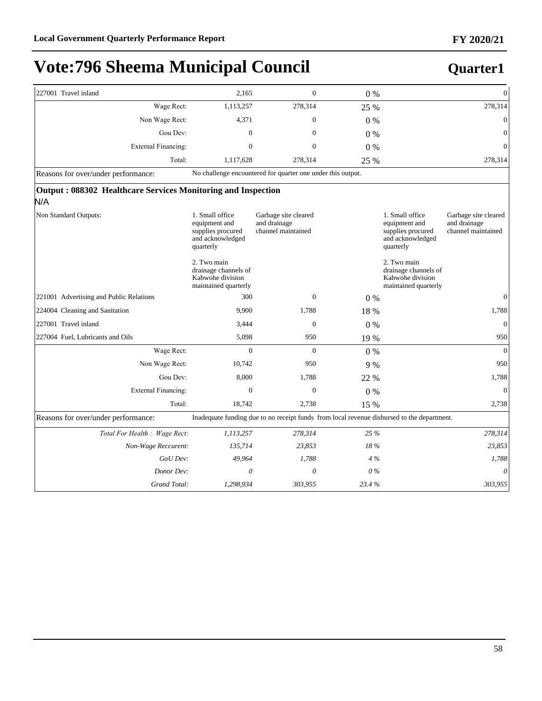| 227001 Travel inland                                                | 2,165                                                                                  | $\overline{0}$                                              | $0\%$ | $\boldsymbol{0}$                                                                                                                                     |  |  |  |  |
|---------------------------------------------------------------------|----------------------------------------------------------------------------------------|-------------------------------------------------------------|-------|------------------------------------------------------------------------------------------------------------------------------------------------------|--|--|--|--|
| Wage Rect:                                                          | 1,113,257                                                                              | 278,314                                                     | 25 %  | 278,314                                                                                                                                              |  |  |  |  |
| Non Wage Rect:                                                      | 4,371                                                                                  | $\overline{0}$                                              | $0\%$ | $\mathbf{0}$                                                                                                                                         |  |  |  |  |
| Gou Dev:                                                            | $\overline{0}$                                                                         | $\mathbf{0}$                                                | $0\%$ | $\overline{0}$                                                                                                                                       |  |  |  |  |
| External Financing:                                                 | $\mathbf{0}$                                                                           | $\mathbf{0}$                                                | $0\%$ | $\overline{0}$                                                                                                                                       |  |  |  |  |
| Total:                                                              | 1,117,628                                                                              | 278,314                                                     | 25 %  | 278,314                                                                                                                                              |  |  |  |  |
| Reasons for over/under performance:                                 |                                                                                        | No challenge encountered for quarter one under this output. |       |                                                                                                                                                      |  |  |  |  |
| Output: 088302 Healthcare Services Monitoring and Inspection<br>N/A |                                                                                        |                                                             |       |                                                                                                                                                      |  |  |  |  |
| Non Standard Outputs:                                               | 1. Small office<br>equipment and<br>supplies procured<br>and acknowledged<br>quarterly | Garbage site cleared<br>and drainage<br>channel maintained  |       | 1. Small office<br>Garbage site cleared<br>and drainage<br>equipment and<br>channel maintained<br>supplies procured<br>and acknowledged<br>quarterly |  |  |  |  |
|                                                                     | 2. Two main<br>drainage channels of<br>Kabwohe division<br>maintained quarterly        |                                                             |       | 2. Two main<br>drainage channels of<br>Kabwohe division<br>maintained quarterly                                                                      |  |  |  |  |
| 221001 Advertising and Public Relations                             | 300                                                                                    | $\mathbf{0}$                                                | $0\%$ | $\mathbf{0}$                                                                                                                                         |  |  |  |  |
| 224004 Cleaning and Sanitation                                      | 9.900                                                                                  | 1,788                                                       | 18 %  | 1,788                                                                                                                                                |  |  |  |  |
| 227001 Travel inland                                                | 3,444                                                                                  | $\mathbf{0}$                                                | $0\%$ | $\boldsymbol{0}$                                                                                                                                     |  |  |  |  |
| 227004 Fuel, Lubricants and Oils                                    | 5,098                                                                                  | 950                                                         | 19 %  | 950                                                                                                                                                  |  |  |  |  |
| Wage Rect:                                                          | $\overline{0}$                                                                         | $\Omega$                                                    | 0%    | $\theta$                                                                                                                                             |  |  |  |  |
| Non Wage Rect:                                                      | 10,742                                                                                 | 950                                                         | 9 %   | 950                                                                                                                                                  |  |  |  |  |
| Gou Dev:                                                            | 8,000                                                                                  | 1,788                                                       | 22 %  | 1,788                                                                                                                                                |  |  |  |  |
| External Financing:                                                 | $\overline{0}$                                                                         | $\overline{0}$                                              | $0\%$ | $\mathbf{0}$                                                                                                                                         |  |  |  |  |
| Total:                                                              | 18,742                                                                                 | 2,738                                                       | 15 %  | 2,738                                                                                                                                                |  |  |  |  |
| Reasons for over/under performance:                                 |                                                                                        |                                                             |       | Inadequate funding due to no receipt funds from local revenue disbursed to the department.                                                           |  |  |  |  |
| Total For Health : Wage Rect:                                       | 1,113,257                                                                              | 278,314                                                     | 25 %  | 278,314                                                                                                                                              |  |  |  |  |
| Non-Wage Reccurent:                                                 | 135,714                                                                                | 23,853                                                      | 18%   | 23,853                                                                                                                                               |  |  |  |  |
| GoU Dev:                                                            | 49,964                                                                                 | 1,788                                                       | 4%    | 1,788                                                                                                                                                |  |  |  |  |
| Donor Dev:                                                          | $\theta$                                                                               | $\theta$                                                    | $0\%$ | 0                                                                                                                                                    |  |  |  |  |
| Grand Total:                                                        | 1,298,934                                                                              | 303,955                                                     | 23.4% | 303,955                                                                                                                                              |  |  |  |  |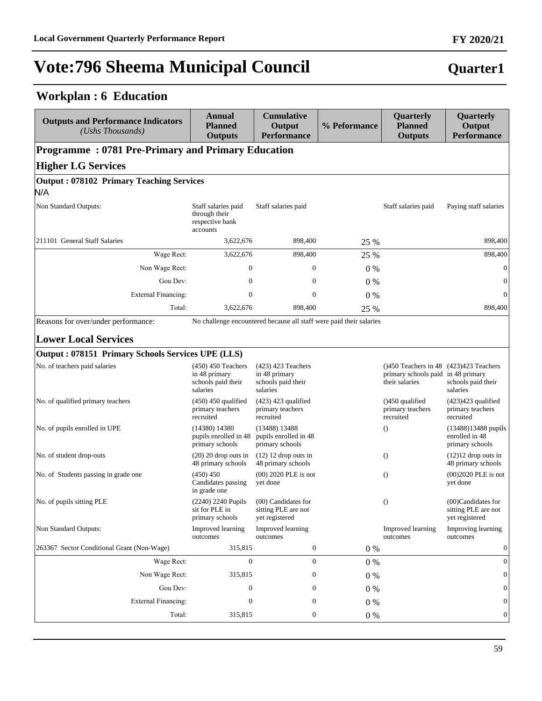## **Workplan : 6 Education**

| <b>Outputs and Performance Indicators</b><br>(Ushs Thousands) | Annual<br><b>Planned</b><br><b>Outputs</b>                              | <b>Cumulative</b><br>Output<br><b>Performance</b>                       | % Peformance | Quarterly<br><b>Planned</b><br><b>Outputs</b>                                                      | Quarterly<br>Output<br><b>Performance</b>                   |
|---------------------------------------------------------------|-------------------------------------------------------------------------|-------------------------------------------------------------------------|--------------|----------------------------------------------------------------------------------------------------|-------------------------------------------------------------|
| <b>Programme: 0781 Pre-Primary and Primary Education</b>      |                                                                         |                                                                         |              |                                                                                                    |                                                             |
| <b>Higher LG Services</b>                                     |                                                                         |                                                                         |              |                                                                                                    |                                                             |
| <b>Output: 078102 Primary Teaching Services</b><br>N/A        |                                                                         |                                                                         |              |                                                                                                    |                                                             |
| Non Standard Outputs:                                         | Staff salaries paid<br>through their<br>respective bank<br>accounts     | Staff salaries paid                                                     |              | Staff salaries paid                                                                                | Paying staff salaries                                       |
| 211101 General Staff Salaries                                 | 3,622,676                                                               | 898,400                                                                 | 25 %         |                                                                                                    | 898,400                                                     |
| Wage Rect:                                                    | 3,622,676                                                               | 898,400                                                                 | 25 %         |                                                                                                    | 898,400                                                     |
| Non Wage Rect:                                                | 0                                                                       | $\mathbf{0}$                                                            | $0\%$        |                                                                                                    | $\boldsymbol{0}$                                            |
| Gou Dev:                                                      | $\mathbf{0}$                                                            | $\boldsymbol{0}$                                                        | $0\%$        |                                                                                                    | $\boldsymbol{0}$                                            |
| External Financing:                                           | $\boldsymbol{0}$                                                        | $\mathbf{0}$                                                            | $0\%$        |                                                                                                    | $\boldsymbol{0}$                                            |
| Total:                                                        | 3,622,676                                                               | 898,400                                                                 | 25 %         |                                                                                                    | 898,400                                                     |
| Reasons for over/under performance:                           |                                                                         | No challenge encountered because all staff were paid their salaries     |              |                                                                                                    |                                                             |
| <b>Lower Local Services</b>                                   |                                                                         |                                                                         |              |                                                                                                    |                                                             |
| Output: 078151 Primary Schools Services UPE (LLS)             |                                                                         |                                                                         |              |                                                                                                    |                                                             |
| No. of teachers paid salaries                                 | $(450)$ 450 Teachers<br>in 48 primary<br>schools paid their<br>salaries | $(423)$ 423 Teachers<br>in 48 primary<br>schools paid their<br>salaries |              | $(1450$ Teachers in 48 $(423)423$ Teachers<br>primary schools paid in 48 primary<br>their salaries | schools paid their<br>salaries                              |
| No. of qualified primary teachers                             | $(450)$ 450 qualified<br>primary teachers<br>recruited                  | $(423)$ 423 qualified<br>primary teachers<br>recruited                  |              | $( )450$ qualified<br>primary teachers<br>recruited                                                | $(423)423$ qualified<br>primary teachers<br>recruited       |
| No. of pupils enrolled in UPE                                 | $(14380)$ 14380<br>pupils enrolled in 48<br>primary schools             | $(13488)$ 13488<br>pupils enrolled in 48<br>primary schools             |              | $\theta$                                                                                           | $(13488)13488$ pupils<br>enrolled in 48<br>primary schools  |
| No. of student drop-outs                                      | $(20)$ 20 drop outs in<br>48 primary schools                            | $(12)$ 12 drop outs in<br>48 primary schools                            |              | $\theta$                                                                                           | $(12)12$ drop outs in<br>48 primary schools                 |
| No. of Students passing in grade one                          | (450) 450<br>Candidates passing<br>in grade one                         | $(00)$ 2020 PLE is not<br>yet done                                      |              | $\theta$                                                                                           | $(00)2020$ PLE is not<br>yet done                           |
| No. of pupils sitting PLE                                     | (2240) 2240 Pupils<br>sit for PLE in<br>primary schools                 | (00) Candidates for<br>sitting PLE are not<br>yet registered            |              | $\left( \right)$                                                                                   | (00)Candidates for<br>sitting PLE are not<br>yet registered |
| Non Standard Outputs:                                         | Improved learning<br>outcomes                                           | Improved learning<br>outcomes                                           |              | Improved learning<br>outcomes                                                                      | Improving learning<br>outcomes                              |
| 263367 Sector Conditional Grant (Non-Wage)                    | 315,815                                                                 | $\boldsymbol{0}$                                                        | $0\%$        |                                                                                                    | $\boldsymbol{0}$                                            |
| Wage Rect:                                                    | $\mathbf{0}$                                                            | $\mathbf{0}$                                                            | 0%           |                                                                                                    | $\mathbf{0}$                                                |
| Non Wage Rect:                                                | 315,815                                                                 | $\boldsymbol{0}$                                                        | 0%           |                                                                                                    | $\mathbf{0}$                                                |
| Gou Dev:                                                      | $\boldsymbol{0}$                                                        | $\boldsymbol{0}$                                                        | $0\ \%$      |                                                                                                    | $\boldsymbol{0}$                                            |
| <b>External Financing:</b>                                    | 0                                                                       | $\boldsymbol{0}$                                                        | $0\%$        |                                                                                                    | $\vert 0 \vert$                                             |

Total: 315,815 0 0 % 0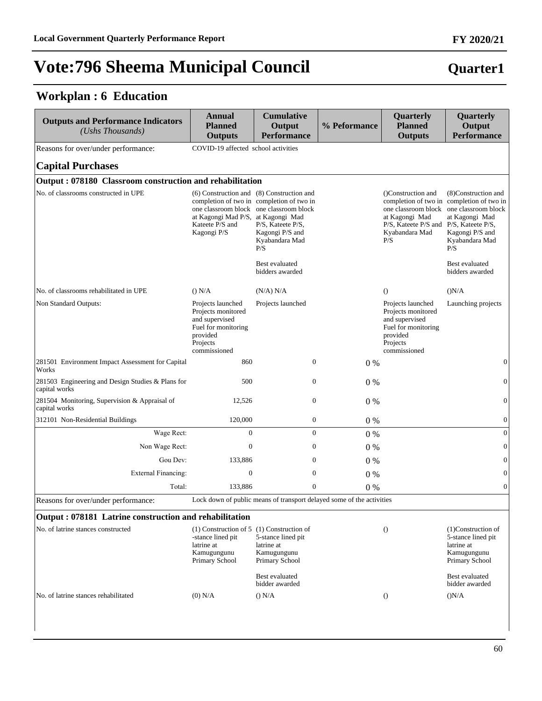### **Workplan : 6 Education**

| <b>Outputs and Performance Indicators</b><br>(Ushs Thousands)      | <b>Annual</b><br><b>Planned</b><br><b>Outputs</b>                                                                        | <b>Cumulative</b><br>Output<br><b>Performance</b>                                                                                                                                                  | % Peformance                                                          | Quarterly<br><b>Planned</b><br><b>Outputs</b>                                                                                  | Quarterly<br>Output<br><b>Performance</b>                                                                                                              |
|--------------------------------------------------------------------|--------------------------------------------------------------------------------------------------------------------------|----------------------------------------------------------------------------------------------------------------------------------------------------------------------------------------------------|-----------------------------------------------------------------------|--------------------------------------------------------------------------------------------------------------------------------|--------------------------------------------------------------------------------------------------------------------------------------------------------|
| Reasons for over/under performance:                                | COVID-19 affected school activities                                                                                      |                                                                                                                                                                                                    |                                                                       |                                                                                                                                |                                                                                                                                                        |
| <b>Capital Purchases</b>                                           |                                                                                                                          |                                                                                                                                                                                                    |                                                                       |                                                                                                                                |                                                                                                                                                        |
| Output: 078180 Classroom construction and rehabilitation           |                                                                                                                          |                                                                                                                                                                                                    |                                                                       |                                                                                                                                |                                                                                                                                                        |
| No. of classrooms constructed in UPE                               | at Kagongi Mad P/S, at Kagongi Mad<br>Kateete P/S and<br>Kagongi P/S                                                     | (6) Construction and (8) Construction and<br>completion of two in completion of two in<br>one classroom block one classroom block<br>P/S, Kateete P/S,<br>Kagongi P/S and<br>Kyabandara Mad<br>P/S |                                                                       | ()Construction and<br>one classroom block<br>at Kagongi Mad<br>P/S, Kateete P/S and P/S, Kateete P/S,<br>Kyabandara Mad<br>P/S | (8) Construction and<br>completion of two in completion of two in<br>one classroom block<br>at Kagongi Mad<br>Kagongi P/S and<br>Kyabandara Mad<br>P/S |
|                                                                    |                                                                                                                          | Best evaluated<br>bidders awarded                                                                                                                                                                  |                                                                       |                                                                                                                                | Best evaluated<br>bidders awarded                                                                                                                      |
| No. of classrooms rehabilitated in UPE                             | () N/A                                                                                                                   | (N/A) N/A                                                                                                                                                                                          |                                                                       | $\Omega$                                                                                                                       | (N/A)                                                                                                                                                  |
| Non Standard Outputs:                                              | Projects launched<br>Projects monitored<br>and supervised<br>Fuel for monitoring<br>provided<br>Projects<br>commissioned | Projects launched                                                                                                                                                                                  |                                                                       | Projects launched<br>Projects monitored<br>and supervised<br>Fuel for monitoring<br>provided<br>Projects<br>commissioned       | Launching projects                                                                                                                                     |
| 281501 Environment Impact Assessment for Capital<br>Works          | 860                                                                                                                      | $\mathbf{0}$                                                                                                                                                                                       | 0%                                                                    |                                                                                                                                | $\boldsymbol{0}$                                                                                                                                       |
| 281503 Engineering and Design Studies & Plans for<br>capital works | 500                                                                                                                      | $\boldsymbol{0}$                                                                                                                                                                                   | 0%                                                                    |                                                                                                                                | $\boldsymbol{0}$                                                                                                                                       |
| 281504 Monitoring, Supervision & Appraisal of<br>capital works     | 12,526                                                                                                                   | $\boldsymbol{0}$                                                                                                                                                                                   | $0\%$                                                                 |                                                                                                                                | $\overline{0}$                                                                                                                                         |
| 312101 Non-Residential Buildings                                   | 120,000                                                                                                                  | $\boldsymbol{0}$                                                                                                                                                                                   | $0\%$                                                                 |                                                                                                                                | $\boldsymbol{0}$                                                                                                                                       |
| Wage Rect:                                                         | $\mathbf{0}$                                                                                                             | $\boldsymbol{0}$                                                                                                                                                                                   | $0\%$                                                                 |                                                                                                                                | $\mathbf{0}$                                                                                                                                           |
| Non Wage Rect:                                                     | $\mathbf{0}$                                                                                                             | $\mathbf{0}$                                                                                                                                                                                       | $0\%$                                                                 |                                                                                                                                | $\boldsymbol{0}$                                                                                                                                       |
| Gou Dev:                                                           | 133,886                                                                                                                  | $\boldsymbol{0}$                                                                                                                                                                                   | $0\%$                                                                 |                                                                                                                                | $\overline{0}$                                                                                                                                         |
| <b>External Financing:</b>                                         | $\mathbf{0}$                                                                                                             | $\boldsymbol{0}$                                                                                                                                                                                   | $0\%$                                                                 |                                                                                                                                | $\overline{0}$                                                                                                                                         |
| Total:                                                             | 133,886                                                                                                                  | $\boldsymbol{0}$                                                                                                                                                                                   | $0\%$                                                                 |                                                                                                                                | $\mathbf{0}$                                                                                                                                           |
| Reasons for over/under performance:                                |                                                                                                                          |                                                                                                                                                                                                    | Lock down of public means of transport delayed some of the activities |                                                                                                                                |                                                                                                                                                        |
| Output: 078181 Latrine construction and rehabilitation             |                                                                                                                          |                                                                                                                                                                                                    |                                                                       |                                                                                                                                |                                                                                                                                                        |
| No. of latrine stances constructed                                 | $(1)$ Construction of 5 $(1)$ Construction of<br>-stance lined pit<br>latrine at<br>Kamugungunu<br>Primary School        | 5-stance lined pit<br>latrine at<br>Kamugungunu<br>Primary School                                                                                                                                  |                                                                       | $\left( \right)$                                                                                                               | (1)Construction of<br>5-stance lined pit<br>latrine at<br>Kamugungunu<br>Primary School                                                                |
|                                                                    |                                                                                                                          | Best evaluated<br>bidder awarded                                                                                                                                                                   |                                                                       |                                                                                                                                | Best evaluated<br>bidder awarded                                                                                                                       |
| No. of latrine stances rehabilitated                               | $(0)$ N/A                                                                                                                | () N/A                                                                                                                                                                                             |                                                                       | $\theta$                                                                                                                       | (N/A)                                                                                                                                                  |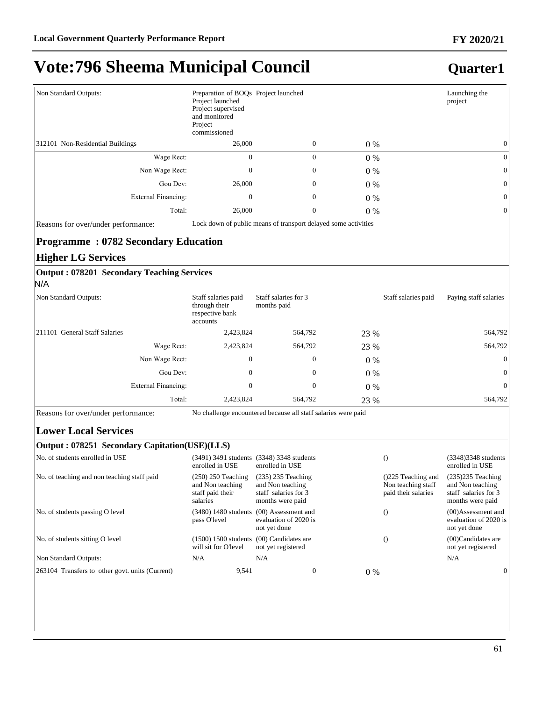### **Quarter1**

| Non Standard Outputs:            | Preparation of BOQs Project launched<br>Project launched<br>Project supervised<br>and monitored<br>Project<br>commissioned |                  |       | Launching the<br>project |
|----------------------------------|----------------------------------------------------------------------------------------------------------------------------|------------------|-------|--------------------------|
| 312101 Non-Residential Buildings | 26,000                                                                                                                     | $\mathbf{0}$     | $0\%$ | $\mathbf{0}$             |
| Wage Rect:                       | $\mathbf{0}$                                                                                                               | $\theta$         | $0\%$ | $\mathbf{0}$             |
| Non Wage Rect:                   | $\overline{0}$                                                                                                             | $\boldsymbol{0}$ | $0\%$ | $\mathbf{0}$             |
| Gou Dev:                         | 26,000                                                                                                                     | $\boldsymbol{0}$ | $0\%$ | $\overline{0}$           |
| External Financing:              | $\boldsymbol{0}$                                                                                                           | $\boldsymbol{0}$ | $0\%$ | $\mathbf{0}$             |
| Total:                           | 26,000                                                                                                                     | $\boldsymbol{0}$ | $0\%$ | $\mathbf{0}$             |

Reasons for over/under performance: Lock down of public means of transport delayed some activities

#### **Programme : 0782 Secondary Education**

#### **Higher LG Services**

#### **Output : 078201 Secondary Teaching Services** N/A

| Non Standard Outputs:         | Staff salaries paid<br>through their<br>respective bank<br>accounts | Staff salaries for 3<br>months paid |       | Staff salaries paid | Paying staff salaries |
|-------------------------------|---------------------------------------------------------------------|-------------------------------------|-------|---------------------|-----------------------|
| 211101 General Staff Salaries | 2,423,824                                                           | 564.792                             | 23 %  |                     | 564,792               |
| Wage Rect:                    | 2,423,824                                                           | 564,792                             | 23 %  |                     | 564,792               |
| Non Wage Rect:                | $\mathbf{0}$                                                        | $\mathbf{0}$                        | $0\%$ |                     | $\overline{0}$        |
| Gou Dev:                      | $\mathbf{0}$                                                        | $\mathbf{0}$                        | $0\%$ |                     | $\overline{0}$        |
| External Financing:           | $\mathbf{0}$                                                        | 0                                   | $0\%$ |                     | $\overline{0}$        |
| Total:                        | 2,423,824                                                           | 564,792                             | 23 %  |                     | 564,792               |

Reasons for over/under performance: No challenge encountered because all staff salaries were paid

#### **Lower Local Services**

#### **Output : 078251 Secondary Capitation(USE)(LLS)**

| No. of students enrolled in USE                 | enrolled in USE                                                          | (3491) 3491 students (3348) 3348 students<br>enrolled in USE                          |       |                                                                  | (3348) 3348 students<br>enrolled in USE                                             |
|-------------------------------------------------|--------------------------------------------------------------------------|---------------------------------------------------------------------------------------|-------|------------------------------------------------------------------|-------------------------------------------------------------------------------------|
| No. of teaching and non teaching staff paid     | $(250)$ 250 Teaching<br>and Non teaching<br>staff paid their<br>salaries | $(235)$ 235 Teaching<br>and Non teaching<br>staff salaries for 3<br>months were paid  |       | $(225$ Teaching and<br>Non teaching staff<br>paid their salaries | $(235)235$ Teaching<br>and Non teaching<br>staff salaries for 3<br>months were paid |
| No. of students passing O level                 | pass O'level                                                             | $(3480)$ 1480 students $(00)$ Assessment and<br>evaluation of 2020 is<br>not yet done |       |                                                                  | $(00)$ Assessment and<br>evaluation of 2020 is<br>not yet done                      |
| No. of students sitting O level                 | $(1500) 1500$ students $(00)$ Candidates are<br>will sit for O'level     | not yet registered                                                                    |       |                                                                  | $(00)$ Candidates are<br>not yet registered                                         |
| Non Standard Outputs:                           | N/A                                                                      | N/A                                                                                   |       |                                                                  | N/A                                                                                 |
| 263104 Transfers to other govt. units (Current) | 9,541                                                                    | 0                                                                                     | $0\%$ |                                                                  | $\overline{0}$                                                                      |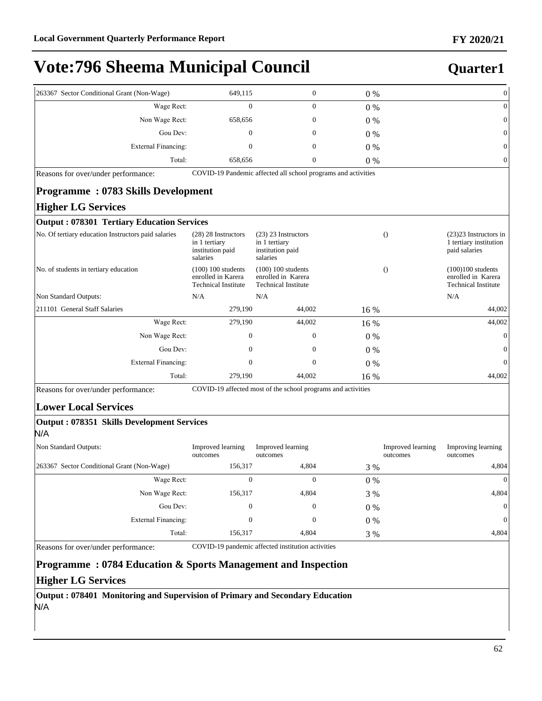### **Quarter1**

| 263367 Sector Conditional Grant (Non-Wage)          | 649,115                                                                                                                                          | $\boldsymbol{0}$                                                         | 0%    | $\boldsymbol{0}$                                                                    |
|-----------------------------------------------------|--------------------------------------------------------------------------------------------------------------------------------------------------|--------------------------------------------------------------------------|-------|-------------------------------------------------------------------------------------|
| Wage Rect:                                          | $\boldsymbol{0}$                                                                                                                                 | $\overline{0}$                                                           | $0\%$ | $\mathbf{0}$                                                                        |
| Non Wage Rect:                                      | 658,656                                                                                                                                          | 0                                                                        | $0\%$ | $\mathbf{0}$                                                                        |
| Gou Dev:                                            | $\mathbf{0}$                                                                                                                                     | 0                                                                        | $0\%$ | 0                                                                                   |
| <b>External Financing:</b>                          | 0                                                                                                                                                | 0                                                                        | $0\%$ | $\mathbf{0}$                                                                        |
| Total:                                              | 658,656                                                                                                                                          | $\boldsymbol{0}$                                                         | $0\%$ | $\mathbf{0}$                                                                        |
| Reasons for over/under performance:                 |                                                                                                                                                  | COVID-19 Pandemic affected all school programs and activities            |       |                                                                                     |
| <b>Programme: 0783 Skills Development</b>           |                                                                                                                                                  |                                                                          |       |                                                                                     |
| <b>Higher LG Services</b>                           |                                                                                                                                                  |                                                                          |       |                                                                                     |
| <b>Output: 078301 Tertiary Education Services</b>   |                                                                                                                                                  |                                                                          |       |                                                                                     |
| No. Of tertiary education Instructors paid salaries | $(28)$ 28 Instructors<br>$(23)$ 23 Instructors<br>in 1 tertiary<br>in 1 tertiary<br>institution paid<br>institution paid<br>salaries<br>salaries |                                                                          |       | $\Omega$<br>$(23)$ 23 Instructors in<br>1 tertiary institution<br>paid salaries     |
| No. of students in tertiary education               | $(100)$ 100 students<br>enrolled in Karera<br><b>Technical Institute</b>                                                                         | $(100) 100$ students<br>enrolled in Karera<br><b>Technical Institute</b> |       | $\Omega$<br>$(100)100$ students<br>enrolled in Karera<br><b>Technical Institute</b> |
| Non Standard Outputs:                               | N/A                                                                                                                                              | N/A                                                                      |       | N/A                                                                                 |
| 211101 General Staff Salaries                       | 279,190                                                                                                                                          | 44,002                                                                   | 16 %  | 44,002                                                                              |
| Wage Rect:                                          | 279,190                                                                                                                                          | 44,002                                                                   | 16 %  | 44,002                                                                              |
| Non Wage Rect:                                      | $\mathbf{0}$                                                                                                                                     | $\overline{0}$                                                           | $0\%$ | $\mathbf{0}$                                                                        |
| Gou Dev:                                            | $\overline{0}$                                                                                                                                   | 0                                                                        | $0\%$ | $\mathbf{0}$                                                                        |
| <b>External Financing:</b>                          | $\mathbf{0}$                                                                                                                                     | $\mathbf{0}$                                                             | 0%    | $\mathbf{0}$                                                                        |
| Total:                                              | 279,190                                                                                                                                          | 44,002                                                                   | 16 %  | 44,002                                                                              |

Reasons for over/under performance: COVID-19 affected most of the school programs and activities

#### **Lower Local Services**

#### **Output : 078351 Skills Development Services** N/A

| Non Standard Outputs:                      | Improved learning<br>outcomes | Improved learning<br>outcomes |       | Improved learning<br>outcomes | Improving learning<br>outcomes |
|--------------------------------------------|-------------------------------|-------------------------------|-------|-------------------------------|--------------------------------|
| 263367 Sector Conditional Grant (Non-Wage) | 156,317                       | 4.804                         | 3 %   |                               | 4,804                          |
| Wage Rect:                                 |                               | 0                             | $0\%$ |                               | $\overline{0}$                 |
| Non Wage Rect:                             | 156,317                       | 4,804                         | 3 %   |                               | 4,804                          |
| Gou Dev:                                   |                               | $\mathbf{0}$                  | $0\%$ |                               | $\overline{0}$                 |
| External Financing:                        |                               | $\mathbf{0}$                  | $0\%$ |                               | 0                              |
| Total:                                     | 156,317                       | 4,804                         | 3 %   |                               | 4,804                          |

Reasons for over/under performance: COVID-19 pandemic affected institution activities

#### **Programme : 0784 Education & Sports Management and Inspection**

#### **Higher LG Services**

**Output : 078401 Monitoring and Supervision of Primary and Secondary Education** N/A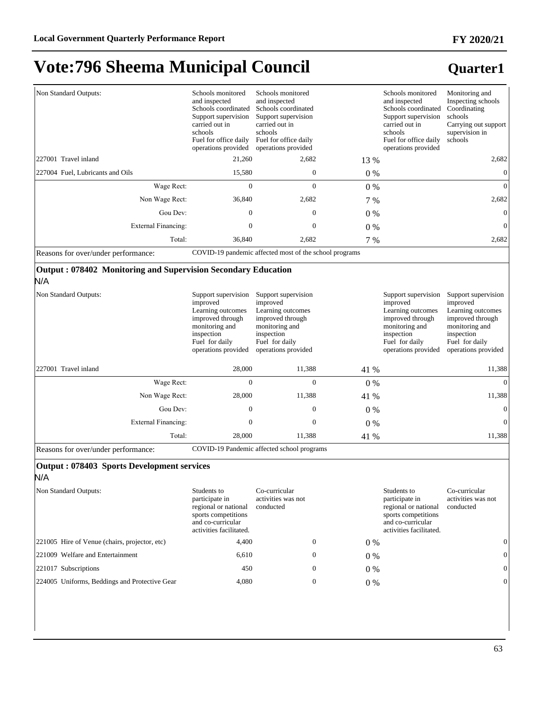### **Quarter1**

| Non Standard Outputs:               | Schools monitored<br>and inspected<br>Schools coordinated<br>Support supervision<br>carried out in<br>schools<br>Fuel for office daily<br>operations provided | Schools monitored<br>and inspected<br>Schools coordinated<br>Support supervision<br>carried out in<br>schools<br>Fuel for office daily<br>operations provided |       | Schools monitored<br>and inspected<br>Schools coordinated<br>Support supervision<br>carried out in<br>schools<br>Fuel for office daily<br>operations provided | Monitoring and<br>Inspecting schools<br>Coordinating<br>schools<br>Carrying out support<br>supervision in<br>schools |
|-------------------------------------|---------------------------------------------------------------------------------------------------------------------------------------------------------------|---------------------------------------------------------------------------------------------------------------------------------------------------------------|-------|---------------------------------------------------------------------------------------------------------------------------------------------------------------|----------------------------------------------------------------------------------------------------------------------|
| 227001 Travel inland                | 21,260                                                                                                                                                        | 2,682                                                                                                                                                         | 13 %  |                                                                                                                                                               | 2,682                                                                                                                |
| 227004 Fuel, Lubricants and Oils    | 15,580                                                                                                                                                        | $\mathbf{0}$                                                                                                                                                  | $0\%$ |                                                                                                                                                               | 0                                                                                                                    |
| Wage Rect:                          | $\mathbf{0}$                                                                                                                                                  | $\mathbf{0}$                                                                                                                                                  | $0\%$ |                                                                                                                                                               | $\theta$                                                                                                             |
| Non Wage Rect:                      | 36,840                                                                                                                                                        | 2,682                                                                                                                                                         | 7 %   |                                                                                                                                                               | 2,682                                                                                                                |
| Gou Dev:                            | $\Omega$                                                                                                                                                      | $\Omega$                                                                                                                                                      | $0\%$ |                                                                                                                                                               | $\Omega$                                                                                                             |
| External Financing:                 | 0                                                                                                                                                             | 0                                                                                                                                                             | $0\%$ |                                                                                                                                                               | $\overline{0}$                                                                                                       |
| Total:                              | 36,840                                                                                                                                                        | 2,682                                                                                                                                                         | 7 %   |                                                                                                                                                               | 2,682                                                                                                                |
| Reasons for over/under performance: |                                                                                                                                                               | COVID-19 pandemic affected most of the school programs                                                                                                        |       |                                                                                                                                                               |                                                                                                                      |

#### **Output : 078402 Monitoring and Supervision Secondary Education** N/A

| Non Standard Outputs: | Support supervision<br>improved<br>Learning outcomes<br>improved through<br>monitoring and<br>inspection<br>Fuel for daily<br>operations provided | Support supervision<br>improved<br>Learning outcomes<br>improved through<br>monitoring and<br>inspection<br>Fuel for daily<br>operations provided |       | Support supervision<br>improved<br>Learning outcomes<br>improved through<br>monitoring and<br>inspection<br>Fuel for daily<br>operations provided | Support supervision<br>improved<br>Learning outcomes<br>improved through<br>monitoring and<br>inspection<br>Fuel for daily<br>operations provided |
|-----------------------|---------------------------------------------------------------------------------------------------------------------------------------------------|---------------------------------------------------------------------------------------------------------------------------------------------------|-------|---------------------------------------------------------------------------------------------------------------------------------------------------|---------------------------------------------------------------------------------------------------------------------------------------------------|
| 227001 Travel inland  | 28,000                                                                                                                                            | 11,388                                                                                                                                            | 41 %  |                                                                                                                                                   | 11,388                                                                                                                                            |
| Wage Rect:            | $\mathbf{0}$                                                                                                                                      | 0                                                                                                                                                 | $0\%$ |                                                                                                                                                   | $\Omega$                                                                                                                                          |
| Non Wage Rect:        | 28,000                                                                                                                                            | 11,388                                                                                                                                            | 41 %  |                                                                                                                                                   | 11,388                                                                                                                                            |
| Gou Dev:              | $\mathbf{0}$                                                                                                                                      | $\mathbf{0}$                                                                                                                                      | $0\%$ |                                                                                                                                                   | $\Omega$                                                                                                                                          |
| External Financing:   | $\mathbf{0}$                                                                                                                                      | $\mathbf{0}$                                                                                                                                      | $0\%$ |                                                                                                                                                   | $\Omega$                                                                                                                                          |
| Total:                | 28,000                                                                                                                                            | 11,388                                                                                                                                            | 41 %  |                                                                                                                                                   | 11,388                                                                                                                                            |

Reasons for over/under performance: COVID-19 Pandemic affected school programs

#### **Output : 078403 Sports Development services** N/A

| IV/A |  |  |  |
|------|--|--|--|
|      |  |  |  |

| Non Standard Outputs:                         | Students to<br>participate in<br>regional or national<br>sports competitions<br>and co-curricular<br>activities facilitated. | Co-curricular<br>activities was not<br>conducted |              |       | Students to<br>participate in<br>regional or national<br>sports competitions<br>and co-curricular<br>activities facilitated. | Co-curricular<br>activities was not<br>conducted |          |
|-----------------------------------------------|------------------------------------------------------------------------------------------------------------------------------|--------------------------------------------------|--------------|-------|------------------------------------------------------------------------------------------------------------------------------|--------------------------------------------------|----------|
| 221005 Hire of Venue (chairs, projector, etc) | 4,400                                                                                                                        |                                                  | $\mathbf{0}$ | 0 %   |                                                                                                                              |                                                  | $\Omega$ |
| 221009 Welfare and Entertainment              | 6,610                                                                                                                        |                                                  | $\mathbf{0}$ | $0\%$ |                                                                                                                              |                                                  | $\Omega$ |
| 221017 Subscriptions                          | 450                                                                                                                          |                                                  | $\mathbf{0}$ | $0\%$ |                                                                                                                              |                                                  | $\Omega$ |
| 224005 Uniforms, Beddings and Protective Gear | 4,080                                                                                                                        |                                                  | $\mathbf{0}$ | 0 %   |                                                                                                                              |                                                  | $\Omega$ |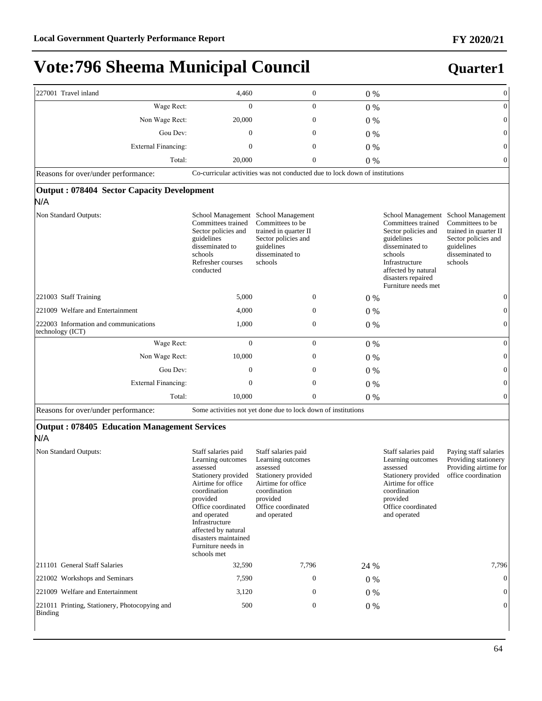| 227001 Travel inland                                            | 4,460                                                                                                                                                                                                                                                                     | $\boldsymbol{0}$                                                                                                                                                    | $0\%$ |                                                                                                                                                                             | $\boldsymbol{0}$                                                                                                                                     |
|-----------------------------------------------------------------|---------------------------------------------------------------------------------------------------------------------------------------------------------------------------------------------------------------------------------------------------------------------------|---------------------------------------------------------------------------------------------------------------------------------------------------------------------|-------|-----------------------------------------------------------------------------------------------------------------------------------------------------------------------------|------------------------------------------------------------------------------------------------------------------------------------------------------|
| Wage Rect:                                                      | $\mathbf{0}$                                                                                                                                                                                                                                                              | $\mathbf{0}$                                                                                                                                                        | 0%    |                                                                                                                                                                             | $\overline{0}$                                                                                                                                       |
| Non Wage Rect:                                                  | 20,000                                                                                                                                                                                                                                                                    | $\mathbf{0}$                                                                                                                                                        | 0%    |                                                                                                                                                                             | $\mathbf{0}$                                                                                                                                         |
| Gou Dev:                                                        | 0                                                                                                                                                                                                                                                                         | $\mathbf{0}$                                                                                                                                                        | $0\%$ |                                                                                                                                                                             | $\overline{0}$                                                                                                                                       |
| <b>External Financing:</b>                                      | $\boldsymbol{0}$                                                                                                                                                                                                                                                          | $\mathbf{0}$                                                                                                                                                        | 0%    |                                                                                                                                                                             | $\mathbf{0}$                                                                                                                                         |
| Total:                                                          | 20,000                                                                                                                                                                                                                                                                    | $\boldsymbol{0}$                                                                                                                                                    | 0%    |                                                                                                                                                                             | $\mathbf{0}$                                                                                                                                         |
| Reasons for over/under performance:                             | Co-curricular activities was not conducted due to lock down of institutions                                                                                                                                                                                               |                                                                                                                                                                     |       |                                                                                                                                                                             |                                                                                                                                                      |
| <b>Output: 078404 Sector Capacity Development</b><br>N/A        |                                                                                                                                                                                                                                                                           |                                                                                                                                                                     |       |                                                                                                                                                                             |                                                                                                                                                      |
| Non Standard Outputs:                                           | School Management School Management<br>Committees trained<br>Sector policies and<br>guidelines<br>disseminated to<br>schools<br>Refresher courses<br>conducted                                                                                                            | Committees to be.<br>trained in quarter II<br>Sector policies and<br>guidelines<br>disseminated to<br>schools                                                       |       | Committees trained<br>Sector policies and<br>guidelines<br>disseminated to<br>schools<br>Infrastructure<br>affected by natural<br>disasters repaired<br>Furniture needs met | School Management School Management<br>Committees to be.<br>trained in quarter II<br>Sector policies and<br>guidelines<br>disseminated to<br>schools |
| 221003 Staff Training                                           | 5,000                                                                                                                                                                                                                                                                     | $\boldsymbol{0}$                                                                                                                                                    | 0%    |                                                                                                                                                                             | $\overline{0}$                                                                                                                                       |
| 221009 Welfare and Entertainment                                | 4,000                                                                                                                                                                                                                                                                     | $\mathbf{0}$                                                                                                                                                        | 0%    |                                                                                                                                                                             | $\mathbf{0}$                                                                                                                                         |
| 222003 Information and communications<br>technology (ICT)       | 1,000                                                                                                                                                                                                                                                                     | $\boldsymbol{0}$                                                                                                                                                    | $0\%$ |                                                                                                                                                                             | $\overline{0}$                                                                                                                                       |
| Wage Rect:                                                      | $\overline{0}$                                                                                                                                                                                                                                                            | $\mathbf{0}$                                                                                                                                                        | 0%    |                                                                                                                                                                             | $\mathbf{0}$                                                                                                                                         |
| Non Wage Rect:                                                  | 10,000                                                                                                                                                                                                                                                                    | $\boldsymbol{0}$                                                                                                                                                    | $0\%$ |                                                                                                                                                                             | $\mathbf{0}$                                                                                                                                         |
| Gou Dev:                                                        | $\boldsymbol{0}$                                                                                                                                                                                                                                                          | $\boldsymbol{0}$                                                                                                                                                    | 0%    |                                                                                                                                                                             | $\mathbf{0}$                                                                                                                                         |
| <b>External Financing:</b>                                      | $\mathbf{0}$                                                                                                                                                                                                                                                              | $\mathbf{0}$                                                                                                                                                        | 0%    |                                                                                                                                                                             | $\mathbf{0}$                                                                                                                                         |
| Total:                                                          | 10,000                                                                                                                                                                                                                                                                    | $\mathbf{0}$                                                                                                                                                        | 0%    |                                                                                                                                                                             | $\mathbf{0}$                                                                                                                                         |
| Reasons for over/under performance:                             | Some activities not yet done due to lock down of institutions                                                                                                                                                                                                             |                                                                                                                                                                     |       |                                                                                                                                                                             |                                                                                                                                                      |
| <b>Output: 078405 Education Management Services</b><br>N/A      |                                                                                                                                                                                                                                                                           |                                                                                                                                                                     |       |                                                                                                                                                                             |                                                                                                                                                      |
| Non Standard Outputs:                                           | Staff salaries paid<br>Learning outcomes<br>assessed<br>Stationery provided<br>Airtime for office<br>coordination<br>provided<br>Office coordinated<br>and operated<br>Infrastructure<br>affected by natural<br>disasters maintained<br>Furniture needs in<br>schools met | Staff salaries paid<br>Learning outcomes<br>assessed<br>Stationery provided<br>Airtime for office<br>coordination<br>provided<br>Office coordinated<br>and operated |       | Staff salaries paid<br>Learning outcomes<br>assessed<br>Stationery provided<br>Airtime for office.<br>coordination<br>provided<br>Office coordinated<br>and operated        | Paying staff salaries<br>Providing stationery<br>Providing airtime for<br>office coordination                                                        |
| 211101 General Staff Salaries                                   | 32,590                                                                                                                                                                                                                                                                    | 7,796                                                                                                                                                               | 24 %  |                                                                                                                                                                             | 7,796                                                                                                                                                |
| 221002 Workshops and Seminars                                   | 7,590                                                                                                                                                                                                                                                                     | $\mathbf{0}$                                                                                                                                                        | 0%    |                                                                                                                                                                             | $\mathbf{0}$                                                                                                                                         |
| 221009 Welfare and Entertainment                                | 3,120                                                                                                                                                                                                                                                                     | $\mathbf{0}$                                                                                                                                                        | $0\%$ |                                                                                                                                                                             | $\overline{0}$                                                                                                                                       |
| 221011 Printing, Stationery, Photocopying and<br><b>Binding</b> | 500                                                                                                                                                                                                                                                                       | $\mathbf{0}$                                                                                                                                                        | $0\%$ |                                                                                                                                                                             | $\overline{0}$                                                                                                                                       |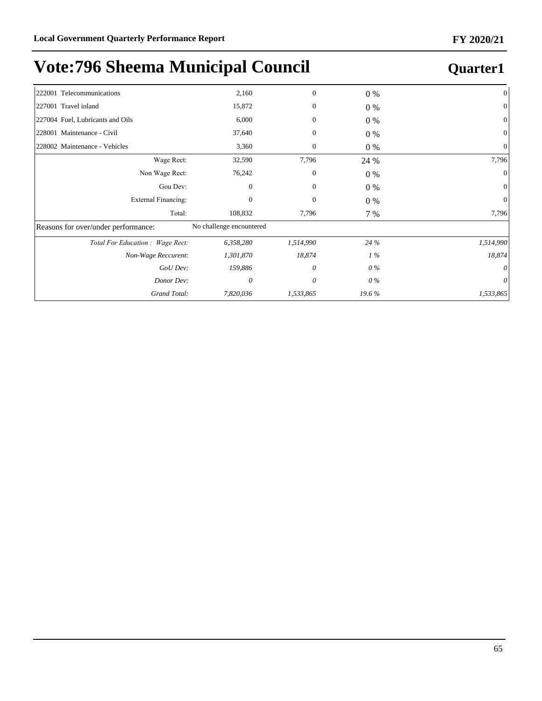| 222001 Telecommunications           | 2,160                    | $\mathbf{0}$     | 0 %   | $\mathbf{0}$   |
|-------------------------------------|--------------------------|------------------|-------|----------------|
| 227001 Travel inland                | 15,872                   | $\mathbf{0}$     | 0 %   | $\overline{0}$ |
| 227004 Fuel, Lubricants and Oils    | 6,000                    | $\mathbf{0}$     | $0\%$ | $\mathbf{0}$   |
| 228001 Maintenance - Civil          | 37,640                   | $\mathbf{0}$     | 0 %   | $\overline{0}$ |
| 228002 Maintenance - Vehicles       | 3,360                    | $\boldsymbol{0}$ | $0\%$ | $\overline{0}$ |
| Wage Rect:                          | 32,590                   | 7,796            | 24 %  | 7,796          |
| Non Wage Rect:                      | 76,242                   | $\mathbf{0}$     | $0\%$ | $\overline{0}$ |
| Gou Dev:                            | $\overline{0}$           | $\mathbf{0}$     | $0\%$ | $\mathbf{0}$   |
| <b>External Financing:</b>          | $\mathbf{0}$             | $\mathbf{0}$     | $0\%$ | $\overline{0}$ |
| Total:                              | 108,832                  | 7,796            | 7 %   | 7,796          |
| Reasons for over/under performance: | No challenge encountered |                  |       |                |
| Total For Education: Wage Rect:     | 6,358,280                | 1,514,990        | 24 %  | 1,514,990      |
| Non-Wage Reccurent:                 | 1,301,870                | 18,874           | $1\%$ | 18,874         |
| GoU Dev:                            | 159,886                  | 0                | 0 %   | $\theta$       |
| Donor Dev:                          | $\theta$                 | 0                | 0 %   | $\theta$       |
| Grand Total:                        | 7,820,036                | 1,533,865        | 19.6% | 1,533,865      |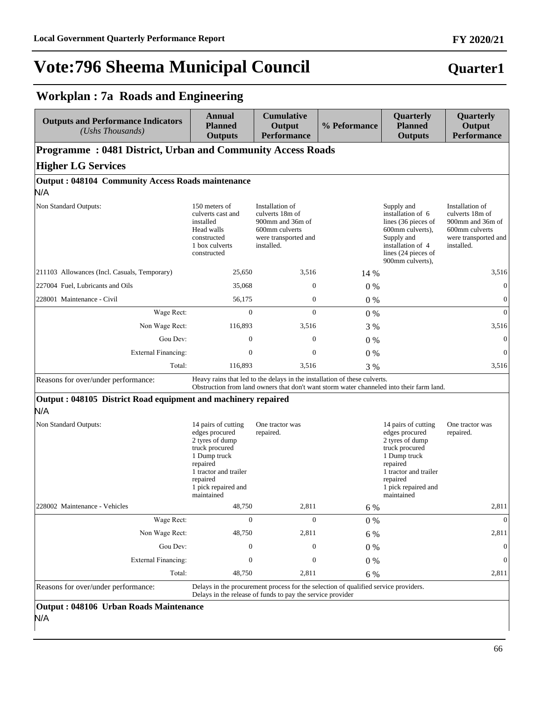**Workplan : 7a Roads and Engineering**

## **Vote:796 Sheema Municipal Council**

#### **Outputs and Performance Indicators** *(Ushs Thousands)*  **Annual Planned Outputs Cumulative Output Performance % Peformance Quarterly Planned Outputs Quarterly Output Performance Programme : 0481 District, Urban and Community Access Roads Higher LG Services Output : 048104 Community Access Roads maintenance** N/A Non Standard Outputs: 150 meters of culverts cast and installed Head walls constructed 1 box culverts constructed Installation of culverts 18m of 900mm and 36m of 600mm culverts were transported and installed. Supply and installation of 6 lines (36 pieces of 600mm culverts), Supply and installation of 4 lines (24 pieces of 900mm culverts), Installation of culverts 18m of 900mm and 36m of 600mm culverts were transported and installed. 211103 Allowances (Incl. Casuals, Temporary) 25,650 3,516 14 % 3,516  $227004$  Fuel, Lubricants and Oils  $35,068$  0 0 0 0 % 0 0 0 0 0 0 % 0 0 0 % 0 0 0 % 0 0 0 % 0 0 0 % 0 0  $0$  % 0 0 0  $0$  % 0 0 0  $0$  % 0 0 0  $0$  % 0 0 0  $0$  % 0 0 0  $0$  % 0 0 0  $0$  % 0 0 0  $0$  % 0 0 0  $0$  % 0 0 0 0  $0$  % 0 228001 Maintenance - Civil  $56,175$  0 0 0 % 0 0 0 0 0 0 % 0 0 0 % 0 0 0 % 0 0 m :DJH5HFW 0 0 0 % 0 Non Wage Rect: 116,893 3,516 3 % 3,516 3 % 3,516 Gou Dev:  $0 \t 0 \t 0 \t 0 \t 0$ External Financing:  $\begin{array}{ccc} 0 & 0 & 0 \\ 0 & 0 & 0 \end{array}$ Total: 116,893 3,516 3 % 3,516 Reasons for over/under performance: Heavy rains that led to the delays in the installation of these culverts. Obstruction from land owners that don't want storm water channeled into their farm land. **Output : 048105 District Road equipment and machinery repaired** N/A Non Standard Outputs: 14 pairs of cutting edges procured 2 tyres of dump truck procured 1 Dump truck repaired 1 tractor and trailer repaired 1 pick repaired and maintained One tractor was repaired. 14 pairs of cutting edges procured 2 tyres of dump truck procured 1 Dump truck repaired 1 tractor and trailer repaired 1 pick repaired and maintained One tractor was repaired. 228002 Maintenance - Vehicles 2,811 6 % 2,811 6 % 2,811 6 % 2,811 6 % 2,811 :DJH5HFW 0 0 0 % 0 Non Wage Rect: 48,750 2,811 6 % 2,811 2,811 Gou Dev:  $0 \t 0 \t 0 \t 0 \t 0$ ([WHUQDO)LQDQFLQJ 0 0 0 % 0

Reasons for over/under performance: Delays in the procurement process for the selection of qualified service providers. Delays in the release of funds to pay the service provider

Total: 48,750 2,811 6 % 2,811 2,811

#### **Output : 048106 Urban Roads Maintenance** N/A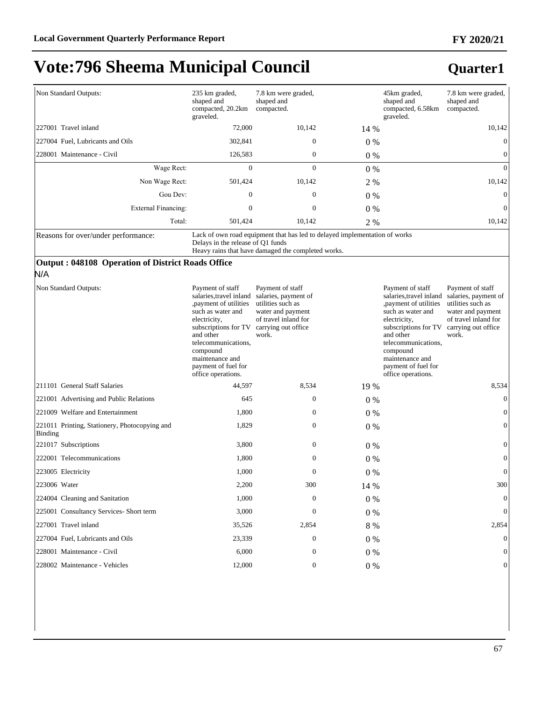| Non Standard Outputs:                                                                    | 235 km graded,<br>shaped and<br>compacted, 20.2km<br>graveled.                                                                                                                                                                                                        | 7.8 km were graded,<br>shaped and<br>compacted.                                                                                  |         | 45km graded,<br>shaped and<br>compacted, 6.58km<br>graveled.                                                                                                                                                                                     | 7.8 km were graded,<br>shaped and<br>compacted.                                                                                            |
|------------------------------------------------------------------------------------------|-----------------------------------------------------------------------------------------------------------------------------------------------------------------------------------------------------------------------------------------------------------------------|----------------------------------------------------------------------------------------------------------------------------------|---------|--------------------------------------------------------------------------------------------------------------------------------------------------------------------------------------------------------------------------------------------------|--------------------------------------------------------------------------------------------------------------------------------------------|
| 227001 Travel inland                                                                     | 72,000                                                                                                                                                                                                                                                                | 10,142                                                                                                                           | 14 %    |                                                                                                                                                                                                                                                  | 10,142                                                                                                                                     |
| 227004 Fuel, Lubricants and Oils                                                         | 302,841                                                                                                                                                                                                                                                               | $\boldsymbol{0}$                                                                                                                 | 0%      |                                                                                                                                                                                                                                                  | $\mathbf{0}$                                                                                                                               |
| 228001 Maintenance - Civil                                                               | 126,583                                                                                                                                                                                                                                                               | $\boldsymbol{0}$                                                                                                                 | 0%      |                                                                                                                                                                                                                                                  | $\boldsymbol{0}$                                                                                                                           |
| Wage Rect:                                                                               | $\overline{0}$                                                                                                                                                                                                                                                        | $\mathbf{0}$                                                                                                                     | $0\%$   |                                                                                                                                                                                                                                                  | $\mathbf{0}$                                                                                                                               |
| Non Wage Rect:                                                                           | 501,424                                                                                                                                                                                                                                                               | 10,142                                                                                                                           | 2 %     |                                                                                                                                                                                                                                                  | 10,142                                                                                                                                     |
| Gou Dev:                                                                                 | $\boldsymbol{0}$                                                                                                                                                                                                                                                      | $\boldsymbol{0}$                                                                                                                 | 0%      |                                                                                                                                                                                                                                                  | $\mathbf{0}$                                                                                                                               |
| <b>External Financing:</b>                                                               | $\mathbf{0}$                                                                                                                                                                                                                                                          | $\boldsymbol{0}$                                                                                                                 | 0%      |                                                                                                                                                                                                                                                  | $\mathbf{0}$                                                                                                                               |
| Total:                                                                                   | 501,424                                                                                                                                                                                                                                                               | 10,142                                                                                                                           | 2 %     |                                                                                                                                                                                                                                                  | 10,142                                                                                                                                     |
| Reasons for over/under performance:<br>Output: 048108 Operation of District Roads Office | Delays in the release of Q1 funds                                                                                                                                                                                                                                     | Lack of own road equipment that has led to delayed implementation of works<br>Heavy rains that have damaged the completed works. |         |                                                                                                                                                                                                                                                  |                                                                                                                                            |
| N/A                                                                                      |                                                                                                                                                                                                                                                                       |                                                                                                                                  |         |                                                                                                                                                                                                                                                  |                                                                                                                                            |
| Non Standard Outputs:                                                                    | Payment of staff<br>salaries, travel inland salaries, payment of<br>payment of utilities<br>such as water and<br>electricity,<br>subscriptions for TV<br>and other<br>telecommunications,<br>compound<br>maintenance and<br>payment of fuel for<br>office operations. | Payment of staff<br>utilities such as<br>water and payment<br>of travel inland for<br>carrying out office<br>work.               |         | Payment of staff<br>salaries, travel inland<br>payment of utilities<br>such as water and<br>electricity,<br>subscriptions for TV<br>and other<br>telecommunications,<br>compound<br>maintenance and<br>payment of fuel for<br>office operations. | Payment of staff<br>salaries, payment of<br>utilities such as<br>water and payment<br>of travel inland for<br>carrying out office<br>work. |
| 211101 General Staff Salaries                                                            | 44,597                                                                                                                                                                                                                                                                | 8,534                                                                                                                            | 19 %    |                                                                                                                                                                                                                                                  | 8,534                                                                                                                                      |
| 221001 Advertising and Public Relations                                                  | 645                                                                                                                                                                                                                                                                   | $\boldsymbol{0}$                                                                                                                 | $0\%$   |                                                                                                                                                                                                                                                  | $\mathbf{0}$                                                                                                                               |
| 221009 Welfare and Entertainment                                                         | 1,800                                                                                                                                                                                                                                                                 | $\boldsymbol{0}$                                                                                                                 | $0\%$   |                                                                                                                                                                                                                                                  | $\boldsymbol{0}$                                                                                                                           |
| 221011 Printing, Stationery, Photocopying and<br>Binding                                 | 1,829                                                                                                                                                                                                                                                                 | $\boldsymbol{0}$                                                                                                                 | $0\%$   |                                                                                                                                                                                                                                                  | $\boldsymbol{0}$                                                                                                                           |
| 221017 Subscriptions                                                                     | 3,800                                                                                                                                                                                                                                                                 | $\boldsymbol{0}$                                                                                                                 | $0\%$   |                                                                                                                                                                                                                                                  | $\boldsymbol{0}$                                                                                                                           |
| 222001 Telecommunications                                                                | 1,800                                                                                                                                                                                                                                                                 | $\boldsymbol{0}$                                                                                                                 | $0\%$   |                                                                                                                                                                                                                                                  | $\boldsymbol{0}$                                                                                                                           |
| 223005 Electricity                                                                       | 1,000                                                                                                                                                                                                                                                                 | $\mathbf{0}$                                                                                                                     | 0%      |                                                                                                                                                                                                                                                  | $\boldsymbol{0}$                                                                                                                           |
| 223006 Water                                                                             | 2,200                                                                                                                                                                                                                                                                 | 300                                                                                                                              | 14 %    |                                                                                                                                                                                                                                                  | 300                                                                                                                                        |
| 224004 Cleaning and Sanitation                                                           | 1,000                                                                                                                                                                                                                                                                 | $\boldsymbol{0}$                                                                                                                 | $0\%$   |                                                                                                                                                                                                                                                  | $\boldsymbol{0}$                                                                                                                           |
| 225001 Consultancy Services- Short term                                                  | 3,000                                                                                                                                                                                                                                                                 | $\boldsymbol{0}$                                                                                                                 | $0\ \%$ |                                                                                                                                                                                                                                                  | $\Omega$                                                                                                                                   |
| 227001 Travel inland                                                                     | 35,526                                                                                                                                                                                                                                                                | 2,854                                                                                                                            | 8 %     |                                                                                                                                                                                                                                                  | 2,854                                                                                                                                      |
| 227004 Fuel, Lubricants and Oils                                                         | 23,339                                                                                                                                                                                                                                                                | $\boldsymbol{0}$                                                                                                                 | $0\%$   |                                                                                                                                                                                                                                                  | 0                                                                                                                                          |
| 228001 Maintenance - Civil                                                               | 6,000                                                                                                                                                                                                                                                                 | $\boldsymbol{0}$                                                                                                                 | $0\%$   |                                                                                                                                                                                                                                                  |                                                                                                                                            |
| 228002 Maintenance - Vehicles                                                            | 12,000                                                                                                                                                                                                                                                                | $\boldsymbol{0}$                                                                                                                 | $0\ \%$ |                                                                                                                                                                                                                                                  | 0                                                                                                                                          |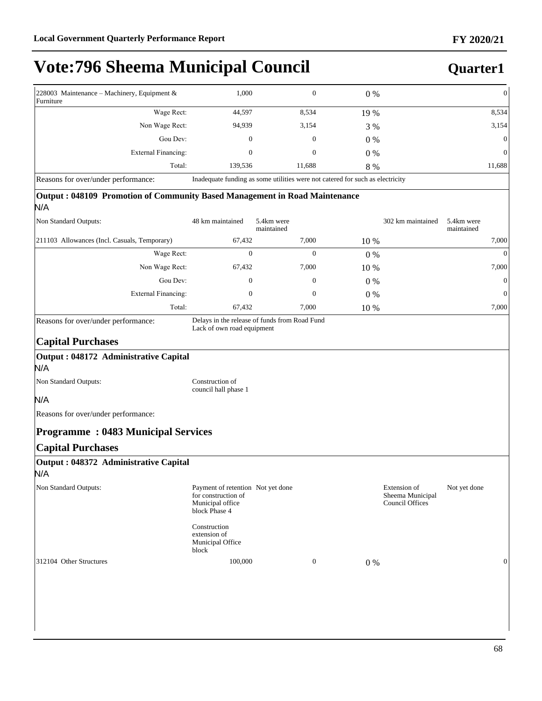### **Quarter1**

| 228003 Maintenance – Machinery, Equipment &<br>Furniture                                                             | 1,000   | 0      | $0\%$ | $\Omega$ |
|----------------------------------------------------------------------------------------------------------------------|---------|--------|-------|----------|
| Wage Rect:                                                                                                           | 44,597  | 8,534  | 19 %  | 8,534    |
| Non Wage Rect:                                                                                                       | 94,939  | 3,154  | 3 %   | 3,154    |
| Gou Dev:                                                                                                             | 0       | 0      | $0\%$ | $\Omega$ |
| External Financing:                                                                                                  | 0       | 0      | $0\%$ | $\Omega$ |
| Total:                                                                                                               | 139.536 | 11.688 | 8 %   | 11,688   |
| Inadequate funding as some utilities were not catered for such as electricity<br>Reasons for over/under performance: |         |        |       |          |

#### **Output : 048109 Promotion of Community Based Management in Road Maintenance** N/A

| . .,                                          |                  |                          |       |                   |                          |
|-----------------------------------------------|------------------|--------------------------|-------|-------------------|--------------------------|
| Non Standard Outputs:                         | 48 km maintained | 5.4km were<br>maintained |       | 302 km maintained | 5.4km were<br>maintained |
| [211103 Allowances (Incl. Casuals, Temporary) | 67,432           | 7,000                    | 10 %  |                   | 7,000                    |
| Wage Rect:                                    | 0                | 0                        | $0\%$ |                   | $\overline{0}$           |
| Non Wage Rect:                                | 67,432           | 7,000                    | 10 %  |                   | 7,000                    |
| Gou Dev:                                      | 0                | $\mathbf{0}$             | $0\%$ |                   | $\overline{0}$           |
| External Financing:                           | 0                | $\mathbf{0}$             | $0\%$ |                   | $\overline{0}$           |
| Total:                                        | 67,432           | 7,000                    | 10 %  |                   | 7,000                    |

Reasons for over/under performance: Delays in the release of funds from Road Fund

Lack of own road equipment

#### **Capital Purchases**

#### **Output : 048172 Administrative Capital**

N/A

Non Standard Outputs: Construction of

council hall phase 1

#### N/A

Reasons for over/under performance:

#### **Programme : 0483 Municipal Services**

#### **Capital Purchases**

| Output : 048372 Administrative Capital<br>N/A |                                                                                               |              |                                                            |              |
|-----------------------------------------------|-----------------------------------------------------------------------------------------------|--------------|------------------------------------------------------------|--------------|
| Non Standard Outputs:                         | Payment of retention Not yet done<br>for construction of<br>Municipal office<br>block Phase 4 |              | Extension of<br>Sheema Municipal<br><b>Council Offices</b> | Not yet done |
|                                               | Construction<br>extension of<br>Municipal Office<br>block                                     |              |                                                            |              |
| 312104 Other Structures                       | 100,000                                                                                       | $\mathbf{0}$ | $0\%$                                                      | 0            |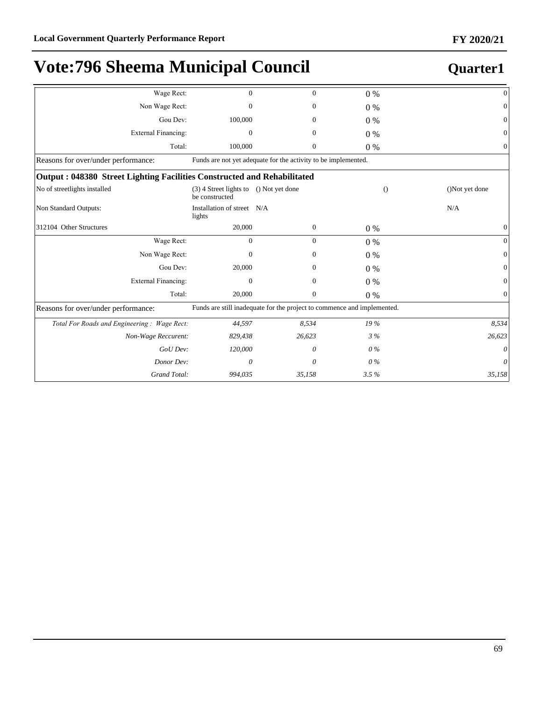| Wage Rect:                                                              | $\Omega$                                   | $\Omega$                                                                | $0\%$ | $\mathbf{0}$               |
|-------------------------------------------------------------------------|--------------------------------------------|-------------------------------------------------------------------------|-------|----------------------------|
| Non Wage Rect:                                                          | 0                                          | 0                                                                       | $0\%$ | $\mathbf{0}$               |
| Gou Dev:                                                                | 100,000                                    | $\mathbf{0}$                                                            | $0\%$ | $\boldsymbol{0}$           |
| <b>External Financing:</b>                                              | $\mathbf{0}$                               | $\mathbf{0}$                                                            | $0\%$ | $\boldsymbol{0}$           |
| Total:                                                                  | 100,000                                    | $\mathbf{0}$                                                            | $0\%$ | $\mathbf{0}$               |
| Reasons for over/under performance:                                     |                                            | Funds are not yet adequate for the activity to be implemented.          |       |                            |
| Output: 048380 Street Lighting Facilities Constructed and Rehabilitated |                                            |                                                                         |       |                            |
| No of streetlights installed                                            | $(3)$ 4 Street lights to<br>be constructed | () Not yet done                                                         |       | ()Not yet done<br>$\Omega$ |
| Non Standard Outputs:                                                   | Installation of street N/A<br>lights       |                                                                         |       | N/A                        |
| 312104 Other Structures                                                 | 20,000                                     | $\mathbf{0}$                                                            | $0\%$ | $\boldsymbol{0}$           |
| Wage Rect:                                                              | $\mathbf{0}$                               | $\mathbf{0}$                                                            | $0\%$ | $\mathbf{0}$               |
| Non Wage Rect:                                                          | 0                                          | $\mathbf{0}$                                                            | $0\%$ | $\mathbf{0}$               |
| Gou Dev:                                                                | 20,000                                     | $\mathbf{0}$                                                            | $0\%$ | $\mathbf{0}$               |
| <b>External Financing:</b>                                              | $\Omega$                                   | $\Omega$                                                                | $0\%$ | $\mathbf{0}$               |
| Total:                                                                  | 20,000                                     | $\mathbf{0}$                                                            | 0%    | $\mathbf{0}$               |
| Reasons for over/under performance:                                     |                                            | Funds are still inadequate for the project to commence and implemented. |       |                            |
| Total For Roads and Engineering: Wage Rect:                             | 44,597                                     | 8,534                                                                   | 19 %  | 8,534                      |
| Non-Wage Reccurent:                                                     | 829,438                                    | 26,623                                                                  | $3\%$ | 26,623                     |
| GoU Dev:                                                                | 120,000                                    | 0                                                                       | $0\%$ | 0                          |
| Donor Dev:                                                              | 0                                          | 0                                                                       | $0\%$ | 0                          |
| Grand Total:                                                            | 994,035                                    | 35,158                                                                  | 3.5%  | 35,158                     |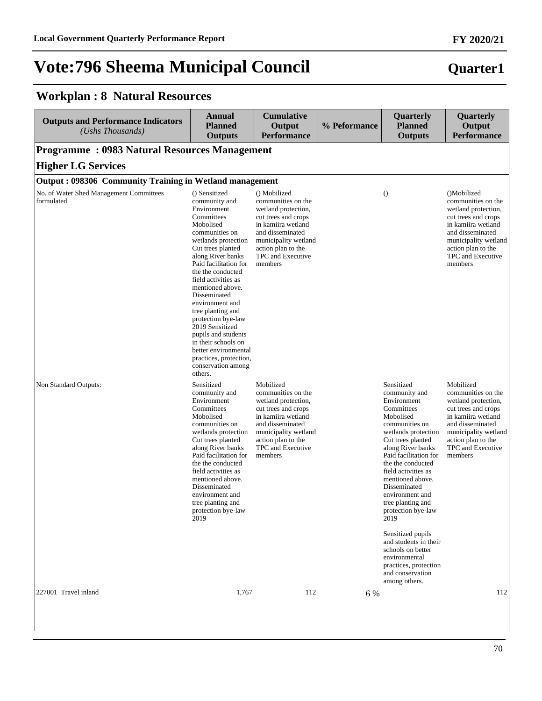| <b>Outputs and Performance Indicators</b><br>(Ushs Thousands) | <b>Annual</b><br><b>Planned</b><br><b>Outputs</b>                                                                                                                                                                                                                                                                                                                                                                                                                                      | <b>Cumulative</b><br>Output<br><b>Performance</b>                                                                                                                                                        | % Peformance | Quarterly<br><b>Planned</b><br><b>Outputs</b>                                                                                                                                                                                                                                                                                                                                                                                                                                             | Quarterly<br>Output<br><b>Performance</b>                                                                                                                                                               |
|---------------------------------------------------------------|----------------------------------------------------------------------------------------------------------------------------------------------------------------------------------------------------------------------------------------------------------------------------------------------------------------------------------------------------------------------------------------------------------------------------------------------------------------------------------------|----------------------------------------------------------------------------------------------------------------------------------------------------------------------------------------------------------|--------------|-------------------------------------------------------------------------------------------------------------------------------------------------------------------------------------------------------------------------------------------------------------------------------------------------------------------------------------------------------------------------------------------------------------------------------------------------------------------------------------------|---------------------------------------------------------------------------------------------------------------------------------------------------------------------------------------------------------|
| <b>Programme: 0983 Natural Resources Management</b>           |                                                                                                                                                                                                                                                                                                                                                                                                                                                                                        |                                                                                                                                                                                                          |              |                                                                                                                                                                                                                                                                                                                                                                                                                                                                                           |                                                                                                                                                                                                         |
| <b>Higher LG Services</b>                                     |                                                                                                                                                                                                                                                                                                                                                                                                                                                                                        |                                                                                                                                                                                                          |              |                                                                                                                                                                                                                                                                                                                                                                                                                                                                                           |                                                                                                                                                                                                         |
| Output: 098306 Community Training in Wetland management       |                                                                                                                                                                                                                                                                                                                                                                                                                                                                                        |                                                                                                                                                                                                          |              |                                                                                                                                                                                                                                                                                                                                                                                                                                                                                           |                                                                                                                                                                                                         |
| No. of Water Shed Management Committees<br>formulated         | () Sensitized<br>community and<br>Environment<br>Committees<br>Mobolised<br>communities on<br>wetlands protection<br>Cut trees planted<br>along River banks<br>Paid facilitation for<br>the the conducted<br>field activities as<br>mentioned above.<br>Disseminated<br>environment and<br>tree planting and<br>protection bye-law<br>2019 Sensitized<br>pupils and students<br>in their schools on<br>better environmental<br>practices, protection,<br>conservation among<br>others. | () Mobilized<br>communities on the<br>wetland protection,<br>cut trees and crops<br>in kamiira wetland<br>and disseminated<br>municipality wetland<br>action plan to the<br>TPC and Executive<br>members |              | $\Omega$                                                                                                                                                                                                                                                                                                                                                                                                                                                                                  | ()Mobilized<br>communities on the<br>wetland protection,<br>cut trees and crops<br>in kamiira wetland<br>and disseminated<br>municipality wetland<br>action plan to the<br>TPC and Executive<br>members |
| Non Standard Outputs:                                         | Sensitized<br>community and<br>Environment<br>Committees<br>Mobolised<br>communities on<br>wetlands protection<br>Cut trees planted<br>along River banks<br>Paid facilitation for<br>the the conducted<br>field activities as<br>mentioned above.<br>Disseminated<br>environment and<br>tree planting and<br>protection bye-law<br>2019                                                                                                                                                | Mobilized<br>communities on the<br>wetland protection,<br>cut trees and crops<br>in kamiira wetland<br>and disseminated<br>municipality wetland<br>action plan to the<br>TPC and Executive<br>members    |              | Sensitized<br>community and<br>Environment<br>Committees<br>Mobolised<br>communities on<br>wetlands protection<br>Cut trees planted<br>along River banks<br>Paid facilitation for<br>the the conducted<br>field activities as<br>mentioned above.<br>Disseminated<br>environment and<br>tree planting and<br>protection bye-law<br>2019<br>Sensitized pupils<br>and students in their<br>schools on better<br>environmental<br>practices, protection<br>and conservation<br>among others. | Mobilized<br>communities on the<br>wetland protection,<br>cut trees and crops<br>in kamiira wetland<br>and disseminated<br>municipality wetland<br>action plan to the<br>TPC and Executive<br>members   |
| 227001 Travel inland                                          | 1,767                                                                                                                                                                                                                                                                                                                                                                                                                                                                                  | 112                                                                                                                                                                                                      | 6 %          |                                                                                                                                                                                                                                                                                                                                                                                                                                                                                           | 112                                                                                                                                                                                                     |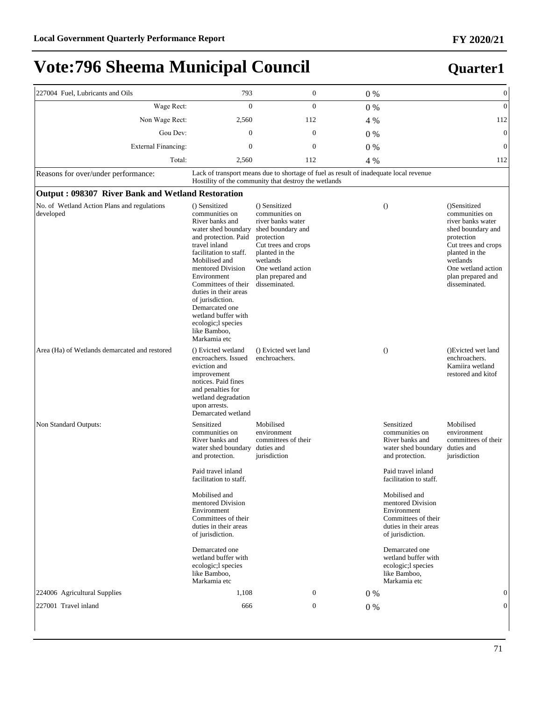| 227004 Fuel, Lubricants and Oils                         | 793                                                                                                                                                                                                                                                                                                                                                                   | $\boldsymbol{0}$                                                                                                                                                                                         | $0\%$                                                                                 |                                                                                                                                                                | $\boldsymbol{0}$                                                                                                                                                                                        |
|----------------------------------------------------------|-----------------------------------------------------------------------------------------------------------------------------------------------------------------------------------------------------------------------------------------------------------------------------------------------------------------------------------------------------------------------|----------------------------------------------------------------------------------------------------------------------------------------------------------------------------------------------------------|---------------------------------------------------------------------------------------|----------------------------------------------------------------------------------------------------------------------------------------------------------------|---------------------------------------------------------------------------------------------------------------------------------------------------------------------------------------------------------|
| Wage Rect:                                               | $\overline{0}$                                                                                                                                                                                                                                                                                                                                                        | $\overline{0}$                                                                                                                                                                                           | 0%                                                                                    |                                                                                                                                                                | $\mathbf{0}$                                                                                                                                                                                            |
| Non Wage Rect:                                           | 2,560                                                                                                                                                                                                                                                                                                                                                                 | 112                                                                                                                                                                                                      | 4 %                                                                                   |                                                                                                                                                                | 112                                                                                                                                                                                                     |
| Gou Dev:                                                 | $\boldsymbol{0}$                                                                                                                                                                                                                                                                                                                                                      | $\boldsymbol{0}$                                                                                                                                                                                         | $0\%$                                                                                 |                                                                                                                                                                | $\mathbf{0}$                                                                                                                                                                                            |
| <b>External Financing:</b>                               | $\mathbf{0}$                                                                                                                                                                                                                                                                                                                                                          | $\boldsymbol{0}$                                                                                                                                                                                         | 0%                                                                                    |                                                                                                                                                                | $\mathbf{0}$                                                                                                                                                                                            |
| Total:                                                   | 2,560                                                                                                                                                                                                                                                                                                                                                                 | 112                                                                                                                                                                                                      | 4 %                                                                                   |                                                                                                                                                                | 112                                                                                                                                                                                                     |
| Reasons for over/under performance:                      |                                                                                                                                                                                                                                                                                                                                                                       | Hostility of the community that destroy the wetlands                                                                                                                                                     | Lack of transport means due to shortage of fuel as result of inadequate local revenue |                                                                                                                                                                |                                                                                                                                                                                                         |
| Output: 098307 River Bank and Wetland Restoration        |                                                                                                                                                                                                                                                                                                                                                                       |                                                                                                                                                                                                          |                                                                                       |                                                                                                                                                                |                                                                                                                                                                                                         |
| No. of Wetland Action Plans and regulations<br>developed | () Sensitized<br>communities on<br>River banks and<br>water shed boundary<br>and protection. Paid<br>travel inland<br>facilitation to staff.<br>Mobilised and<br>mentored Division<br>Environment<br>Committees of their<br>duties in their areas<br>of jurisdiction.<br>Demarcated one<br>wetland buffer with<br>ecologic; l species<br>like Bamboo,<br>Markamia etc | () Sensitized<br>communities on<br>river banks water<br>shed boundary and<br>protection<br>Cut trees and crops<br>planted in the<br>wetlands<br>One wetland action<br>plan prepared and<br>disseminated. |                                                                                       | $\theta$                                                                                                                                                       | ()Sensitized<br>communities on<br>river banks water<br>shed boundary and<br>protection<br>Cut trees and crops<br>planted in the<br>wetlands<br>One wetland action<br>plan prepared and<br>disseminated. |
| Area (Ha) of Wetlands demarcated and restored            | () Evicted wetland<br>encroachers. Issued<br>eviction and<br>improvement<br>notices. Paid fines<br>and penalties for<br>wetland degradation<br>upon arrests.<br>Demarcated wetland                                                                                                                                                                                    | () Evicted wet land<br>enchroachers.                                                                                                                                                                     |                                                                                       | $\theta$                                                                                                                                                       | ()Evicted wet land<br>enchroachers.<br>Kamiira wetland<br>restored and kitof                                                                                                                            |
| Non Standard Outputs:                                    | Sensitized<br>communities on<br>River banks and<br>water shed boundary<br>and protection.<br>Paid travel inland<br>facilitation to staff.                                                                                                                                                                                                                             | Mobilised<br>environment<br>committees of their<br>duties and<br>jurisdiction                                                                                                                            |                                                                                       | Sensitized<br>communities on<br>River banks and<br>water shed boundary<br>and protection.<br>Paid travel inland<br>facilitation to staff.                      | Mobilised<br>environment<br>committees of their<br>duties and<br>jurisdiction                                                                                                                           |
|                                                          | Mobilised and<br>mentored Division<br>Environment<br>Committees of their<br>duties in their areas<br>of jurisdiction.<br>Demarcated one<br>wetland buffer with                                                                                                                                                                                                        |                                                                                                                                                                                                          |                                                                                       | Mobilised and<br>mentored Division<br>Environment<br>Committees of their<br>duties in their areas<br>of jurisdiction.<br>Demarcated one<br>wetland buffer with |                                                                                                                                                                                                         |
|                                                          | ecologic; l species<br>like Bamboo,<br>Markamia etc                                                                                                                                                                                                                                                                                                                   |                                                                                                                                                                                                          |                                                                                       | ecologic;l species<br>like Bamboo,<br>Markamia etc                                                                                                             |                                                                                                                                                                                                         |
| 224006 Agricultural Supplies                             | 1,108                                                                                                                                                                                                                                                                                                                                                                 | $\boldsymbol{0}$                                                                                                                                                                                         | $0\%$                                                                                 |                                                                                                                                                                | $\overline{0}$                                                                                                                                                                                          |
| 227001 Travel inland                                     | 666                                                                                                                                                                                                                                                                                                                                                                   | $\boldsymbol{0}$                                                                                                                                                                                         | 0%                                                                                    |                                                                                                                                                                | $\overline{0}$                                                                                                                                                                                          |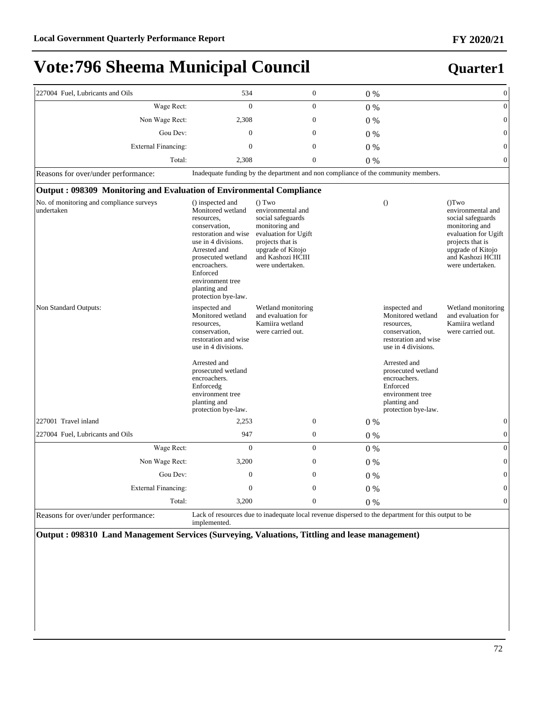### **Quarter1**

| 227004 Fuel, Lubricants and Oils                                     | 534                                                                                                                                                                                                                                              |                                                                                                                                                                              | $\boldsymbol{0}$ | 0%    |                                                                                                                                                                                                                                               | $\boldsymbol{0}$                                                                                                                                                          |
|----------------------------------------------------------------------|--------------------------------------------------------------------------------------------------------------------------------------------------------------------------------------------------------------------------------------------------|------------------------------------------------------------------------------------------------------------------------------------------------------------------------------|------------------|-------|-----------------------------------------------------------------------------------------------------------------------------------------------------------------------------------------------------------------------------------------------|---------------------------------------------------------------------------------------------------------------------------------------------------------------------------|
| Wage Rect:                                                           | $\overline{0}$                                                                                                                                                                                                                                   |                                                                                                                                                                              | $\overline{0}$   | $0\%$ |                                                                                                                                                                                                                                               | $\boldsymbol{0}$                                                                                                                                                          |
| Non Wage Rect:                                                       | 2,308                                                                                                                                                                                                                                            | $\boldsymbol{0}$                                                                                                                                                             |                  | $0\%$ |                                                                                                                                                                                                                                               | $\boldsymbol{0}$                                                                                                                                                          |
| Gou Dev:                                                             | $\mathbf{0}$                                                                                                                                                                                                                                     | $\mathbf{0}$                                                                                                                                                                 |                  | $0\%$ |                                                                                                                                                                                                                                               | $\overline{0}$                                                                                                                                                            |
| <b>External Financing:</b>                                           | $\overline{0}$                                                                                                                                                                                                                                   | $\mathbf{0}$                                                                                                                                                                 |                  | $0\%$ |                                                                                                                                                                                                                                               | $\overline{0}$                                                                                                                                                            |
| Total:                                                               | 2,308                                                                                                                                                                                                                                            | $\overline{0}$                                                                                                                                                               |                  | $0\%$ |                                                                                                                                                                                                                                               | $\overline{0}$                                                                                                                                                            |
| Reasons for over/under performance:                                  | Inadequate funding by the department and non compliance of the community members.                                                                                                                                                                |                                                                                                                                                                              |                  |       |                                                                                                                                                                                                                                               |                                                                                                                                                                           |
| Output: 098309 Monitoring and Evaluation of Environmental Compliance |                                                                                                                                                                                                                                                  |                                                                                                                                                                              |                  |       |                                                                                                                                                                                                                                               |                                                                                                                                                                           |
| No. of monitoring and compliance surveys<br>undertaken               | () inspected and<br>Monitored wetland<br>resources,<br>conservation,<br>restoration and wise<br>use in 4 divisions.<br>Arrested and<br>prosecuted wetland<br>encroachers.<br>Enforced<br>environment tree<br>planting and<br>protection bye-law. | () Two<br>environmental and<br>social safeguards<br>monitoring and<br>evaluation for Ugift<br>projects that is<br>upgrade of Kitojo<br>and Kashozi HCIII<br>were undertaken. |                  |       | $\theta$                                                                                                                                                                                                                                      | (Tw<br>environmental and<br>social safeguards<br>monitoring and<br>evaluation for Ugift<br>projects that is<br>upgrade of Kitojo<br>and Kashozi HCIII<br>were undertaken. |
| Non Standard Outputs:                                                | inspected and<br>Monitored wetland<br>resources,<br>conservation,<br>restoration and wise<br>use in 4 divisions.<br>Arrested and<br>prosecuted wetland<br>encroachers.<br>Enforcedg<br>environment tree<br>planting and<br>protection bye-law.   | Wetland monitoring<br>and evaluation for<br>Kamiira wetland<br>were carried out.                                                                                             |                  |       | inspected and<br>Monitored wetland<br>resources,<br>conservation,<br>restoration and wise<br>use in 4 divisions.<br>Arrested and<br>prosecuted wetland<br>encroachers.<br>Enforced<br>environment tree<br>planting and<br>protection bye-law. | Wetland monitoring<br>and evaluation for<br>Kamiira wetland<br>were carried out.                                                                                          |
| 227001 Travel inland                                                 | 2,253                                                                                                                                                                                                                                            |                                                                                                                                                                              | $\mathbf{0}$     | 0%    |                                                                                                                                                                                                                                               | $\boldsymbol{0}$                                                                                                                                                          |
| 227004 Fuel, Lubricants and Oils                                     | 947                                                                                                                                                                                                                                              |                                                                                                                                                                              | $\boldsymbol{0}$ | $0\%$ |                                                                                                                                                                                                                                               | $\boldsymbol{0}$                                                                                                                                                          |
| Wage Rect:                                                           | $\overline{0}$                                                                                                                                                                                                                                   |                                                                                                                                                                              | $\overline{0}$   | $0\%$ |                                                                                                                                                                                                                                               | $\boldsymbol{0}$                                                                                                                                                          |
| Non Wage Rect:                                                       | 3,200                                                                                                                                                                                                                                            | $\boldsymbol{0}$                                                                                                                                                             |                  | $0\%$ |                                                                                                                                                                                                                                               | $\boldsymbol{0}$                                                                                                                                                          |
| Gou Dev:                                                             | $\boldsymbol{0}$                                                                                                                                                                                                                                 | $\boldsymbol{0}$                                                                                                                                                             |                  | $0\%$ |                                                                                                                                                                                                                                               | $\boldsymbol{0}$                                                                                                                                                          |
| <b>External Financing:</b>                                           | $\mathbf{0}$                                                                                                                                                                                                                                     | $\overline{0}$                                                                                                                                                               |                  | $0\%$ |                                                                                                                                                                                                                                               | $\overline{0}$                                                                                                                                                            |
| Total:                                                               | 3,200                                                                                                                                                                                                                                            | $\mathbf{0}$                                                                                                                                                                 |                  | $0\%$ |                                                                                                                                                                                                                                               | $\overline{0}$                                                                                                                                                            |
| Reasons for over/under performance:                                  | Lack of resources due to inadequate local revenue dispersed to the department for this output to be<br>implemented.                                                                                                                              |                                                                                                                                                                              |                  |       |                                                                                                                                                                                                                                               |                                                                                                                                                                           |

**Output : 098310 Land Management Services (Surveying, Valuations, Tittling and lease management)**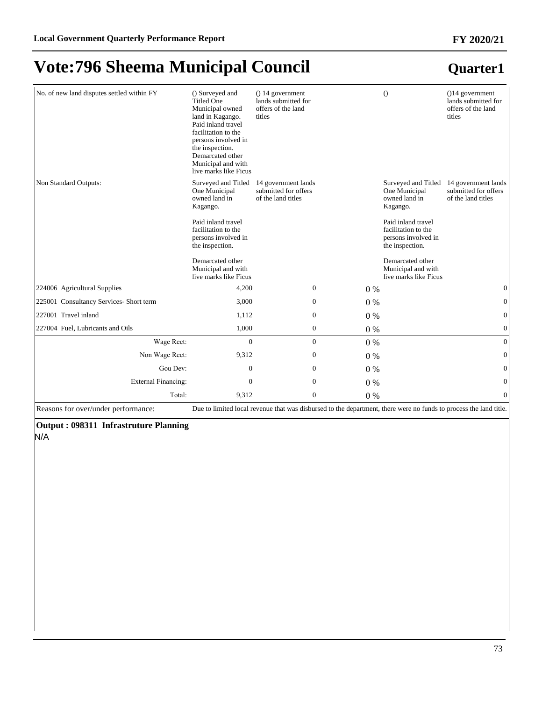#### No. of new land disputes settled within FY () Surveyed and Titled One Municipal owned land in Kagango. Paid inland travel facilitation to the persons involved in the inspection. Demarcated other Municipal and with live marks like Ficus () 14 government lands submitted for offers of the land titles () ()14 government lands submitted for offers of the land titles Non Standard Outputs: One Municipal owned land in Kagango. Paid inland travel facilitation to the persons involved in the inspection. Demarcated other Municipal and with live marks like Ficus Surveyed and Titled 14 government lands submitted for offers of the land titles Surveyed and Titled 14 government lands One Municipal owned land in Kagango. Paid inland travel facilitation to the persons involved in the inspection. Demarcated other Municipal and with live marks like Ficus submitted for offers of the land titles  $224006$  Agricultural Supplies  $4,200$   $0$   $0\%$   $0\%$   $0$  $225001$  Consultancy Services- Short term  $3,000$  0 0 0  $0\%$ 227001 Travel inland  $1,112$  0 0  $0\%$  0 227004 Fuel, Lubricants and Oils 1,000 0 0 % 0 :DJH5HFW 0 0 0 % 0 Non Wage Rect: 9,312 0 0 % 0 % Gou Dev:  $0 \t 0 \t 0 \t 0 \t 0$ ([WHUQDO)LQDQFLQJ 0 0 0 % 0 Total:  $9,312$  0 0 % 0

Reasons for over/under performance: Due to limited local revenue that was disbursed to the department, there were no funds to process the land title.

### **Output : 098311 Infrastruture Planning**

N/A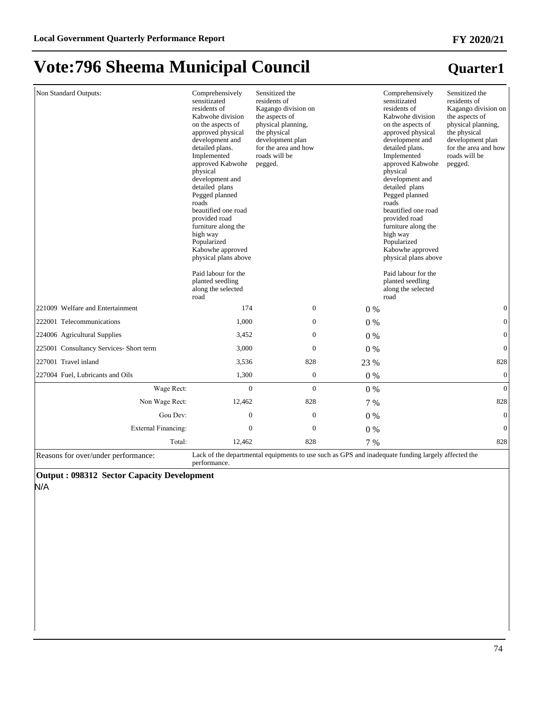| Non Standard Outputs:                   | Comprehensively<br>sensitizated<br>residents of<br>Kabwohe division<br>on the aspects of<br>approved physical<br>development and<br>detailed plans.<br>Implemented<br>approved Kabwohe<br>physical<br>development and<br>detailed plans<br>Pegged planned<br>roads<br>beautified one road<br>provided road<br>furniture along the<br>high way<br>Popularized<br>Kabowhe approved<br>physical plans above<br>Paid labour for the<br>planted seedling<br>along the selected<br>road | Sensitized the<br>residents of<br>Kagango division on<br>the aspects of<br>physical planning,<br>the physical<br>development plan<br>for the area and how<br>roads will be<br>pegged. |       | Comprehensively<br>sensitizated<br>residents of<br>Kabwohe division<br>on the aspects of<br>approved physical<br>development and<br>detailed plans.<br>Implemented<br>approved Kabwohe<br>physical<br>development and<br>detailed plans<br>Pegged planned<br>roads<br>beautified one road<br>provided road<br>furniture along the<br>high way<br>Popularized<br>Kabowhe approved<br>physical plans above<br>Paid labour for the<br>planted seedling<br>along the selected<br>road | Sensitized the<br>residents of<br>Kagango division on<br>the aspects of<br>physical planning,<br>the physical<br>development plan<br>for the area and how<br>roads will be<br>pegged. |
|-----------------------------------------|-----------------------------------------------------------------------------------------------------------------------------------------------------------------------------------------------------------------------------------------------------------------------------------------------------------------------------------------------------------------------------------------------------------------------------------------------------------------------------------|---------------------------------------------------------------------------------------------------------------------------------------------------------------------------------------|-------|-----------------------------------------------------------------------------------------------------------------------------------------------------------------------------------------------------------------------------------------------------------------------------------------------------------------------------------------------------------------------------------------------------------------------------------------------------------------------------------|---------------------------------------------------------------------------------------------------------------------------------------------------------------------------------------|
| 221009 Welfare and Entertainment        | 174                                                                                                                                                                                                                                                                                                                                                                                                                                                                               | $\mathbf{0}$                                                                                                                                                                          | $0\%$ |                                                                                                                                                                                                                                                                                                                                                                                                                                                                                   | $\mathbf{0}$                                                                                                                                                                          |
| 222001 Telecommunications               | 1,000                                                                                                                                                                                                                                                                                                                                                                                                                                                                             | $\mathbf{0}$                                                                                                                                                                          | $0\%$ |                                                                                                                                                                                                                                                                                                                                                                                                                                                                                   | $\boldsymbol{0}$                                                                                                                                                                      |
| 224006 Agricultural Supplies            | 3,452                                                                                                                                                                                                                                                                                                                                                                                                                                                                             | $\mathbf{0}$                                                                                                                                                                          | $0\%$ |                                                                                                                                                                                                                                                                                                                                                                                                                                                                                   | $\boldsymbol{0}$                                                                                                                                                                      |
| 225001 Consultancy Services- Short term | 3,000                                                                                                                                                                                                                                                                                                                                                                                                                                                                             | $\mathbf{0}$                                                                                                                                                                          | $0\%$ |                                                                                                                                                                                                                                                                                                                                                                                                                                                                                   | $\boldsymbol{0}$                                                                                                                                                                      |
| 227001 Travel inland                    | 3,536                                                                                                                                                                                                                                                                                                                                                                                                                                                                             | 828                                                                                                                                                                                   | 23 %  |                                                                                                                                                                                                                                                                                                                                                                                                                                                                                   | 828                                                                                                                                                                                   |
| 227004 Fuel, Lubricants and Oils        | 1,300                                                                                                                                                                                                                                                                                                                                                                                                                                                                             | $\mathbf{0}$                                                                                                                                                                          | $0\%$ |                                                                                                                                                                                                                                                                                                                                                                                                                                                                                   | $\boldsymbol{0}$                                                                                                                                                                      |
| Wage Rect:                              | $\mathbf{0}$                                                                                                                                                                                                                                                                                                                                                                                                                                                                      | $\Omega$                                                                                                                                                                              | $0\%$ |                                                                                                                                                                                                                                                                                                                                                                                                                                                                                   | $\Omega$                                                                                                                                                                              |
| Non Wage Rect:                          | 12,462                                                                                                                                                                                                                                                                                                                                                                                                                                                                            | 828                                                                                                                                                                                   | 7 %   |                                                                                                                                                                                                                                                                                                                                                                                                                                                                                   | 828                                                                                                                                                                                   |
| Gou Dev:                                | $\mathbf{0}$                                                                                                                                                                                                                                                                                                                                                                                                                                                                      | $\boldsymbol{0}$                                                                                                                                                                      | $0\%$ |                                                                                                                                                                                                                                                                                                                                                                                                                                                                                   | $\boldsymbol{0}$                                                                                                                                                                      |
| External Financing:                     | $\Omega$                                                                                                                                                                                                                                                                                                                                                                                                                                                                          | $\Omega$                                                                                                                                                                              | $0\%$ |                                                                                                                                                                                                                                                                                                                                                                                                                                                                                   | $\Omega$                                                                                                                                                                              |
| Total:                                  | 12,462                                                                                                                                                                                                                                                                                                                                                                                                                                                                            | 828                                                                                                                                                                                   | 7 %   |                                                                                                                                                                                                                                                                                                                                                                                                                                                                                   | 828                                                                                                                                                                                   |

Reasons for over/under performance: Lack of the departmental equipments to use such as GPS and inadequate funding largely affected the performance.

**Output : 098312 Sector Capacity Development** N/A

## **Quarter1**

**FY 2020/21**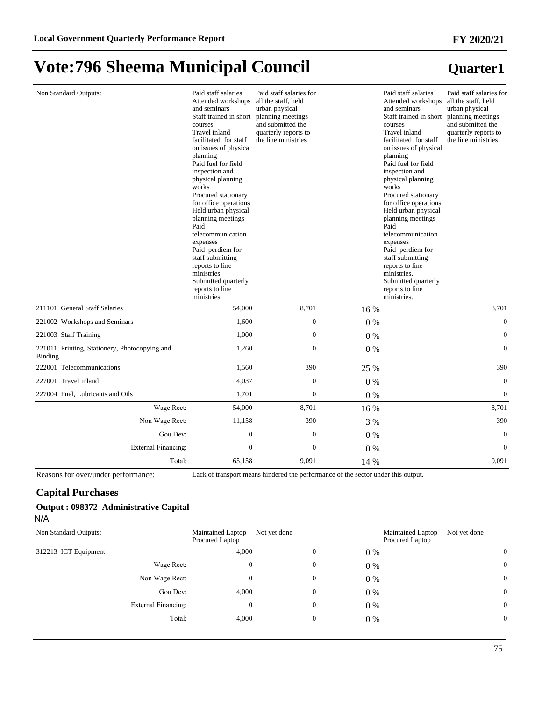#### Non Standard Outputs: Paid staff salaries Attended workshops and seminars Staff trained in short courses Travel inland facilitated for staff on issues of physical planning Paid fuel for field inspection and physical planning works Procured stationary for office operations Held urban physical planning meetings Paid telecommunication expenses Paid perdiem for staff submitting reports to line ministries. Submitted quarterly reports to line ministries. Paid staff salaries for all the staff, held urban physical planning meetings and submitted the quarterly reports to the line ministries Paid staff salaries Attended workshops and seminars Staff trained in short courses Travel inland facilitated for staff on issues of physical planning Paid fuel for field inspection and physical planning works Procured stationary for office operations Held urban physical planning meetings Paid telecommunication expenses Paid perdiem for staff submitting reports to line ministries. Submitted quarterly reports to line ministries. Paid staff salaries for all the staff, held urban physical planning meetings and submitted the quarterly reports to the line ministries 211101 General Staff Salaries 64,000 8,701 16 % 8,701 221002 Workshops and Seminars 1,600 0 0 % 0 221003 Staff Training 1,000 0 0 % 0 221011 Printing, Stationery, Photocopying and Binding  $1,260$  0 0 0 % 0 222001 Telecommunications 1,560 390 25 % 390 390 227001 Travel inland 4,037 0 0 % 0  $227004$  Fuel, Lubricants and Oils  $1,701$  0 0 0  $0\%$  0 0 Wage Rect: 54,000 8,701 16 % 8,701 8,701 Non Wage Rect: 11,158 390 3 % 390 Gou Dev:  $0 \t 0 \t 0 \t 0 \t 0$ ([WHUQDO)LQDQFLQJ 0 0 0 % 0 70tal: 65,158 9,091 14 % 9,091

Reasons for over/under performance: Lack of transport means hindered the performance of the sector under this output.

### **Capital Purchases**

### **Output : 098372 Administrative Capital** N/A

| Non Standard Outputs: | Maintained Laptop<br>Procured Laptop | Not yet done |       | Maintained Laptop<br>Not yet done<br>Procured Laptop |
|-----------------------|--------------------------------------|--------------|-------|------------------------------------------------------|
| 312213 ICT Equipment  | 4.000                                |              | $0\%$ | 0                                                    |
| Wage Rect:            | $^{(1)}$                             |              | $0\%$ | $\overline{0}$                                       |
| Non Wage Rect:        | 0                                    | 0            | $0\%$ | 0                                                    |
| Gou Dev:              | 4,000                                |              | $0\%$ | 0                                                    |
| External Financing:   | 0                                    | 0            | $0\%$ | 0                                                    |
| Total:                | 4,000                                | 0            | 0 %   | $\Omega$                                             |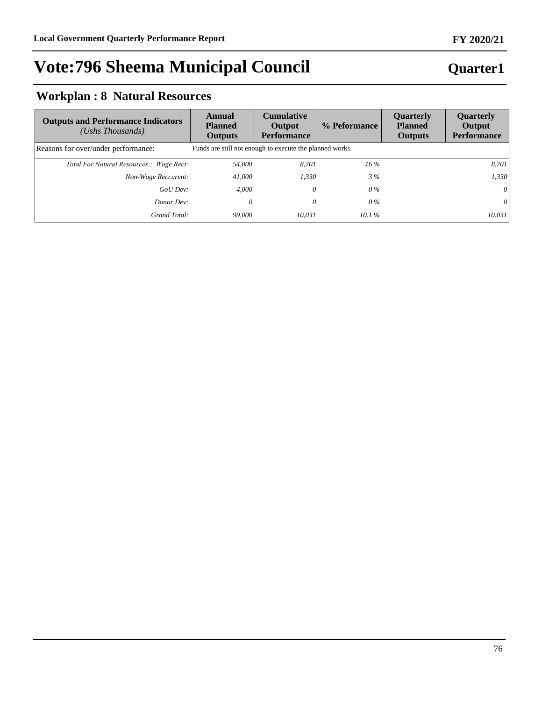### **Quarter1**

# **Workplan : 8 Natural Resources**

| <b>Outputs and Performance Indicators</b><br>$(Ushs$ Thousands) | Annual<br><b>Planned</b><br><b>Outputs</b>               | <b>Cumulative</b><br>Output<br><b>Performance</b> | % Peformance | <b>Ouarterly</b><br><b>Planned</b><br><b>Outputs</b> | Quarterly<br>Output<br><b>Performance</b> |
|-----------------------------------------------------------------|----------------------------------------------------------|---------------------------------------------------|--------------|------------------------------------------------------|-------------------------------------------|
| Reasons for over/under performance:                             | Funds are still not enough to execute the planned works. |                                                   |              |                                                      |                                           |
| Total For Natural Resources : Wage Rect:                        | 54,000                                                   | 8.701                                             | $16\%$       |                                                      | 8,701                                     |
| Non-Wage Reccurent:                                             | 41,000                                                   | 1,330                                             | 3%           |                                                      | 1,330                                     |
| GoU Dev:                                                        | 4.000                                                    | 0                                                 | $0\%$        |                                                      | 0                                         |
| Donor Dev:                                                      | 0                                                        | 0                                                 | $0\%$        |                                                      | 0                                         |
| Grand Total:                                                    | 99,000                                                   | 10.031                                            | 10.1%        |                                                      | 10,031                                    |

### **FY 2020/21**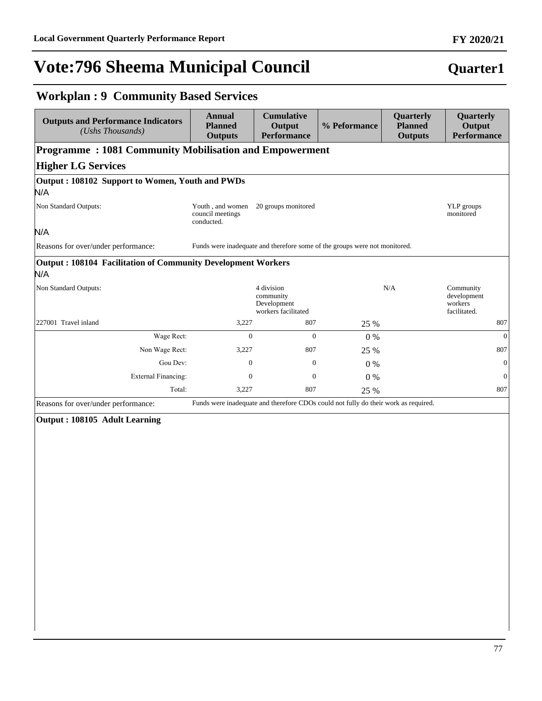### **Workplan : 9 Community Based Services** and Perform  **Annual Cumulative Quarterly**

| <b>Planned</b><br><b>Outputs</b>                   | Output<br><b>Performance</b>                                  | % Peformance                                                        | <b>Planned</b><br><b>Outputs</b>                              | Output<br><b>Performance</b>                                                                                                                                            |
|----------------------------------------------------|---------------------------------------------------------------|---------------------------------------------------------------------|---------------------------------------------------------------|-------------------------------------------------------------------------------------------------------------------------------------------------------------------------|
|                                                    |                                                               |                                                                     |                                                               |                                                                                                                                                                         |
|                                                    |                                                               |                                                                     |                                                               |                                                                                                                                                                         |
| Output: 108102 Support to Women, Youth and PWDs    |                                                               |                                                                     |                                                               |                                                                                                                                                                         |
|                                                    |                                                               |                                                                     |                                                               |                                                                                                                                                                         |
| Youth, and women<br>council meetings<br>conducted. | 20 groups monitored                                           |                                                                     |                                                               | YLP groups<br>monitored                                                                                                                                                 |
|                                                    |                                                               |                                                                     |                                                               |                                                                                                                                                                         |
|                                                    |                                                               |                                                                     |                                                               |                                                                                                                                                                         |
|                                                    |                                                               |                                                                     |                                                               |                                                                                                                                                                         |
|                                                    | 4 division<br>community<br>Development<br>workers facilitated |                                                                     |                                                               | Community<br>development<br>workers<br>facilitated.                                                                                                                     |
| 3,227                                              | 807                                                           | 25 %                                                                |                                                               | 807                                                                                                                                                                     |
| $\Omega$                                           | $\Omega$                                                      | $0\%$                                                               |                                                               | $\overline{0}$                                                                                                                                                          |
| 3,227                                              | 807                                                           | 25 %                                                                |                                                               | 807                                                                                                                                                                     |
| $\Omega$                                           | $\mathbf{0}$                                                  | $0\%$                                                               |                                                               | $\overline{0}$                                                                                                                                                          |
| $\mathbf{0}$                                       | $\mathbf{0}$                                                  | 0%                                                                  |                                                               | $\mathbf{0}$                                                                                                                                                            |
| 3,227                                              | 807                                                           | 25 %                                                                |                                                               | 807                                                                                                                                                                     |
|                                                    |                                                               | <b>Output: 108104 Facilitation of Community Development Workers</b> | <b>Programme: 1081 Community Mobilisation and Empowerment</b> | Funds were inadequate and therefore some of the groups were not monitored.<br>N/A<br>Funds were inadequate and therefore CDOs could not fully do their work as required |

Reasons for over/under performance: Funds were inadequate and therefore CDOs could not fully do their work as required.

### **Output : 108105 Adult Learning**

# **Quarter1**

**Quarterly**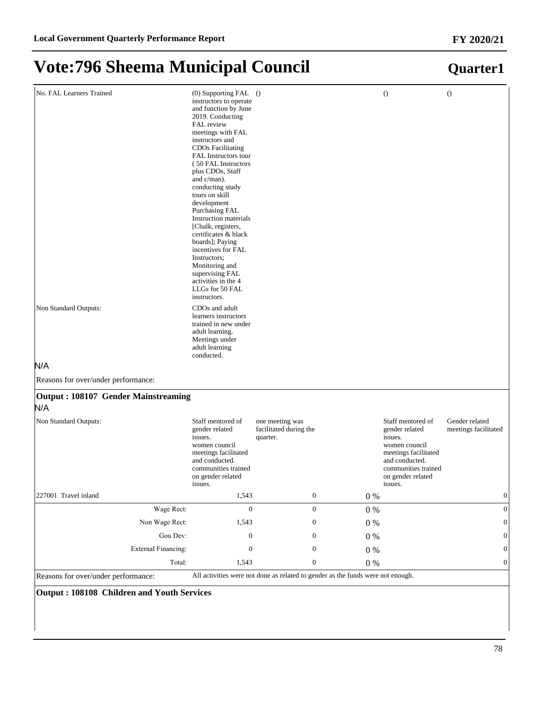**Quarter1**

# **Vote:796 Sheema Municipal Council**

| No. FAL Learners Trained                   | $(0)$ Supporting FAL $()$<br>instructors to operate<br>and function by June<br>2019. Conducting<br>FAL review<br>meetings with FAL<br>instructors and<br><b>CDOs Facilitating</b><br>FAL Instructors tour<br>(50 FAL Instructors)<br>plus CDOs, Staff<br>and $c/$ man).<br>conducting study<br>tours on skill<br>development<br>Purchasing FAL<br>Instruction materials<br>[Chalk, registers,<br>certificates & black<br>boards]; Paying<br>incentives for FAL<br>Instructors;<br>Monitoring and<br>supervising FAL<br>activities in the 4<br>LLGs for 50 FAL<br>instructors. |                                                       |         | $\theta$                                                                                                                                                         | $\theta$                               |
|--------------------------------------------|-------------------------------------------------------------------------------------------------------------------------------------------------------------------------------------------------------------------------------------------------------------------------------------------------------------------------------------------------------------------------------------------------------------------------------------------------------------------------------------------------------------------------------------------------------------------------------|-------------------------------------------------------|---------|------------------------------------------------------------------------------------------------------------------------------------------------------------------|----------------------------------------|
| Non Standard Outputs:                      | CDO <sub>s</sub> and adult<br>learners instructors<br>trained in new under<br>adult learning.<br>Meetings under<br>adult learning<br>conducted.                                                                                                                                                                                                                                                                                                                                                                                                                               |                                                       |         |                                                                                                                                                                  |                                        |
| N/A                                        |                                                                                                                                                                                                                                                                                                                                                                                                                                                                                                                                                                               |                                                       |         |                                                                                                                                                                  |                                        |
| Reasons for over/under performance:        |                                                                                                                                                                                                                                                                                                                                                                                                                                                                                                                                                                               |                                                       |         |                                                                                                                                                                  |                                        |
| Output: 108107 Gender Mainstreaming<br>N/A |                                                                                                                                                                                                                                                                                                                                                                                                                                                                                                                                                                               |                                                       |         |                                                                                                                                                                  |                                        |
| Non Standard Outputs:                      | Staff mentored of<br>gender related<br>issues.<br>women council<br>meetings facilitated<br>and conducted.<br>communities trained<br>on gender related<br>issues.                                                                                                                                                                                                                                                                                                                                                                                                              | one meeting was<br>facilitated during the<br>quarter. |         | Staff mentored of<br>gender related<br>issues.<br>women council<br>meetings facilitated<br>and conducted.<br>communities trained<br>on gender related<br>issues. | Gender related<br>meetings facilitated |
| 227001 Travel inland                       | 1,543                                                                                                                                                                                                                                                                                                                                                                                                                                                                                                                                                                         | $\boldsymbol{0}$                                      | $0\ \%$ |                                                                                                                                                                  | $\boldsymbol{0}$                       |
| Wage Rect:                                 | $\boldsymbol{0}$                                                                                                                                                                                                                                                                                                                                                                                                                                                                                                                                                              | $\boldsymbol{0}$                                      | $0\ \%$ |                                                                                                                                                                  | $\mathbf{0}$                           |
| Non Wage Rect:                             | 1,543                                                                                                                                                                                                                                                                                                                                                                                                                                                                                                                                                                         | $\boldsymbol{0}$                                      | $0\ \%$ |                                                                                                                                                                  | $\mathbf{0}$                           |
| Gou Dev:                                   | $\boldsymbol{0}$                                                                                                                                                                                                                                                                                                                                                                                                                                                                                                                                                              | $\boldsymbol{0}$                                      | $0\ \%$ |                                                                                                                                                                  | 0                                      |
| <b>External Financing:</b>                 | $\boldsymbol{0}$                                                                                                                                                                                                                                                                                                                                                                                                                                                                                                                                                              | $\boldsymbol{0}$                                      | $0\ \%$ |                                                                                                                                                                  | 0                                      |
| Total:                                     | 1,543                                                                                                                                                                                                                                                                                                                                                                                                                                                                                                                                                                         | $\boldsymbol{0}$                                      | $0\ \%$ |                                                                                                                                                                  | $\mathbf{0}$                           |

Reasons for over/under performance: All activities were not done as related to gender as the funds were not enough.

### **Output : 108108 Children and Youth Services**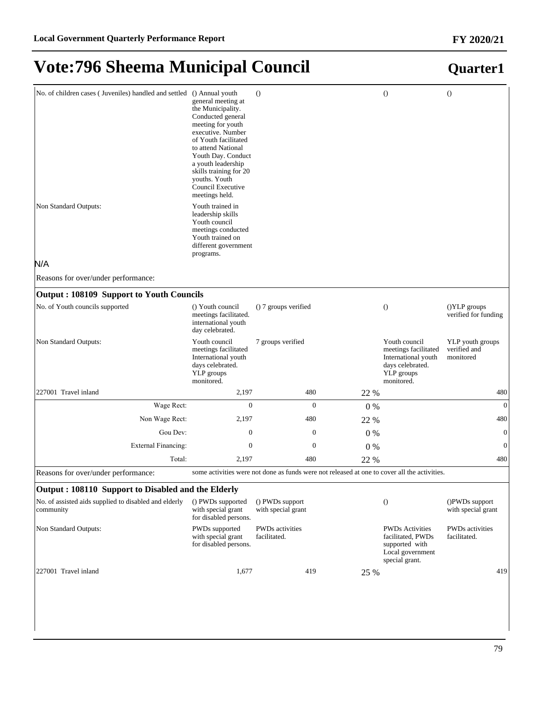| No. of children cases (Juveniles) handled and settled () Annual youth<br>Non Standard Outputs: | general meeting at<br>the Municipality.<br>Conducted general<br>meeting for youth<br>executive. Number<br>of Youth facilitated<br>to attend National<br>Youth Day. Conduct<br>a youth leadership<br>skills training for 20<br>youths. Youth<br>Council Executive<br>meetings held.<br>Youth trained in<br>leadership skills<br>Youth council<br>meetings conducted<br>Youth trained on<br>different government | $\Omega$                                                                                     |       | $\Omega$                                                                                                     | $\Omega$                                      |
|------------------------------------------------------------------------------------------------|----------------------------------------------------------------------------------------------------------------------------------------------------------------------------------------------------------------------------------------------------------------------------------------------------------------------------------------------------------------------------------------------------------------|----------------------------------------------------------------------------------------------|-------|--------------------------------------------------------------------------------------------------------------|-----------------------------------------------|
| N/A                                                                                            | programs.                                                                                                                                                                                                                                                                                                                                                                                                      |                                                                                              |       |                                                                                                              |                                               |
| Reasons for over/under performance:                                                            |                                                                                                                                                                                                                                                                                                                                                                                                                |                                                                                              |       |                                                                                                              |                                               |
| <b>Output: 108109 Support to Youth Councils</b>                                                |                                                                                                                                                                                                                                                                                                                                                                                                                |                                                                                              |       |                                                                                                              |                                               |
| No. of Youth councils supported                                                                | () Youth council<br>meetings facilitated.<br>international youth<br>day celebrated.                                                                                                                                                                                                                                                                                                                            | () 7 groups verified                                                                         |       | $\theta$                                                                                                     | ()YLP groups<br>verified for funding          |
| Non Standard Outputs:                                                                          | Youth council<br>meetings facilitated<br>International youth<br>days celebrated.<br>YLP groups<br>monitored.                                                                                                                                                                                                                                                                                                   | 7 groups verified                                                                            |       | Youth council<br>meetings facilitated<br>International youth<br>days celebrated.<br>YLP groups<br>monitored. | YLP youth groups<br>verified and<br>monitored |
| 227001 Travel inland                                                                           | 2,197                                                                                                                                                                                                                                                                                                                                                                                                          | 480                                                                                          | 22 %  |                                                                                                              | 480                                           |
| Wage Rect:                                                                                     | $\mathbf{0}$                                                                                                                                                                                                                                                                                                                                                                                                   | $\mathbf{0}$                                                                                 | $0\%$ |                                                                                                              | $\overline{0}$                                |
| Non Wage Rect:                                                                                 | 2,197                                                                                                                                                                                                                                                                                                                                                                                                          | 480                                                                                          | 22 %  |                                                                                                              | 480                                           |
| Gou Dev:                                                                                       | $\boldsymbol{0}$                                                                                                                                                                                                                                                                                                                                                                                               | $\mathbf{0}$                                                                                 | $0\%$ |                                                                                                              | $\mathbf{0}$                                  |
| <b>External Financing:</b>                                                                     | $\mathbf{0}$                                                                                                                                                                                                                                                                                                                                                                                                   | $\mathbf{0}$                                                                                 | 0%    |                                                                                                              | $\boldsymbol{0}$                              |
| Total:                                                                                         | 2,197                                                                                                                                                                                                                                                                                                                                                                                                          | 480                                                                                          | 22 %  |                                                                                                              | 480                                           |
| Reasons for over/under performance:                                                            |                                                                                                                                                                                                                                                                                                                                                                                                                | some activities were not done as funds were not released at one to cover all the activities. |       |                                                                                                              |                                               |
| Output: 108110 Support to Disabled and the Elderly                                             |                                                                                                                                                                                                                                                                                                                                                                                                                |                                                                                              |       |                                                                                                              |                                               |
| No. of assisted aids supplied to disabled and elderly<br>community                             | () PWDs supported<br>with special grant<br>for disabled persons.                                                                                                                                                                                                                                                                                                                                               | () PWDs support<br>with special grant                                                        |       | $\theta$                                                                                                     | ()PWDs support<br>with special grant          |
| Non Standard Outputs:                                                                          | PWDs supported<br>with special grant<br>for disabled persons.                                                                                                                                                                                                                                                                                                                                                  | <b>PWDs</b> activities<br>facilitated.                                                       |       | <b>PWDs Activities</b><br>facilitated, PWDs<br>supported with<br>Local government<br>special grant.          | <b>PWDs</b> activities<br>facilitated.        |
| 227001 Travel inland                                                                           | 1,677                                                                                                                                                                                                                                                                                                                                                                                                          | 419                                                                                          | 25 %  |                                                                                                              | 419                                           |
|                                                                                                |                                                                                                                                                                                                                                                                                                                                                                                                                |                                                                                              |       |                                                                                                              |                                               |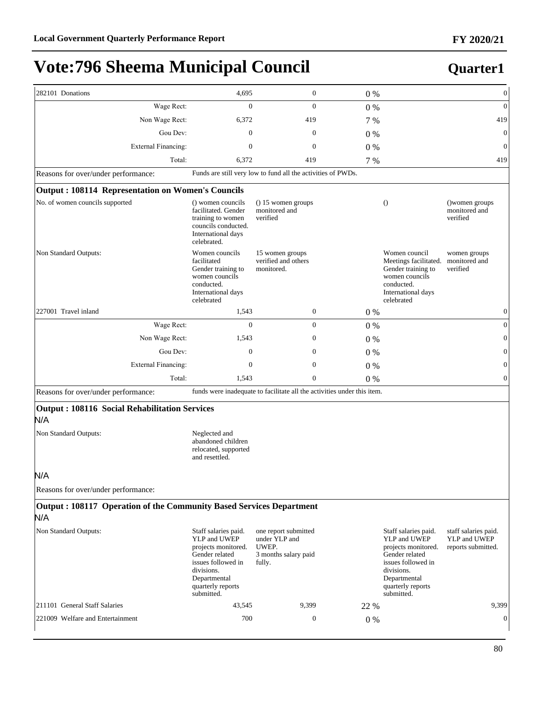| 282101 Donations                                                           | 4,695                                                                                                                                                                | $\boldsymbol{0}$                                                                 | 0%    |                                                                                                                                                                      | $\boldsymbol{0}$                                           |
|----------------------------------------------------------------------------|----------------------------------------------------------------------------------------------------------------------------------------------------------------------|----------------------------------------------------------------------------------|-------|----------------------------------------------------------------------------------------------------------------------------------------------------------------------|------------------------------------------------------------|
| Wage Rect:                                                                 | $\mathbf{0}$                                                                                                                                                         | $\overline{0}$                                                                   | 0%    |                                                                                                                                                                      | $\boldsymbol{0}$                                           |
| Non Wage Rect:                                                             | 6,372                                                                                                                                                                | 419                                                                              | 7 %   |                                                                                                                                                                      | 419                                                        |
| Gou Dev:                                                                   | $\Omega$                                                                                                                                                             | $\overline{0}$                                                                   | $0\%$ |                                                                                                                                                                      | $\boldsymbol{0}$                                           |
| <b>External Financing:</b>                                                 | $\overline{0}$                                                                                                                                                       | $\overline{0}$                                                                   | 0%    |                                                                                                                                                                      | $\boldsymbol{0}$                                           |
| Total:                                                                     | 6,372                                                                                                                                                                | 419                                                                              | 7 %   |                                                                                                                                                                      | 419                                                        |
| Reasons for over/under performance:                                        |                                                                                                                                                                      | Funds are still very low to fund all the activities of PWDs.                     |       |                                                                                                                                                                      |                                                            |
| Output: 108114 Representation on Women's Councils                          |                                                                                                                                                                      |                                                                                  |       |                                                                                                                                                                      |                                                            |
| No. of women councils supported                                            | () women councils<br>facilitated. Gender<br>training to women<br>councils conducted.<br>International days<br>celebrated.                                            | $( ) 15$ women groups<br>monitored and<br>verified                               |       | $\theta$                                                                                                                                                             | () women groups<br>monitored and<br>verified               |
| Non Standard Outputs:                                                      | Women councils<br>facilitated<br>Gender training to<br>women councils<br>conducted.<br>International days<br>celebrated                                              | 15 women groups<br>verified and others<br>monitored.                             |       | Women council<br>Meetings facilitated.<br>Gender training to<br>women councils<br>conducted.<br>International days<br>celebrated                                     | women groups<br>monitored and<br>verified                  |
| 227001 Travel inland                                                       | 1,543                                                                                                                                                                | $\boldsymbol{0}$                                                                 | 0%    |                                                                                                                                                                      | $\boldsymbol{0}$                                           |
| Wage Rect:                                                                 | $\mathbf{0}$                                                                                                                                                         | $\boldsymbol{0}$                                                                 | 0%    |                                                                                                                                                                      | $\mathbf{0}$                                               |
| Non Wage Rect:                                                             | 1,543                                                                                                                                                                | $\boldsymbol{0}$                                                                 | $0\%$ |                                                                                                                                                                      | $\boldsymbol{0}$                                           |
| Gou Dev:                                                                   | 0                                                                                                                                                                    | $\boldsymbol{0}$                                                                 | 0%    |                                                                                                                                                                      | $\boldsymbol{0}$                                           |
| <b>External Financing:</b>                                                 | $\mathbf{0}$                                                                                                                                                         | $\boldsymbol{0}$                                                                 | 0%    |                                                                                                                                                                      | $\boldsymbol{0}$                                           |
| Total:                                                                     | 1,543                                                                                                                                                                | $\mathbf{0}$                                                                     | $0\%$ |                                                                                                                                                                      | $\boldsymbol{0}$                                           |
| Reasons for over/under performance:                                        |                                                                                                                                                                      | funds were inadequate to facilitate all the activities under this item.          |       |                                                                                                                                                                      |                                                            |
| Output: 108116 Social Rehabilitation Services<br>N/A                       |                                                                                                                                                                      |                                                                                  |       |                                                                                                                                                                      |                                                            |
| Non Standard Outputs:                                                      | Neglected and<br>abandoned children<br>relocated, supported<br>and resettled.                                                                                        |                                                                                  |       |                                                                                                                                                                      |                                                            |
| N/A                                                                        |                                                                                                                                                                      |                                                                                  |       |                                                                                                                                                                      |                                                            |
| Reasons for over/under performance:                                        |                                                                                                                                                                      |                                                                                  |       |                                                                                                                                                                      |                                                            |
| Output: 108117 Operation of the Community Based Services Department<br>N/A |                                                                                                                                                                      |                                                                                  |       |                                                                                                                                                                      |                                                            |
| Non Standard Outputs:                                                      | Staff salaries paid.<br>YLP and UWEP<br>projects monitored.<br>Gender related<br>issues followed in<br>divisions.<br>Departmental<br>quarterly reports<br>submitted. | one report submitted<br>under YLP and<br>UWEP.<br>3 months salary paid<br>fully. |       | Staff salaries paid.<br>YLP and UWEP<br>projects monitored.<br>Gender related<br>issues followed in<br>divisions.<br>Departmental<br>quarterly reports<br>submitted. | staff salaries paid.<br>YLP and UWEP<br>reports submitted. |
| 211101 General Staff Salaries                                              | 43,545                                                                                                                                                               | 9,399                                                                            | 22 %  |                                                                                                                                                                      | 9,399                                                      |
| 221009 Welfare and Entertainment                                           | 700                                                                                                                                                                  | 0                                                                                | $0\%$ |                                                                                                                                                                      | $\boldsymbol{0}$                                           |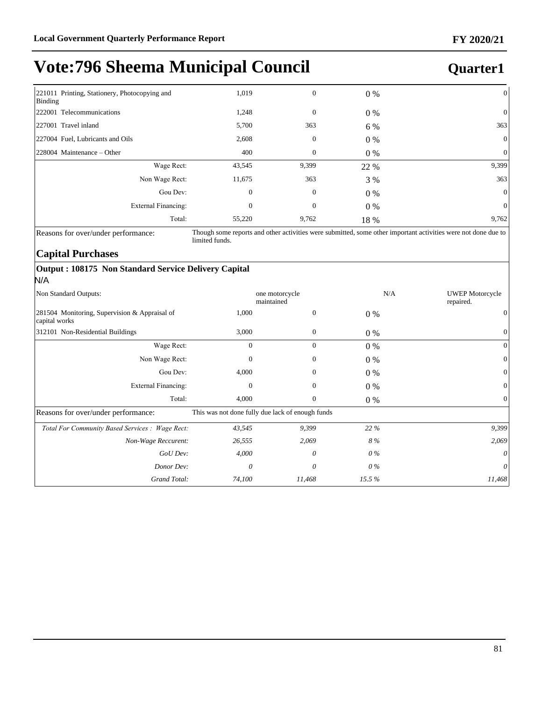### **Quarter1**

| 221011 Printing, Stationery, Photocopying and<br>Binding | 1,019    | $\boldsymbol{0}$ | $0\%$ | $\Omega$     |
|----------------------------------------------------------|----------|------------------|-------|--------------|
| 222001 Telecommunications                                | 1,248    | $\mathbf{0}$     | $0\%$ | $\theta$     |
| 227001 Travel inland                                     | 5,700    | 363              | 6 %   | 363          |
| 227004 Fuel, Lubricants and Oils                         | 2,608    | 0                | $0\%$ | $\Omega$     |
| $ 228004 \text{ Maintenance} - Other$                    | 400      | $\boldsymbol{0}$ | $0\%$ | $\Omega$     |
| Wage Rect:                                               | 43,545   | 9,399            | 22 %  | 9,399        |
| Non Wage Rect:                                           | 11,675   | 363              | 3 %   | 363          |
| Gou Dev:                                                 | $\theta$ | $\boldsymbol{0}$ | $0\%$ | $\mathbf{0}$ |
| <b>External Financing:</b>                               | 0        | $\boldsymbol{0}$ | $0\%$ | $\mathbf{0}$ |
| Total:                                                   | 55,220   | 9,762            | 18 %  | 9,762        |

Reasons for over/under performance: Though some reports and other activities were submitted, some other important activities were not done due to limited funds.

### **Capital Purchases**

### **Output : 108175 Non Standard Service Delivery Capital** N/A

| Non Standard Outputs:                                          |                                                  | one motorcycle<br>maintained |       | N/A<br><b>UWEP</b> Motorcycle<br>repaired. |
|----------------------------------------------------------------|--------------------------------------------------|------------------------------|-------|--------------------------------------------|
| 281504 Monitoring, Supervision & Appraisal of<br>capital works | 1,000                                            | $\boldsymbol{0}$             | $0\%$ | $\boldsymbol{0}$                           |
| 312101 Non-Residential Buildings                               | 3,000                                            | $\mathbf{0}$                 | $0\%$ | $\mathbf{0}$                               |
| Wage Rect:                                                     | $\Omega$                                         | $\overline{0}$               | $0\%$ | $\mathbf{0}$                               |
| Non Wage Rect:                                                 | $\theta$                                         | $\mathbf{0}$                 | $0\%$ | $\mathbf{0}$                               |
| Gou Dev:                                                       | 4,000                                            | $\mathbf{0}$                 | $0\%$ | $\mathbf{0}$                               |
| <b>External Financing:</b>                                     | $\theta$                                         | $\boldsymbol{0}$             | $0\%$ | $\boldsymbol{0}$                           |
| Total:                                                         | 4,000                                            | $\boldsymbol{0}$             | $0\%$ | $\mathbf{0}$                               |
| Reasons for over/under performance:                            | This was not done fully due lack of enough funds |                              |       |                                            |
| Total For Community Based Services : Wage Rect:                | 43,545                                           | 9,399                        | 22 %  | 9,399                                      |
| Non-Wage Reccurent:                                            | 26,555                                           | 2,069                        | 8%    | 2,069                                      |
| GoU Dev:                                                       | 4,000                                            | 0                            | 0 %   | $\theta$                                   |
| Donor Dev:                                                     | $\theta$                                         | 0                            | $0\%$ | $\theta$                                   |
| Grand Total:                                                   | 74,100                                           | 11,468                       | 15.5% | 11,468                                     |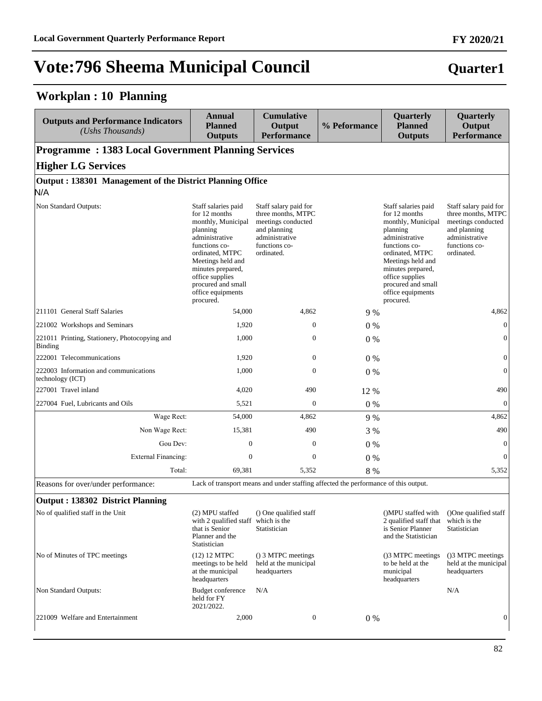### **Workplan : 10 Planning**

| <b>Outputs and Performance Indicators</b><br>(Ushs Thousands) | Annual<br><b>Planned</b><br><b>Outputs</b>                                                                                                                                                                                                        | <b>Cumulative</b><br>Output<br><b>Performance</b>                                                                                  | % Peformance | Quarterly<br><b>Planned</b><br><b>Outputs</b>                                                                                                                                                                                                     | Quarterly<br>Output<br><b>Performance</b>                                                                                          |
|---------------------------------------------------------------|---------------------------------------------------------------------------------------------------------------------------------------------------------------------------------------------------------------------------------------------------|------------------------------------------------------------------------------------------------------------------------------------|--------------|---------------------------------------------------------------------------------------------------------------------------------------------------------------------------------------------------------------------------------------------------|------------------------------------------------------------------------------------------------------------------------------------|
| <b>Programme: 1383 Local Government Planning Services</b>     |                                                                                                                                                                                                                                                   |                                                                                                                                    |              |                                                                                                                                                                                                                                                   |                                                                                                                                    |
| <b>Higher LG Services</b>                                     |                                                                                                                                                                                                                                                   |                                                                                                                                    |              |                                                                                                                                                                                                                                                   |                                                                                                                                    |
| Output: 138301 Management of the District Planning Office     |                                                                                                                                                                                                                                                   |                                                                                                                                    |              |                                                                                                                                                                                                                                                   |                                                                                                                                    |
| N/A                                                           |                                                                                                                                                                                                                                                   |                                                                                                                                    |              |                                                                                                                                                                                                                                                   |                                                                                                                                    |
| Non Standard Outputs:                                         | Staff salaries paid<br>for 12 months<br>monthly, Municipal<br>planning<br>administrative<br>functions co-<br>ordinated, MTPC<br>Meetings held and<br>minutes prepared,<br>office supplies<br>procured and small<br>office equipments<br>procured. | Staff salary paid for<br>three months, MTPC<br>meetings conducted<br>and planning<br>administrative<br>functions co-<br>ordinated. |              | Staff salaries paid<br>for 12 months<br>monthly, Municipal<br>planning<br>administrative<br>functions co-<br>ordinated, MTPC<br>Meetings held and<br>minutes prepared,<br>office supplies<br>procured and small<br>office equipments<br>procured. | Staff salary paid for<br>three months, MTPC<br>meetings conducted<br>and planning<br>administrative<br>functions co-<br>ordinated. |
| 211101 General Staff Salaries                                 | 54,000                                                                                                                                                                                                                                            | 4,862                                                                                                                              | 9 %          |                                                                                                                                                                                                                                                   | 4,862                                                                                                                              |
| 221002 Workshops and Seminars                                 | 1,920                                                                                                                                                                                                                                             | $\mathbf{0}$                                                                                                                       | $0\%$        |                                                                                                                                                                                                                                                   | $\mathbf{0}$                                                                                                                       |
| 221011 Printing, Stationery, Photocopying and<br>Binding      | 1,000                                                                                                                                                                                                                                             | $\boldsymbol{0}$                                                                                                                   | $0\%$        |                                                                                                                                                                                                                                                   | $\boldsymbol{0}$                                                                                                                   |
| 222001 Telecommunications                                     | 1,920                                                                                                                                                                                                                                             | $\boldsymbol{0}$                                                                                                                   | $0\%$        |                                                                                                                                                                                                                                                   | $\boldsymbol{0}$                                                                                                                   |
| 222003 Information and communications<br>technology (ICT)     | 1,000                                                                                                                                                                                                                                             | $\boldsymbol{0}$                                                                                                                   | $0\%$        |                                                                                                                                                                                                                                                   | $\boldsymbol{0}$                                                                                                                   |
| 227001 Travel inland                                          | 4,020                                                                                                                                                                                                                                             | 490                                                                                                                                | 12 %         |                                                                                                                                                                                                                                                   | 490                                                                                                                                |
| 227004 Fuel, Lubricants and Oils                              | 5,521                                                                                                                                                                                                                                             | $\boldsymbol{0}$                                                                                                                   | 0%           |                                                                                                                                                                                                                                                   | $\boldsymbol{0}$                                                                                                                   |
| Wage Rect:                                                    | 54,000                                                                                                                                                                                                                                            | 4,862                                                                                                                              | 9 %          |                                                                                                                                                                                                                                                   | 4,862                                                                                                                              |
| Non Wage Rect:                                                | 15,381                                                                                                                                                                                                                                            | 490                                                                                                                                | 3 %          |                                                                                                                                                                                                                                                   | 490                                                                                                                                |
| Gou Dev:                                                      | $\boldsymbol{0}$                                                                                                                                                                                                                                  | $\boldsymbol{0}$                                                                                                                   | $0\%$        |                                                                                                                                                                                                                                                   | $\mathbf{0}$                                                                                                                       |
| <b>External Financing:</b>                                    | $\boldsymbol{0}$                                                                                                                                                                                                                                  | $\boldsymbol{0}$                                                                                                                   | $0\%$        |                                                                                                                                                                                                                                                   | $\overline{0}$                                                                                                                     |
| Total:                                                        | 69,381                                                                                                                                                                                                                                            | 5,352                                                                                                                              | 8 %          |                                                                                                                                                                                                                                                   | 5,352                                                                                                                              |
| Reasons for over/under performance:                           |                                                                                                                                                                                                                                                   | Lack of transport means and under staffing affected the performance of this output.                                                |              |                                                                                                                                                                                                                                                   |                                                                                                                                    |
| <b>Output: 138302 District Planning</b>                       |                                                                                                                                                                                                                                                   |                                                                                                                                    |              |                                                                                                                                                                                                                                                   |                                                                                                                                    |
| No of qualified staff in the Unit                             | (2) MPU staffed<br>with 2 qualified staff which is the<br>that is Senior<br>Planner and the<br>Statistician                                                                                                                                       | () One qualified staff<br>Statistician                                                                                             |              | ()MPU staffed with<br>2 qualified staff that<br>is Senior Planner<br>and the Statistician                                                                                                                                                         | ()One qualified staff<br>which is the<br>Statistician                                                                              |
| No of Minutes of TPC meetings                                 | $(12)$ 12 MTPC<br>meetings to be held<br>at the municipal<br>headquarters                                                                                                                                                                         | () 3 MTPC meetings<br>held at the municipal<br>headquarters                                                                        |              | ()3 MTPC meetings<br>to be held at the<br>municipal<br>headquarters                                                                                                                                                                               | ()3 MTPC meetings<br>held at the municipal<br>headquarters                                                                         |
| Non Standard Outputs:                                         | Budget conference<br>held for FY<br>2021/2022.                                                                                                                                                                                                    | N/A                                                                                                                                |              |                                                                                                                                                                                                                                                   | N/A                                                                                                                                |
| 221009 Welfare and Entertainment                              | 2,000                                                                                                                                                                                                                                             | $\boldsymbol{0}$                                                                                                                   | $0\%$        |                                                                                                                                                                                                                                                   | 0                                                                                                                                  |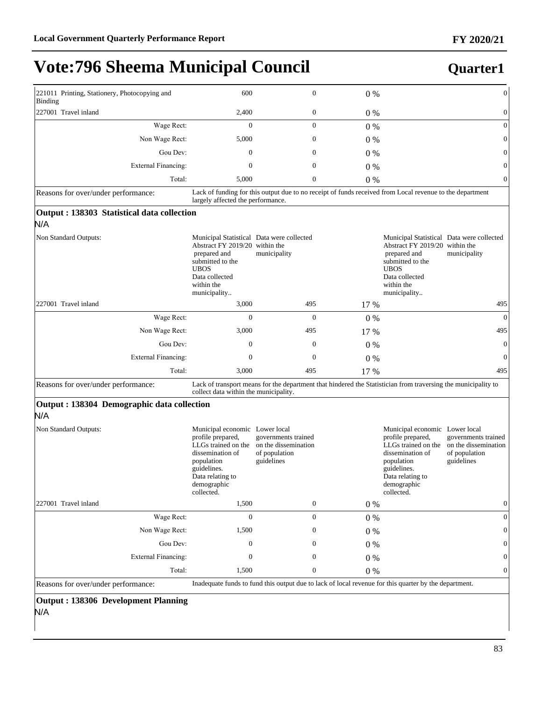### **Quarter1**

| 221011 Printing, Stationery, Photocopying and<br>Binding | 600                                                                                                                                                                            | $\mathbf{0}$                                                                                                  | $0\%$   |                                                                                                                                                                                | $\boldsymbol{0}$                                                           |
|----------------------------------------------------------|--------------------------------------------------------------------------------------------------------------------------------------------------------------------------------|---------------------------------------------------------------------------------------------------------------|---------|--------------------------------------------------------------------------------------------------------------------------------------------------------------------------------|----------------------------------------------------------------------------|
| 227001 Travel inland                                     | 2,400                                                                                                                                                                          | $\boldsymbol{0}$                                                                                              | 0%      |                                                                                                                                                                                | $\boldsymbol{0}$                                                           |
| Wage Rect:                                               | $\mathbf{0}$                                                                                                                                                                   | $\mathbf{0}$                                                                                                  | 0%      |                                                                                                                                                                                | $\mathbf{0}$                                                               |
| Non Wage Rect:                                           | 5,000                                                                                                                                                                          | $\boldsymbol{0}$                                                                                              | $0\%$   |                                                                                                                                                                                | $\mathbf{0}$                                                               |
| Gou Dev:                                                 | $\mathbf{0}$                                                                                                                                                                   | $\mathbf{0}$                                                                                                  | $0\%$   |                                                                                                                                                                                | $\mathbf{0}$                                                               |
| <b>External Financing:</b>                               | $\mathbf{0}$                                                                                                                                                                   | $\mathbf{0}$                                                                                                  | 0%      |                                                                                                                                                                                | $\mathbf{0}$                                                               |
| Total:                                                   | 5,000                                                                                                                                                                          | $\boldsymbol{0}$                                                                                              | 0%      |                                                                                                                                                                                | $\mathbf{0}$                                                               |
| Reasons for over/under performance:                      | largely affected the performance.                                                                                                                                              | Lack of funding for this output due to no receipt of funds received from Local revenue to the department      |         |                                                                                                                                                                                |                                                                            |
| Output : 138303 Statistical data collection<br>N/A       |                                                                                                                                                                                |                                                                                                               |         |                                                                                                                                                                                |                                                                            |
| Non Standard Outputs:                                    | Municipal Statistical Data were collected<br>Abstract FY 2019/20 within the<br>prepared and<br>submitted to the<br><b>UBOS</b><br>Data collected<br>within the<br>municipality | municipality                                                                                                  |         | Municipal Statistical Data were collected<br>Abstract FY 2019/20 within the<br>prepared and<br>submitted to the<br><b>UBOS</b><br>Data collected<br>within the<br>municipality | municipality                                                               |
| 227001 Travel inland                                     | 3,000                                                                                                                                                                          | 495                                                                                                           | 17 %    |                                                                                                                                                                                | 495                                                                        |
| Wage Rect:                                               | $\mathbf{0}$                                                                                                                                                                   | $\mathbf{0}$                                                                                                  | $0\%$   |                                                                                                                                                                                | $\overline{0}$                                                             |
| Non Wage Rect:                                           | 3,000                                                                                                                                                                          | 495                                                                                                           | 17 %    |                                                                                                                                                                                | 495                                                                        |
| Gou Dev:                                                 | $\mathbf{0}$                                                                                                                                                                   | $\boldsymbol{0}$                                                                                              | $0\%$   |                                                                                                                                                                                | $\overline{0}$                                                             |
| <b>External Financing:</b>                               | $\mathbf{0}$                                                                                                                                                                   | $\mathbf{0}$                                                                                                  | 0%      |                                                                                                                                                                                | $\overline{0}$                                                             |
| Total:                                                   | 3,000                                                                                                                                                                          | 495                                                                                                           | 17 %    |                                                                                                                                                                                | 495                                                                        |
| Reasons for over/under performance:                      | collect data within the municipality.                                                                                                                                          | Lack of transport means for the department that hindered the Statistician from traversing the municipality to |         |                                                                                                                                                                                |                                                                            |
| Output : 138304 Demographic data collection<br>N/A       |                                                                                                                                                                                |                                                                                                               |         |                                                                                                                                                                                |                                                                            |
| Non Standard Outputs:                                    | Municipal economic Lower local<br>profile prepared,<br>LLGs trained on the<br>dissemination of<br>population<br>guidelines.<br>Data relating to<br>demographic<br>collected.   | governments trained<br>on the dissemination<br>of population<br>guidelines                                    |         | Municipal economic Lower local<br>profile prepared,<br>LLGs trained on the<br>dissemination of<br>population<br>guidelines.<br>Data relating to<br>demographic<br>collected.   | governments trained<br>on the dissemination<br>of population<br>guidelines |
| 227001 Travel inland                                     | 1,500                                                                                                                                                                          | $\boldsymbol{0}$                                                                                              | $0\%$   |                                                                                                                                                                                | $\boldsymbol{0}$                                                           |
| Wage Rect:                                               | $\boldsymbol{0}$                                                                                                                                                               | $\boldsymbol{0}$                                                                                              | $0\ \%$ |                                                                                                                                                                                | $\boldsymbol{0}$                                                           |
| Non Wage Rect:                                           | 1,500                                                                                                                                                                          | $\boldsymbol{0}$                                                                                              | 0%      |                                                                                                                                                                                | $\mathbf{0}$                                                               |
| Gou Dev:                                                 | $\boldsymbol{0}$                                                                                                                                                               | $\boldsymbol{0}$                                                                                              | 0%      |                                                                                                                                                                                | $\mathbf{0}$                                                               |
| <b>External Financing:</b>                               | $\boldsymbol{0}$                                                                                                                                                               | $\boldsymbol{0}$                                                                                              | 0%      |                                                                                                                                                                                | $\mathbf{0}$                                                               |
| Total:                                                   | 1,500                                                                                                                                                                          | $\boldsymbol{0}$                                                                                              | 0%      |                                                                                                                                                                                | $\mathbf{0}$                                                               |
| Reasons for over/under performance:                      |                                                                                                                                                                                | Inadequate funds to fund this output due to lack of local revenue for this quarter by the department.         |         |                                                                                                                                                                                |                                                                            |
|                                                          |                                                                                                                                                                                |                                                                                                               |         |                                                                                                                                                                                |                                                                            |

### **Output : 138306 Development Planning** N/A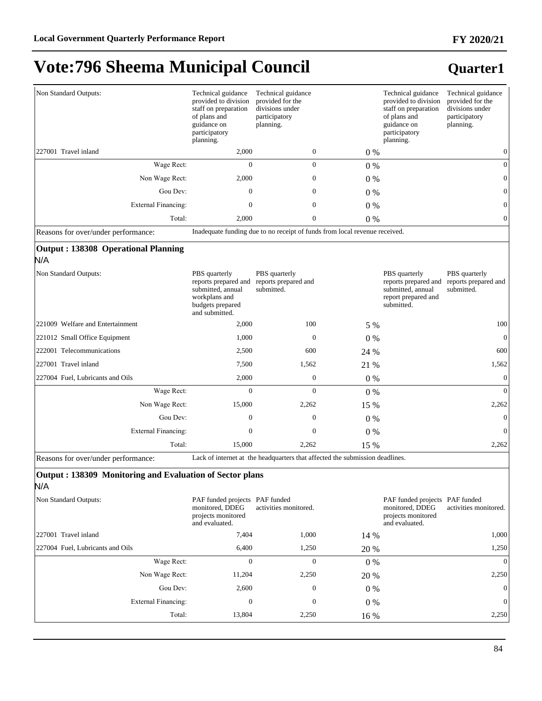| Non Standard Outputs:                                           | Technical guidance<br>provided to division<br>staff on preparation<br>of plans and<br>guidance on<br>participatory<br>planning.        | Technical guidance<br>provided for the<br>divisions under<br>participatory<br>planning. |         | Technical guidance<br>provided to division<br>staff on preparation<br>of plans and<br>guidance on<br>participatory<br>planning. | Technical guidance<br>provided for the<br>divisions under<br>participatory<br>planning. |
|-----------------------------------------------------------------|----------------------------------------------------------------------------------------------------------------------------------------|-----------------------------------------------------------------------------------------|---------|---------------------------------------------------------------------------------------------------------------------------------|-----------------------------------------------------------------------------------------|
| 227001 Travel inland                                            | 2,000                                                                                                                                  | 0                                                                                       | 0%      |                                                                                                                                 | $\mathbf{0}$                                                                            |
| Wage Rect:                                                      | $\overline{0}$                                                                                                                         | $\boldsymbol{0}$                                                                        | 0%      |                                                                                                                                 | $\boldsymbol{0}$                                                                        |
| Non Wage Rect:                                                  | 2,000                                                                                                                                  | $\boldsymbol{0}$                                                                        | 0%      |                                                                                                                                 | $\mathbf{0}$                                                                            |
| Gou Dev:                                                        | $\mathbf{0}$                                                                                                                           | $\boldsymbol{0}$                                                                        | $0\%$   |                                                                                                                                 | $\mathbf{0}$                                                                            |
| <b>External Financing:</b>                                      | $\boldsymbol{0}$                                                                                                                       | $\boldsymbol{0}$                                                                        | 0%      |                                                                                                                                 | $\boldsymbol{0}$                                                                        |
| Total:                                                          | 2,000                                                                                                                                  | $\boldsymbol{0}$                                                                        | $0\%$   |                                                                                                                                 | $\mathbf{0}$                                                                            |
| Reasons for over/under performance:                             |                                                                                                                                        | Inadequate funding due to no receipt of funds from local revenue received.              |         |                                                                                                                                 |                                                                                         |
| <b>Output: 138308 Operational Planning</b><br>N/A               |                                                                                                                                        |                                                                                         |         |                                                                                                                                 |                                                                                         |
| Non Standard Outputs:                                           | PBS quarterly<br>reports prepared and reports prepared and<br>submitted, annual<br>workplans and<br>budgets prepared<br>and submitted. | PBS quarterly<br>submitted.                                                             |         | PBS quarterly<br>reports prepared and<br>submitted, annual<br>report prepared and<br>submitted.                                 | PBS quarterly<br>reports prepared and<br>submitted.                                     |
| 221009 Welfare and Entertainment                                | 2,000                                                                                                                                  | 100                                                                                     | 5 %     |                                                                                                                                 | 100                                                                                     |
| 221012 Small Office Equipment                                   | 1,000                                                                                                                                  | $\boldsymbol{0}$                                                                        | 0%      |                                                                                                                                 | $\overline{0}$                                                                          |
| 222001 Telecommunications                                       | 2,500                                                                                                                                  | 600                                                                                     | 24 %    |                                                                                                                                 | 600                                                                                     |
| 227001 Travel inland                                            | 7,500                                                                                                                                  | 1,562                                                                                   | 21 %    |                                                                                                                                 | 1,562                                                                                   |
| 227004 Fuel, Lubricants and Oils                                | 2,000                                                                                                                                  | $\boldsymbol{0}$                                                                        | $0\ \%$ |                                                                                                                                 | $\mathbf{0}$                                                                            |
| Wage Rect:                                                      | $\Omega$                                                                                                                               | $\mathbf{0}$                                                                            | 0%      |                                                                                                                                 | $\Omega$                                                                                |
| Non Wage Rect:                                                  | 15,000                                                                                                                                 | 2,262                                                                                   | 15 %    |                                                                                                                                 | 2,262                                                                                   |
| Gou Dev:                                                        | $\boldsymbol{0}$                                                                                                                       | $\mathbf{0}$                                                                            | $0\%$   |                                                                                                                                 | $\mathbf{0}$                                                                            |
| <b>External Financing:</b>                                      | $\mathbf{0}$                                                                                                                           | $\boldsymbol{0}$                                                                        | $0\%$   |                                                                                                                                 | $\overline{0}$                                                                          |
| Total:                                                          | 15,000                                                                                                                                 | 2,262                                                                                   | 15 %    |                                                                                                                                 | 2,262                                                                                   |
| Reasons for over/under performance:                             |                                                                                                                                        | Lack of internet at the headquarters that affected the submission deadlines.            |         |                                                                                                                                 |                                                                                         |
| Output: 138309 Monitoring and Evaluation of Sector plans<br>N/A |                                                                                                                                        |                                                                                         |         |                                                                                                                                 |                                                                                         |
| Non Standard Outputs:                                           | PAF funded projects PAF funded<br>monitored, DDEG<br>projects monitored<br>and evaluated.                                              | activities monitored.                                                                   |         | PAF funded projects PAF funded<br>monitored, DDEG<br>projects monitored<br>and evaluated.                                       | activities monitored.                                                                   |
| 227001 Travel inland                                            | 7,404                                                                                                                                  | 1,000                                                                                   | 14 %    |                                                                                                                                 | 1,000                                                                                   |
| 227004 Fuel, Lubricants and Oils                                | 6,400                                                                                                                                  | 1,250                                                                                   | 20 %    |                                                                                                                                 | 1,250                                                                                   |
| Wage Rect:                                                      | 0                                                                                                                                      | $\boldsymbol{0}$                                                                        | 0%      |                                                                                                                                 | $\mathbf{0}$                                                                            |
| Non Wage Rect:                                                  | 11,204                                                                                                                                 | 2,250                                                                                   | 20 %    |                                                                                                                                 | 2,250                                                                                   |
| Gou Dev:                                                        | 2,600                                                                                                                                  | $\boldsymbol{0}$                                                                        | $0\%$   |                                                                                                                                 | $\theta$                                                                                |
| <b>External Financing:</b>                                      | $\boldsymbol{0}$                                                                                                                       | $\boldsymbol{0}$                                                                        | $0\%$   |                                                                                                                                 | $\mathbf{0}$                                                                            |
| Total:                                                          | 13,804                                                                                                                                 | 2,250                                                                                   | 16 %    |                                                                                                                                 | 2,250                                                                                   |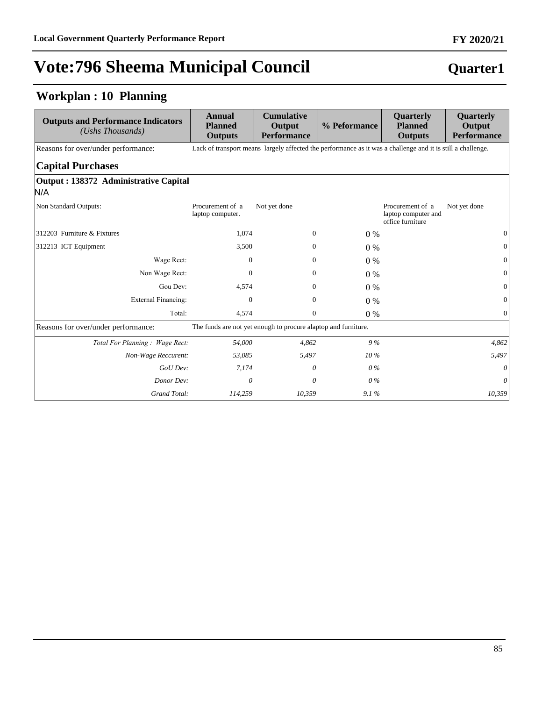### **Quarter1**

### **Workplan : 10 Planning**

| <b>Outputs and Performance Indicators</b><br>$(Ushs$ Thousands) | Annual<br><b>Planned</b><br><b>Outputs</b> | <b>Cumulative</b><br>Output<br><b>Performance</b>                                                           | % Peformance | Quarterly<br><b>Planned</b><br><b>Outputs</b>               | Quarterly<br>Output<br><b>Performance</b> |  |  |  |
|-----------------------------------------------------------------|--------------------------------------------|-------------------------------------------------------------------------------------------------------------|--------------|-------------------------------------------------------------|-------------------------------------------|--|--|--|
| Reasons for over/under performance:                             |                                            | Lack of transport means largely affected the performance as it was a challenge and it is still a challenge. |              |                                                             |                                           |  |  |  |
| <b>Capital Purchases</b>                                        |                                            |                                                                                                             |              |                                                             |                                           |  |  |  |
| Output : 138372 Administrative Capital                          |                                            |                                                                                                             |              |                                                             |                                           |  |  |  |
| N/A                                                             |                                            |                                                                                                             |              |                                                             |                                           |  |  |  |
| Non Standard Outputs:                                           | Procurement of a<br>laptop computer.       | Not yet done                                                                                                |              | Procurement of a<br>laptop computer and<br>office furniture | Not yet done                              |  |  |  |
| 312203 Furniture & Fixtures                                     | 1,074                                      | $\boldsymbol{0}$                                                                                            | $0\%$        |                                                             | $\overline{0}$                            |  |  |  |
| 312213 ICT Equipment                                            | 3,500                                      | $\mathbf{0}$                                                                                                | $0\%$        |                                                             | $\mathbf{0}$                              |  |  |  |
| Wage Rect:                                                      | $\mathbf{0}$                               | $\mathbf{0}$                                                                                                | $0\%$        |                                                             | $\overline{0}$                            |  |  |  |
| Non Wage Rect:                                                  | $\Omega$                                   | $\Omega$                                                                                                    | $0\%$        |                                                             | $\mathbf{0}$                              |  |  |  |
| Gou Dev:                                                        | 4.574                                      | $\mathbf{0}$                                                                                                | $0\%$        |                                                             | $\mathbf{0}$                              |  |  |  |
| <b>External Financing:</b>                                      | $\mathbf{0}$                               | $\mathbf{0}$                                                                                                | $0\%$        |                                                             | $\overline{0}$                            |  |  |  |
| Total:                                                          | 4,574                                      | $\mathbf{0}$                                                                                                | $0\%$        |                                                             | $\Omega$                                  |  |  |  |
| Reasons for over/under performance:                             |                                            | The funds are not yet enough to procure alaptop and furniture.                                              |              |                                                             |                                           |  |  |  |
| Total For Planning: Wage Rect:                                  | 54,000                                     | 4,862                                                                                                       | 9%           |                                                             | 4,862                                     |  |  |  |
| Non-Wage Reccurent:                                             | 53,085                                     | 5,497                                                                                                       | $10\%$       |                                                             | 5,497                                     |  |  |  |
| GoU Dev:                                                        | 7,174                                      | 0                                                                                                           | $0\%$        |                                                             | 0                                         |  |  |  |
| Donor Dev:                                                      | $\theta$                                   | 0                                                                                                           | $0\%$        |                                                             | $\theta$                                  |  |  |  |
| Grand Total:                                                    | 114,259                                    | 10,359                                                                                                      | 9.1%         |                                                             | 10,359                                    |  |  |  |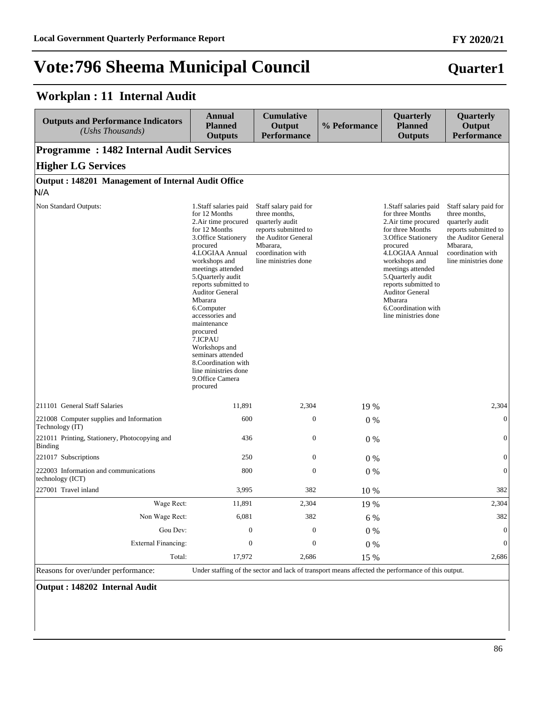**Workplan : 11 Internal Audit**

# **Vote:796 Sheema Municipal Council**

#### **Outputs and Performance Indicators** *(Ushs Thousands)*  **Annual Planned Outputs Cumulative Output Performance % Peformance Quarterly Planned Outputs Quarterly Output Performance Programme : 1482 Internal Audit Services Higher LG Services Output : 148201 Management of Internal Audit Office** N/A Non Standard Outputs: 1.Staff salaries paid for 12 Months 2.Air time procured for 12 Months 3.Office Stationery procured 4.LOGIAA Annual workshops and meetings attended 5.Quarterly audit reports submitted to Auditor General Mbarara 6.Computer accessories and maintenance procured 7.ICPAU Workshops and seminars attended 8.Coordination with line ministries done 9.Office Camera procured Staff salary paid for three months, quarterly audit reports submitted to the Auditor General Mbarara, coordination with line ministries done 1.Staff salaries paid for three Months 2.Air time procured for three Months 3.Office Stationery procured 4.LOGIAA Annual workshops and meetings attended 5.Quarterly audit reports submitted to Auditor General Mbarara 6.Coordination with line ministries done Staff salary paid for three months, quarterly audit reports submitted to the Auditor General Mbarara, coordination with line ministries done 211101 General Staff Salaries 2,304 11,891 11,891 2,304 19 % 2,304 2,304 2,304 221008 Computer supplies and Information Technology (IT) 600 0 0 % 0 221011 Printing, Stationery, Photocopying and Binding 436 0 0 % 0 0 0 % 0 221017 Subscriptions  $250$  0 0  $0\%$  0 222003 Information and communications technology (ICT) 800 0 0 % 0 227001 Travel inland 3,995 382 10 % 382 Wage Rect: 11,891 2,304 19 % 2,304 2,304 Non Wage Rect: 6,081 382 6 % 382 382 Gou Dev:  $0 \t 0 \t 0 \t 0 \t 0$ ([WHUQDO)LQDQFLQJ 0 0 0 % 0 Total: 17,972 2,686 15 % 2,686

Reasons for over/under performance: Under staffing of the sector and lack of transport means affected the performance of this output.

**Output : 148202 Internal Audit**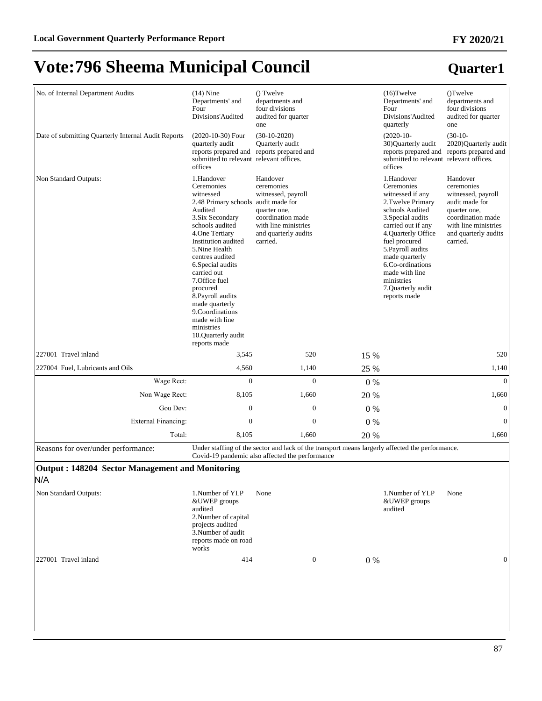#### No. of Internal Department Audits (14) Nine Departments' and Four Divisions'Audited () Twelve departments and four divisions audited for quarter one (16)Twelve Departments' and Four Divisions'Audited quarterly ()Twelve departments and four divisions audited for quarter one Date of submitting Quarterly Internal Audit Reports (2020-10-30) Four quarterly audit reports prepared and reports prepared and submitted to relevant relevant offices. offices (30-10-2020) Quarterly audit (2020-10- 30)Quarterly audit reports prepared and reports prepared and submitted to relevant relevant offices. offices (30-10- 2020)Quarterly audit Non Standard Outputs: 1.Handover Ceremonies witnessed 2.48 Primary schools audit made for Audited 3.Six Secondary schools audited 4.One Tertiary Institution audited 5.Nine Health centres audited 6.Special audits carried out 7.Office fuel procured 8.Payroll audits made quarterly 9.Coordinations made with line ministries 10.Quarterly audit reports made Handover ceremonies witnessed, payroll quarter one, coordination made with line ministries and quarterly audits carried. 1.Handover Ceremonies witnessed if any 2.Twelve Primary schools Audited 3.Special audits carried out if any 4.Quarterly Office fuel procured 5.Payroll audits made quarterly 6.Co-ordinations made with line ministries 7.Quarterly audit reports made Handover ceremonies witnessed, payroll audit made for quarter one, coordination made with line ministries and quarterly audits carried. 227001 Travel inland 3,545 520 15 % 520 227004 Fuel, Lubricants and Oils 6.4,560 1,140 25 % 1,140 1,140 :DJH5HFW 0 0 0 % 0 Non Wage Rect: 8,105 1,660 20 % 1,660 Gou Dev:  $0 \t 0 \t 0 \t 0 \t 0$ ([WHUQDO)LQDQFLQJ 0 0 0 % 0 Total: 8,105 1,660 20 % 1,660 Reasons for over/under performance: Under staffing of the sector and lack of the transport means largerly affected the performance. Covid-19 pandemic also affected the performance **Output : 148204 Sector Management and Monitoring** N/A

| Non Standard Outputs: | 1.Number of YLP<br>&UWEP groups<br>audited<br>2. Number of capital<br>projects audited<br>3. Number of audit<br>reports made on road<br>works | None |          | 1. Number of YLP<br>&UWEP groups<br>audited | None |   |
|-----------------------|-----------------------------------------------------------------------------------------------------------------------------------------------|------|----------|---------------------------------------------|------|---|
| 227001 Travel inland  | 414                                                                                                                                           |      | $\theta$ | $0\%$                                       |      | 0 |

# **Quarter1 FY 2020/21**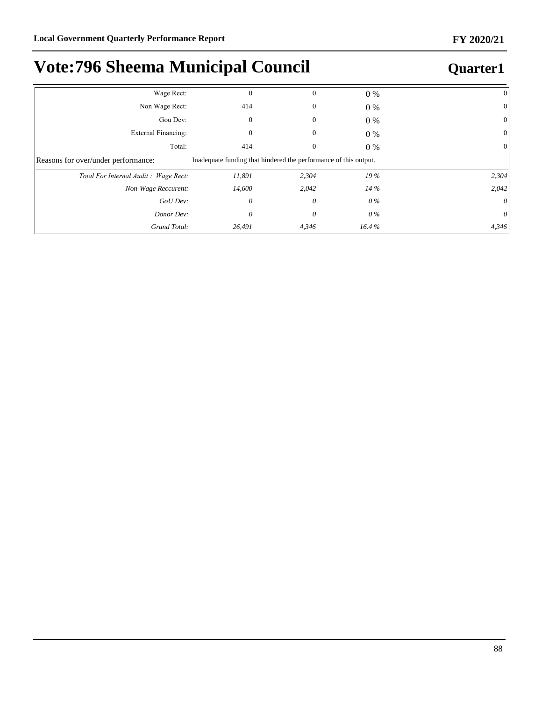| Wage Rect:                           | $\Omega$                                                         | $\Omega$ | $0\%$  |       |
|--------------------------------------|------------------------------------------------------------------|----------|--------|-------|
| Non Wage Rect:                       | 414                                                              | 0        | $0\%$  | 0     |
| Gou Dev:                             | $\mathbf{0}$                                                     | $\Omega$ | $0\%$  | 0     |
| External Financing:                  | 0                                                                | 0        | 0 %    |       |
| Total:                               | 414                                                              | $\theta$ | $0\%$  |       |
| Reasons for over/under performance:  | Inadequate funding that hindered the performance of this output. |          |        |       |
| Total For Internal Audit: Wage Rect: | 11,891                                                           | 2,304    | 19%    | 2,304 |
| Non-Wage Reccurent:                  | 14,600                                                           | 2,042    | $14\%$ | 2,042 |
| GoU Dev:                             | 0                                                                | 0        | 0 %    | 0     |
| Donor Dev:                           | 0                                                                | 0        | 0 %    | 0     |
| Grand Total:                         | 26,491                                                           | 4,346    | 16.4%  | 4,346 |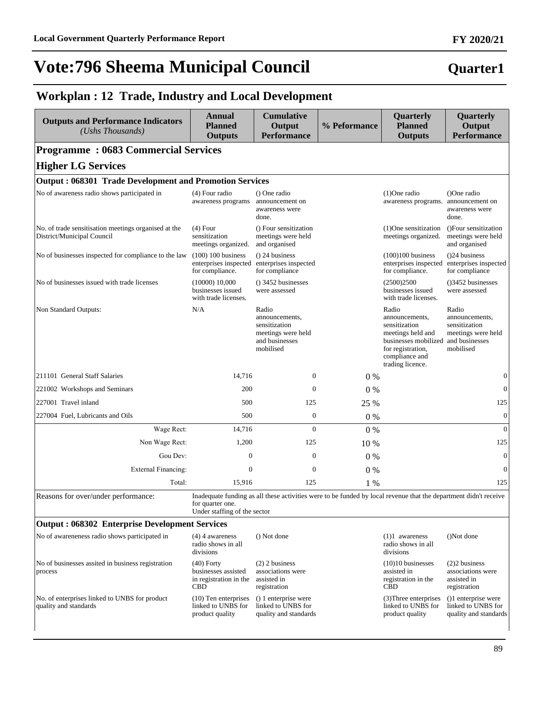### **Workplan : 12 Trade, Industry and Local Development**

| <b>Outputs and Performance Indicators</b><br>(Ushs Thousands)                      | Annual<br><b>Planned</b><br><b>Outputs</b>                                  | <b>Cumulative</b><br>Output<br><b>Performance</b>                                                                | % Peformance | Quarterly<br><b>Planned</b><br><b>Outputs</b>                                                                                                    | Quarterly<br>Output<br><b>Performance</b>                                                     |
|------------------------------------------------------------------------------------|-----------------------------------------------------------------------------|------------------------------------------------------------------------------------------------------------------|--------------|--------------------------------------------------------------------------------------------------------------------------------------------------|-----------------------------------------------------------------------------------------------|
| <b>Programme: 0683 Commercial Services</b>                                         |                                                                             |                                                                                                                  |              |                                                                                                                                                  |                                                                                               |
| <b>Higher LG Services</b>                                                          |                                                                             |                                                                                                                  |              |                                                                                                                                                  |                                                                                               |
| <b>Output: 068301 Trade Development and Promotion Services</b>                     |                                                                             |                                                                                                                  |              |                                                                                                                                                  |                                                                                               |
| No of awareness radio shows participated in                                        | (4) Four radio<br>awareness programs                                        | () One radio<br>announcement on<br>awareness were<br>done.                                                       |              | $(1)$ One radio<br>awareness programs. announcement on                                                                                           | ()One radio<br>awareness were<br>done.                                                        |
| No. of trade sensitisation meetings organised at the<br>District/Municipal Council | $(4)$ Four<br>sensitization<br>meetings organized.                          | () Four sensitization<br>meetings were held<br>and organised                                                     |              | $(1)$ One sensitization<br>meetings organized.                                                                                                   | ()Four sensitization<br>meetings were held<br>and organised                                   |
| No of businesses inspected for compliance to the law                               | $(100)$ 100 business<br>enterprises inspected<br>for compliance.            | ( ) 24 business<br>enterprises inspected<br>for compliance                                                       |              | $(100)100$ business<br>enterprises inspected<br>for compliance.                                                                                  | $(24)$ business<br>enterprises inspected<br>for compliance                                    |
| No of businesses issued with trade licenses                                        | (10000) 10,000<br>businesses issued<br>with trade licenses.                 | $()$ 3452 businesses<br>were assessed                                                                            |              | (2500)2500<br>businesses issued<br>with trade licenses.                                                                                          | ()3452 businesses<br>were assessed                                                            |
| Non Standard Outputs:                                                              | N/A                                                                         | Radio<br>announcements,<br>sensitization<br>meetings were held<br>and businesses<br>mobilised                    |              | Radio<br>announcements.<br>sensitization<br>meetings held and<br>businesses mobilized<br>for registration,<br>compliance and<br>trading licence. | Radio<br>announcements,<br>sensitization<br>meetings were held<br>and businesses<br>mobilised |
| 211101 General Staff Salaries                                                      | 14,716                                                                      | $\theta$                                                                                                         | $0\%$        |                                                                                                                                                  | $\mathbf{0}$                                                                                  |
| 221002 Workshops and Seminars                                                      | 200                                                                         | $\theta$                                                                                                         | $0\%$        |                                                                                                                                                  | $\mathbf{0}$                                                                                  |
| 227001 Travel inland                                                               | 500                                                                         | 125                                                                                                              | 25 %         |                                                                                                                                                  | 125                                                                                           |
| 227004 Fuel, Lubricants and Oils                                                   | 500                                                                         | $\mathbf{0}$                                                                                                     | $0\%$        |                                                                                                                                                  | $\mathbf{0}$                                                                                  |
| Wage Rect:                                                                         | 14,716                                                                      | $\Omega$                                                                                                         | 0%           |                                                                                                                                                  | $\Omega$                                                                                      |
| Non Wage Rect:                                                                     | 1,200                                                                       | 125                                                                                                              | 10 %         |                                                                                                                                                  | 125                                                                                           |
| Gou Dev:                                                                           | $\overline{0}$                                                              | $\mathbf{0}$                                                                                                     | $0\%$        |                                                                                                                                                  | $\boldsymbol{0}$                                                                              |
| <b>External Financing:</b>                                                         | $\mathbf{0}$                                                                | $\overline{0}$                                                                                                   | 0%           |                                                                                                                                                  | $\boldsymbol{0}$                                                                              |
| Total:                                                                             | 15,916                                                                      | 125                                                                                                              | 1 %          |                                                                                                                                                  | 125                                                                                           |
| Reasons for over/under performance:                                                | for quarter one.<br>Under staffing of the sector                            | Inadequate funding as all these activities were to be funded by local revenue that the department didn't receive |              |                                                                                                                                                  |                                                                                               |
| <b>Output: 068302 Enterprise Development Services</b>                              |                                                                             |                                                                                                                  |              |                                                                                                                                                  |                                                                                               |
| No of awareneness radio shows participated in                                      | $(4)$ 4 awareness<br>radio shows in all<br>divisions                        | () Not done                                                                                                      |              | $(1)1$ awareness<br>radio shows in all<br>divisions                                                                                              | ()Not done                                                                                    |
| No of businesses assited in business registration<br>process                       | $(40)$ Forty<br>businesses assisted<br>in registration in the<br><b>CBD</b> | $(2)$ 2 business<br>associations were<br>assisted in<br>registration                                             |              | $(10)10$ businesses<br>assisted in<br>registration in the<br><b>CBD</b>                                                                          | $(2)$ 2 business<br>associations were<br>assisted in<br>registration                          |
| No. of enterprises linked to UNBS for product<br>quality and standards             | $(10)$ Ten enterprises<br>linked to UNBS for<br>product quality             | () 1 enterprise were<br>linked to UNBS for<br>quality and standards                                              |              | (3) Three enterprises<br>linked to UNBS for<br>product quality                                                                                   | ()1 enterprise were<br>linked to UNBS for<br>quality and standards                            |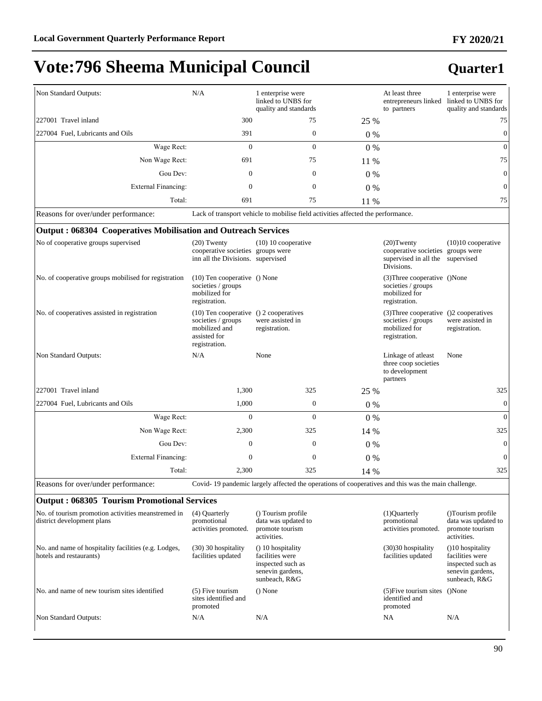# **Quarter1**

**FY 2020/21**

| Non Standard Outputs:                                                            | N/A                                                                                                            | 1 enterprise were<br>linked to UNBS for<br>quality and standards                                   |       | At least three<br>entrepreneurs linked linked to UNBS for<br>to partners                        | 1 enterprise were<br>quality and standards                                                    |
|----------------------------------------------------------------------------------|----------------------------------------------------------------------------------------------------------------|----------------------------------------------------------------------------------------------------|-------|-------------------------------------------------------------------------------------------------|-----------------------------------------------------------------------------------------------|
| 227001 Travel inland                                                             | 300                                                                                                            | 75                                                                                                 | 25 %  |                                                                                                 | 75                                                                                            |
| 227004 Fuel, Lubricants and Oils                                                 | 391                                                                                                            | $\boldsymbol{0}$                                                                                   | 0%    |                                                                                                 | $\mathbf{0}$                                                                                  |
| Wage Rect:                                                                       | $\overline{0}$                                                                                                 | $\mathbf{0}$                                                                                       | 0%    |                                                                                                 | $\mathbf{0}$                                                                                  |
| Non Wage Rect:                                                                   | 691                                                                                                            | 75                                                                                                 | 11 %  |                                                                                                 | 75                                                                                            |
| Gou Dev:                                                                         | 0                                                                                                              | $\mathbf{0}$                                                                                       | $0\%$ |                                                                                                 | $\mathbf{0}$                                                                                  |
| <b>External Financing:</b>                                                       | 0                                                                                                              | $\mathbf{0}$                                                                                       | $0\%$ |                                                                                                 | $\boldsymbol{0}$                                                                              |
| Total:                                                                           | 691                                                                                                            | 75                                                                                                 | 11 %  |                                                                                                 | 75                                                                                            |
| Reasons for over/under performance:                                              |                                                                                                                | Lack of transport vehicle to mobilise field activities affected the performance.                   |       |                                                                                                 |                                                                                               |
| Output: 068304 Cooperatives Mobilisation and Outreach Services                   |                                                                                                                |                                                                                                    |       |                                                                                                 |                                                                                               |
| No of cooperative groups supervised                                              | $(20)$ Twenty<br>cooperative societies groups were<br>inn all the Divisions. supervised                        | $(10)$ 10 cooperative                                                                              |       | $(20)$ Twenty<br>cooperative societies<br>supervised in all the<br>Divisions.                   | $(10)10$ cooperative<br>groups were<br>supervised                                             |
| No. of cooperative groups mobilised for registration                             | $(10)$ Ten cooperative () None<br>societies / groups<br>mobilized for<br>registration.                         |                                                                                                    |       | (3) Three cooperative () None<br>societies / groups<br>mobilized for<br>registration.           |                                                                                               |
| No. of cooperatives assisted in registration                                     | (10) Ten cooperative () 2 cooperatives<br>societies / groups<br>mobilized and<br>assisted for<br>registration. | were assisted in<br>registration.                                                                  |       | (3) Three cooperative () 2 cooperatives<br>societies / groups<br>mobilized for<br>registration. | were assisted in<br>registration.                                                             |
| Non Standard Outputs:                                                            | N/A                                                                                                            | None                                                                                               |       | Linkage of atleast<br>three coop societies<br>to development<br>partners                        | None                                                                                          |
| 227001 Travel inland                                                             | 1,300                                                                                                          | 325                                                                                                | 25 %  |                                                                                                 | 325                                                                                           |
| 227004 Fuel, Lubricants and Oils                                                 | 1,000                                                                                                          | $\mathbf{0}$                                                                                       | $0\%$ |                                                                                                 | $\overline{0}$                                                                                |
| Wage Rect:                                                                       | $\mathbf{0}$                                                                                                   | $\Omega$                                                                                           | $0\%$ |                                                                                                 | $\Omega$                                                                                      |
| Non Wage Rect:                                                                   | 2,300                                                                                                          | 325                                                                                                | 14 %  |                                                                                                 | 325                                                                                           |
| Gou Dev:                                                                         | $\boldsymbol{0}$                                                                                               | $\mathbf{0}$                                                                                       | $0\%$ |                                                                                                 | $\overline{0}$                                                                                |
| <b>External Financing:</b>                                                       | $\mathbf{0}$                                                                                                   | $\mathbf{0}$                                                                                       | $0\%$ |                                                                                                 | $\overline{0}$                                                                                |
| Total:                                                                           | 2,300                                                                                                          | 325                                                                                                | 14 %  |                                                                                                 | 325                                                                                           |
| Reasons for over/under performance:                                              |                                                                                                                | Covid-19 pandemic largely affected the operations of cooperatives and this was the main challenge. |       |                                                                                                 |                                                                                               |
| <b>Output: 068305 Tourism Promotional Services</b>                               |                                                                                                                |                                                                                                    |       |                                                                                                 |                                                                                               |
| No. of tourism promotion activities meanstremed in<br>district development plans | (4) Quarterly<br>promotional<br>activities promoted.                                                           | () Tourism profile<br>data was updated to<br>promote tourism<br>activities.                        |       | (1)Quarterly<br>promotional<br>activities promoted.                                             | ()Tourism profile<br>data was updated to<br>promote tourism<br>activities.                    |
| No. and name of hospitality facilities (e.g. Lodges,<br>hotels and restaurants)  | (30) 30 hospitality<br>facilities updated                                                                      | () 10 hospitality<br>facilities were<br>inspected such as<br>senevin gardens,<br>sunbeach, R&G     |       | (30)30 hospitality<br>facilities updated                                                        | (10 hospitality)<br>facilities were<br>inspected such as<br>senevin gardens,<br>sunbeach, R&G |
| No. and name of new tourism sites identified                                     | $(5)$ Five tourism<br>sites identified and<br>promoted                                                         | $()$ None                                                                                          |       | $(5)$ Five tourism sites<br>identified and<br>promoted                                          | ()None                                                                                        |
| Non Standard Outputs:                                                            | N/A                                                                                                            | N/A                                                                                                |       | NA                                                                                              | N/A                                                                                           |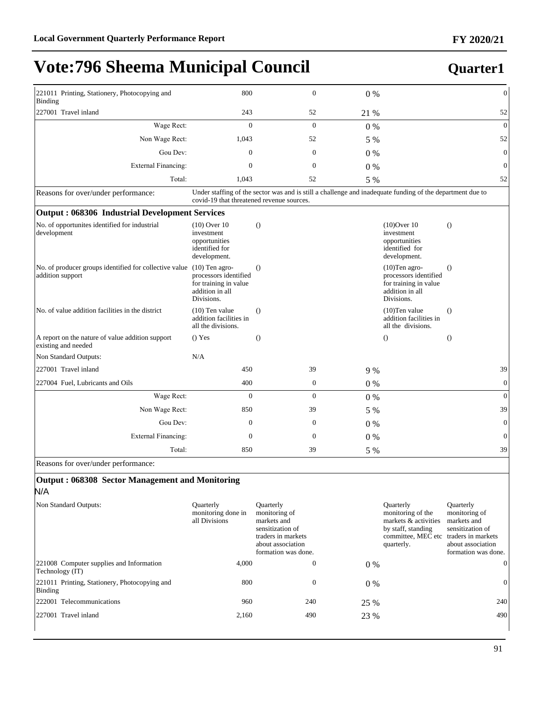# **FY 2020/21**

| 221011 Printing, Stationery, Photocopying and<br>800<br>Binding            |                                                                                                     | $\mathbf{0}$     | 0%    |                                                                                                           | $\mathbf{0}$     |
|----------------------------------------------------------------------------|-----------------------------------------------------------------------------------------------------|------------------|-------|-----------------------------------------------------------------------------------------------------------|------------------|
| 227001 Travel inland                                                       | 243                                                                                                 | 52               | 21 %  |                                                                                                           | 52               |
| Wage Rect:                                                                 | $\mathbf{0}$                                                                                        | $\overline{0}$   | 0%    |                                                                                                           | $\mathbf{0}$     |
| Non Wage Rect:                                                             | 1,043                                                                                               | 52               | 5 %   |                                                                                                           | 52               |
| Gou Dev:                                                                   | $\mathbf{0}$                                                                                        | $\boldsymbol{0}$ | 0%    |                                                                                                           | $\boldsymbol{0}$ |
| <b>External Financing:</b>                                                 | $\mathbf{0}$                                                                                        | $\mathbf{0}$     | $0\%$ |                                                                                                           | $\mathbf{0}$     |
| Total:                                                                     | 1,043                                                                                               | 52               | 5 %   |                                                                                                           | 52               |
| Reasons for over/under performance:                                        | covid-19 that threatened revenue sources.                                                           |                  |       | Under staffing of the sector was and is still a challenge and inadequate funding of the department due to |                  |
| Output: 068306 Industrial Development Services                             |                                                                                                     |                  |       |                                                                                                           |                  |
| No. of opportunites identified for industrial<br>development               | $(10)$ Over $10$<br>investment<br>opportunities<br>identified for<br>development.                   | $\theta$         |       | $(10)$ Over 10<br>investment<br>opportunities<br>identified for<br>development.                           | $\theta$         |
| No. of producer groups identified for collective value<br>addition support | $(10)$ Ten agro-<br>processors identified<br>for training in value<br>addition in all<br>Divisions. | $\Omega$         |       | $(10)$ Ten agro-<br>processors identified<br>for training in value<br>addition in all<br>Divisions.       | $\Omega$         |
| No. of value addition facilities in the district                           | $(10)$ Ten value<br>addition facilities in<br>all the divisions.                                    | $\theta$         |       | $(10)$ Ten value<br>addition facilities in<br>all the divisions.                                          | $\Omega$         |
| A report on the nature of value addition support<br>existing and needed    | $()$ Yes                                                                                            | $\theta$         |       | $\Omega$                                                                                                  | $\Omega$         |
| Non Standard Outputs:                                                      | N/A                                                                                                 |                  |       |                                                                                                           |                  |
| 227001 Travel inland                                                       | 450                                                                                                 | 39               | 9 %   |                                                                                                           | 39               |
| 227004 Fuel, Lubricants and Oils                                           | 400                                                                                                 | $\mathbf{0}$     | $0\%$ |                                                                                                           | $\mathbf{0}$     |
| Wage Rect:                                                                 | $\mathbf{0}$                                                                                        | $\overline{0}$   | $0\%$ |                                                                                                           | $\mathbf{0}$     |
| Non Wage Rect:                                                             | 850                                                                                                 | 39               | 5 %   |                                                                                                           | 39               |
| Gou Dev:                                                                   | $\boldsymbol{0}$                                                                                    | $\boldsymbol{0}$ | $0\%$ |                                                                                                           | $\boldsymbol{0}$ |
| <b>External Financing:</b>                                                 | $\mathbf{0}$                                                                                        | $\boldsymbol{0}$ | $0\%$ |                                                                                                           | $\boldsymbol{0}$ |
| Total:                                                                     | 850                                                                                                 | 39               | 5 %   |                                                                                                           | 39               |

Reasons for over/under performance:

### **Output : 068308 Sector Management and Monitoring**

N/A

| Non Standard Outputs:                                       | <b>Ouarterly</b><br>monitoring done in<br>all Divisions | <b>Ouarterly</b><br>monitoring of<br>markets and<br>sensitization of<br>traders in markets<br>about association<br>formation was done. |       | <b>Ouarterly</b><br>monitoring of the<br>markets & activities<br>by staff, standing<br>committee, MEC etc traders in markets<br>quarterly. | <b>Ouarterly</b><br>monitoring of<br>markets and<br>sensitization of<br>about association<br>formation was done. |
|-------------------------------------------------------------|---------------------------------------------------------|----------------------------------------------------------------------------------------------------------------------------------------|-------|--------------------------------------------------------------------------------------------------------------------------------------------|------------------------------------------------------------------------------------------------------------------|
| 221008 Computer supplies and Information<br>Technology (IT) | 4.000                                                   | $\boldsymbol{0}$                                                                                                                       | $0\%$ |                                                                                                                                            | $\Omega$                                                                                                         |
| 221011 Printing, Stationery, Photocopying and<br>Binding    | 800                                                     | $\boldsymbol{0}$                                                                                                                       | $0\%$ |                                                                                                                                            | $\mathbf{0}$                                                                                                     |
| 222001 Telecommunications                                   | 960                                                     | 240                                                                                                                                    | 25 %  |                                                                                                                                            | 240                                                                                                              |
| 227001 Travel inland                                        | 2,160                                                   | 490                                                                                                                                    | 23 %  |                                                                                                                                            | 490                                                                                                              |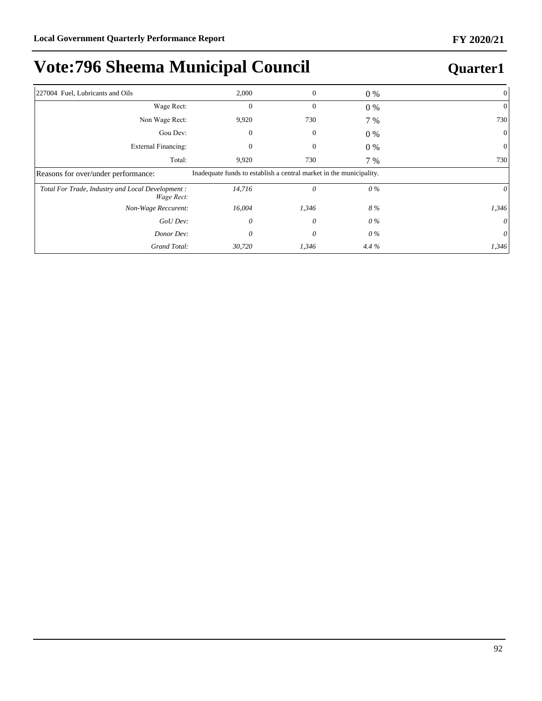| 227004 Fuel, Lubricants and Oils                                | 2,000                                                               | 0            | $0\%$   |          |
|-----------------------------------------------------------------|---------------------------------------------------------------------|--------------|---------|----------|
| Wage Rect:                                                      | $\boldsymbol{0}$                                                    | $\mathbf{0}$ | $0\%$   | 0        |
| Non Wage Rect:                                                  | 9,920                                                               | 730          | 7 %     | 730      |
| Gou Dev:                                                        | 0                                                                   | 0            | $0\%$   | $\theta$ |
| External Financing:                                             | 0                                                                   | 0            | $0\%$   |          |
| Total:                                                          | 9,920                                                               | 730          | 7 %     | 730      |
| Reasons for over/under performance:                             | Inadequate funds to establish a central market in the municipality. |              |         |          |
| Total For Trade, Industry and Local Development :<br>Wage Rect: | 14,716                                                              | 0            | 0%      |          |
| Non-Wage Reccurent:                                             | 16,004                                                              | 1,346        | 8 %     | 1,346    |
| GoU Dev:                                                        | 0                                                                   | 0            | 0%      | 0        |
| Donor Dev:                                                      | 0                                                                   | 0            | 0%      |          |
| Grand Total:                                                    | 30,720                                                              | 1,346        | $4.4\%$ | 1,346    |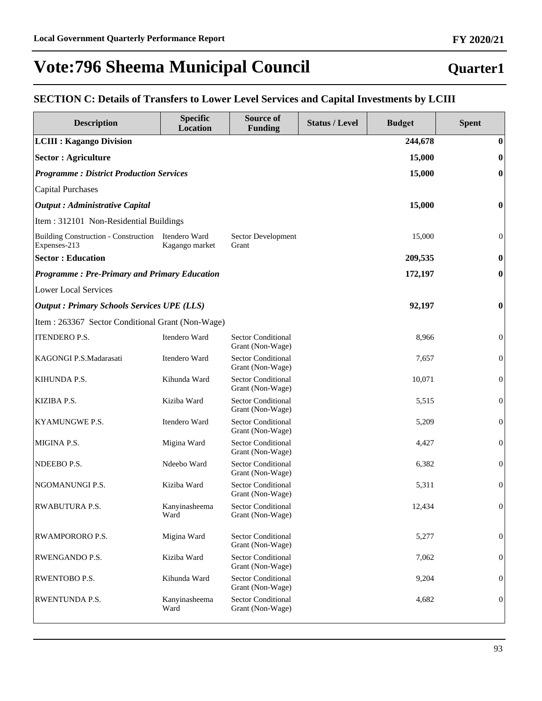### **Quarter1**

### **SECTION C: Details of Transfers to Lower Level Services and Capital Investments by LCIII**

| <b>Description</b>                                                 | <b>Specific</b>       | <b>Source of</b>                              | <b>Status / Level</b> | <b>Budget</b> | <b>Spent</b>     |
|--------------------------------------------------------------------|-----------------------|-----------------------------------------------|-----------------------|---------------|------------------|
|                                                                    | <b>Location</b>       | <b>Funding</b>                                |                       |               | $\bf{0}$         |
| <b>LCIII : Kagango Division</b>                                    |                       |                                               |                       | 244,678       |                  |
| <b>Sector : Agriculture</b>                                        |                       |                                               |                       | 15,000        | $\bf{0}$         |
| <b>Programme: District Production Services</b>                     |                       |                                               |                       | 15,000        | $\bf{0}$         |
| Capital Purchases                                                  |                       |                                               |                       |               |                  |
| <b>Output</b> : Administrative Capital                             |                       |                                               |                       | 15,000        | $\bf{0}$         |
| Item : 312101 Non-Residential Buildings                            |                       |                                               |                       |               |                  |
| Building Construction - Construction Itendero Ward<br>Expenses-213 | Kagango market        | Sector Development<br>Grant                   |                       | 15,000        | $\boldsymbol{0}$ |
| <b>Sector : Education</b>                                          |                       |                                               |                       | 209,535       | $\boldsymbol{0}$ |
| <b>Programme: Pre-Primary and Primary Education</b>                |                       |                                               |                       | 172,197       | $\boldsymbol{0}$ |
| <b>Lower Local Services</b>                                        |                       |                                               |                       |               |                  |
| <b>Output: Primary Schools Services UPE (LLS)</b>                  |                       |                                               |                       | 92,197        | $\boldsymbol{0}$ |
| Item : 263367 Sector Conditional Grant (Non-Wage)                  |                       |                                               |                       |               |                  |
| <b>ITENDERO P.S.</b>                                               | Itendero Ward         | <b>Sector Conditional</b><br>Grant (Non-Wage) |                       | 8,966         | $\boldsymbol{0}$ |
| KAGONGI P.S.Madarasati                                             | Itendero Ward         | <b>Sector Conditional</b><br>Grant (Non-Wage) |                       | 7,657         | $\boldsymbol{0}$ |
| <b>KIHUNDA P.S.</b>                                                | Kihunda Ward          | <b>Sector Conditional</b><br>Grant (Non-Wage) |                       | 10,071        | $\mathbf{0}$     |
| <b>KIZIBA P.S.</b>                                                 | Kiziba Ward           | <b>Sector Conditional</b><br>Grant (Non-Wage) |                       | 5,515         | $\mathbf{0}$     |
| <b>KYAMUNGWE P.S.</b>                                              | Itendero Ward         | <b>Sector Conditional</b><br>Grant (Non-Wage) |                       | 5,209         | $\mathbf{0}$     |
| MIGINA P.S.                                                        | Migina Ward           | <b>Sector Conditional</b><br>Grant (Non-Wage) |                       | 4,427         | $\mathbf{0}$     |
| NDEEBO P.S.                                                        | Ndeebo Ward           | <b>Sector Conditional</b><br>Grant (Non-Wage) |                       | 6,382         | $\mathbf{0}$     |
| NGOMANUNGI P.S.                                                    | Kiziba Ward           | <b>Sector Conditional</b><br>Grant (Non-Wage) |                       | 5,311         | $\boldsymbol{0}$ |
| <b>RWABUTURA P.S.</b>                                              | Kanyinasheema<br>Ward | <b>Sector Conditional</b><br>Grant (Non-Wage) |                       | 12,434        | $\boldsymbol{0}$ |
| <b>RWAMPORORO P.S.</b>                                             | Migina Ward           | <b>Sector Conditional</b><br>Grant (Non-Wage) |                       | 5,277         | $\boldsymbol{0}$ |
| <b>RWENGANDO P.S.</b>                                              | Kiziba Ward           | <b>Sector Conditional</b><br>Grant (Non-Wage) |                       | 7,062         | $\mathbf{0}$     |
| <b>RWENTOBO P.S.</b>                                               | Kihunda Ward          | <b>Sector Conditional</b><br>Grant (Non-Wage) |                       | 9,204         | $\mathbf{0}$     |
| <b>RWENTUNDA P.S.</b>                                              | Kanyinasheema<br>Ward | <b>Sector Conditional</b><br>Grant (Non-Wage) |                       | 4,682         | $\boldsymbol{0}$ |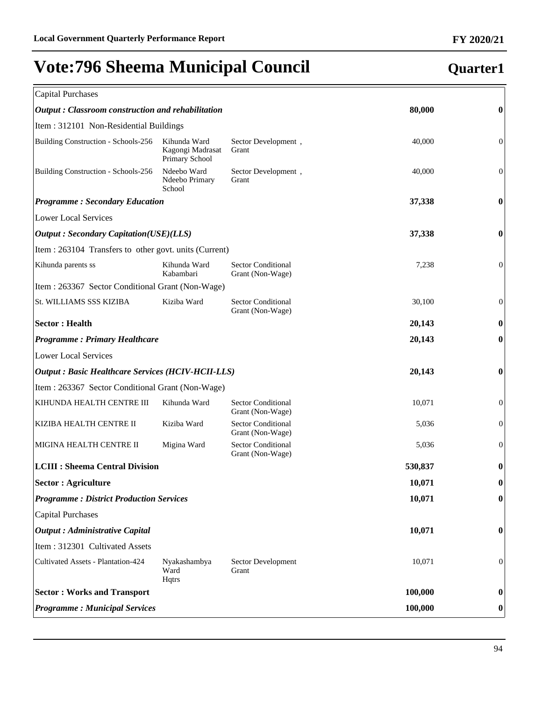| <b>Capital Purchases</b>                                 |                                                    |                                               |         |                  |
|----------------------------------------------------------|----------------------------------------------------|-----------------------------------------------|---------|------------------|
| Output: Classroom construction and rehabilitation        |                                                    |                                               | 80,000  | $\bf{0}$         |
| Item: 312101 Non-Residential Buildings                   |                                                    |                                               |         |                  |
| Building Construction - Schools-256                      | Kihunda Ward<br>Kagongi Madrasat<br>Primary School | Sector Development,<br>Grant                  | 40,000  | $\boldsymbol{0}$ |
| Building Construction - Schools-256                      | Ndeebo Ward<br>Ndeebo Primary<br>School            | Sector Development,<br>Grant                  | 40,000  | $\boldsymbol{0}$ |
| <b>Programme: Secondary Education</b>                    |                                                    |                                               | 37,338  | $\bf{0}$         |
| <b>Lower Local Services</b>                              |                                                    |                                               |         |                  |
| <b>Output: Secondary Capitation(USE)(LLS)</b>            |                                                    |                                               | 37,338  | $\bf{0}$         |
| Item : 263104 Transfers to other govt. units (Current)   |                                                    |                                               |         |                  |
| Kihunda parents ss                                       | Kihunda Ward<br>Kabambari                          | <b>Sector Conditional</b><br>Grant (Non-Wage) | 7,238   | $\boldsymbol{0}$ |
| Item : 263367 Sector Conditional Grant (Non-Wage)        |                                                    |                                               |         |                  |
| St. WILLIAMS SSS KIZIBA                                  | Kiziba Ward                                        | <b>Sector Conditional</b><br>Grant (Non-Wage) | 30,100  | $\boldsymbol{0}$ |
| <b>Sector: Health</b>                                    |                                                    |                                               | 20,143  | $\bf{0}$         |
| <b>Programme: Primary Healthcare</b>                     |                                                    |                                               | 20,143  | $\boldsymbol{0}$ |
| <b>Lower Local Services</b>                              |                                                    |                                               |         |                  |
| <b>Output: Basic Healthcare Services (HCIV-HCII-LLS)</b> |                                                    |                                               | 20,143  | $\boldsymbol{0}$ |
| Item : 263367 Sector Conditional Grant (Non-Wage)        |                                                    |                                               |         |                  |
| KIHUNDA HEALTH CENTRE III                                | Kihunda Ward                                       | <b>Sector Conditional</b><br>Grant (Non-Wage) | 10,071  | $\boldsymbol{0}$ |
| KIZIBA HEALTH CENTRE II                                  | Kiziba Ward                                        | <b>Sector Conditional</b><br>Grant (Non-Wage) | 5,036   | $\boldsymbol{0}$ |
| MIGINA HEALTH CENTRE II                                  | Migina Ward                                        | <b>Sector Conditional</b><br>Grant (Non-Wage) | 5,036   | $\boldsymbol{0}$ |
| <b>LCIII : Sheema Central Division</b>                   |                                                    |                                               | 530,837 | $\bf{0}$         |
| Sector : Agriculture                                     |                                                    |                                               | 10,071  | $\boldsymbol{0}$ |
| <b>Programme: District Production Services</b>           |                                                    |                                               | 10,071  | $\bf{0}$         |
| <b>Capital Purchases</b>                                 |                                                    |                                               |         |                  |
| <b>Output</b> : Administrative Capital                   |                                                    |                                               | 10,071  | $\bf{0}$         |
| Item: 312301 Cultivated Assets                           |                                                    |                                               |         |                  |
| Cultivated Assets - Plantation-424                       | Nyakashambya<br>Ward<br>Hqtrs                      | Sector Development<br>Grant                   | 10,071  | $\boldsymbol{0}$ |
| <b>Sector: Works and Transport</b>                       |                                                    |                                               | 100,000 | $\bf{0}$         |
| <b>Programme: Municipal Services</b>                     |                                                    |                                               | 100,000 | $\bf{0}$         |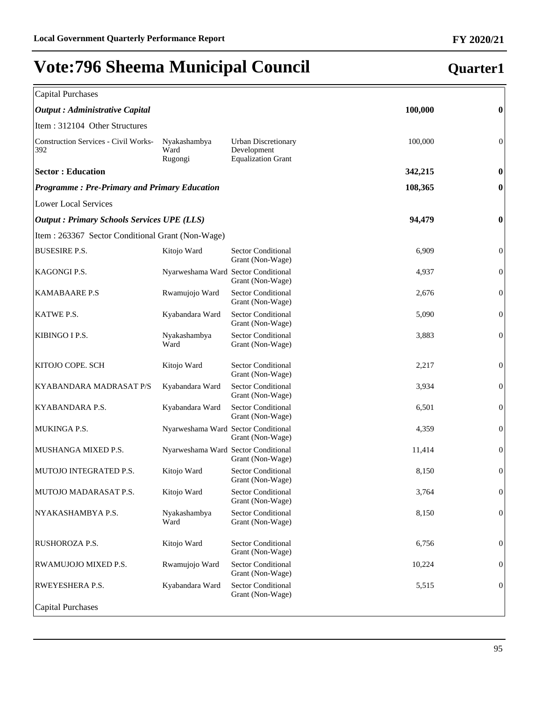| <b>Capital Purchases</b>                            |                                     |                                                                        |         |                  |
|-----------------------------------------------------|-------------------------------------|------------------------------------------------------------------------|---------|------------------|
| <b>Output</b> : Administrative Capital              |                                     |                                                                        | 100,000 | $\boldsymbol{0}$ |
| Item: 312104 Other Structures                       |                                     |                                                                        |         |                  |
| <b>Construction Services - Civil Works-</b><br>392  | Nyakashambya<br>Ward<br>Rugongi     | <b>Urban Discretionary</b><br>Development<br><b>Equalization Grant</b> | 100,000 | $\boldsymbol{0}$ |
| <b>Sector: Education</b>                            |                                     |                                                                        | 342,215 | $\boldsymbol{0}$ |
| <b>Programme: Pre-Primary and Primary Education</b> |                                     |                                                                        | 108,365 | 0                |
| <b>Lower Local Services</b>                         |                                     |                                                                        |         |                  |
| <b>Output : Primary Schools Services UPE (LLS)</b>  |                                     |                                                                        | 94,479  | 0                |
| Item : 263367 Sector Conditional Grant (Non-Wage)   |                                     |                                                                        |         |                  |
| <b>BUSESIRE P.S.</b>                                | Kitojo Ward                         | <b>Sector Conditional</b><br>Grant (Non-Wage)                          | 6,909   | $\boldsymbol{0}$ |
| KAGONGI P.S.                                        | Nyarweshama Ward Sector Conditional | Grant (Non-Wage)                                                       | 4,937   | $\boldsymbol{0}$ |
| <b>KAMABAARE P.S</b>                                | Rwamujojo Ward                      | <b>Sector Conditional</b><br>Grant (Non-Wage)                          | 2,676   | $\boldsymbol{0}$ |
| KATWE P.S.                                          | Kyabandara Ward                     | Sector Conditional<br>Grant (Non-Wage)                                 | 5,090   | $\boldsymbol{0}$ |
| KIBINGO I P.S.                                      | Nyakashambya<br>Ward                | <b>Sector Conditional</b><br>Grant (Non-Wage)                          | 3,883   | $\boldsymbol{0}$ |
| KITOJO COPE. SCH                                    | Kitojo Ward                         | Sector Conditional<br>Grant (Non-Wage)                                 | 2,217   | $\boldsymbol{0}$ |
| KYABANDARA MADRASAT P/S                             | Kyabandara Ward                     | Sector Conditional<br>Grant (Non-Wage)                                 | 3,934   | $\boldsymbol{0}$ |
| KYABANDARA P.S.                                     | Kyabandara Ward                     | <b>Sector Conditional</b><br>Grant (Non-Wage)                          | 6,501   | $\boldsymbol{0}$ |
| MUKINGA P.S.                                        | Nyarweshama Ward Sector Conditional | Grant (Non-Wage)                                                       | 4,359   | $\boldsymbol{0}$ |
| MUSHANGA MIXED P.S.                                 | Nyarweshama Ward Sector Conditional | Grant (Non-Wage)                                                       | 11,414  | $\boldsymbol{0}$ |
| MUTOJO INTEGRATED P.S.                              | Kitojo Ward                         | <b>Sector Conditional</b><br>Grant (Non-Wage)                          | 8,150   | $\boldsymbol{0}$ |
| MUTOJO MADARASAT P.S.                               | Kitojo Ward                         | <b>Sector Conditional</b><br>Grant (Non-Wage)                          | 3,764   | $\boldsymbol{0}$ |
| NYAKASHAMBYA P.S.                                   | Nyakashambya<br>Ward                | Sector Conditional<br>Grant (Non-Wage)                                 | 8,150   | $\mathbf{0}$     |
| RUSHOROZA P.S.                                      | Kitojo Ward                         | <b>Sector Conditional</b><br>Grant (Non-Wage)                          | 6,756   | $\boldsymbol{0}$ |
| RWAMUJOJO MIXED P.S.                                | Rwamujojo Ward                      | <b>Sector Conditional</b><br>Grant (Non-Wage)                          | 10,224  | $\boldsymbol{0}$ |
| RWEYESHERA P.S.                                     | Kyabandara Ward                     | Sector Conditional<br>Grant (Non-Wage)                                 | 5,515   | $\boldsymbol{0}$ |
| <b>Capital Purchases</b>                            |                                     |                                                                        |         |                  |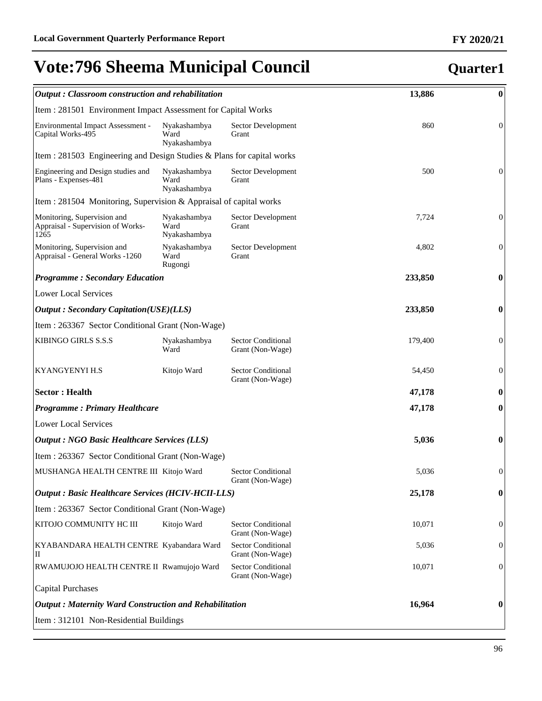### *Output : Classroom construction and rehabilitation* **13,886 0** Item : 281501 Environment Impact Assessment for Capital Works Sector Development Grant 860 0 Sector Development 500 0 **Quarter1**

| Environmental Impact Assessment -<br>Capital Works-495                   | Nyakashambya<br>Ward<br>Nyakashambya | Sector Development<br>Grant                   | 860     | $\mathbf{0}$     |
|--------------------------------------------------------------------------|--------------------------------------|-----------------------------------------------|---------|------------------|
| Item: 281503 Engineering and Design Studies & Plans for capital works    |                                      |                                               |         |                  |
| Engineering and Design studies and<br>Plans - Expenses-481               | Nyakashambya<br>Ward<br>Nyakashambya | Sector Development<br>Grant                   | 500     | $\mathbf{0}$     |
| Item : 281504 Monitoring, Supervision & Appraisal of capital works       |                                      |                                               |         |                  |
| Monitoring, Supervision and<br>Appraisal - Supervision of Works-<br>1265 | Nyakashambya<br>Ward<br>Nyakashambya | Sector Development<br>Grant                   | 7,724   | $\mathbf{0}$     |
| Monitoring, Supervision and<br>Appraisal - General Works -1260           | Nyakashambya<br>Ward<br>Rugongi      | Sector Development<br>Grant                   | 4,802   | $\mathbf{0}$     |
| <b>Programme: Secondary Education</b>                                    |                                      |                                               | 233,850 | $\boldsymbol{0}$ |
| <b>Lower Local Services</b>                                              |                                      |                                               |         |                  |
| <b>Output : Secondary Capitation(USE)(LLS)</b>                           |                                      |                                               | 233,850 | $\boldsymbol{0}$ |
| Item: 263367 Sector Conditional Grant (Non-Wage)                         |                                      |                                               |         |                  |
| KIBINGO GIRLS S.S.S                                                      | Nyakashambya<br>Ward                 | <b>Sector Conditional</b><br>Grant (Non-Wage) | 179,400 | $\mathbf{0}$     |
| <b>KYANGYENYI H.S</b>                                                    | Kitojo Ward                          | <b>Sector Conditional</b><br>Grant (Non-Wage) | 54,450  | $\boldsymbol{0}$ |
| <b>Sector: Health</b>                                                    |                                      |                                               | 47,178  | $\boldsymbol{0}$ |
| <b>Programme: Primary Healthcare</b>                                     |                                      |                                               | 47,178  | $\boldsymbol{0}$ |
| <b>Lower Local Services</b>                                              |                                      |                                               |         |                  |
| <b>Output : NGO Basic Healthcare Services (LLS)</b>                      |                                      |                                               | 5,036   | $\boldsymbol{0}$ |
| Item : 263367 Sector Conditional Grant (Non-Wage)                        |                                      |                                               |         |                  |
| MUSHANGA HEALTH CENTRE III Kitojo Ward                                   |                                      | <b>Sector Conditional</b><br>Grant (Non-Wage) | 5,036   | $\mathbf{0}$     |
| <b>Output : Basic Healthcare Services (HCIV-HCII-LLS)</b>                |                                      |                                               | 25,178  | $\boldsymbol{0}$ |
| Item: 263367 Sector Conditional Grant (Non-Wage)                         |                                      |                                               |         |                  |
| KITOJO COMMUNITY HC III                                                  | Kitojo Ward                          | <b>Sector Conditional</b><br>Grant (Non-Wage) | 10,071  | $\boldsymbol{0}$ |
| KYABANDARA HEALTH CENTRE Kyabandara Ward<br>П                            |                                      | <b>Sector Conditional</b><br>Grant (Non-Wage) | 5,036   | $\mathbf{0}$     |
| RWAMUJOJO HEALTH CENTRE II Rwamujojo Ward                                |                                      | <b>Sector Conditional</b><br>Grant (Non-Wage) | 10,071  | $\mathbf{0}$     |
| <b>Capital Purchases</b>                                                 |                                      |                                               |         |                  |
| <b>Output: Maternity Ward Construction and Rehabilitation</b>            |                                      |                                               | 16,964  | 0                |
| Item: 312101 Non-Residential Buildings                                   |                                      |                                               |         |                  |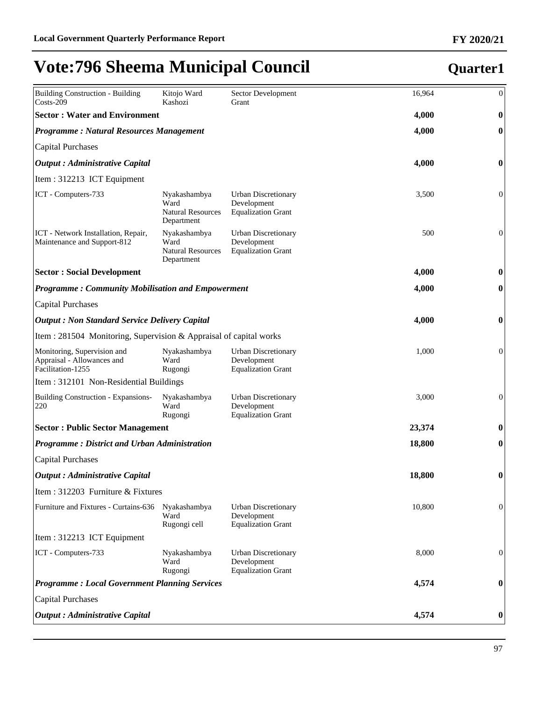| <b>Building Construction - Building</b><br>$\text{Costs-209}$                  | Kitojo Ward<br>Kashozi                                         | Sector Development<br>Grant                                            | 16,964 | $\boldsymbol{0}$ |
|--------------------------------------------------------------------------------|----------------------------------------------------------------|------------------------------------------------------------------------|--------|------------------|
| <b>Sector: Water and Environment</b>                                           |                                                                |                                                                        | 4,000  | $\boldsymbol{0}$ |
| <b>Programme: Natural Resources Management</b>                                 |                                                                |                                                                        | 4,000  | $\bf{0}$         |
| Capital Purchases                                                              |                                                                |                                                                        |        |                  |
| Output : Administrative Capital                                                |                                                                |                                                                        | 4,000  | $\bf{0}$         |
| Item : 312213 ICT Equipment                                                    |                                                                |                                                                        |        |                  |
| ICT - Computers-733                                                            | Nyakashambya<br>Ward<br><b>Natural Resources</b><br>Department | <b>Urban Discretionary</b><br>Development<br><b>Equalization Grant</b> | 3,500  | $\boldsymbol{0}$ |
| ICT - Network Installation, Repair,<br>Maintenance and Support-812             | Nyakashambya<br>Ward<br><b>Natural Resources</b><br>Department | <b>Urban Discretionary</b><br>Development<br><b>Equalization Grant</b> | 500    | $\mathbf{0}$     |
| <b>Sector : Social Development</b>                                             |                                                                |                                                                        | 4,000  | $\bf{0}$         |
| <b>Programme: Community Mobilisation and Empowerment</b>                       |                                                                |                                                                        | 4,000  | $\boldsymbol{0}$ |
| Capital Purchases                                                              |                                                                |                                                                        |        |                  |
| <b>Output: Non Standard Service Delivery Capital</b>                           |                                                                |                                                                        | 4,000  | $\boldsymbol{0}$ |
| Item : 281504 Monitoring, Supervision & Appraisal of capital works             |                                                                |                                                                        |        |                  |
| Monitoring, Supervision and<br>Appraisal - Allowances and<br>Facilitation-1255 | Nyakashambya<br>Ward<br>Rugongi                                | <b>Urban Discretionary</b><br>Development<br><b>Equalization Grant</b> | 1,000  | $\boldsymbol{0}$ |
| Item : 312101 Non-Residential Buildings                                        |                                                                |                                                                        |        |                  |
| Building Construction - Expansions-<br>220                                     | Nyakashambya<br>Ward<br>Rugongi                                | <b>Urban Discretionary</b><br>Development<br><b>Equalization Grant</b> | 3,000  | $\boldsymbol{0}$ |
| <b>Sector: Public Sector Management</b>                                        |                                                                |                                                                        | 23,374 | $\bf{0}$         |
| <b>Programme: District and Urban Administration</b>                            |                                                                |                                                                        | 18,800 | $\boldsymbol{0}$ |
| Capital Purchases                                                              |                                                                |                                                                        |        |                  |
| <b>Output</b> : Administrative Capital                                         |                                                                |                                                                        | 18,800 | $\boldsymbol{0}$ |
| Item : 312203 Furniture & Fixtures                                             |                                                                |                                                                        |        |                  |
| Furniture and Fixtures - Curtains-636                                          | Nyakashambya<br>Ward<br>Rugongi cell                           | <b>Urban Discretionary</b><br>Development<br><b>Equalization Grant</b> | 10,800 | $\boldsymbol{0}$ |
| Item : 312213 ICT Equipment                                                    |                                                                |                                                                        |        |                  |
| ICT - Computers-733                                                            | Nyakashambya<br>Ward<br>Rugongi                                | <b>Urban Discretionary</b><br>Development<br><b>Equalization Grant</b> | 8,000  | $\theta$         |
| <b>Programme: Local Government Planning Services</b>                           |                                                                |                                                                        | 4,574  | $\bf{0}$         |
| Capital Purchases                                                              |                                                                |                                                                        |        |                  |
| Output : Administrative Capital                                                |                                                                |                                                                        | 4,574  | $\boldsymbol{0}$ |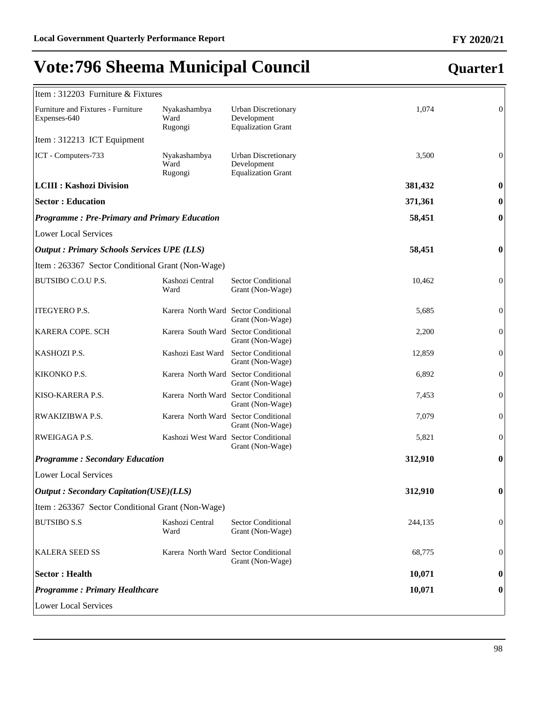| Item: 312203 Furniture & Fixtures                   |                                      |                                                                        |          |                  |
|-----------------------------------------------------|--------------------------------------|------------------------------------------------------------------------|----------|------------------|
| Furniture and Fixtures - Furniture<br>Expenses-640  | Nyakashambya<br>Ward<br>Rugongi      | <b>Urban Discretionary</b><br>Development<br><b>Equalization Grant</b> | 1,074    | $\overline{0}$   |
| Item: 312213 ICT Equipment                          |                                      |                                                                        |          |                  |
| ICT - Computers-733                                 | Nyakashambya<br>Ward<br>Rugongi      | <b>Urban Discretionary</b><br>Development<br><b>Equalization Grant</b> | 3,500    | $\overline{0}$   |
| <b>LCIII : Kashozi Division</b>                     |                                      |                                                                        | 381,432  | 0                |
| <b>Sector: Education</b>                            |                                      |                                                                        | 371,361  | $\bf{0}$         |
| <b>Programme: Pre-Primary and Primary Education</b> |                                      |                                                                        | 58,451   | $\boldsymbol{0}$ |
| <b>Lower Local Services</b>                         |                                      |                                                                        |          |                  |
| <b>Output : Primary Schools Services UPE (LLS)</b>  |                                      |                                                                        | 58,451   | 0                |
| Item : 263367 Sector Conditional Grant (Non-Wage)   |                                      |                                                                        |          |                  |
| BUTSIBO C.O.U P.S.                                  | Kashozi Central<br>Ward              | <b>Sector Conditional</b><br>Grant (Non-Wage)                          | 10,462   | $\overline{0}$   |
| ITEGYERO P.S.                                       | Karera North Ward Sector Conditional | Grant (Non-Wage)                                                       | 5,685    | $\boldsymbol{0}$ |
| KARERA COPE. SCH                                    | Karera South Ward Sector Conditional | Grant (Non-Wage)                                                       | 2,200    | $\boldsymbol{0}$ |
| KASHOZI P.S.                                        | Kashozi East Ward                    | <b>Sector Conditional</b><br>Grant (Non-Wage)                          | 12,859   | $\boldsymbol{0}$ |
| KIKONKO P.S.                                        | Karera North Ward Sector Conditional | Grant (Non-Wage)                                                       | 6,892    | $\boldsymbol{0}$ |
| KISO-KARERA P.S.                                    | Karera North Ward Sector Conditional | Grant (Non-Wage)                                                       | 7,453    | $\boldsymbol{0}$ |
| RWAKIZIBWA P.S.                                     | Karera North Ward Sector Conditional | Grant (Non-Wage)                                                       | 7,079    | $\boldsymbol{0}$ |
| RWEIGAGA P.S.                                       | Kashozi West Ward Sector Conditional | Grant (Non-Wage)                                                       | 5,821    | $\boldsymbol{0}$ |
| <b>Programme: Secondary Education</b>               |                                      |                                                                        | 312,910  | $\boldsymbol{0}$ |
| <b>Lower Local Services</b>                         |                                      |                                                                        |          |                  |
| <b>Output : Secondary Capitation(USE)(LLS)</b>      |                                      | 312,910                                                                | $\bf{0}$ |                  |
| Item: 263367 Sector Conditional Grant (Non-Wage)    |                                      |                                                                        |          |                  |
| <b>BUTSIBO S.S</b>                                  | Kashozi Central<br>Ward              | <b>Sector Conditional</b><br>Grant (Non-Wage)                          | 244,135  | $\overline{0}$   |
| <b>KALERA SEED SS</b>                               | Karera North Ward Sector Conditional | Grant (Non-Wage)                                                       | 68,775   | 0                |
| <b>Sector: Health</b>                               |                                      |                                                                        | 10,071   | 0                |
| <b>Programme: Primary Healthcare</b>                |                                      |                                                                        | 10,071   | $\bf{0}$         |
| <b>Lower Local Services</b>                         |                                      |                                                                        |          |                  |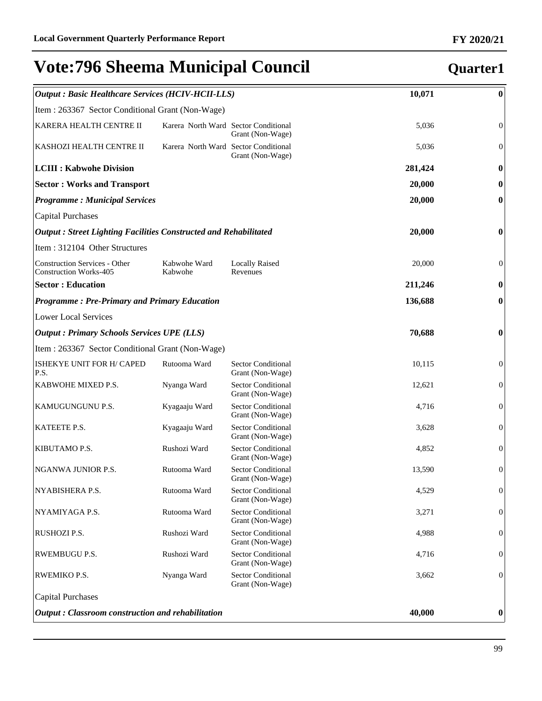### *Output : Basic Healthcare Services (HCIV-HCII-LLS)* **10,071 0** Item : 263367 Sector Conditional Grant (Non-Wage) KARERA HEALTH CENTRE II Karera North Ward Sector Conditional Grant (Non-Wage) 5,036 0 KASHOZI HEALTH CENTRE II Karera North Ward Sector Conditional Grant (Non-Wage) 5,036 0 **LCIII : Kabwohe Division 281,424 0 Sector : Works and Transport 20,000 0** *Programme : Municipal Services* **20,000 0** Capital Purchases *Output : Street Lighting Facilities Constructed and Rehabilitated* **20,000 0** Item : 312104 Other Structures Construction Services - Other Construction Works-405 Kabwohe Ward Kabwohe Locally Raised Revenues 20,000 0 **Sector : Education 211,246 0** *Programme : Pre-Primary and Primary Education* **136,688 0** Lower Local Services *Output : Primary Schools Services UPE (LLS)* **70,688 0** Item : 263367 Sector Conditional Grant (Non-Wage) ISHEKYE UNIT FOR H/ CAPED P.S. Rutooma Ward Sector Conditional Grant (Non-Wage) 10,115 0 KABWOHE MIXED P.S. Nyanga Ward Sector Conditional Grant (Non-Wage) 12,621 0 KAMUGUNGUNU P.S. Kyagaaju Ward Sector Conditional Grant (Non-Wage) 4,716 0 KATEETE P.S. Kyagaaju Ward Sector Conditional Grant (Non-Wage) 3,628 0 KIBUTAMO P.S. Rushozi Ward Sector Conditional Grant (Non-Wage) 4,852 0 NGANWA JUNIOR P.S. Rutooma Ward Sector Conditional Grant (Non-Wage) 13,590 0 NYABISHERA P.S. Rutooma Ward Sector Conditional Grant (Non-Wage) 4,529 0 NYAMIYAGA P.S. Rutooma Ward Sector Conditional Grant (Non-Wage) 3,271 0 RUSHOZI P.S. Rushozi Ward Sector Conditional Grant (Non-Wage) 4,988 0 RWEMBUGU P.S. Rushozi Ward Sector Conditional Grant (Non-Wage) 4,716 0 RWEMIKO P.S. Nyanga Ward Sector Conditional Grant (Non-Wage) 3,662 0 Capital Purchases *Output : Classroom construction and rehabilitation* **40,000 0**

### 99